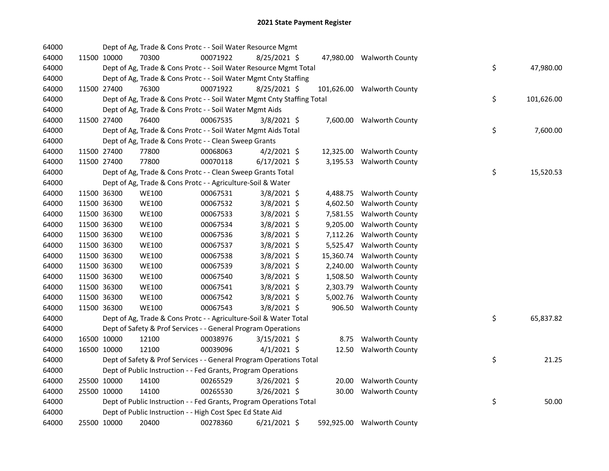| 64000 |             | Dept of Ag, Trade & Cons Protc - - Soil Water Resource Mgmt            |          |                |           |                            |    |            |
|-------|-------------|------------------------------------------------------------------------|----------|----------------|-----------|----------------------------|----|------------|
| 64000 | 11500 10000 | 70300                                                                  | 00071922 | $8/25/2021$ \$ |           | 47,980.00 Walworth County  |    |            |
| 64000 |             | Dept of Ag, Trade & Cons Protc - - Soil Water Resource Mgmt Total      |          |                |           |                            | \$ | 47,980.00  |
| 64000 |             | Dept of Ag, Trade & Cons Protc - - Soil Water Mgmt Cnty Staffing       |          |                |           |                            |    |            |
| 64000 | 11500 27400 | 76300                                                                  | 00071922 | 8/25/2021 \$   |           | 101,626.00 Walworth County |    |            |
| 64000 |             | Dept of Ag, Trade & Cons Protc - - Soil Water Mgmt Cnty Staffing Total |          |                |           |                            | \$ | 101,626.00 |
| 64000 |             | Dept of Ag, Trade & Cons Protc - - Soil Water Mgmt Aids                |          |                |           |                            |    |            |
| 64000 | 11500 27400 | 76400                                                                  | 00067535 | $3/8/2021$ \$  |           | 7,600.00 Walworth County   |    |            |
| 64000 |             | Dept of Ag, Trade & Cons Protc - - Soil Water Mgmt Aids Total          |          |                |           |                            | \$ | 7,600.00   |
| 64000 |             | Dept of Ag, Trade & Cons Protc - - Clean Sweep Grants                  |          |                |           |                            |    |            |
| 64000 | 11500 27400 | 77800                                                                  | 00068063 | $4/2/2021$ \$  |           | 12,325.00 Walworth County  |    |            |
| 64000 | 11500 27400 | 77800                                                                  | 00070118 | $6/17/2021$ \$ |           | 3,195.53 Walworth County   |    |            |
| 64000 |             | Dept of Ag, Trade & Cons Protc - - Clean Sweep Grants Total            |          |                |           |                            | \$ | 15,520.53  |
| 64000 |             | Dept of Ag, Trade & Cons Protc - - Agriculture-Soil & Water            |          |                |           |                            |    |            |
| 64000 | 11500 36300 | <b>WE100</b>                                                           | 00067531 | $3/8/2021$ \$  |           | 4,488.75 Walworth County   |    |            |
| 64000 | 11500 36300 | <b>WE100</b>                                                           | 00067532 | $3/8/2021$ \$  |           | 4,602.50 Walworth County   |    |            |
| 64000 | 11500 36300 | <b>WE100</b>                                                           | 00067533 | 3/8/2021 \$    |           | 7,581.55 Walworth County   |    |            |
| 64000 | 11500 36300 | <b>WE100</b>                                                           | 00067534 | 3/8/2021 \$    |           | 9,205.00 Walworth County   |    |            |
| 64000 | 11500 36300 | <b>WE100</b>                                                           | 00067536 | 3/8/2021 \$    |           | 7,112.26 Walworth County   |    |            |
| 64000 | 11500 36300 | <b>WE100</b>                                                           | 00067537 | 3/8/2021 \$    |           | 5,525.47 Walworth County   |    |            |
| 64000 | 11500 36300 | <b>WE100</b>                                                           | 00067538 | $3/8/2021$ \$  | 15,360.74 | <b>Walworth County</b>     |    |            |
| 64000 | 11500 36300 | <b>WE100</b>                                                           | 00067539 | $3/8/2021$ \$  | 2,240.00  | <b>Walworth County</b>     |    |            |
| 64000 | 11500 36300 | <b>WE100</b>                                                           | 00067540 | 3/8/2021 \$    |           | 1,508.50 Walworth County   |    |            |
| 64000 | 11500 36300 | <b>WE100</b>                                                           | 00067541 | 3/8/2021 \$    | 2,303.79  | <b>Walworth County</b>     |    |            |
| 64000 | 11500 36300 | <b>WE100</b>                                                           | 00067542 | 3/8/2021 \$    |           | 5,002.76 Walworth County   |    |            |
| 64000 | 11500 36300 | <b>WE100</b>                                                           | 00067543 | $3/8/2021$ \$  |           | 906.50 Walworth County     |    |            |
| 64000 |             | Dept of Ag, Trade & Cons Protc - - Agriculture-Soil & Water Total      |          |                |           |                            | \$ | 65,837.82  |
| 64000 |             | Dept of Safety & Prof Services - - General Program Operations          |          |                |           |                            |    |            |
| 64000 | 16500 10000 | 12100                                                                  | 00038976 | $3/15/2021$ \$ |           | 8.75 Walworth County       |    |            |
| 64000 | 16500 10000 | 12100                                                                  | 00039096 | $4/1/2021$ \$  |           | 12.50 Walworth County      |    |            |
| 64000 |             | Dept of Safety & Prof Services - - General Program Operations Total    |          |                |           |                            | \$ | 21.25      |
| 64000 |             | Dept of Public Instruction - - Fed Grants, Program Operations          |          |                |           |                            |    |            |
| 64000 | 25500 10000 | 14100                                                                  | 00265529 | $3/26/2021$ \$ |           | 20.00 Walworth County      |    |            |
| 64000 | 25500 10000 | 14100                                                                  | 00265530 | 3/26/2021 \$   |           | 30.00 Walworth County      |    |            |
| 64000 |             | Dept of Public Instruction - - Fed Grants, Program Operations Total    |          |                |           |                            | \$ | 50.00      |
| 64000 |             | Dept of Public Instruction - - High Cost Spec Ed State Aid             |          |                |           |                            |    |            |
| 64000 | 25500 10000 | 20400                                                                  | 00278360 | $6/21/2021$ \$ |           | 592,925.00 Walworth County |    |            |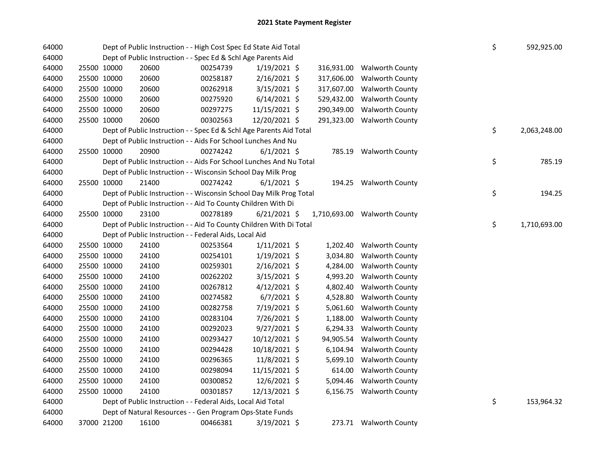| 64000 |             |             | Dept of Public Instruction - - High Cost Spec Ed State Aid Total    |          |                |  |            |                              |  |    | 592,925.00   |
|-------|-------------|-------------|---------------------------------------------------------------------|----------|----------------|--|------------|------------------------------|--|----|--------------|
| 64000 |             |             | Dept of Public Instruction - - Spec Ed & Schl Age Parents Aid       |          |                |  |            |                              |  |    |              |
| 64000 | 25500 10000 |             | 20600                                                               | 00254739 | $1/19/2021$ \$ |  | 316,931.00 | <b>Walworth County</b>       |  |    |              |
| 64000 | 25500 10000 |             | 20600                                                               | 00258187 | 2/16/2021 \$   |  | 317,606.00 | <b>Walworth County</b>       |  |    |              |
| 64000 | 25500 10000 |             | 20600                                                               | 00262918 | $3/15/2021$ \$ |  | 317,607.00 | <b>Walworth County</b>       |  |    |              |
| 64000 | 25500 10000 |             | 20600                                                               | 00275920 | $6/14/2021$ \$ |  | 529,432.00 | <b>Walworth County</b>       |  |    |              |
| 64000 | 25500 10000 |             | 20600                                                               | 00297275 | 11/15/2021 \$  |  | 290,349.00 | <b>Walworth County</b>       |  |    |              |
| 64000 | 25500 10000 |             | 20600                                                               | 00302563 | 12/20/2021 \$  |  | 291,323.00 | <b>Walworth County</b>       |  |    |              |
| 64000 |             |             | Dept of Public Instruction - - Spec Ed & Schl Age Parents Aid Total |          |                |  |            |                              |  | \$ | 2,063,248.00 |
| 64000 |             |             | Dept of Public Instruction - - Aids For School Lunches And Nu       |          |                |  |            |                              |  |    |              |
| 64000 | 25500 10000 |             | 20900                                                               | 00274242 | $6/1/2021$ \$  |  |            | 785.19 Walworth County       |  |    |              |
| 64000 |             |             | Dept of Public Instruction - - Aids For School Lunches And Nu Total |          |                |  |            |                              |  | \$ | 785.19       |
| 64000 |             |             | Dept of Public Instruction - - Wisconsin School Day Milk Prog       |          |                |  |            |                              |  |    |              |
| 64000 | 25500 10000 |             | 21400                                                               | 00274242 | $6/1/2021$ \$  |  |            | 194.25 Walworth County       |  |    |              |
| 64000 |             |             | Dept of Public Instruction - - Wisconsin School Day Milk Prog Total |          |                |  |            |                              |  | \$ | 194.25       |
| 64000 |             |             | Dept of Public Instruction - - Aid To County Children With Di       |          |                |  |            |                              |  |    |              |
| 64000 | 25500 10000 |             | 23100                                                               | 00278189 | $6/21/2021$ \$ |  |            | 1,710,693.00 Walworth County |  |    |              |
| 64000 |             |             | Dept of Public Instruction - - Aid To County Children With Di Total |          |                |  |            |                              |  | \$ | 1,710,693.00 |
| 64000 |             |             | Dept of Public Instruction - - Federal Aids, Local Aid              |          |                |  |            |                              |  |    |              |
| 64000 | 25500 10000 |             | 24100                                                               | 00253564 | $1/11/2021$ \$ |  | 1,202.40   | <b>Walworth County</b>       |  |    |              |
| 64000 | 25500 10000 |             | 24100                                                               | 00254101 | $1/19/2021$ \$ |  | 3,034.80   | Walworth County              |  |    |              |
| 64000 | 25500 10000 |             | 24100                                                               | 00259301 | $2/16/2021$ \$ |  | 4,284.00   | <b>Walworth County</b>       |  |    |              |
| 64000 | 25500 10000 |             | 24100                                                               | 00262202 | 3/15/2021 \$   |  | 4,993.20   | Walworth County              |  |    |              |
| 64000 | 25500 10000 |             | 24100                                                               | 00267812 | $4/12/2021$ \$ |  | 4,802.40   | <b>Walworth County</b>       |  |    |              |
| 64000 | 25500 10000 |             | 24100                                                               | 00274582 | $6/7/2021$ \$  |  | 4,528.80   | <b>Walworth County</b>       |  |    |              |
| 64000 | 25500 10000 |             | 24100                                                               | 00282758 | 7/19/2021 \$   |  | 5,061.60   | <b>Walworth County</b>       |  |    |              |
| 64000 | 25500 10000 |             | 24100                                                               | 00283104 | 7/26/2021 \$   |  | 1,188.00   | <b>Walworth County</b>       |  |    |              |
| 64000 | 25500 10000 |             | 24100                                                               | 00292023 | 9/27/2021 \$   |  | 6,294.33   | <b>Walworth County</b>       |  |    |              |
| 64000 | 25500 10000 |             | 24100                                                               | 00293427 | 10/12/2021 \$  |  | 94,905.54  | <b>Walworth County</b>       |  |    |              |
| 64000 | 25500 10000 |             | 24100                                                               | 00294428 | 10/18/2021 \$  |  | 6,104.94   | <b>Walworth County</b>       |  |    |              |
| 64000 | 25500 10000 |             | 24100                                                               | 00296365 | 11/8/2021 \$   |  | 5,699.10   | <b>Walworth County</b>       |  |    |              |
| 64000 | 25500 10000 |             | 24100                                                               | 00298094 | 11/15/2021 \$  |  | 614.00     | <b>Walworth County</b>       |  |    |              |
| 64000 | 25500 10000 |             | 24100                                                               | 00300852 | 12/6/2021 \$   |  | 5,094.46   | <b>Walworth County</b>       |  |    |              |
| 64000 | 25500 10000 |             | 24100                                                               | 00301857 | 12/13/2021 \$  |  |            | 6,156.75 Walworth County     |  |    |              |
| 64000 |             |             | Dept of Public Instruction - - Federal Aids, Local Aid Total        |          |                |  |            |                              |  | \$ | 153,964.32   |
| 64000 |             |             | Dept of Natural Resources - - Gen Program Ops-State Funds           |          |                |  |            |                              |  |    |              |
| 64000 |             | 37000 21200 | 16100                                                               | 00466381 | $3/19/2021$ \$ |  |            | 273.71 Walworth County       |  |    |              |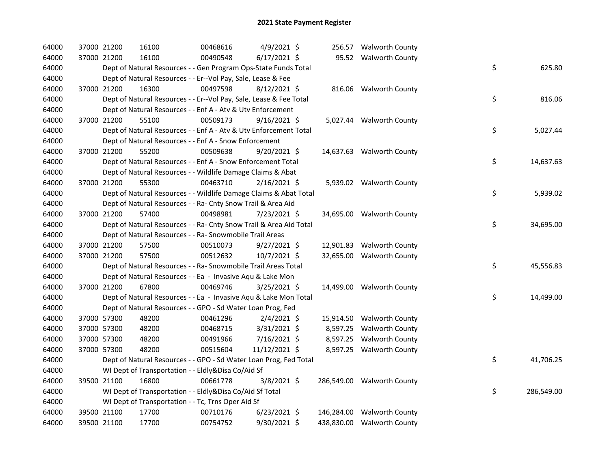| 64000 | 37000 21200 | 16100                                                              | 00468616 | 4/9/2021 \$    |  | 256.57 Walworth County     |    |            |
|-------|-------------|--------------------------------------------------------------------|----------|----------------|--|----------------------------|----|------------|
| 64000 | 37000 21200 | 16100                                                              | 00490548 | $6/17/2021$ \$ |  | 95.52 Walworth County      |    |            |
| 64000 |             | Dept of Natural Resources - - Gen Program Ops-State Funds Total    |          |                |  |                            | \$ | 625.80     |
| 64000 |             | Dept of Natural Resources - - Er--Vol Pay, Sale, Lease & Fee       |          |                |  |                            |    |            |
| 64000 | 37000 21200 | 16300                                                              | 00497598 | $8/12/2021$ \$ |  | 816.06 Walworth County     |    |            |
| 64000 |             | Dept of Natural Resources - - Er--Vol Pay, Sale, Lease & Fee Total |          |                |  |                            | \$ | 816.06     |
| 64000 |             | Dept of Natural Resources - - Enf A - Atv & Utv Enforcement        |          |                |  |                            |    |            |
| 64000 | 37000 21200 | 55100                                                              | 00509173 | $9/16/2021$ \$ |  | 5,027.44 Walworth County   |    |            |
| 64000 |             | Dept of Natural Resources - - Enf A - Atv & Utv Enforcement Total  |          |                |  |                            | \$ | 5,027.44   |
| 64000 |             | Dept of Natural Resources - - Enf A - Snow Enforcement             |          |                |  |                            |    |            |
| 64000 | 37000 21200 | 55200                                                              | 00509638 | $9/20/2021$ \$ |  | 14,637.63 Walworth County  |    |            |
| 64000 |             | Dept of Natural Resources - - Enf A - Snow Enforcement Total       |          |                |  |                            | \$ | 14,637.63  |
| 64000 |             | Dept of Natural Resources - - Wildlife Damage Claims & Abat        |          |                |  |                            |    |            |
| 64000 | 37000 21200 | 55300                                                              | 00463710 | $2/16/2021$ \$ |  | 5,939.02 Walworth County   |    |            |
| 64000 |             | Dept of Natural Resources - - Wildlife Damage Claims & Abat Total  |          |                |  |                            | \$ | 5,939.02   |
| 64000 |             | Dept of Natural Resources - - Ra- Cnty Snow Trail & Area Aid       |          |                |  |                            |    |            |
| 64000 | 37000 21200 | 57400                                                              | 00498981 | 7/23/2021 \$   |  | 34,695.00 Walworth County  |    |            |
| 64000 |             | Dept of Natural Resources - - Ra- Cnty Snow Trail & Area Aid Total |          |                |  |                            | \$ | 34,695.00  |
| 64000 |             | Dept of Natural Resources - - Ra- Snowmobile Trail Areas           |          |                |  |                            |    |            |
| 64000 | 37000 21200 | 57500                                                              | 00510073 | $9/27/2021$ \$ |  | 12,901.83 Walworth County  |    |            |
| 64000 | 37000 21200 | 57500                                                              | 00512632 | 10/7/2021 \$   |  | 32,655.00 Walworth County  |    |            |
| 64000 |             | Dept of Natural Resources - - Ra- Snowmobile Trail Areas Total     |          |                |  |                            | \$ | 45,556.83  |
| 64000 |             | Dept of Natural Resources - - Ea - Invasive Aqu & Lake Mon         |          |                |  |                            |    |            |
| 64000 | 37000 21200 | 67800                                                              | 00469746 | 3/25/2021 \$   |  | 14,499.00 Walworth County  |    |            |
| 64000 |             | Dept of Natural Resources - - Ea - Invasive Aqu & Lake Mon Total   |          |                |  |                            | \$ | 14,499.00  |
| 64000 |             | Dept of Natural Resources - - GPO - Sd Water Loan Prog, Fed        |          |                |  |                            |    |            |
| 64000 | 37000 57300 | 48200                                                              | 00461296 | $2/4/2021$ \$  |  | 15,914.50 Walworth County  |    |            |
| 64000 | 37000 57300 | 48200                                                              | 00468715 | $3/31/2021$ \$ |  | 8,597.25 Walworth County   |    |            |
| 64000 | 37000 57300 | 48200                                                              | 00491966 | 7/16/2021 \$   |  | 8,597.25 Walworth County   |    |            |
| 64000 | 37000 57300 | 48200                                                              | 00515604 | 11/12/2021 \$  |  | 8,597.25 Walworth County   |    |            |
| 64000 |             | Dept of Natural Resources - - GPO - Sd Water Loan Prog, Fed Total  |          |                |  |                            | \$ | 41,706.25  |
| 64000 |             | WI Dept of Transportation - - Eldly&Disa Co/Aid Sf                 |          |                |  |                            |    |            |
| 64000 | 39500 21100 | 16800                                                              | 00661778 | $3/8/2021$ \$  |  | 286,549.00 Walworth County |    |            |
| 64000 |             | WI Dept of Transportation - - Eldly&Disa Co/Aid Sf Total           |          |                |  |                            | \$ | 286,549.00 |
| 64000 |             | WI Dept of Transportation - - Tc, Trns Oper Aid Sf                 |          |                |  |                            |    |            |
| 64000 | 39500 21100 | 17700                                                              | 00710176 | $6/23/2021$ \$ |  | 146,284.00 Walworth County |    |            |
| 64000 | 39500 21100 | 17700                                                              | 00754752 | 9/30/2021 \$   |  | 438,830.00 Walworth County |    |            |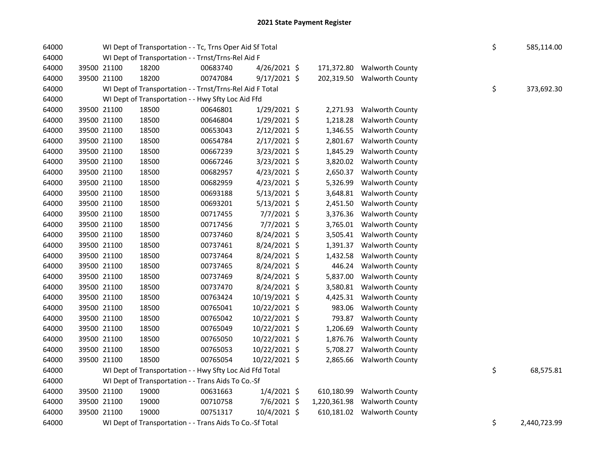| 64000 |             | WI Dept of Transportation - - Tc, Trns Oper Aid Sf Total | \$       | 585,114.00     |              |                            |    |              |
|-------|-------------|----------------------------------------------------------|----------|----------------|--------------|----------------------------|----|--------------|
| 64000 |             | WI Dept of Transportation - - Trnst/Trns-Rel Aid F       |          |                |              |                            |    |              |
| 64000 | 39500 21100 | 18200                                                    | 00683740 | $4/26/2021$ \$ |              | 171,372.80 Walworth County |    |              |
| 64000 | 39500 21100 | 18200                                                    | 00747084 | $9/17/2021$ \$ | 202,319.50   | <b>Walworth County</b>     |    |              |
| 64000 |             | WI Dept of Transportation - - Trnst/Trns-Rel Aid F Total |          |                |              |                            | \$ | 373,692.30   |
| 64000 |             | WI Dept of Transportation - - Hwy Sfty Loc Aid Ffd       |          |                |              |                            |    |              |
| 64000 | 39500 21100 | 18500                                                    | 00646801 | 1/29/2021 \$   | 2,271.93     | <b>Walworth County</b>     |    |              |
| 64000 | 39500 21100 | 18500                                                    | 00646804 | 1/29/2021 \$   | 1,218.28     | <b>Walworth County</b>     |    |              |
| 64000 | 39500 21100 | 18500                                                    | 00653043 | 2/12/2021 \$   | 1,346.55     | <b>Walworth County</b>     |    |              |
| 64000 | 39500 21100 | 18500                                                    | 00654784 | 2/17/2021 \$   | 2,801.67     | <b>Walworth County</b>     |    |              |
| 64000 | 39500 21100 | 18500                                                    | 00667239 | 3/23/2021 \$   | 1,845.29     | <b>Walworth County</b>     |    |              |
| 64000 | 39500 21100 | 18500                                                    | 00667246 | 3/23/2021 \$   | 3,820.02     | <b>Walworth County</b>     |    |              |
| 64000 | 39500 21100 | 18500                                                    | 00682957 | $4/23/2021$ \$ | 2,650.37     | <b>Walworth County</b>     |    |              |
| 64000 | 39500 21100 | 18500                                                    | 00682959 | 4/23/2021 \$   | 5,326.99     | <b>Walworth County</b>     |    |              |
| 64000 | 39500 21100 | 18500                                                    | 00693188 | 5/13/2021 \$   | 3,648.81     | <b>Walworth County</b>     |    |              |
| 64000 | 39500 21100 | 18500                                                    | 00693201 | $5/13/2021$ \$ | 2,451.50     | <b>Walworth County</b>     |    |              |
| 64000 | 39500 21100 | 18500                                                    | 00717455 | 7/7/2021 \$    | 3,376.36     | <b>Walworth County</b>     |    |              |
| 64000 | 39500 21100 | 18500                                                    | 00717456 | $7/7/2021$ \$  | 3,765.01     | <b>Walworth County</b>     |    |              |
| 64000 | 39500 21100 | 18500                                                    | 00737460 | 8/24/2021 \$   | 3,505.41     | <b>Walworth County</b>     |    |              |
| 64000 | 39500 21100 | 18500                                                    | 00737461 | 8/24/2021 \$   | 1,391.37     | <b>Walworth County</b>     |    |              |
| 64000 | 39500 21100 | 18500                                                    | 00737464 | 8/24/2021 \$   | 1,432.58     | <b>Walworth County</b>     |    |              |
| 64000 | 39500 21100 | 18500                                                    | 00737465 | 8/24/2021 \$   | 446.24       | <b>Walworth County</b>     |    |              |
| 64000 | 39500 21100 | 18500                                                    | 00737469 | 8/24/2021 \$   | 5,837.00     | <b>Walworth County</b>     |    |              |
| 64000 | 39500 21100 | 18500                                                    | 00737470 | 8/24/2021 \$   | 3,580.81     | <b>Walworth County</b>     |    |              |
| 64000 | 39500 21100 | 18500                                                    | 00763424 | 10/19/2021 \$  | 4,425.31     | <b>Walworth County</b>     |    |              |
| 64000 | 39500 21100 | 18500                                                    | 00765041 | 10/22/2021 \$  | 983.06       | <b>Walworth County</b>     |    |              |
| 64000 | 39500 21100 | 18500                                                    | 00765042 | 10/22/2021 \$  | 793.87       | <b>Walworth County</b>     |    |              |
| 64000 | 39500 21100 | 18500                                                    | 00765049 | 10/22/2021 \$  | 1,206.69     | <b>Walworth County</b>     |    |              |
| 64000 | 39500 21100 | 18500                                                    | 00765050 | 10/22/2021 \$  | 1,876.76     | <b>Walworth County</b>     |    |              |
| 64000 | 39500 21100 | 18500                                                    | 00765053 | 10/22/2021 \$  | 5,708.27     | <b>Walworth County</b>     |    |              |
| 64000 | 39500 21100 | 18500                                                    | 00765054 | 10/22/2021 \$  |              | 2,865.66 Walworth County   |    |              |
| 64000 |             | WI Dept of Transportation - - Hwy Sfty Loc Aid Ffd Total |          |                |              |                            | \$ | 68,575.81    |
| 64000 |             | WI Dept of Transportation - - Trans Aids To Co.-Sf       |          |                |              |                            |    |              |
| 64000 | 39500 21100 | 19000                                                    | 00631663 | $1/4/2021$ \$  | 610,180.99   | <b>Walworth County</b>     |    |              |
| 64000 | 39500 21100 | 19000                                                    | 00710758 | 7/6/2021 \$    | 1,220,361.98 | <b>Walworth County</b>     |    |              |
| 64000 | 39500 21100 | 19000                                                    | 00751317 | 10/4/2021 \$   |              | 610,181.02 Walworth County |    |              |
| 64000 |             | WI Dept of Transportation - - Trans Aids To Co.-Sf Total |          |                |              |                            | \$ | 2,440,723.99 |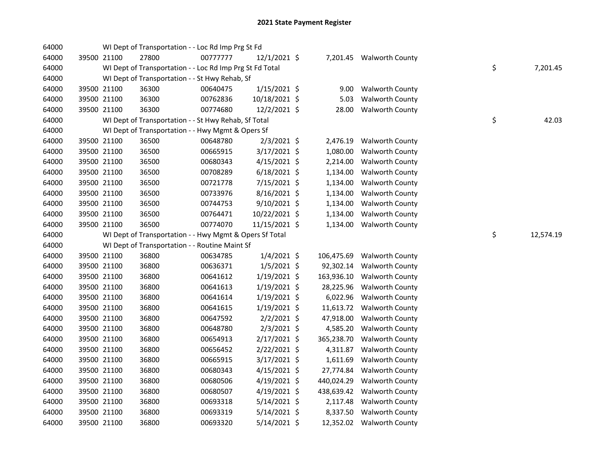| 64000 |             | WI Dept of Transportation - - Loc Rd Imp Prg St Fd       |          |                |            |                          |    |           |
|-------|-------------|----------------------------------------------------------|----------|----------------|------------|--------------------------|----|-----------|
| 64000 | 39500 21100 | 27800                                                    | 00777777 | 12/1/2021 \$   |            | 7,201.45 Walworth County |    |           |
| 64000 |             | WI Dept of Transportation - - Loc Rd Imp Prg St Fd Total |          |                |            |                          | \$ | 7,201.45  |
| 64000 |             | WI Dept of Transportation - - St Hwy Rehab, Sf           |          |                |            |                          |    |           |
| 64000 | 39500 21100 | 36300                                                    | 00640475 | $1/15/2021$ \$ | 9.00       | <b>Walworth County</b>   |    |           |
| 64000 | 39500 21100 | 36300                                                    | 00762836 | 10/18/2021 \$  | 5.03       | <b>Walworth County</b>   |    |           |
| 64000 | 39500 21100 | 36300                                                    | 00774680 | 12/2/2021 \$   | 28.00      | <b>Walworth County</b>   |    |           |
| 64000 |             | WI Dept of Transportation - - St Hwy Rehab, Sf Total     |          |                |            |                          | \$ | 42.03     |
| 64000 |             | WI Dept of Transportation - - Hwy Mgmt & Opers Sf        |          |                |            |                          |    |           |
| 64000 | 39500 21100 | 36500                                                    | 00648780 | $2/3/2021$ \$  | 2,476.19   | <b>Walworth County</b>   |    |           |
| 64000 | 39500 21100 | 36500                                                    | 00665915 | 3/17/2021 \$   | 1,080.00   | Walworth County          |    |           |
| 64000 | 39500 21100 | 36500                                                    | 00680343 | 4/15/2021 \$   | 2,214.00   | <b>Walworth County</b>   |    |           |
| 64000 | 39500 21100 | 36500                                                    | 00708289 | $6/18/2021$ \$ | 1,134.00   | <b>Walworth County</b>   |    |           |
| 64000 | 39500 21100 | 36500                                                    | 00721778 | 7/15/2021 \$   | 1,134.00   | <b>Walworth County</b>   |    |           |
| 64000 | 39500 21100 | 36500                                                    | 00733976 | 8/16/2021 \$   | 1,134.00   | <b>Walworth County</b>   |    |           |
| 64000 | 39500 21100 | 36500                                                    | 00744753 | 9/10/2021 \$   | 1,134.00   | <b>Walworth County</b>   |    |           |
| 64000 | 39500 21100 | 36500                                                    | 00764471 | 10/22/2021 \$  | 1,134.00   | <b>Walworth County</b>   |    |           |
| 64000 | 39500 21100 | 36500                                                    | 00774070 | 11/15/2021 \$  | 1,134.00   | <b>Walworth County</b>   |    |           |
| 64000 |             | WI Dept of Transportation - - Hwy Mgmt & Opers Sf Total  |          |                |            |                          | \$ | 12,574.19 |
| 64000 |             | WI Dept of Transportation - - Routine Maint Sf           |          |                |            |                          |    |           |
| 64000 | 39500 21100 | 36800                                                    | 00634785 | $1/4/2021$ \$  | 106,475.69 | <b>Walworth County</b>   |    |           |
| 64000 | 39500 21100 | 36800                                                    | 00636371 | $1/5/2021$ \$  | 92,302.14  | <b>Walworth County</b>   |    |           |
| 64000 | 39500 21100 | 36800                                                    | 00641612 | $1/19/2021$ \$ | 163,936.10 | <b>Walworth County</b>   |    |           |
| 64000 | 39500 21100 | 36800                                                    | 00641613 | $1/19/2021$ \$ | 28,225.96  | <b>Walworth County</b>   |    |           |
| 64000 | 39500 21100 | 36800                                                    | 00641614 | $1/19/2021$ \$ | 6,022.96   | <b>Walworth County</b>   |    |           |
| 64000 | 39500 21100 | 36800                                                    | 00641615 | $1/19/2021$ \$ | 11,613.72  | <b>Walworth County</b>   |    |           |
| 64000 | 39500 21100 | 36800                                                    | 00647592 | $2/2/2021$ \$  | 47,918.00  | <b>Walworth County</b>   |    |           |
| 64000 | 39500 21100 | 36800                                                    | 00648780 | $2/3/2021$ \$  | 4,585.20   | <b>Walworth County</b>   |    |           |
| 64000 | 39500 21100 | 36800                                                    | 00654913 | $2/17/2021$ \$ | 365,238.70 | <b>Walworth County</b>   |    |           |
| 64000 | 39500 21100 | 36800                                                    | 00656452 | $2/22/2021$ \$ | 4,311.87   | <b>Walworth County</b>   |    |           |
| 64000 | 39500 21100 | 36800                                                    | 00665915 | $3/17/2021$ \$ | 1,611.69   | <b>Walworth County</b>   |    |           |
| 64000 | 39500 21100 | 36800                                                    | 00680343 | $4/15/2021$ \$ | 27,774.84  | <b>Walworth County</b>   |    |           |
| 64000 | 39500 21100 | 36800                                                    | 00680506 | $4/19/2021$ \$ | 440,024.29 | <b>Walworth County</b>   |    |           |
| 64000 | 39500 21100 | 36800                                                    | 00680507 | 4/19/2021 \$   | 438,639.42 | <b>Walworth County</b>   |    |           |
| 64000 | 39500 21100 | 36800                                                    | 00693318 | $5/14/2021$ \$ | 2,117.48   | <b>Walworth County</b>   |    |           |
| 64000 | 39500 21100 | 36800                                                    | 00693319 | $5/14/2021$ \$ | 8,337.50   | <b>Walworth County</b>   |    |           |
| 64000 | 39500 21100 | 36800                                                    | 00693320 | 5/14/2021 \$   | 12,352.02  | <b>Walworth County</b>   |    |           |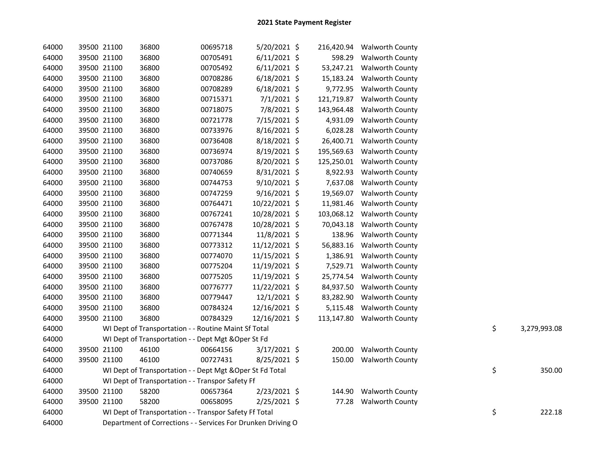| 64000 | 39500 21100 | 36800                                                        | 00695718 | 5/20/2021 \$   | 216,420.94 | <b>Walworth County</b> |    |              |
|-------|-------------|--------------------------------------------------------------|----------|----------------|------------|------------------------|----|--------------|
| 64000 | 39500 21100 | 36800                                                        | 00705491 | $6/11/2021$ \$ | 598.29     | <b>Walworth County</b> |    |              |
| 64000 | 39500 21100 | 36800                                                        | 00705492 | $6/11/2021$ \$ | 53,247.21  | <b>Walworth County</b> |    |              |
| 64000 | 39500 21100 | 36800                                                        | 00708286 | $6/18/2021$ \$ | 15,183.24  | <b>Walworth County</b> |    |              |
| 64000 | 39500 21100 | 36800                                                        | 00708289 | $6/18/2021$ \$ | 9,772.95   | <b>Walworth County</b> |    |              |
| 64000 | 39500 21100 | 36800                                                        | 00715371 | $7/1/2021$ \$  | 121,719.87 | <b>Walworth County</b> |    |              |
| 64000 | 39500 21100 | 36800                                                        | 00718075 | 7/8/2021 \$    | 143,964.48 | <b>Walworth County</b> |    |              |
| 64000 | 39500 21100 | 36800                                                        | 00721778 | 7/15/2021 \$   | 4,931.09   | <b>Walworth County</b> |    |              |
| 64000 | 39500 21100 | 36800                                                        | 00733976 | 8/16/2021 \$   | 6,028.28   | Walworth County        |    |              |
| 64000 | 39500 21100 | 36800                                                        | 00736408 | 8/18/2021 \$   | 26,400.71  | <b>Walworth County</b> |    |              |
| 64000 | 39500 21100 | 36800                                                        | 00736974 | 8/19/2021 \$   | 195,569.63 | <b>Walworth County</b> |    |              |
| 64000 | 39500 21100 | 36800                                                        | 00737086 | 8/20/2021 \$   | 125,250.01 | <b>Walworth County</b> |    |              |
| 64000 | 39500 21100 | 36800                                                        | 00740659 | $8/31/2021$ \$ | 8,922.93   | <b>Walworth County</b> |    |              |
| 64000 | 39500 21100 | 36800                                                        | 00744753 | 9/10/2021 \$   | 7,637.08   | <b>Walworth County</b> |    |              |
| 64000 | 39500 21100 | 36800                                                        | 00747259 | 9/16/2021 \$   | 19,569.07  | <b>Walworth County</b> |    |              |
| 64000 | 39500 21100 | 36800                                                        | 00764471 | 10/22/2021 \$  | 11,981.46  | <b>Walworth County</b> |    |              |
| 64000 | 39500 21100 | 36800                                                        | 00767241 | 10/28/2021 \$  | 103,068.12 | <b>Walworth County</b> |    |              |
| 64000 | 39500 21100 | 36800                                                        | 00767478 | 10/28/2021 \$  | 70,043.18  | <b>Walworth County</b> |    |              |
| 64000 | 39500 21100 | 36800                                                        | 00771344 | 11/8/2021 \$   | 138.96     | <b>Walworth County</b> |    |              |
| 64000 | 39500 21100 | 36800                                                        | 00773312 | 11/12/2021 \$  | 56,883.16  | <b>Walworth County</b> |    |              |
| 64000 | 39500 21100 | 36800                                                        | 00774070 | 11/15/2021 \$  | 1,386.91   | Walworth County        |    |              |
| 64000 | 39500 21100 | 36800                                                        | 00775204 | 11/19/2021 \$  | 7,529.71   | <b>Walworth County</b> |    |              |
| 64000 | 39500 21100 | 36800                                                        | 00775205 | 11/19/2021 \$  | 25,774.54  | <b>Walworth County</b> |    |              |
| 64000 | 39500 21100 | 36800                                                        | 00776777 | 11/22/2021 \$  | 84,937.50  | <b>Walworth County</b> |    |              |
| 64000 | 39500 21100 | 36800                                                        | 00779447 | 12/1/2021 \$   | 83,282.90  | Walworth County        |    |              |
| 64000 | 39500 21100 | 36800                                                        | 00784324 | 12/16/2021 \$  | 5,115.48   | Walworth County        |    |              |
| 64000 | 39500 21100 | 36800                                                        | 00784329 | 12/16/2021 \$  | 113,147.80 | <b>Walworth County</b> |    |              |
| 64000 |             | WI Dept of Transportation - - Routine Maint Sf Total         |          |                |            |                        | \$ | 3,279,993.08 |
| 64000 |             | WI Dept of Transportation - - Dept Mgt & Oper St Fd          |          |                |            |                        |    |              |
| 64000 | 39500 21100 | 46100                                                        | 00664156 | 3/17/2021 \$   | 200.00     | <b>Walworth County</b> |    |              |
| 64000 | 39500 21100 | 46100                                                        | 00727431 | 8/25/2021 \$   | 150.00     | <b>Walworth County</b> |    |              |
| 64000 |             | WI Dept of Transportation - - Dept Mgt & Oper St Fd Total    |          |                |            |                        | \$ | 350.00       |
| 64000 |             | WI Dept of Transportation - - Transpor Safety Ff             |          |                |            |                        |    |              |
| 64000 | 39500 21100 | 58200                                                        | 00657364 | 2/23/2021 \$   | 144.90     | <b>Walworth County</b> |    |              |
| 64000 | 39500 21100 | 58200                                                        | 00658095 | 2/25/2021 \$   | 77.28      | <b>Walworth County</b> |    |              |
| 64000 |             | WI Dept of Transportation - - Transpor Safety Ff Total       |          |                |            |                        | \$ | 222.18       |
| 64000 |             | Department of Corrections - - Services For Drunken Driving O |          |                |            |                        |    |              |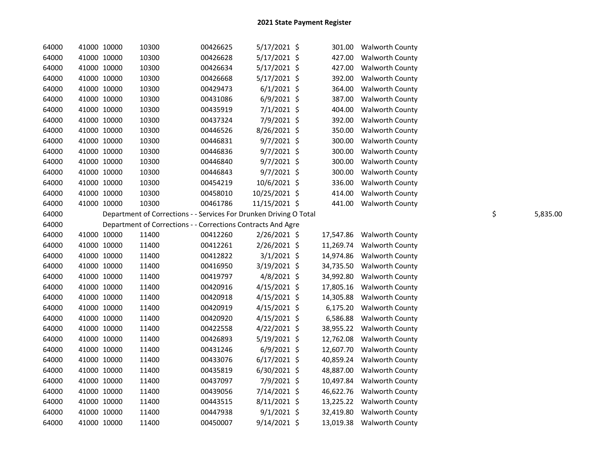| 64000 | 41000 10000 | 10300                                                              | 00426625 | $5/17/2021$ \$ | 301.00    | <b>Walworth County</b>    |                |
|-------|-------------|--------------------------------------------------------------------|----------|----------------|-----------|---------------------------|----------------|
| 64000 | 41000 10000 | 10300                                                              | 00426628 | $5/17/2021$ \$ | 427.00    | <b>Walworth County</b>    |                |
| 64000 | 41000 10000 | 10300                                                              | 00426634 | $5/17/2021$ \$ | 427.00    | <b>Walworth County</b>    |                |
| 64000 | 41000 10000 | 10300                                                              | 00426668 | $5/17/2021$ \$ | 392.00    | <b>Walworth County</b>    |                |
| 64000 | 41000 10000 | 10300                                                              | 00429473 | $6/1/2021$ \$  | 364.00    | <b>Walworth County</b>    |                |
| 64000 | 41000 10000 | 10300                                                              | 00431086 | $6/9/2021$ \$  | 387.00    | Walworth County           |                |
| 64000 | 41000 10000 | 10300                                                              | 00435919 | $7/1/2021$ \$  | 404.00    | <b>Walworth County</b>    |                |
| 64000 | 41000 10000 | 10300                                                              | 00437324 | 7/9/2021 \$    | 392.00    | <b>Walworth County</b>    |                |
| 64000 | 41000 10000 | 10300                                                              | 00446526 | 8/26/2021 \$   | 350.00    | <b>Walworth County</b>    |                |
| 64000 | 41000 10000 | 10300                                                              | 00446831 | $9/7/2021$ \$  | 300.00    | <b>Walworth County</b>    |                |
| 64000 | 41000 10000 | 10300                                                              | 00446836 | $9/7/2021$ \$  | 300.00    | <b>Walworth County</b>    |                |
| 64000 | 41000 10000 | 10300                                                              | 00446840 | $9/7/2021$ \$  | 300.00    | <b>Walworth County</b>    |                |
| 64000 | 41000 10000 | 10300                                                              | 00446843 | $9/7/2021$ \$  | 300.00    | <b>Walworth County</b>    |                |
| 64000 | 41000 10000 | 10300                                                              | 00454219 | 10/6/2021 \$   | 336.00    | <b>Walworth County</b>    |                |
| 64000 | 41000 10000 | 10300                                                              | 00458010 | 10/25/2021 \$  | 414.00    | <b>Walworth County</b>    |                |
| 64000 | 41000 10000 | 10300                                                              | 00461786 | 11/15/2021 \$  |           | 441.00 Walworth County    |                |
| 64000 |             | Department of Corrections - - Services For Drunken Driving O Total |          |                |           |                           | \$<br>5,835.00 |
| 64000 |             | Department of Corrections - - Corrections Contracts And Agre       |          |                |           |                           |                |
| 64000 | 41000 10000 | 11400                                                              | 00412260 | $2/26/2021$ \$ | 17,547.86 | <b>Walworth County</b>    |                |
| 64000 | 41000 10000 | 11400                                                              | 00412261 | 2/26/2021 \$   | 11,269.74 | <b>Walworth County</b>    |                |
| 64000 | 41000 10000 | 11400                                                              | 00412822 | 3/1/2021 \$    | 14,974.86 | <b>Walworth County</b>    |                |
| 64000 | 41000 10000 | 11400                                                              | 00416950 | 3/19/2021 \$   | 34,735.50 | <b>Walworth County</b>    |                |
| 64000 | 41000 10000 | 11400                                                              | 00419797 | 4/8/2021 \$    | 34,992.80 | <b>Walworth County</b>    |                |
| 64000 | 41000 10000 | 11400                                                              | 00420916 | 4/15/2021 \$   | 17,805.16 | <b>Walworth County</b>    |                |
| 64000 | 41000 10000 | 11400                                                              | 00420918 | $4/15/2021$ \$ | 14,305.88 | <b>Walworth County</b>    |                |
| 64000 | 41000 10000 | 11400                                                              | 00420919 | $4/15/2021$ \$ | 6,175.20  | <b>Walworth County</b>    |                |
| 64000 | 41000 10000 | 11400                                                              | 00420920 | $4/15/2021$ \$ | 6,586.88  | <b>Walworth County</b>    |                |
| 64000 | 41000 10000 | 11400                                                              | 00422558 | $4/22/2021$ \$ | 38,955.22 | <b>Walworth County</b>    |                |
| 64000 | 41000 10000 | 11400                                                              | 00426893 | 5/19/2021 \$   | 12,762.08 | <b>Walworth County</b>    |                |
| 64000 | 41000 10000 | 11400                                                              | 00431246 | $6/9/2021$ \$  | 12,607.70 | <b>Walworth County</b>    |                |
| 64000 | 41000 10000 | 11400                                                              | 00433076 | $6/17/2021$ \$ | 40,859.24 | <b>Walworth County</b>    |                |
| 64000 | 41000 10000 | 11400                                                              | 00435819 | $6/30/2021$ \$ | 48,887.00 | <b>Walworth County</b>    |                |
| 64000 | 41000 10000 | 11400                                                              | 00437097 | 7/9/2021 \$    | 10,497.84 | <b>Walworth County</b>    |                |
| 64000 | 41000 10000 | 11400                                                              | 00439056 | 7/14/2021 \$   | 46,622.76 | <b>Walworth County</b>    |                |
| 64000 | 41000 10000 | 11400                                                              | 00443515 | 8/11/2021 \$   |           | 13,225.22 Walworth County |                |
| 64000 | 41000 10000 | 11400                                                              | 00447938 | $9/1/2021$ \$  | 32,419.80 | <b>Walworth County</b>    |                |
| 64000 | 41000 10000 | 11400                                                              | 00450007 | $9/14/2021$ \$ |           | 13,019.38 Walworth County |                |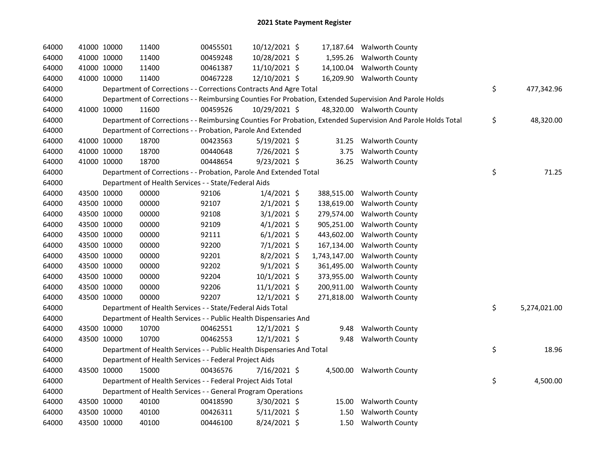| 64000 | 41000 10000 | 11400                                                                  | 00455501 | 10/12/2021 \$  |              | 17,187.64 Walworth County                                                                                     |                    |
|-------|-------------|------------------------------------------------------------------------|----------|----------------|--------------|---------------------------------------------------------------------------------------------------------------|--------------------|
| 64000 | 41000 10000 | 11400                                                                  | 00459248 | 10/28/2021 \$  |              | 1,595.26 Walworth County                                                                                      |                    |
| 64000 | 41000 10000 | 11400                                                                  | 00461387 | 11/10/2021 \$  |              | 14,100.04 Walworth County                                                                                     |                    |
| 64000 | 41000 10000 | 11400                                                                  | 00467228 | 12/10/2021 \$  |              | 16,209.90 Walworth County                                                                                     |                    |
| 64000 |             | Department of Corrections - - Corrections Contracts And Agre Total     |          |                |              |                                                                                                               | \$<br>477,342.96   |
| 64000 |             |                                                                        |          |                |              | Department of Corrections - - Reimbursing Counties For Probation, Extended Supervision And Parole Holds       |                    |
| 64000 | 41000 10000 | 11600                                                                  | 00459526 | 10/29/2021 \$  |              | 48,320.00 Walworth County                                                                                     |                    |
| 64000 |             |                                                                        |          |                |              | Department of Corrections - - Reimbursing Counties For Probation, Extended Supervision And Parole Holds Total | \$<br>48,320.00    |
| 64000 |             | Department of Corrections - - Probation, Parole And Extended           |          |                |              |                                                                                                               |                    |
| 64000 | 41000 10000 | 18700                                                                  | 00423563 | $5/19/2021$ \$ |              | 31.25 Walworth County                                                                                         |                    |
| 64000 | 41000 10000 | 18700                                                                  | 00440648 | 7/26/2021 \$   |              | 3.75 Walworth County                                                                                          |                    |
| 64000 | 41000 10000 | 18700                                                                  | 00448654 | 9/23/2021 \$   |              | 36.25 Walworth County                                                                                         |                    |
| 64000 |             | Department of Corrections - - Probation, Parole And Extended Total     |          |                |              |                                                                                                               | \$<br>71.25        |
| 64000 |             | Department of Health Services - - State/Federal Aids                   |          |                |              |                                                                                                               |                    |
| 64000 | 43500 10000 | 00000                                                                  | 92106    | $1/4/2021$ \$  |              | 388,515.00 Walworth County                                                                                    |                    |
| 64000 | 43500 10000 | 00000                                                                  | 92107    | $2/1/2021$ \$  | 138,619.00   | <b>Walworth County</b>                                                                                        |                    |
| 64000 | 43500 10000 | 00000                                                                  | 92108    | $3/1/2021$ \$  | 279,574.00   | <b>Walworth County</b>                                                                                        |                    |
| 64000 | 43500 10000 | 00000                                                                  | 92109    | $4/1/2021$ \$  | 905,251.00   | <b>Walworth County</b>                                                                                        |                    |
| 64000 | 43500 10000 | 00000                                                                  | 92111    | $6/1/2021$ \$  | 443,602.00   | <b>Walworth County</b>                                                                                        |                    |
| 64000 | 43500 10000 | 00000                                                                  | 92200    | 7/1/2021 \$    | 167,134.00   | Walworth County                                                                                               |                    |
| 64000 | 43500 10000 | 00000                                                                  | 92201    | $8/2/2021$ \$  | 1,743,147.00 | <b>Walworth County</b>                                                                                        |                    |
| 64000 | 43500 10000 | 00000                                                                  | 92202    | $9/1/2021$ \$  | 361,495.00   | <b>Walworth County</b>                                                                                        |                    |
| 64000 | 43500 10000 | 00000                                                                  | 92204    | $10/1/2021$ \$ | 373,955.00   | <b>Walworth County</b>                                                                                        |                    |
| 64000 | 43500 10000 | 00000                                                                  | 92206    | $11/1/2021$ \$ | 200,911.00   | <b>Walworth County</b>                                                                                        |                    |
| 64000 | 43500 10000 | 00000                                                                  | 92207    | 12/1/2021 \$   |              | 271,818.00 Walworth County                                                                                    |                    |
| 64000 |             | Department of Health Services - - State/Federal Aids Total             |          |                |              |                                                                                                               | \$<br>5,274,021.00 |
| 64000 |             | Department of Health Services - - Public Health Dispensaries And       |          |                |              |                                                                                                               |                    |
| 64000 | 43500 10000 | 10700                                                                  | 00462551 | 12/1/2021 \$   | 9.48         | <b>Walworth County</b>                                                                                        |                    |
| 64000 | 43500 10000 | 10700                                                                  | 00462553 | 12/1/2021 \$   | 9.48         | <b>Walworth County</b>                                                                                        |                    |
| 64000 |             | Department of Health Services - - Public Health Dispensaries And Total |          |                |              |                                                                                                               | \$<br>18.96        |
| 64000 |             | Department of Health Services - - Federal Project Aids                 |          |                |              |                                                                                                               |                    |
| 64000 | 43500 10000 | 15000                                                                  | 00436576 | 7/16/2021 \$   |              | 4,500.00 Walworth County                                                                                      |                    |
| 64000 |             | Department of Health Services - - Federal Project Aids Total           |          |                |              |                                                                                                               | \$<br>4,500.00     |
| 64000 |             | Department of Health Services - - General Program Operations           |          |                |              |                                                                                                               |                    |
| 64000 | 43500 10000 | 40100                                                                  | 00418590 | 3/30/2021 \$   |              | 15.00 Walworth County                                                                                         |                    |
| 64000 | 43500 10000 | 40100                                                                  | 00426311 | $5/11/2021$ \$ | 1.50         | <b>Walworth County</b>                                                                                        |                    |
| 64000 | 43500 10000 | 40100                                                                  | 00446100 | 8/24/2021 \$   |              | 1.50 Walworth County                                                                                          |                    |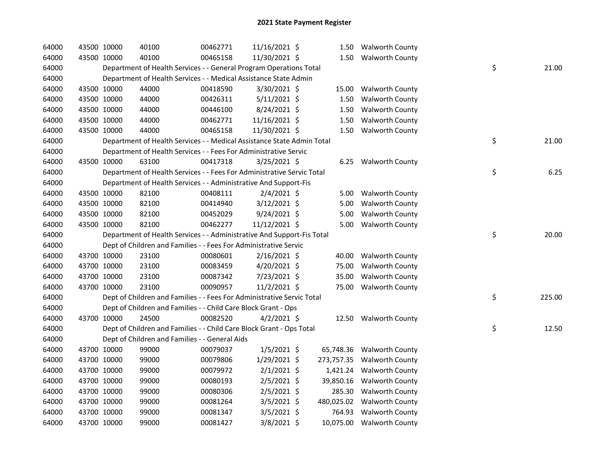| 64000 | 43500 10000 | 40100                                                                  | 00462771 | 11/16/2021 \$  |        |      | 1.50 Walworth County       |    |        |
|-------|-------------|------------------------------------------------------------------------|----------|----------------|--------|------|----------------------------|----|--------|
| 64000 | 43500 10000 | 40100                                                                  | 00465158 | 11/30/2021 \$  |        |      | 1.50 Walworth County       |    |        |
| 64000 |             | Department of Health Services - - General Program Operations Total     |          |                |        |      |                            | \$ | 21.00  |
| 64000 |             | Department of Health Services - - Medical Assistance State Admin       |          |                |        |      |                            |    |        |
| 64000 | 43500 10000 | 44000                                                                  | 00418590 | 3/30/2021 \$   | 15.00  |      | <b>Walworth County</b>     |    |        |
| 64000 | 43500 10000 | 44000                                                                  | 00426311 | $5/11/2021$ \$ | 1.50   |      | <b>Walworth County</b>     |    |        |
| 64000 | 43500 10000 | 44000                                                                  | 00446100 | 8/24/2021 \$   | 1.50   |      | <b>Walworth County</b>     |    |        |
| 64000 | 43500 10000 | 44000                                                                  | 00462771 | 11/16/2021 \$  |        | 1.50 | <b>Walworth County</b>     |    |        |
| 64000 | 43500 10000 | 44000                                                                  | 00465158 | 11/30/2021 \$  |        | 1.50 | <b>Walworth County</b>     |    |        |
| 64000 |             | Department of Health Services - - Medical Assistance State Admin Total |          |                |        |      |                            | \$ | 21.00  |
| 64000 |             | Department of Health Services - - Fees For Administrative Servic       |          |                |        |      |                            |    |        |
| 64000 | 43500 10000 | 63100                                                                  | 00417318 | 3/25/2021 \$   |        |      | 6.25 Walworth County       |    |        |
| 64000 |             | Department of Health Services - - Fees For Administrative Servic Total |          |                |        |      |                            | \$ | 6.25   |
| 64000 |             | Department of Health Services - - Administrative And Support-Fis       |          |                |        |      |                            |    |        |
| 64000 | 43500 10000 | 82100                                                                  | 00408111 | $2/4/2021$ \$  |        |      | 5.00 Walworth County       |    |        |
| 64000 | 43500 10000 | 82100                                                                  | 00414940 | 3/12/2021 \$   | 5.00   |      | <b>Walworth County</b>     |    |        |
| 64000 | 43500 10000 | 82100                                                                  | 00452029 | $9/24/2021$ \$ |        | 5.00 | <b>Walworth County</b>     |    |        |
| 64000 | 43500 10000 | 82100                                                                  | 00462277 | 11/12/2021 \$  |        | 5.00 | <b>Walworth County</b>     |    |        |
| 64000 |             | Department of Health Services - - Administrative And Support-Fis Total |          |                |        |      |                            | \$ | 20.00  |
|       |             |                                                                        |          |                |        |      |                            |    |        |
| 64000 |             | Dept of Children and Families - - Fees For Administrative Servic       |          |                |        |      |                            |    |        |
| 64000 | 43700 10000 | 23100                                                                  | 00080601 | 2/16/2021 \$   | 40.00  |      | <b>Walworth County</b>     |    |        |
| 64000 | 43700 10000 | 23100                                                                  | 00083459 | $4/20/2021$ \$ | 75.00  |      | <b>Walworth County</b>     |    |        |
| 64000 | 43700 10000 | 23100                                                                  | 00087342 | 7/23/2021 \$   | 35.00  |      | <b>Walworth County</b>     |    |        |
| 64000 | 43700 10000 | 23100                                                                  | 00090957 | 11/2/2021 \$   | 75.00  |      | <b>Walworth County</b>     |    |        |
| 64000 |             | Dept of Children and Families - - Fees For Administrative Servic Total |          |                |        |      |                            | \$ | 225.00 |
| 64000 |             | Dept of Children and Families - - Child Care Block Grant - Ops         |          |                |        |      |                            |    |        |
| 64000 | 43700 10000 | 24500                                                                  | 00082520 | $4/2/2021$ \$  |        |      | 12.50 Walworth County      |    |        |
| 64000 |             | Dept of Children and Families - - Child Care Block Grant - Ops Total   |          |                |        |      |                            | \$ | 12.50  |
| 64000 |             | Dept of Children and Families - - General Aids                         |          |                |        |      |                            |    |        |
| 64000 | 43700 10000 | 99000                                                                  | 00079037 | $1/5/2021$ \$  |        |      | 65,748.36 Walworth County  |    |        |
| 64000 | 43700 10000 | 99000                                                                  | 00079806 | 1/29/2021 \$   |        |      | 273,757.35 Walworth County |    |        |
| 64000 | 43700 10000 | 99000                                                                  | 00079972 | $2/1/2021$ \$  |        |      | 1,421.24 Walworth County   |    |        |
| 64000 | 43700 10000 | 99000                                                                  | 00080193 | $2/5/2021$ \$  |        |      | 39,850.16 Walworth County  |    |        |
| 64000 | 43700 10000 | 99000                                                                  | 00080306 | $2/5/2021$ \$  |        |      | 285.30 Walworth County     |    |        |
| 64000 | 43700 10000 | 99000                                                                  | 00081264 | $3/5/2021$ \$  |        |      | 480,025.02 Walworth County |    |        |
| 64000 | 43700 10000 | 99000                                                                  | 00081347 | $3/5/2021$ \$  | 764.93 |      | <b>Walworth County</b>     |    |        |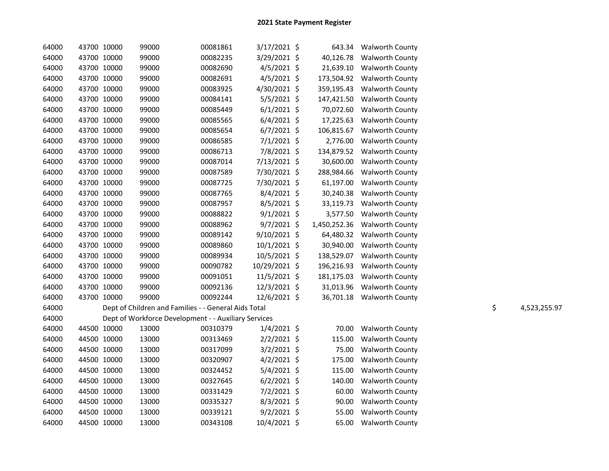| 64000 | 43700 10000 | 99000                                                | 00081861 | $3/17/2021$ \$ | 643.34       | <b>Walworth County</b>    |    |              |
|-------|-------------|------------------------------------------------------|----------|----------------|--------------|---------------------------|----|--------------|
| 64000 | 43700 10000 | 99000                                                | 00082235 | 3/29/2021 \$   | 40,126.78    | <b>Walworth County</b>    |    |              |
| 64000 | 43700 10000 | 99000                                                | 00082690 | 4/5/2021 \$    | 21,639.10    | <b>Walworth County</b>    |    |              |
| 64000 | 43700 10000 | 99000                                                | 00082691 | $4/5/2021$ \$  | 173,504.92   | <b>Walworth County</b>    |    |              |
| 64000 | 43700 10000 | 99000                                                | 00083925 | 4/30/2021 \$   | 359,195.43   | <b>Walworth County</b>    |    |              |
| 64000 | 43700 10000 | 99000                                                | 00084141 | $5/5/2021$ \$  | 147,421.50   | Walworth County           |    |              |
| 64000 | 43700 10000 | 99000                                                | 00085449 | $6/1/2021$ \$  | 70,072.60    | <b>Walworth County</b>    |    |              |
| 64000 | 43700 10000 | 99000                                                | 00085565 | $6/4/2021$ \$  | 17,225.63    | <b>Walworth County</b>    |    |              |
| 64000 | 43700 10000 | 99000                                                | 00085654 | $6/7/2021$ \$  | 106,815.67   | <b>Walworth County</b>    |    |              |
| 64000 | 43700 10000 | 99000                                                | 00086585 | $7/1/2021$ \$  | 2,776.00     | <b>Walworth County</b>    |    |              |
| 64000 | 43700 10000 | 99000                                                | 00086713 | 7/8/2021 \$    | 134,879.52   | <b>Walworth County</b>    |    |              |
| 64000 | 43700 10000 | 99000                                                | 00087014 | 7/13/2021 \$   | 30,600.00    | <b>Walworth County</b>    |    |              |
| 64000 | 43700 10000 | 99000                                                | 00087589 | 7/30/2021 \$   | 288,984.66   | <b>Walworth County</b>    |    |              |
| 64000 | 43700 10000 | 99000                                                | 00087725 | 7/30/2021 \$   | 61,197.00    | <b>Walworth County</b>    |    |              |
| 64000 | 43700 10000 | 99000                                                | 00087765 | $8/4/2021$ \$  | 30,240.38    | <b>Walworth County</b>    |    |              |
| 64000 | 43700 10000 | 99000                                                | 00087957 | $8/5/2021$ \$  | 33,119.73    | <b>Walworth County</b>    |    |              |
| 64000 | 43700 10000 | 99000                                                | 00088822 | $9/1/2021$ \$  | 3,577.50     | <b>Walworth County</b>    |    |              |
| 64000 | 43700 10000 | 99000                                                | 00088962 | $9/7/2021$ \$  | 1,450,252.36 | Walworth County           |    |              |
| 64000 | 43700 10000 | 99000                                                | 00089142 | 9/10/2021 \$   | 64,480.32    | <b>Walworth County</b>    |    |              |
| 64000 | 43700 10000 | 99000                                                | 00089860 | 10/1/2021 \$   | 30,940.00    | <b>Walworth County</b>    |    |              |
| 64000 | 43700 10000 | 99000                                                | 00089934 | 10/5/2021 \$   | 138,529.07   | <b>Walworth County</b>    |    |              |
| 64000 | 43700 10000 | 99000                                                | 00090782 | 10/29/2021 \$  | 196,216.93   | <b>Walworth County</b>    |    |              |
| 64000 | 43700 10000 | 99000                                                | 00091051 | 11/5/2021 \$   | 181,175.03   | <b>Walworth County</b>    |    |              |
| 64000 | 43700 10000 | 99000                                                | 00092136 | 12/3/2021 \$   | 31,013.96    | <b>Walworth County</b>    |    |              |
| 64000 | 43700 10000 | 99000                                                | 00092244 | 12/6/2021 \$   |              | 36,701.18 Walworth County |    |              |
| 64000 |             | Dept of Children and Families - - General Aids Total |          |                |              |                           | \$ | 4,523,255.97 |
| 64000 |             | Dept of Workforce Development - - Auxiliary Services |          |                |              |                           |    |              |
| 64000 | 44500 10000 | 13000                                                | 00310379 | $1/4/2021$ \$  | 70.00        | <b>Walworth County</b>    |    |              |
| 64000 | 44500 10000 | 13000                                                | 00313469 | $2/2/2021$ \$  | 115.00       | <b>Walworth County</b>    |    |              |
| 64000 | 44500 10000 | 13000                                                | 00317099 | $3/2/2021$ \$  | 75.00        | <b>Walworth County</b>    |    |              |
| 64000 | 44500 10000 | 13000                                                | 00320907 | $4/2/2021$ \$  | 175.00       | Walworth County           |    |              |
| 64000 | 44500 10000 | 13000                                                | 00324452 | $5/4/2021$ \$  | 115.00       | Walworth County           |    |              |
| 64000 | 44500 10000 | 13000                                                | 00327645 | $6/2/2021$ \$  | 140.00       | <b>Walworth County</b>    |    |              |
| 64000 | 44500 10000 | 13000                                                | 00331429 | 7/2/2021 \$    | 60.00        | <b>Walworth County</b>    |    |              |
| 64000 | 44500 10000 | 13000                                                | 00335327 | 8/3/2021 \$    | 90.00        | <b>Walworth County</b>    |    |              |
| 64000 | 44500 10000 | 13000                                                | 00339121 | $9/2/2021$ \$  | 55.00        | <b>Walworth County</b>    |    |              |
| 64000 | 44500 10000 | 13000                                                | 00343108 | 10/4/2021 \$   | 65.00        | <b>Walworth County</b>    |    |              |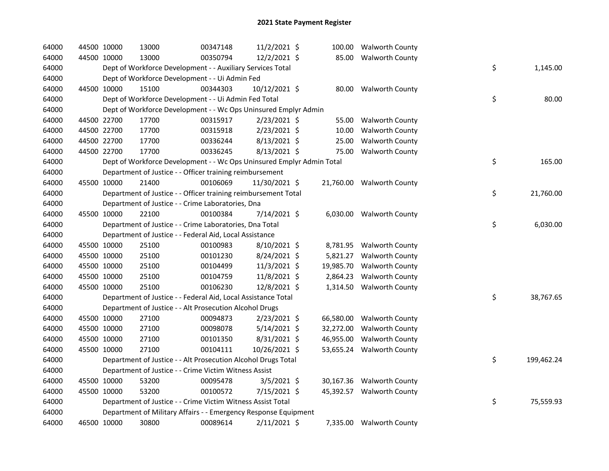| 64000 | 44500 10000 | 13000                                                                 | 00347148 | 11/2/2021 \$   |           | 100.00 Walworth County    |    |            |
|-------|-------------|-----------------------------------------------------------------------|----------|----------------|-----------|---------------------------|----|------------|
| 64000 | 44500 10000 | 13000                                                                 | 00350794 | 12/2/2021 \$   |           | 85.00 Walworth County     |    |            |
| 64000 |             | Dept of Workforce Development - - Auxiliary Services Total            |          |                |           |                           | \$ | 1,145.00   |
| 64000 |             | Dept of Workforce Development - - Ui Admin Fed                        |          |                |           |                           |    |            |
| 64000 | 44500 10000 | 15100                                                                 | 00344303 | 10/12/2021 \$  |           | 80.00 Walworth County     |    |            |
| 64000 |             | Dept of Workforce Development - - Ui Admin Fed Total                  |          |                |           |                           | \$ | 80.00      |
| 64000 |             | Dept of Workforce Development - - Wc Ops Uninsured Emplyr Admin       |          |                |           |                           |    |            |
| 64000 | 44500 22700 | 17700                                                                 | 00315917 | $2/23/2021$ \$ | 55.00     | <b>Walworth County</b>    |    |            |
| 64000 | 44500 22700 | 17700                                                                 | 00315918 | 2/23/2021 \$   | 10.00     | <b>Walworth County</b>    |    |            |
| 64000 | 44500 22700 | 17700                                                                 | 00336244 | 8/13/2021 \$   | 25.00     | <b>Walworth County</b>    |    |            |
| 64000 | 44500 22700 | 17700                                                                 | 00336245 | 8/13/2021 \$   | 75.00     | <b>Walworth County</b>    |    |            |
| 64000 |             | Dept of Workforce Development - - Wc Ops Uninsured Emplyr Admin Total |          |                |           |                           | \$ | 165.00     |
| 64000 |             | Department of Justice - - Officer training reimbursement              |          |                |           |                           |    |            |
| 64000 | 45500 10000 | 21400                                                                 | 00106069 | 11/30/2021 \$  |           | 21,760.00 Walworth County |    |            |
| 64000 |             | Department of Justice - - Officer training reimbursement Total        |          |                |           |                           | \$ | 21,760.00  |
| 64000 |             | Department of Justice - - Crime Laboratories, Dna                     |          |                |           |                           |    |            |
| 64000 | 45500 10000 | 22100                                                                 | 00100384 | 7/14/2021 \$   |           | 6,030.00 Walworth County  |    |            |
| 64000 |             | Department of Justice - - Crime Laboratories, Dna Total               |          |                |           |                           | \$ | 6,030.00   |
| 64000 |             | Department of Justice - - Federal Aid, Local Assistance               |          |                |           |                           |    |            |
| 64000 | 45500 10000 | 25100                                                                 | 00100983 | 8/10/2021 \$   |           | 8,781.95 Walworth County  |    |            |
| 64000 | 45500 10000 | 25100                                                                 | 00101230 | 8/24/2021 \$   | 5,821.27  | <b>Walworth County</b>    |    |            |
| 64000 | 45500 10000 | 25100                                                                 | 00104499 | 11/3/2021 \$   | 19,985.70 | <b>Walworth County</b>    |    |            |
| 64000 | 45500 10000 | 25100                                                                 | 00104759 | 11/8/2021 \$   | 2,864.23  | <b>Walworth County</b>    |    |            |
| 64000 | 45500 10000 | 25100                                                                 | 00106230 | 12/8/2021 \$   |           | 1,314.50 Walworth County  |    |            |
| 64000 |             | Department of Justice - - Federal Aid, Local Assistance Total         |          |                |           |                           | \$ | 38,767.65  |
| 64000 |             | Department of Justice - - Alt Prosecution Alcohol Drugs               |          |                |           |                           |    |            |
| 64000 | 45500 10000 | 27100                                                                 | 00094873 | 2/23/2021 \$   |           | 66,580.00 Walworth County |    |            |
| 64000 | 45500 10000 | 27100                                                                 | 00098078 | $5/14/2021$ \$ | 32,272.00 | <b>Walworth County</b>    |    |            |
| 64000 | 45500 10000 | 27100                                                                 | 00101350 | $8/31/2021$ \$ | 46,955.00 | <b>Walworth County</b>    |    |            |
| 64000 | 45500 10000 | 27100                                                                 | 00104111 | 10/26/2021 \$  |           | 53,655.24 Walworth County |    |            |
| 64000 |             | Department of Justice - - Alt Prosecution Alcohol Drugs Total         |          |                |           |                           | \$ | 199,462.24 |
| 64000 |             | Department of Justice - - Crime Victim Witness Assist                 |          |                |           |                           |    |            |
| 64000 | 45500 10000 | 53200                                                                 | 00095478 | $3/5/2021$ \$  |           | 30,167.36 Walworth County |    |            |
| 64000 | 45500 10000 | 53200                                                                 | 00100572 | $7/15/2021$ \$ |           | 45,392.57 Walworth County |    |            |
| 64000 |             | Department of Justice - - Crime Victim Witness Assist Total           |          |                |           |                           | \$ | 75,559.93  |
| 64000 |             | Department of Military Affairs - - Emergency Response Equipment       |          |                |           |                           |    |            |
| 64000 | 46500 10000 | 30800                                                                 | 00089614 | 2/11/2021 \$   |           | 7,335.00 Walworth County  |    |            |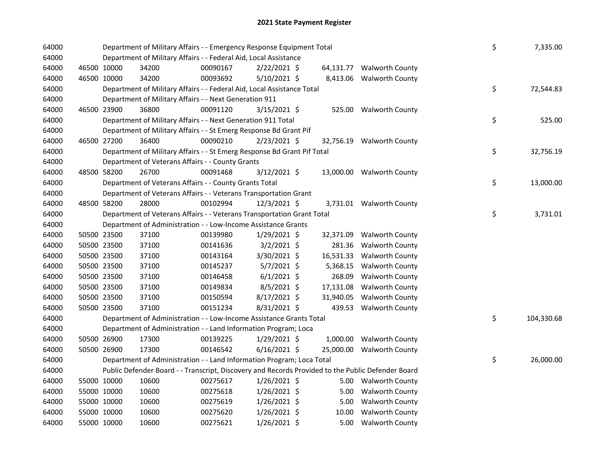| 64000 |             |             | Department of Military Affairs - - Emergency Response Equipment Total                             |          |                |  |           |                           |  |    | 7,335.00   |
|-------|-------------|-------------|---------------------------------------------------------------------------------------------------|----------|----------------|--|-----------|---------------------------|--|----|------------|
| 64000 |             |             | Department of Military Affairs - - Federal Aid, Local Assistance                                  |          |                |  |           |                           |  |    |            |
| 64000 | 46500 10000 |             | 34200                                                                                             | 00090167 | 2/22/2021 \$   |  |           | 64,131.77 Walworth County |  |    |            |
| 64000 | 46500 10000 |             | 34200                                                                                             | 00093692 | $5/10/2021$ \$ |  | 8,413.06  | <b>Walworth County</b>    |  |    |            |
| 64000 |             |             | Department of Military Affairs - - Federal Aid, Local Assistance Total                            |          |                |  |           |                           |  | \$ | 72,544.83  |
| 64000 |             |             | Department of Military Affairs - - Next Generation 911                                            |          |                |  |           |                           |  |    |            |
| 64000 |             | 46500 23900 | 36800                                                                                             | 00091120 | $3/15/2021$ \$ |  |           | 525.00 Walworth County    |  |    |            |
| 64000 |             |             | Department of Military Affairs - - Next Generation 911 Total                                      |          |                |  |           |                           |  | \$ | 525.00     |
| 64000 |             |             | Department of Military Affairs - - St Emerg Response Bd Grant Pif                                 |          |                |  |           |                           |  |    |            |
| 64000 | 46500 27200 |             | 36400                                                                                             | 00090210 | $2/23/2021$ \$ |  |           | 32,756.19 Walworth County |  |    |            |
| 64000 |             |             | Department of Military Affairs - - St Emerg Response Bd Grant Pif Total                           |          |                |  |           |                           |  | \$ | 32,756.19  |
| 64000 |             |             | Department of Veterans Affairs - - County Grants                                                  |          |                |  |           |                           |  |    |            |
| 64000 |             | 48500 58200 | 26700                                                                                             | 00091468 | $3/12/2021$ \$ |  |           | 13,000.00 Walworth County |  |    |            |
| 64000 |             |             | Department of Veterans Affairs - - County Grants Total                                            |          |                |  |           |                           |  | \$ | 13,000.00  |
| 64000 |             |             | Department of Veterans Affairs - - Veterans Transportation Grant                                  |          |                |  |           |                           |  |    |            |
| 64000 | 48500 58200 |             | 28000                                                                                             | 00102994 | $12/3/2021$ \$ |  |           | 3,731.01 Walworth County  |  |    |            |
| 64000 |             |             | Department of Veterans Affairs - - Veterans Transportation Grant Total                            |          |                |  |           |                           |  | \$ | 3,731.01   |
| 64000 |             |             | Department of Administration - - Low-Income Assistance Grants                                     |          |                |  |           |                           |  |    |            |
| 64000 |             | 50500 23500 | 37100                                                                                             | 00139980 | $1/29/2021$ \$ |  | 32,371.09 | <b>Walworth County</b>    |  |    |            |
| 64000 | 50500 23500 |             | 37100                                                                                             | 00141636 | $3/2/2021$ \$  |  | 281.36    | <b>Walworth County</b>    |  |    |            |
| 64000 | 50500 23500 |             | 37100                                                                                             | 00143164 | 3/30/2021 \$   |  | 16,531.33 | <b>Walworth County</b>    |  |    |            |
| 64000 | 50500 23500 |             | 37100                                                                                             | 00145237 | $5/7/2021$ \$  |  | 5,368.15  | <b>Walworth County</b>    |  |    |            |
| 64000 | 50500 23500 |             | 37100                                                                                             | 00146458 | $6/1/2021$ \$  |  | 268.09    | <b>Walworth County</b>    |  |    |            |
| 64000 | 50500 23500 |             | 37100                                                                                             | 00149834 | $8/5/2021$ \$  |  | 17,131.08 | Walworth County           |  |    |            |
| 64000 | 50500 23500 |             | 37100                                                                                             | 00150594 | 8/17/2021 \$   |  | 31,940.05 | <b>Walworth County</b>    |  |    |            |
| 64000 | 50500 23500 |             | 37100                                                                                             | 00151234 | 8/31/2021 \$   |  | 439.53    | <b>Walworth County</b>    |  |    |            |
| 64000 |             |             | Department of Administration - - Low-Income Assistance Grants Total                               |          |                |  |           |                           |  | \$ | 104,330.68 |
| 64000 |             |             | Department of Administration - - Land Information Program; Loca                                   |          |                |  |           |                           |  |    |            |
| 64000 |             | 50500 26900 | 17300                                                                                             | 00139225 | 1/29/2021 \$   |  |           | 1,000.00 Walworth County  |  |    |            |
| 64000 | 50500 26900 |             | 17300                                                                                             | 00146542 | $6/16/2021$ \$ |  | 25,000.00 | <b>Walworth County</b>    |  |    |            |
| 64000 |             |             | Department of Administration - - Land Information Program; Loca Total                             |          |                |  |           |                           |  | \$ | 26,000.00  |
| 64000 |             |             | Public Defender Board - - Transcript, Discovery and Records Provided to the Public Defender Board |          |                |  |           |                           |  |    |            |
| 64000 | 55000 10000 |             | 10600                                                                                             | 00275617 | $1/26/2021$ \$ |  |           | 5.00 Walworth County      |  |    |            |
| 64000 | 55000 10000 |             | 10600                                                                                             | 00275618 | 1/26/2021 \$   |  | 5.00      | <b>Walworth County</b>    |  |    |            |
| 64000 | 55000 10000 |             | 10600                                                                                             | 00275619 | $1/26/2021$ \$ |  | 5.00      | <b>Walworth County</b>    |  |    |            |
| 64000 |             | 55000 10000 | 10600                                                                                             | 00275620 | $1/26/2021$ \$ |  | 10.00     | <b>Walworth County</b>    |  |    |            |
| 64000 |             | 55000 10000 | 10600                                                                                             | 00275621 | $1/26/2021$ \$ |  | 5.00      | <b>Walworth County</b>    |  |    |            |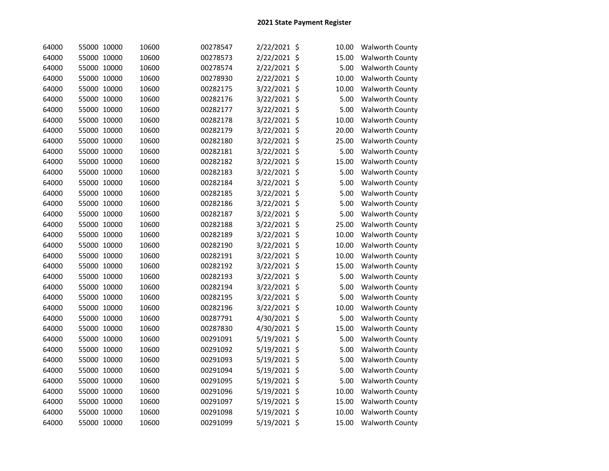| 64000 | 55000 10000 | 10600 | 00278547 | 2/22/2021 \$ | 10.00 | <b>Walworth County</b> |
|-------|-------------|-------|----------|--------------|-------|------------------------|
| 64000 | 55000 10000 | 10600 | 00278573 | 2/22/2021 \$ | 15.00 | <b>Walworth County</b> |
| 64000 | 55000 10000 | 10600 | 00278574 | 2/22/2021 \$ | 5.00  | <b>Walworth County</b> |
| 64000 | 55000 10000 | 10600 | 00278930 | 2/22/2021 \$ | 10.00 | <b>Walworth County</b> |
| 64000 | 55000 10000 | 10600 | 00282175 | 3/22/2021 \$ | 10.00 | <b>Walworth County</b> |
| 64000 | 55000 10000 | 10600 | 00282176 | 3/22/2021 \$ | 5.00  | <b>Walworth County</b> |
| 64000 | 55000 10000 | 10600 | 00282177 | 3/22/2021 \$ | 5.00  | <b>Walworth County</b> |
| 64000 | 55000 10000 | 10600 | 00282178 | 3/22/2021 \$ | 10.00 | <b>Walworth County</b> |
| 64000 | 55000 10000 | 10600 | 00282179 | 3/22/2021 \$ | 20.00 | <b>Walworth County</b> |
| 64000 | 55000 10000 | 10600 | 00282180 | 3/22/2021 \$ | 25.00 | <b>Walworth County</b> |
| 64000 | 55000 10000 | 10600 | 00282181 | 3/22/2021 \$ | 5.00  | <b>Walworth County</b> |
| 64000 | 55000 10000 | 10600 | 00282182 | 3/22/2021 \$ | 15.00 | <b>Walworth County</b> |
| 64000 | 55000 10000 | 10600 | 00282183 | 3/22/2021 \$ | 5.00  | <b>Walworth County</b> |
| 64000 | 55000 10000 | 10600 | 00282184 | 3/22/2021 \$ | 5.00  | <b>Walworth County</b> |
| 64000 | 55000 10000 | 10600 | 00282185 | 3/22/2021 \$ | 5.00  | <b>Walworth County</b> |
| 64000 | 55000 10000 | 10600 | 00282186 | 3/22/2021 \$ | 5.00  | <b>Walworth County</b> |
| 64000 | 55000 10000 | 10600 | 00282187 | 3/22/2021 \$ | 5.00  | <b>Walworth County</b> |
| 64000 | 55000 10000 | 10600 | 00282188 | 3/22/2021 \$ | 25.00 | <b>Walworth County</b> |
| 64000 | 55000 10000 | 10600 | 00282189 | 3/22/2021 \$ | 10.00 | <b>Walworth County</b> |
| 64000 | 55000 10000 | 10600 | 00282190 | 3/22/2021 \$ | 10.00 | <b>Walworth County</b> |
| 64000 | 55000 10000 | 10600 | 00282191 | 3/22/2021 \$ | 10.00 | <b>Walworth County</b> |
| 64000 | 55000 10000 | 10600 | 00282192 | 3/22/2021 \$ | 15.00 | <b>Walworth County</b> |
| 64000 | 55000 10000 | 10600 | 00282193 | 3/22/2021 \$ | 5.00  | <b>Walworth County</b> |
| 64000 | 55000 10000 | 10600 | 00282194 | 3/22/2021 \$ | 5.00  | <b>Walworth County</b> |
| 64000 | 55000 10000 | 10600 | 00282195 | 3/22/2021 \$ | 5.00  | <b>Walworth County</b> |
| 64000 | 55000 10000 | 10600 | 00282196 | 3/22/2021 \$ | 10.00 | <b>Walworth County</b> |
| 64000 | 55000 10000 | 10600 | 00287791 | 4/30/2021 \$ | 5.00  | <b>Walworth County</b> |
| 64000 | 55000 10000 | 10600 | 00287830 | 4/30/2021 \$ | 15.00 | <b>Walworth County</b> |
| 64000 | 55000 10000 | 10600 | 00291091 | 5/19/2021 \$ | 5.00  | <b>Walworth County</b> |
| 64000 | 55000 10000 | 10600 | 00291092 | 5/19/2021 \$ | 5.00  | <b>Walworth County</b> |
| 64000 | 55000 10000 | 10600 | 00291093 | 5/19/2021 \$ | 5.00  | <b>Walworth County</b> |
| 64000 | 55000 10000 | 10600 | 00291094 | 5/19/2021 \$ | 5.00  | <b>Walworth County</b> |
| 64000 | 55000 10000 | 10600 | 00291095 | 5/19/2021 \$ | 5.00  | <b>Walworth County</b> |
| 64000 | 55000 10000 | 10600 | 00291096 | 5/19/2021 \$ | 10.00 | <b>Walworth County</b> |
| 64000 | 55000 10000 | 10600 | 00291097 | 5/19/2021 \$ | 15.00 | <b>Walworth County</b> |
| 64000 | 55000 10000 | 10600 | 00291098 | 5/19/2021 \$ | 10.00 | <b>Walworth County</b> |
| 64000 | 55000 10000 | 10600 | 00291099 | 5/19/2021 \$ | 15.00 | <b>Walworth County</b> |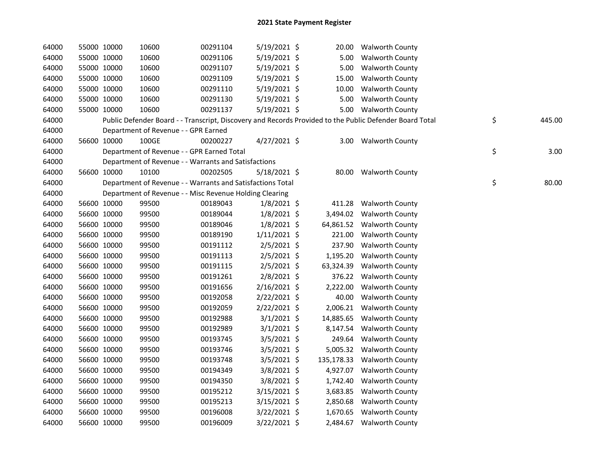| 64000 | 55000 10000 |             | 10600                                                      | 00291104 | 5/19/2021 \$   |            | 20.00 Walworth County                                                                                   |              |
|-------|-------------|-------------|------------------------------------------------------------|----------|----------------|------------|---------------------------------------------------------------------------------------------------------|--------------|
| 64000 | 55000 10000 |             | 10600                                                      | 00291106 | $5/19/2021$ \$ |            | 5.00 Walworth County                                                                                    |              |
| 64000 | 55000 10000 |             | 10600                                                      | 00291107 | $5/19/2021$ \$ | 5.00       | <b>Walworth County</b>                                                                                  |              |
| 64000 |             | 55000 10000 | 10600                                                      | 00291109 | $5/19/2021$ \$ | 15.00      | <b>Walworth County</b>                                                                                  |              |
| 64000 |             | 55000 10000 | 10600                                                      | 00291110 | $5/19/2021$ \$ | 10.00      | <b>Walworth County</b>                                                                                  |              |
| 64000 |             | 55000 10000 | 10600                                                      | 00291130 | $5/19/2021$ \$ | 5.00       | <b>Walworth County</b>                                                                                  |              |
| 64000 |             | 55000 10000 | 10600                                                      | 00291137 | $5/19/2021$ \$ |            | 5.00 Walworth County                                                                                    |              |
| 64000 |             |             |                                                            |          |                |            | Public Defender Board - - Transcript, Discovery and Records Provided to the Public Defender Board Total | \$<br>445.00 |
| 64000 |             |             | Department of Revenue - - GPR Earned                       |          |                |            |                                                                                                         |              |
| 64000 |             | 56600 10000 | 100GE                                                      | 00200227 | $4/27/2021$ \$ |            | 3.00 Walworth County                                                                                    |              |
| 64000 |             |             | Department of Revenue - - GPR Earned Total                 |          |                |            |                                                                                                         | \$<br>3.00   |
| 64000 |             |             | Department of Revenue - - Warrants and Satisfactions       |          |                |            |                                                                                                         |              |
| 64000 |             | 56600 10000 | 10100                                                      | 00202505 | $5/18/2021$ \$ |            | 80.00 Walworth County                                                                                   |              |
| 64000 |             |             | Department of Revenue - - Warrants and Satisfactions Total |          |                |            |                                                                                                         | \$<br>80.00  |
| 64000 |             |             | Department of Revenue - - Misc Revenue Holding Clearing    |          |                |            |                                                                                                         |              |
| 64000 |             | 56600 10000 | 99500                                                      | 00189043 | $1/8/2021$ \$  | 411.28     | <b>Walworth County</b>                                                                                  |              |
| 64000 | 56600 10000 |             | 99500                                                      | 00189044 | $1/8/2021$ \$  |            | 3,494.02 Walworth County                                                                                |              |
| 64000 |             | 56600 10000 | 99500                                                      | 00189046 | $1/8/2021$ \$  |            | 64,861.52 Walworth County                                                                               |              |
| 64000 |             | 56600 10000 | 99500                                                      | 00189190 | $1/11/2021$ \$ |            | 221.00 Walworth County                                                                                  |              |
| 64000 |             | 56600 10000 | 99500                                                      | 00191112 | $2/5/2021$ \$  | 237.90     | <b>Walworth County</b>                                                                                  |              |
| 64000 |             | 56600 10000 | 99500                                                      | 00191113 | $2/5/2021$ \$  | 1,195.20   | <b>Walworth County</b>                                                                                  |              |
| 64000 |             | 56600 10000 | 99500                                                      | 00191115 | $2/5/2021$ \$  | 63,324.39  | <b>Walworth County</b>                                                                                  |              |
| 64000 |             | 56600 10000 | 99500                                                      | 00191261 | 2/8/2021 \$    |            | 376.22 Walworth County                                                                                  |              |
| 64000 |             | 56600 10000 | 99500                                                      | 00191656 | 2/16/2021 \$   | 2,222.00   | <b>Walworth County</b>                                                                                  |              |
| 64000 | 56600 10000 |             | 99500                                                      | 00192058 | 2/22/2021 \$   | 40.00      | <b>Walworth County</b>                                                                                  |              |
| 64000 | 56600 10000 |             | 99500                                                      | 00192059 | 2/22/2021 \$   |            | 2,006.21 Walworth County                                                                                |              |
| 64000 | 56600 10000 |             | 99500                                                      | 00192988 | $3/1/2021$ \$  | 14,885.65  | <b>Walworth County</b>                                                                                  |              |
| 64000 |             | 56600 10000 | 99500                                                      | 00192989 | $3/1/2021$ \$  | 8,147.54   | <b>Walworth County</b>                                                                                  |              |
| 64000 |             | 56600 10000 | 99500                                                      | 00193745 | $3/5/2021$ \$  | 249.64     | <b>Walworth County</b>                                                                                  |              |
| 64000 | 56600 10000 |             | 99500                                                      | 00193746 | 3/5/2021 \$    | 5,005.32   | <b>Walworth County</b>                                                                                  |              |
| 64000 |             | 56600 10000 | 99500                                                      | 00193748 | $3/5/2021$ \$  | 135,178.33 | <b>Walworth County</b>                                                                                  |              |
| 64000 |             | 56600 10000 | 99500                                                      | 00194349 | $3/8/2021$ \$  | 4,927.07   | <b>Walworth County</b>                                                                                  |              |
| 64000 |             | 56600 10000 | 99500                                                      | 00194350 | $3/8/2021$ \$  | 1,742.40   | <b>Walworth County</b>                                                                                  |              |
| 64000 | 56600 10000 |             | 99500                                                      | 00195212 | 3/15/2021 \$   | 3,683.85   | <b>Walworth County</b>                                                                                  |              |
| 64000 | 56600 10000 |             | 99500                                                      | 00195213 | $3/15/2021$ \$ | 2,850.68   | <b>Walworth County</b>                                                                                  |              |
| 64000 |             | 56600 10000 | 99500                                                      | 00196008 | 3/22/2021 \$   | 1,670.65   | <b>Walworth County</b>                                                                                  |              |
| 64000 | 56600 10000 |             | 99500                                                      | 00196009 | 3/22/2021 \$   |            | 2,484.67 Walworth County                                                                                |              |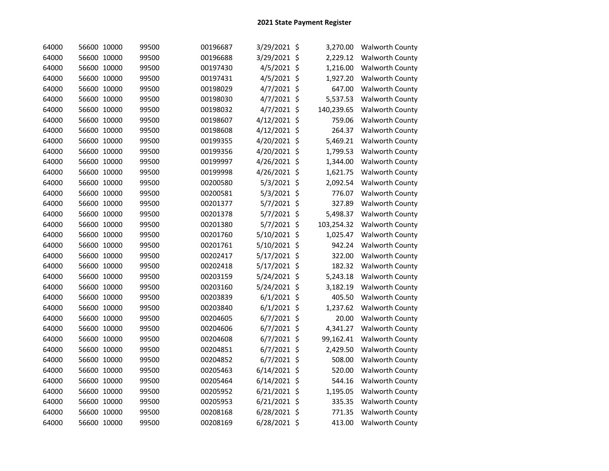| 64000 | 56600 10000 | 99500 | 00196687 | 3/29/2021 \$   | 3,270.00   | <b>Walworth County</b> |
|-------|-------------|-------|----------|----------------|------------|------------------------|
| 64000 | 56600 10000 | 99500 | 00196688 | 3/29/2021 \$   | 2,229.12   | <b>Walworth County</b> |
| 64000 | 56600 10000 | 99500 | 00197430 | 4/5/2021 \$    | 1,216.00   | <b>Walworth County</b> |
| 64000 | 56600 10000 | 99500 | 00197431 | 4/5/2021 \$    | 1,927.20   | <b>Walworth County</b> |
| 64000 | 56600 10000 | 99500 | 00198029 | 4/7/2021 \$    | 647.00     | <b>Walworth County</b> |
| 64000 | 56600 10000 | 99500 | 00198030 | $4/7/2021$ \$  | 5,537.53   | <b>Walworth County</b> |
| 64000 | 56600 10000 | 99500 | 00198032 | $4/7/2021$ \$  | 140,239.65 | <b>Walworth County</b> |
| 64000 | 56600 10000 | 99500 | 00198607 | 4/12/2021 \$   | 759.06     | <b>Walworth County</b> |
| 64000 | 56600 10000 | 99500 | 00198608 | 4/12/2021 \$   | 264.37     | <b>Walworth County</b> |
| 64000 | 56600 10000 | 99500 | 00199355 | 4/20/2021 \$   | 5,469.21   | <b>Walworth County</b> |
| 64000 | 56600 10000 | 99500 | 00199356 | 4/20/2021 \$   | 1,799.53   | <b>Walworth County</b> |
| 64000 | 56600 10000 | 99500 | 00199997 | 4/26/2021 \$   | 1,344.00   | Walworth County        |
| 64000 | 56600 10000 | 99500 | 00199998 | 4/26/2021 \$   | 1,621.75   | <b>Walworth County</b> |
| 64000 | 56600 10000 | 99500 | 00200580 | $5/3/2021$ \$  | 2,092.54   | Walworth County        |
| 64000 | 56600 10000 | 99500 | 00200581 | $5/3/2021$ \$  | 776.07     | <b>Walworth County</b> |
| 64000 | 56600 10000 | 99500 | 00201377 | 5/7/2021 \$    | 327.89     | <b>Walworth County</b> |
| 64000 | 56600 10000 | 99500 | 00201378 | 5/7/2021 \$    | 5,498.37   | Walworth County        |
| 64000 | 56600 10000 | 99500 | 00201380 | $5/7/2021$ \$  | 103,254.32 | <b>Walworth County</b> |
| 64000 | 56600 10000 | 99500 | 00201760 | 5/10/2021 \$   | 1,025.47   | <b>Walworth County</b> |
| 64000 | 56600 10000 | 99500 | 00201761 | 5/10/2021 \$   | 942.24     | <b>Walworth County</b> |
| 64000 | 56600 10000 | 99500 | 00202417 | 5/17/2021 \$   | 322.00     | <b>Walworth County</b> |
| 64000 | 56600 10000 | 99500 | 00202418 | 5/17/2021 \$   | 182.32     | <b>Walworth County</b> |
| 64000 | 56600 10000 | 99500 | 00203159 | 5/24/2021 \$   | 5,243.18   | <b>Walworth County</b> |
| 64000 | 56600 10000 | 99500 | 00203160 | 5/24/2021 \$   | 3,182.19   | <b>Walworth County</b> |
| 64000 | 56600 10000 | 99500 | 00203839 | $6/1/2021$ \$  | 405.50     | <b>Walworth County</b> |
| 64000 | 56600 10000 | 99500 | 00203840 | $6/1/2021$ \$  | 1,237.62   | <b>Walworth County</b> |
| 64000 | 56600 10000 | 99500 | 00204605 | $6/7/2021$ \$  | 20.00      | <b>Walworth County</b> |
| 64000 | 56600 10000 | 99500 | 00204606 | $6/7/2021$ \$  | 4,341.27   | <b>Walworth County</b> |
| 64000 | 56600 10000 | 99500 | 00204608 | $6/7/2021$ \$  | 99,162.41  | <b>Walworth County</b> |
| 64000 | 56600 10000 | 99500 | 00204851 | $6/7/2021$ \$  | 2,429.50   | <b>Walworth County</b> |
| 64000 | 56600 10000 | 99500 | 00204852 | $6/7/2021$ \$  | 508.00     | Walworth County        |
| 64000 | 56600 10000 | 99500 | 00205463 | $6/14/2021$ \$ | 520.00     | <b>Walworth County</b> |
| 64000 | 56600 10000 | 99500 | 00205464 | $6/14/2021$ \$ | 544.16     | <b>Walworth County</b> |
| 64000 | 56600 10000 | 99500 | 00205952 | $6/21/2021$ \$ | 1,195.05   | <b>Walworth County</b> |
| 64000 | 56600 10000 | 99500 | 00205953 | $6/21/2021$ \$ | 335.35     | Walworth County        |
| 64000 | 56600 10000 | 99500 | 00208168 | 6/28/2021 \$   | 771.35     | <b>Walworth County</b> |
| 64000 | 56600 10000 | 99500 | 00208169 | $6/28/2021$ \$ | 413.00     | <b>Walworth County</b> |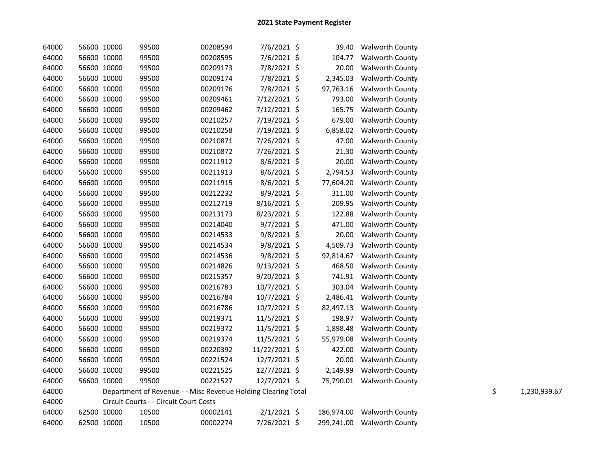| 64000 | 56600 10000 | 99500                                                         | 00208594 | 7/6/2021 \$    | 39.40     | <b>Walworth County</b>     |    |              |
|-------|-------------|---------------------------------------------------------------|----------|----------------|-----------|----------------------------|----|--------------|
| 64000 | 56600 10000 | 99500                                                         | 00208595 | 7/6/2021 \$    | 104.77    | <b>Walworth County</b>     |    |              |
| 64000 | 56600 10000 | 99500                                                         | 00209173 | 7/8/2021 \$    | 20.00     | <b>Walworth County</b>     |    |              |
| 64000 | 56600 10000 | 99500                                                         | 00209174 | 7/8/2021 \$    | 2,345.03  | <b>Walworth County</b>     |    |              |
| 64000 | 56600 10000 | 99500                                                         | 00209176 | 7/8/2021 \$    | 97,763.16 | Walworth County            |    |              |
| 64000 | 56600 10000 | 99500                                                         | 00209461 | 7/12/2021 \$   | 793.00    | <b>Walworth County</b>     |    |              |
| 64000 | 56600 10000 | 99500                                                         | 00209462 | 7/12/2021 \$   | 165.75    | Walworth County            |    |              |
| 64000 | 56600 10000 | 99500                                                         | 00210257 | 7/19/2021 \$   | 679.00    | <b>Walworth County</b>     |    |              |
| 64000 | 56600 10000 | 99500                                                         | 00210258 | 7/19/2021 \$   | 6,858.02  | <b>Walworth County</b>     |    |              |
| 64000 | 56600 10000 | 99500                                                         | 00210871 | 7/26/2021 \$   | 47.00     | <b>Walworth County</b>     |    |              |
| 64000 | 56600 10000 | 99500                                                         | 00210872 | 7/26/2021 \$   | 21.30     | <b>Walworth County</b>     |    |              |
| 64000 | 56600 10000 | 99500                                                         | 00211912 | $8/6/2021$ \$  | 20.00     | <b>Walworth County</b>     |    |              |
| 64000 | 56600 10000 | 99500                                                         | 00211913 | $8/6/2021$ \$  | 2,794.53  | <b>Walworth County</b>     |    |              |
| 64000 | 56600 10000 | 99500                                                         | 00211915 | $8/6/2021$ \$  | 77,604.20 | <b>Walworth County</b>     |    |              |
| 64000 | 56600 10000 | 99500                                                         | 00212232 | 8/9/2021 \$    | 311.00    | <b>Walworth County</b>     |    |              |
| 64000 | 56600 10000 | 99500                                                         | 00212719 | 8/16/2021 \$   | 209.95    | Walworth County            |    |              |
| 64000 | 56600 10000 | 99500                                                         | 00213173 | 8/23/2021 \$   | 122.88    | <b>Walworth County</b>     |    |              |
| 64000 | 56600 10000 | 99500                                                         | 00214040 | $9/7/2021$ \$  | 471.00    | <b>Walworth County</b>     |    |              |
| 64000 | 56600 10000 | 99500                                                         | 00214533 | $9/8/2021$ \$  | 20.00     | <b>Walworth County</b>     |    |              |
| 64000 | 56600 10000 | 99500                                                         | 00214534 | $9/8/2021$ \$  | 4,509.73  | <b>Walworth County</b>     |    |              |
| 64000 | 56600 10000 | 99500                                                         | 00214536 | $9/8/2021$ \$  | 92,814.67 | <b>Walworth County</b>     |    |              |
| 64000 | 56600 10000 | 99500                                                         | 00214826 | $9/13/2021$ \$ | 468.50    | <b>Walworth County</b>     |    |              |
| 64000 | 56600 10000 | 99500                                                         | 00215357 | 9/20/2021 \$   | 741.91    | <b>Walworth County</b>     |    |              |
| 64000 | 56600 10000 | 99500                                                         | 00216783 | 10/7/2021 \$   | 303.04    | <b>Walworth County</b>     |    |              |
| 64000 | 56600 10000 | 99500                                                         | 00216784 | 10/7/2021 \$   | 2,486.41  | <b>Walworth County</b>     |    |              |
| 64000 | 56600 10000 | 99500                                                         | 00216786 | 10/7/2021 \$   | 82,497.13 | <b>Walworth County</b>     |    |              |
| 64000 | 56600 10000 | 99500                                                         | 00219371 | 11/5/2021 \$   | 198.97    | <b>Walworth County</b>     |    |              |
| 64000 | 56600 10000 | 99500                                                         | 00219372 | 11/5/2021 \$   | 1,898.48  | <b>Walworth County</b>     |    |              |
| 64000 | 56600 10000 | 99500                                                         | 00219374 | 11/5/2021 \$   | 55,979.08 | <b>Walworth County</b>     |    |              |
| 64000 | 56600 10000 | 99500                                                         | 00220392 | 11/22/2021 \$  | 422.00    | <b>Walworth County</b>     |    |              |
| 64000 | 56600 10000 | 99500                                                         | 00221524 | 12/7/2021 \$   | 20.00     | <b>Walworth County</b>     |    |              |
| 64000 | 56600 10000 | 99500                                                         | 00221525 | 12/7/2021 \$   | 2,149.99  | <b>Walworth County</b>     |    |              |
| 64000 | 56600 10000 | 99500                                                         | 00221527 | $12/7/2021$ \$ |           | 75,790.01 Walworth County  |    |              |
| 64000 |             | Department of Revenue - - Misc Revenue Holding Clearing Total |          |                |           |                            | \$ | 1,230,939.67 |
| 64000 |             | Circuit Courts - - Circuit Court Costs                        |          |                |           |                            |    |              |
| 64000 | 62500 10000 | 10500                                                         | 00002141 | $2/1/2021$ \$  |           | 186,974.00 Walworth County |    |              |
| 64000 | 62500 10000 | 10500                                                         | 00002274 | 7/26/2021 \$   |           | 299,241.00 Walworth County |    |              |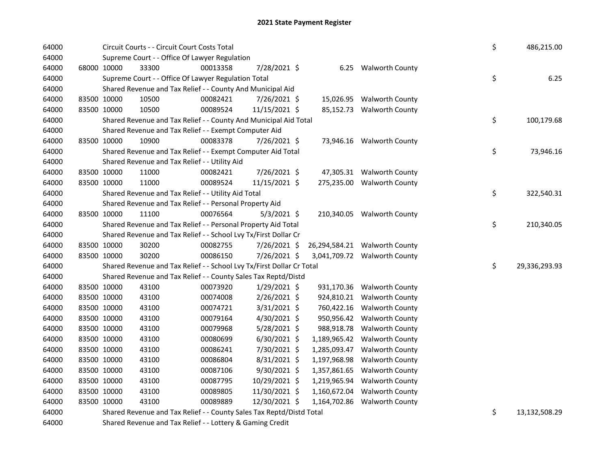| 64000 |             |             | Circuit Courts - - Circuit Court Costs Total                          |                                                                                                                           |                |              |                               | \$ | 486,215.00    |
|-------|-------------|-------------|-----------------------------------------------------------------------|---------------------------------------------------------------------------------------------------------------------------|----------------|--------------|-------------------------------|----|---------------|
| 64000 |             |             | Supreme Court - - Office Of Lawyer Regulation                         |                                                                                                                           |                |              |                               |    |               |
| 64000 |             | 68000 10000 | 33300                                                                 | 00013358                                                                                                                  | 7/28/2021 \$   |              | 6.25 Walworth County          |    |               |
| 64000 |             |             | Supreme Court - - Office Of Lawyer Regulation Total                   |                                                                                                                           |                |              |                               | \$ | 6.25          |
| 64000 |             |             | Shared Revenue and Tax Relief - - County And Municipal Aid            |                                                                                                                           |                |              |                               |    |               |
| 64000 |             | 83500 10000 | 10500                                                                 | 00082421                                                                                                                  | 7/26/2021 \$   |              | 15,026.95 Walworth County     |    |               |
| 64000 |             | 83500 10000 | 10500                                                                 | 00089524                                                                                                                  | 11/15/2021 \$  |              | 85,152.73 Walworth County     |    |               |
| 64000 |             |             | Shared Revenue and Tax Relief - - County And Municipal Aid Total      |                                                                                                                           |                |              |                               | \$ | 100,179.68    |
| 64000 |             |             | Shared Revenue and Tax Relief - - Exempt Computer Aid                 |                                                                                                                           |                |              |                               |    |               |
| 64000 |             | 83500 10000 | 10900                                                                 | 00083378                                                                                                                  | 7/26/2021 \$   |              | 73,946.16 Walworth County     |    |               |
| 64000 |             |             | Shared Revenue and Tax Relief - - Exempt Computer Aid Total           |                                                                                                                           |                |              |                               | \$ | 73,946.16     |
| 64000 |             |             | Shared Revenue and Tax Relief - - Utility Aid                         |                                                                                                                           |                |              |                               |    |               |
| 64000 |             | 83500 10000 | 11000                                                                 | 00082421                                                                                                                  | 7/26/2021 \$   |              | 47,305.31 Walworth County     |    |               |
| 64000 |             | 83500 10000 | 11000                                                                 | 00089524                                                                                                                  | 11/15/2021 \$  |              | 275,235.00 Walworth County    |    |               |
| 64000 |             |             | Shared Revenue and Tax Relief - - Utility Aid Total                   |                                                                                                                           |                |              |                               | \$ | 322,540.31    |
| 64000 |             |             | Shared Revenue and Tax Relief - - Personal Property Aid               |                                                                                                                           |                |              |                               |    |               |
| 64000 |             | 83500 10000 | 11100                                                                 | 00076564                                                                                                                  | $5/3/2021$ \$  |              | 210,340.05 Walworth County    |    |               |
| 64000 |             |             | Shared Revenue and Tax Relief - - Personal Property Aid Total         |                                                                                                                           |                |              |                               | \$ | 210,340.05    |
| 64000 |             |             | Shared Revenue and Tax Relief - - School Lvy Tx/First Dollar Cr       |                                                                                                                           |                |              |                               |    |               |
| 64000 |             | 83500 10000 | 30200                                                                 | 00082755                                                                                                                  | 7/26/2021 \$   |              | 26,294,584.21 Walworth County |    |               |
| 64000 |             | 83500 10000 | 30200                                                                 | 00086150                                                                                                                  | 7/26/2021 \$   |              | 3,041,709.72 Walworth County  |    |               |
| 64000 |             |             | Shared Revenue and Tax Relief - - School Lvy Tx/First Dollar Cr Total |                                                                                                                           |                |              |                               | \$ | 29,336,293.93 |
| 64000 |             |             | Shared Revenue and Tax Relief - - County Sales Tax Reptd/Distd        |                                                                                                                           |                |              |                               |    |               |
| 64000 |             | 83500 10000 | 43100                                                                 | 00073920                                                                                                                  | 1/29/2021 \$   |              | 931,170.36 Walworth County    |    |               |
| 64000 |             | 83500 10000 | 43100                                                                 | 00074008                                                                                                                  | 2/26/2021 \$   | 924,810.21   | <b>Walworth County</b>        |    |               |
| 64000 |             | 83500 10000 | 43100                                                                 | 00074721                                                                                                                  | $3/31/2021$ \$ | 760,422.16   | <b>Walworth County</b>        |    |               |
| 64000 |             | 83500 10000 | 43100                                                                 | 00079164                                                                                                                  | 4/30/2021 \$   | 950,956.42   | <b>Walworth County</b>        |    |               |
| 64000 | 83500 10000 |             | 43100                                                                 | 00079968                                                                                                                  | 5/28/2021 \$   | 988,918.78   | <b>Walworth County</b>        |    |               |
| 64000 | 83500 10000 |             | 43100                                                                 | 00080699                                                                                                                  | 6/30/2021 \$   | 1,189,965.42 | <b>Walworth County</b>        |    |               |
| 64000 |             | 83500 10000 | 43100                                                                 | 00086241                                                                                                                  | 7/30/2021 \$   | 1,285,093.47 | <b>Walworth County</b>        |    |               |
| 64000 |             | 83500 10000 | 43100                                                                 | 00086804                                                                                                                  | 8/31/2021 \$   | 1,197,968.98 | <b>Walworth County</b>        |    |               |
| 64000 | 83500 10000 |             | 43100                                                                 | 00087106                                                                                                                  | 9/30/2021 \$   | 1,357,861.65 | <b>Walworth County</b>        |    |               |
| 64000 | 83500 10000 |             | 43100                                                                 | 00087795                                                                                                                  | 10/29/2021 \$  | 1,219,965.94 | <b>Walworth County</b>        |    |               |
| 64000 | 83500 10000 |             | 43100                                                                 | 00089805                                                                                                                  | 11/30/2021 \$  | 1,160,672.04 | <b>Walworth County</b>        |    |               |
| 64000 |             | 83500 10000 | 43100                                                                 | 00089889                                                                                                                  | 12/30/2021 \$  | 1,164,702.86 | <b>Walworth County</b>        |    |               |
| 64000 |             |             | Shared Revenue and Tax Relief - - County Sales Tax Reptd/Distd Total  |                                                                                                                           |                |              |                               | \$ | 13,132,508.29 |
| 0.000 |             |             |                                                                       | $\mathcal{L} = \mathcal{L} + \mathcal{L}$ . It is the same subsequently assumed to the set of $\mathcal{L} = \mathcal{L}$ |                |              |                               |    |               |

64000 Shared Revenue and Tax Relief - - Lottery & Gaming Credit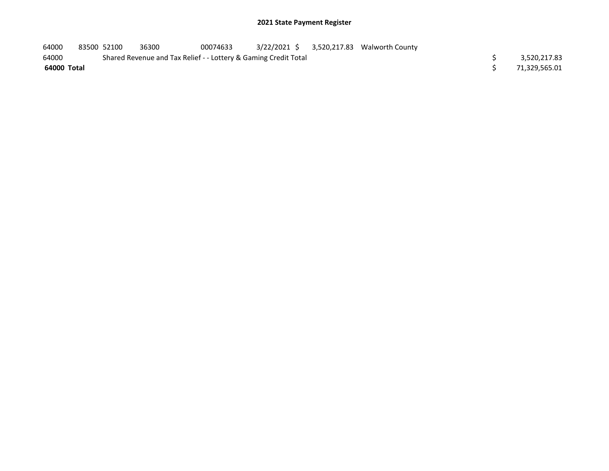| 64000       | 83500 52100 | 36300                                                           | 00074633 |  | 3/22/2021 \$ 3,520,217.83 Walworth County |  |               |
|-------------|-------------|-----------------------------------------------------------------|----------|--|-------------------------------------------|--|---------------|
| 64000       |             | Shared Revenue and Tax Relief - - Lottery & Gaming Credit Total |          |  |                                           |  | 3,520,217.83  |
| 64000 Total |             |                                                                 |          |  |                                           |  | 71,329,565.01 |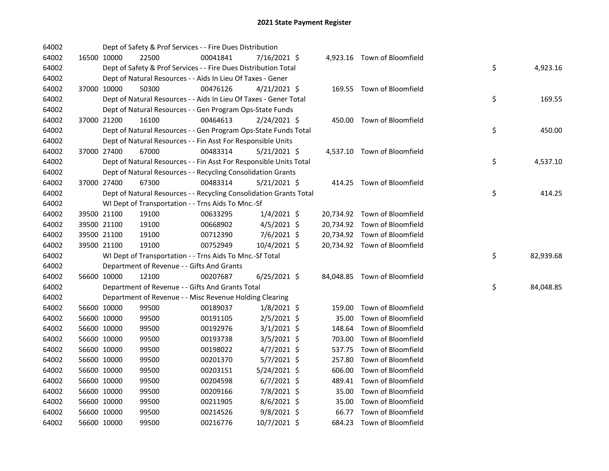| 64002 |             |             | Dept of Safety & Prof Services - - Fire Dues Distribution          |          |                |        |                              |    |           |
|-------|-------------|-------------|--------------------------------------------------------------------|----------|----------------|--------|------------------------------|----|-----------|
| 64002 |             | 16500 10000 | 22500                                                              | 00041841 | 7/16/2021 \$   |        | 4,923.16 Town of Bloomfield  |    |           |
| 64002 |             |             | Dept of Safety & Prof Services - - Fire Dues Distribution Total    |          |                |        |                              | \$ | 4,923.16  |
| 64002 |             |             | Dept of Natural Resources - - Aids In Lieu Of Taxes - Gener        |          |                |        |                              |    |           |
| 64002 |             | 37000 10000 | 50300                                                              | 00476126 | $4/21/2021$ \$ |        | 169.55 Town of Bloomfield    |    |           |
| 64002 |             |             | Dept of Natural Resources - - Aids In Lieu Of Taxes - Gener Total  |          |                |        |                              | \$ | 169.55    |
| 64002 |             |             | Dept of Natural Resources - - Gen Program Ops-State Funds          |          |                |        |                              |    |           |
| 64002 |             | 37000 21200 | 16100                                                              | 00464613 | $2/24/2021$ \$ |        | 450.00 Town of Bloomfield    |    |           |
| 64002 |             |             | Dept of Natural Resources - - Gen Program Ops-State Funds Total    |          |                |        |                              | \$ | 450.00    |
| 64002 |             |             | Dept of Natural Resources - - Fin Asst For Responsible Units       |          |                |        |                              |    |           |
| 64002 |             | 37000 27400 | 67000                                                              | 00483314 | $5/21/2021$ \$ |        | 4,537.10 Town of Bloomfield  |    |           |
| 64002 |             |             | Dept of Natural Resources - - Fin Asst For Responsible Units Total |          |                |        |                              | \$ | 4,537.10  |
| 64002 |             |             | Dept of Natural Resources - - Recycling Consolidation Grants       |          |                |        |                              |    |           |
| 64002 |             | 37000 27400 | 67300                                                              | 00483314 | $5/21/2021$ \$ |        | 414.25 Town of Bloomfield    |    |           |
| 64002 |             |             | Dept of Natural Resources - - Recycling Consolidation Grants Total |          |                |        |                              | \$ | 414.25    |
| 64002 |             |             | WI Dept of Transportation - - Trns Aids To Mnc.-Sf                 |          |                |        |                              |    |           |
| 64002 |             | 39500 21100 | 19100                                                              | 00633295 | $1/4/2021$ \$  |        | 20,734.92 Town of Bloomfield |    |           |
| 64002 |             | 39500 21100 | 19100                                                              | 00668902 | $4/5/2021$ \$  |        | 20,734.92 Town of Bloomfield |    |           |
| 64002 |             | 39500 21100 | 19100                                                              | 00712390 | 7/6/2021 \$    |        | 20,734.92 Town of Bloomfield |    |           |
| 64002 |             | 39500 21100 | 19100                                                              | 00752949 | 10/4/2021 \$   |        | 20,734.92 Town of Bloomfield |    |           |
| 64002 |             |             | WI Dept of Transportation - - Trns Aids To Mnc.-Sf Total           |          |                |        |                              | \$ | 82,939.68 |
| 64002 |             |             | Department of Revenue - - Gifts And Grants                         |          |                |        |                              |    |           |
| 64002 |             | 56600 10000 | 12100                                                              | 00207687 | $6/25/2021$ \$ |        | 84,048.85 Town of Bloomfield |    |           |
| 64002 |             |             | Department of Revenue - - Gifts And Grants Total                   |          |                |        |                              | \$ | 84,048.85 |
| 64002 |             |             | Department of Revenue - - Misc Revenue Holding Clearing            |          |                |        |                              |    |           |
| 64002 |             | 56600 10000 | 99500                                                              | 00189037 | $1/8/2021$ \$  |        | 159.00 Town of Bloomfield    |    |           |
| 64002 |             | 56600 10000 | 99500                                                              | 00191105 | 2/5/2021 \$    | 35.00  | Town of Bloomfield           |    |           |
| 64002 |             | 56600 10000 | 99500                                                              | 00192976 | $3/1/2021$ \$  | 148.64 | Town of Bloomfield           |    |           |
| 64002 |             | 56600 10000 | 99500                                                              | 00193738 | $3/5/2021$ \$  |        | 703.00 Town of Bloomfield    |    |           |
| 64002 |             | 56600 10000 | 99500                                                              | 00198022 | $4/7/2021$ \$  |        | 537.75 Town of Bloomfield    |    |           |
| 64002 |             | 56600 10000 | 99500                                                              | 00201370 | 5/7/2021 \$    |        | 257.80 Town of Bloomfield    |    |           |
| 64002 |             | 56600 10000 | 99500                                                              | 00203151 | $5/24/2021$ \$ |        | 606.00 Town of Bloomfield    |    |           |
| 64002 |             | 56600 10000 | 99500                                                              | 00204598 | $6/7/2021$ \$  |        | 489.41 Town of Bloomfield    |    |           |
| 64002 |             | 56600 10000 | 99500                                                              | 00209166 | 7/8/2021 \$    |        | 35.00 Town of Bloomfield     |    |           |
| 64002 |             | 56600 10000 | 99500                                                              | 00211905 | 8/6/2021 \$    |        | 35.00 Town of Bloomfield     |    |           |
| 64002 | 56600 10000 |             | 99500                                                              | 00214526 | $9/8/2021$ \$  |        | 66.77 Town of Bloomfield     |    |           |
| 64002 | 56600 10000 |             | 99500                                                              | 00216776 | 10/7/2021 \$   |        | 684.23 Town of Bloomfield    |    |           |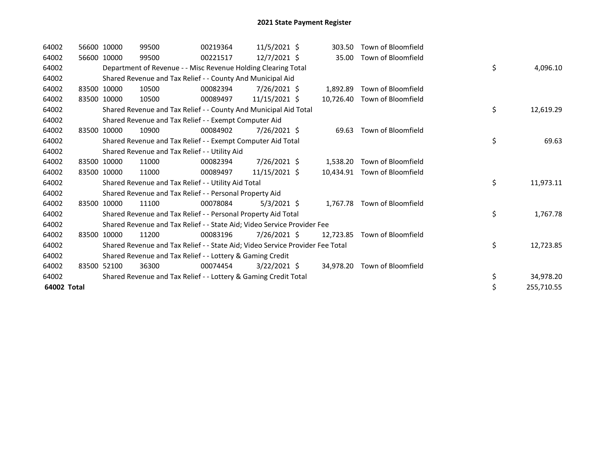| 64002       | 56600 10000 |             | 99500                                                                         | 00219364 | $11/5/2021$ \$ | 303.50    | Town of Bloomfield           |                  |
|-------------|-------------|-------------|-------------------------------------------------------------------------------|----------|----------------|-----------|------------------------------|------------------|
| 64002       |             | 56600 10000 | 99500                                                                         | 00221517 | 12/7/2021 \$   | 35.00     | Town of Bloomfield           |                  |
| 64002       |             |             | Department of Revenue - - Misc Revenue Holding Clearing Total                 |          |                |           |                              | \$<br>4,096.10   |
| 64002       |             |             | Shared Revenue and Tax Relief - - County And Municipal Aid                    |          |                |           |                              |                  |
| 64002       |             | 83500 10000 | 10500                                                                         | 00082394 | 7/26/2021 \$   | 1,892.89  | Town of Bloomfield           |                  |
| 64002       |             | 83500 10000 | 10500                                                                         | 00089497 | 11/15/2021 \$  |           | 10.726.40 Town of Bloomfield |                  |
| 64002       |             |             | Shared Revenue and Tax Relief - - County And Municipal Aid Total              |          |                |           |                              | \$<br>12,619.29  |
| 64002       |             |             | Shared Revenue and Tax Relief - - Exempt Computer Aid                         |          |                |           |                              |                  |
| 64002       | 83500       | 10000       | 10900                                                                         | 00084902 | 7/26/2021 \$   | 69.63     | Town of Bloomfield           |                  |
| 64002       |             |             | Shared Revenue and Tax Relief - - Exempt Computer Aid Total                   |          |                |           |                              | \$<br>69.63      |
| 64002       |             |             | Shared Revenue and Tax Relief - - Utility Aid                                 |          |                |           |                              |                  |
| 64002       |             | 83500 10000 | 11000                                                                         | 00082394 | 7/26/2021 \$   | 1,538.20  | Town of Bloomfield           |                  |
| 64002       |             | 83500 10000 | 11000                                                                         | 00089497 | 11/15/2021 \$  | 10.434.91 | Town of Bloomfield           |                  |
| 64002       |             |             | Shared Revenue and Tax Relief - - Utility Aid Total                           |          |                |           |                              | \$<br>11,973.11  |
| 64002       |             |             | Shared Revenue and Tax Relief - - Personal Property Aid                       |          |                |           |                              |                  |
| 64002       |             | 83500 10000 | 11100                                                                         | 00078084 | $5/3/2021$ \$  | 1,767.78  | Town of Bloomfield           |                  |
| 64002       |             |             | Shared Revenue and Tax Relief - - Personal Property Aid Total                 |          |                |           |                              | \$<br>1,767.78   |
| 64002       |             |             | Shared Revenue and Tax Relief - - State Aid; Video Service Provider Fee       |          |                |           |                              |                  |
| 64002       |             | 83500 10000 | 11200                                                                         | 00083196 | 7/26/2021 \$   | 12.723.85 | Town of Bloomfield           |                  |
| 64002       |             |             | Shared Revenue and Tax Relief - - State Aid; Video Service Provider Fee Total |          |                |           |                              | \$<br>12,723.85  |
| 64002       |             |             | Shared Revenue and Tax Relief - - Lottery & Gaming Credit                     |          |                |           |                              |                  |
| 64002       |             | 83500 52100 | 36300                                                                         | 00074454 | $3/22/2021$ \$ |           | 34,978.20 Town of Bloomfield |                  |
| 64002       |             |             | Shared Revenue and Tax Relief - - Lottery & Gaming Credit Total               |          |                |           |                              | \$<br>34,978.20  |
| 64002 Total |             |             |                                                                               |          |                |           |                              | \$<br>255,710.55 |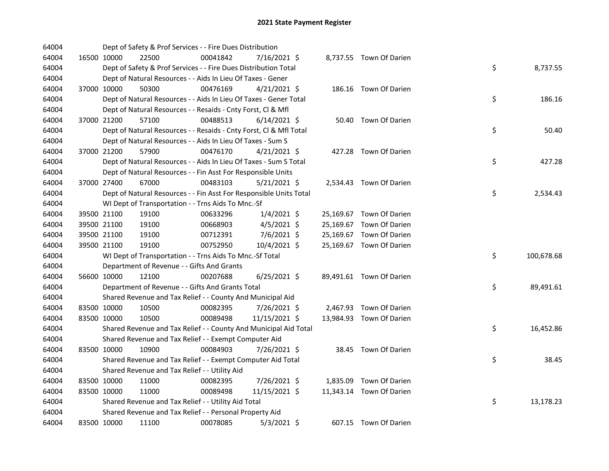| 64004 |             | Dept of Safety & Prof Services - - Fire Dues Distribution          |          |                |  |                          |    |            |
|-------|-------------|--------------------------------------------------------------------|----------|----------------|--|--------------------------|----|------------|
| 64004 | 16500 10000 | 22500                                                              | 00041842 | 7/16/2021 \$   |  | 8,737.55 Town Of Darien  |    |            |
| 64004 |             | Dept of Safety & Prof Services - - Fire Dues Distribution Total    |          |                |  |                          | \$ | 8,737.55   |
| 64004 |             | Dept of Natural Resources - - Aids In Lieu Of Taxes - Gener        |          |                |  |                          |    |            |
| 64004 | 37000 10000 | 50300                                                              | 00476169 | $4/21/2021$ \$ |  | 186.16 Town Of Darien    |    |            |
| 64004 |             | Dept of Natural Resources - - Aids In Lieu Of Taxes - Gener Total  |          |                |  |                          | \$ | 186.16     |
| 64004 |             | Dept of Natural Resources - - Resaids - Cnty Forst, Cl & Mfl       |          |                |  |                          |    |            |
| 64004 | 37000 21200 | 57100                                                              | 00488513 | $6/14/2021$ \$ |  | 50.40 Town Of Darien     |    |            |
| 64004 |             | Dept of Natural Resources - - Resaids - Cnty Forst, Cl & Mfl Total |          |                |  |                          | \$ | 50.40      |
| 64004 |             | Dept of Natural Resources - - Aids In Lieu Of Taxes - Sum S        |          |                |  |                          |    |            |
| 64004 | 37000 21200 | 57900                                                              | 00476170 | $4/21/2021$ \$ |  | 427.28 Town Of Darien    |    |            |
| 64004 |             | Dept of Natural Resources - - Aids In Lieu Of Taxes - Sum S Total  |          |                |  |                          | \$ | 427.28     |
| 64004 |             | Dept of Natural Resources - - Fin Asst For Responsible Units       |          |                |  |                          |    |            |
| 64004 | 37000 27400 | 67000                                                              | 00483103 | $5/21/2021$ \$ |  | 2,534.43 Town Of Darien  |    |            |
| 64004 |             | Dept of Natural Resources - - Fin Asst For Responsible Units Total |          |                |  |                          | \$ | 2,534.43   |
| 64004 |             | WI Dept of Transportation - - Trns Aids To Mnc.-Sf                 |          |                |  |                          |    |            |
| 64004 | 39500 21100 | 19100                                                              | 00633296 | $1/4/2021$ \$  |  | 25,169.67 Town Of Darien |    |            |
| 64004 | 39500 21100 | 19100                                                              | 00668903 | $4/5/2021$ \$  |  | 25,169.67 Town Of Darien |    |            |
| 64004 | 39500 21100 | 19100                                                              | 00712391 | 7/6/2021 \$    |  | 25,169.67 Town Of Darien |    |            |
| 64004 | 39500 21100 | 19100                                                              | 00752950 | 10/4/2021 \$   |  | 25,169.67 Town Of Darien |    |            |
| 64004 |             | WI Dept of Transportation - - Trns Aids To Mnc.-Sf Total           |          |                |  |                          | \$ | 100,678.68 |
| 64004 |             | Department of Revenue - - Gifts And Grants                         |          |                |  |                          |    |            |
| 64004 | 56600 10000 | 12100                                                              | 00207688 | $6/25/2021$ \$ |  | 89,491.61 Town Of Darien |    |            |
| 64004 |             | Department of Revenue - - Gifts And Grants Total                   |          |                |  |                          | \$ | 89,491.61  |
| 64004 |             | Shared Revenue and Tax Relief - - County And Municipal Aid         |          |                |  |                          |    |            |
| 64004 | 83500 10000 | 10500                                                              | 00082395 | 7/26/2021 \$   |  | 2,467.93 Town Of Darien  |    |            |
| 64004 | 83500 10000 | 10500                                                              | 00089498 | 11/15/2021 \$  |  | 13,984.93 Town Of Darien |    |            |
| 64004 |             | Shared Revenue and Tax Relief - - County And Municipal Aid Total   |          |                |  |                          | \$ | 16,452.86  |
| 64004 |             | Shared Revenue and Tax Relief - - Exempt Computer Aid              |          |                |  |                          |    |            |
| 64004 | 83500 10000 | 10900                                                              | 00084903 | 7/26/2021 \$   |  | 38.45 Town Of Darien     |    |            |
| 64004 |             | Shared Revenue and Tax Relief - - Exempt Computer Aid Total        |          |                |  |                          | \$ | 38.45      |
| 64004 |             | Shared Revenue and Tax Relief - - Utility Aid                      |          |                |  |                          |    |            |
| 64004 | 83500 10000 | 11000                                                              | 00082395 | 7/26/2021 \$   |  | 1,835.09 Town Of Darien  |    |            |
| 64004 | 83500 10000 | 11000                                                              | 00089498 | 11/15/2021 \$  |  | 11,343.14 Town Of Darien |    |            |
| 64004 |             | Shared Revenue and Tax Relief - - Utility Aid Total                |          |                |  |                          | \$ | 13,178.23  |
| 64004 |             | Shared Revenue and Tax Relief - - Personal Property Aid            |          |                |  |                          |    |            |
| 64004 | 83500 10000 | 11100                                                              | 00078085 | $5/3/2021$ \$  |  | 607.15 Town Of Darien    |    |            |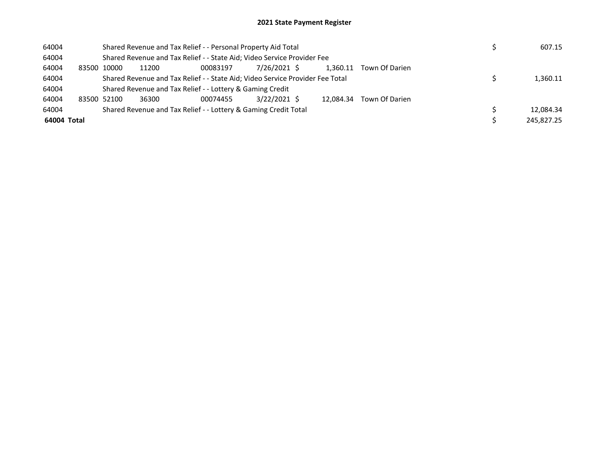| 64004       |       |             |       | Shared Revenue and Tax Relief - - Personal Property Aid Total                 |              |           |                |  | 607.15     |
|-------------|-------|-------------|-------|-------------------------------------------------------------------------------|--------------|-----------|----------------|--|------------|
| 64004       |       |             |       | Shared Revenue and Tax Relief - - State Aid; Video Service Provider Fee       |              |           |                |  |            |
| 64004       | 83500 | 10000       | 11200 | 00083197                                                                      | 7/26/2021 \$ | 1.360.11  | Town Of Darien |  |            |
| 64004       |       |             |       | Shared Revenue and Tax Relief - - State Aid; Video Service Provider Fee Total |              |           |                |  | 1,360.11   |
| 64004       |       |             |       | Shared Revenue and Tax Relief - - Lottery & Gaming Credit                     |              |           |                |  |            |
| 64004       |       | 83500 52100 | 36300 | 00074455                                                                      | 3/22/2021 \$ | 12.084.34 | Town Of Darien |  |            |
| 64004       |       |             |       | Shared Revenue and Tax Relief - - Lottery & Gaming Credit Total               |              |           |                |  | 12.084.34  |
| 64004 Total |       |             |       |                                                                               |              |           |                |  | 245.827.25 |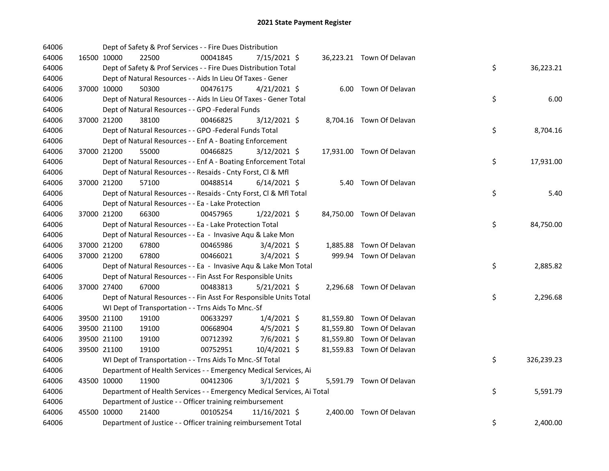| 64006 |             |       | Dept of Safety & Prof Services - - Fire Dues Distribution              |                |  |                           |    |            |
|-------|-------------|-------|------------------------------------------------------------------------|----------------|--|---------------------------|----|------------|
| 64006 | 16500 10000 | 22500 | 00041845                                                               | 7/15/2021 \$   |  | 36,223.21 Town Of Delavan |    |            |
| 64006 |             |       | Dept of Safety & Prof Services - - Fire Dues Distribution Total        |                |  |                           | \$ | 36,223.21  |
| 64006 |             |       | Dept of Natural Resources - - Aids In Lieu Of Taxes - Gener            |                |  |                           |    |            |
| 64006 | 37000 10000 | 50300 | 00476175                                                               | $4/21/2021$ \$ |  | 6.00 Town Of Delavan      |    |            |
| 64006 |             |       | Dept of Natural Resources - - Aids In Lieu Of Taxes - Gener Total      |                |  |                           | \$ | 6.00       |
| 64006 |             |       | Dept of Natural Resources - - GPO -Federal Funds                       |                |  |                           |    |            |
| 64006 | 37000 21200 | 38100 | 00466825                                                               | $3/12/2021$ \$ |  | 8,704.16 Town Of Delavan  |    |            |
| 64006 |             |       | Dept of Natural Resources - - GPO -Federal Funds Total                 |                |  |                           | \$ | 8,704.16   |
| 64006 |             |       | Dept of Natural Resources - - Enf A - Boating Enforcement              |                |  |                           |    |            |
| 64006 | 37000 21200 | 55000 | 00466825                                                               | $3/12/2021$ \$ |  | 17,931.00 Town Of Delavan |    |            |
| 64006 |             |       | Dept of Natural Resources - - Enf A - Boating Enforcement Total        |                |  |                           | \$ | 17,931.00  |
| 64006 |             |       | Dept of Natural Resources - - Resaids - Cnty Forst, CI & Mfl           |                |  |                           |    |            |
| 64006 | 37000 21200 | 57100 | 00488514                                                               | $6/14/2021$ \$ |  | 5.40 Town Of Delavan      |    |            |
| 64006 |             |       | Dept of Natural Resources - - Resaids - Cnty Forst, Cl & Mfl Total     |                |  |                           | \$ | 5.40       |
| 64006 |             |       | Dept of Natural Resources - - Ea - Lake Protection                     |                |  |                           |    |            |
| 64006 | 37000 21200 | 66300 | 00457965                                                               | $1/22/2021$ \$ |  | 84,750.00 Town Of Delavan |    |            |
| 64006 |             |       | Dept of Natural Resources - - Ea - Lake Protection Total               |                |  |                           | \$ | 84,750.00  |
| 64006 |             |       | Dept of Natural Resources - - Ea - Invasive Aqu & Lake Mon             |                |  |                           |    |            |
| 64006 | 37000 21200 | 67800 | 00465986                                                               | $3/4/2021$ \$  |  | 1,885.88 Town Of Delavan  |    |            |
| 64006 | 37000 21200 | 67800 | 00466021                                                               | $3/4/2021$ \$  |  | 999.94 Town Of Delavan    |    |            |
| 64006 |             |       | Dept of Natural Resources - - Ea - Invasive Aqu & Lake Mon Total       |                |  |                           | \$ | 2,885.82   |
| 64006 |             |       | Dept of Natural Resources - - Fin Asst For Responsible Units           |                |  |                           |    |            |
| 64006 | 37000 27400 | 67000 | 00483813                                                               | $5/21/2021$ \$ |  | 2,296.68 Town Of Delavan  |    |            |
| 64006 |             |       | Dept of Natural Resources - - Fin Asst For Responsible Units Total     |                |  |                           | \$ | 2,296.68   |
| 64006 |             |       | WI Dept of Transportation - - Trns Aids To Mnc.-Sf                     |                |  |                           |    |            |
| 64006 | 39500 21100 | 19100 | 00633297                                                               | $1/4/2021$ \$  |  | 81,559.80 Town Of Delavan |    |            |
| 64006 | 39500 21100 | 19100 | 00668904                                                               | $4/5/2021$ \$  |  | 81,559.80 Town Of Delavan |    |            |
| 64006 | 39500 21100 | 19100 | 00712392                                                               | 7/6/2021 \$    |  | 81,559.80 Town Of Delavan |    |            |
| 64006 | 39500 21100 | 19100 | 00752951                                                               | $10/4/2021$ \$ |  | 81,559.83 Town Of Delavan |    |            |
| 64006 |             |       | WI Dept of Transportation - - Trns Aids To Mnc.-Sf Total               |                |  |                           | \$ | 326,239.23 |
| 64006 |             |       | Department of Health Services - - Emergency Medical Services, Ai       |                |  |                           |    |            |
| 64006 | 43500 10000 | 11900 | 00412306                                                               | $3/1/2021$ \$  |  | 5,591.79 Town Of Delavan  |    |            |
| 64006 |             |       | Department of Health Services - - Emergency Medical Services, Ai Total |                |  |                           | \$ | 5,591.79   |
| 64006 |             |       | Department of Justice - - Officer training reimbursement               |                |  |                           |    |            |
| 64006 | 45500 10000 | 21400 | 00105254                                                               | 11/16/2021 \$  |  | 2,400.00 Town Of Delavan  |    |            |
| 64006 |             |       | Department of Justice - - Officer training reimbursement Total         |                |  |                           | \$ | 2,400.00   |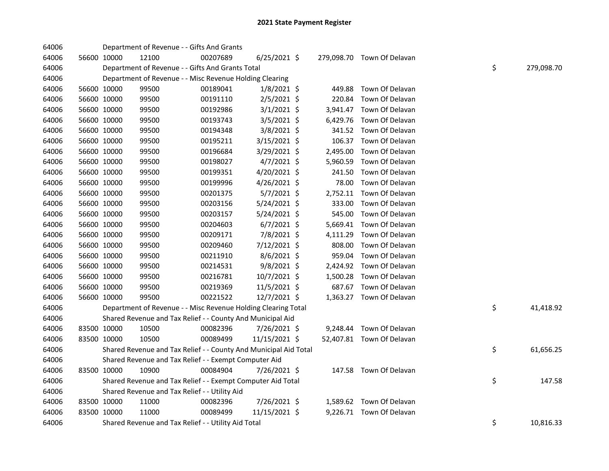| 64006 |             |             | Department of Revenue - - Gifts And Grants                       |          |                |          |                            |    |            |
|-------|-------------|-------------|------------------------------------------------------------------|----------|----------------|----------|----------------------------|----|------------|
| 64006 |             | 56600 10000 | 12100                                                            | 00207689 | $6/25/2021$ \$ |          | 279,098.70 Town Of Delavan |    |            |
| 64006 |             |             | Department of Revenue - - Gifts And Grants Total                 |          |                |          |                            | \$ | 279,098.70 |
| 64006 |             |             | Department of Revenue - - Misc Revenue Holding Clearing          |          |                |          |                            |    |            |
| 64006 |             | 56600 10000 | 99500                                                            | 00189041 | $1/8/2021$ \$  | 449.88   | Town Of Delavan            |    |            |
| 64006 | 56600 10000 |             | 99500                                                            | 00191110 | $2/5/2021$ \$  | 220.84   | Town Of Delavan            |    |            |
| 64006 |             | 56600 10000 | 99500                                                            | 00192986 | $3/1/2021$ \$  |          | 3,941.47 Town Of Delavan   |    |            |
| 64006 | 56600 10000 |             | 99500                                                            | 00193743 | $3/5/2021$ \$  |          | 6,429.76 Town Of Delavan   |    |            |
| 64006 | 56600 10000 |             | 99500                                                            | 00194348 | 3/8/2021 \$    |          | 341.52 Town Of Delavan     |    |            |
| 64006 |             | 56600 10000 | 99500                                                            | 00195211 | 3/15/2021 \$   | 106.37   | Town Of Delavan            |    |            |
| 64006 |             | 56600 10000 | 99500                                                            | 00196684 | $3/29/2021$ \$ | 2,495.00 | Town Of Delavan            |    |            |
| 64006 |             | 56600 10000 | 99500                                                            | 00198027 | 4/7/2021 \$    | 5,960.59 | Town Of Delavan            |    |            |
| 64006 |             | 56600 10000 | 99500                                                            | 00199351 | 4/20/2021 \$   | 241.50   | Town Of Delavan            |    |            |
| 64006 |             | 56600 10000 | 99500                                                            | 00199996 | $4/26/2021$ \$ | 78.00    | Town Of Delavan            |    |            |
| 64006 |             | 56600 10000 | 99500                                                            | 00201375 | 5/7/2021 \$    | 2,752.11 | Town Of Delavan            |    |            |
| 64006 |             | 56600 10000 | 99500                                                            | 00203156 | 5/24/2021 \$   | 333.00   | Town Of Delavan            |    |            |
| 64006 | 56600 10000 |             | 99500                                                            | 00203157 | 5/24/2021 \$   | 545.00   | Town Of Delavan            |    |            |
| 64006 |             | 56600 10000 | 99500                                                            | 00204603 | $6/7/2021$ \$  |          | 5,669.41 Town Of Delavan   |    |            |
| 64006 | 56600 10000 |             | 99500                                                            | 00209171 | 7/8/2021 \$    |          | 4,111.29 Town Of Delavan   |    |            |
| 64006 | 56600 10000 |             | 99500                                                            | 00209460 | 7/12/2021 \$   | 808.00   | Town Of Delavan            |    |            |
| 64006 | 56600 10000 |             | 99500                                                            | 00211910 | $8/6/2021$ \$  | 959.04   | Town Of Delavan            |    |            |
| 64006 | 56600 10000 |             | 99500                                                            | 00214531 | $9/8/2021$ \$  |          | 2,424.92 Town Of Delavan   |    |            |
| 64006 | 56600 10000 |             | 99500                                                            | 00216781 | 10/7/2021 \$   |          | 1,500.28 Town Of Delavan   |    |            |
| 64006 | 56600 10000 |             | 99500                                                            | 00219369 | 11/5/2021 \$   |          | 687.67 Town Of Delavan     |    |            |
| 64006 | 56600 10000 |             | 99500                                                            | 00221522 | 12/7/2021 \$   |          | 1,363.27 Town Of Delavan   |    |            |
| 64006 |             |             | Department of Revenue - - Misc Revenue Holding Clearing Total    |          |                |          |                            | \$ | 41,418.92  |
| 64006 |             |             | Shared Revenue and Tax Relief - - County And Municipal Aid       |          |                |          |                            |    |            |
| 64006 | 83500 10000 |             | 10500                                                            | 00082396 | 7/26/2021 \$   |          | 9,248.44 Town Of Delavan   |    |            |
| 64006 | 83500 10000 |             | 10500                                                            | 00089499 | 11/15/2021 \$  |          | 52,407.81 Town Of Delavan  |    |            |
| 64006 |             |             | Shared Revenue and Tax Relief - - County And Municipal Aid Total |          |                |          |                            | \$ | 61,656.25  |
| 64006 |             |             | Shared Revenue and Tax Relief - - Exempt Computer Aid            |          |                |          |                            |    |            |
| 64006 | 83500 10000 |             | 10900                                                            | 00084904 | 7/26/2021 \$   |          | 147.58 Town Of Delavan     |    |            |
| 64006 |             |             | Shared Revenue and Tax Relief - - Exempt Computer Aid Total      |          |                |          |                            | \$ | 147.58     |
| 64006 |             |             | Shared Revenue and Tax Relief - - Utility Aid                    |          |                |          |                            |    |            |
| 64006 |             | 83500 10000 | 11000                                                            | 00082396 | 7/26/2021 \$   |          | 1,589.62 Town Of Delavan   |    |            |
| 64006 |             | 83500 10000 | 11000                                                            | 00089499 | 11/15/2021 \$  |          | 9,226.71 Town Of Delavan   |    |            |
| 64006 |             |             | Shared Revenue and Tax Relief - - Utility Aid Total              |          |                |          |                            | \$ | 10,816.33  |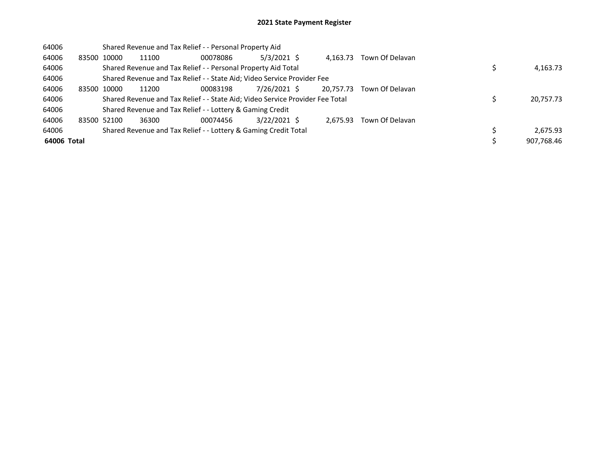| 64006       |             |       | Shared Revenue and Tax Relief - - Personal Property Aid                       |          |               |           |                 |            |
|-------------|-------------|-------|-------------------------------------------------------------------------------|----------|---------------|-----------|-----------------|------------|
| 64006       | 83500       | 10000 | 11100                                                                         | 00078086 | $5/3/2021$ \$ | 4.163.73  | Town Of Delavan |            |
| 64006       |             |       | Shared Revenue and Tax Relief - - Personal Property Aid Total                 |          |               |           |                 | 4,163.73   |
| 64006       |             |       | Shared Revenue and Tax Relief - - State Aid; Video Service Provider Fee       |          |               |           |                 |            |
| 64006       | 83500       | 10000 | 11200                                                                         | 00083198 | 7/26/2021 \$  | 20,757.73 | Town Of Delavan |            |
| 64006       |             |       | Shared Revenue and Tax Relief - - State Aid; Video Service Provider Fee Total |          |               |           |                 | 20,757.73  |
| 64006       |             |       | Shared Revenue and Tax Relief - - Lottery & Gaming Credit                     |          |               |           |                 |            |
| 64006       | 83500 52100 |       | 36300                                                                         | 00074456 | 3/22/2021 \$  | 2.675.93  | Town Of Delavan |            |
| 64006       |             |       | Shared Revenue and Tax Relief - - Lottery & Gaming Credit Total               |          |               |           |                 | 2.675.93   |
| 64006 Total |             |       |                                                                               |          |               |           |                 | 907,768.46 |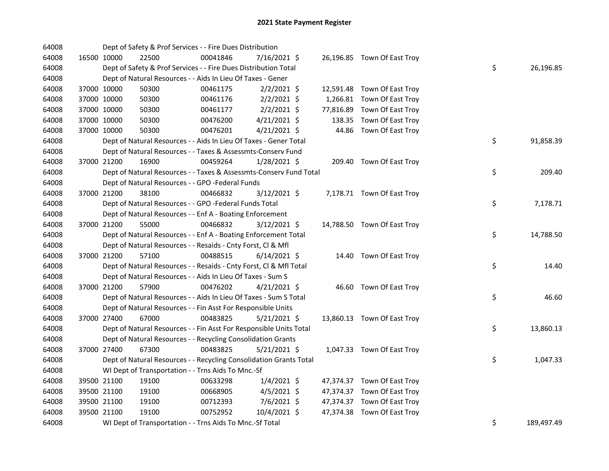| 64008 |             |             | Dept of Safety & Prof Services - - Fire Dues Distribution          |          |                |  |                             |    |            |
|-------|-------------|-------------|--------------------------------------------------------------------|----------|----------------|--|-----------------------------|----|------------|
| 64008 |             | 16500 10000 | 22500                                                              | 00041846 | 7/16/2021 \$   |  | 26,196.85 Town Of East Troy |    |            |
| 64008 |             |             | Dept of Safety & Prof Services - - Fire Dues Distribution Total    |          |                |  |                             | \$ | 26,196.85  |
| 64008 |             |             | Dept of Natural Resources - - Aids In Lieu Of Taxes - Gener        |          |                |  |                             |    |            |
| 64008 |             | 37000 10000 | 50300                                                              | 00461175 | $2/2/2021$ \$  |  | 12,591.48 Town Of East Troy |    |            |
| 64008 |             | 37000 10000 | 50300                                                              | 00461176 | $2/2/2021$ \$  |  | 1,266.81 Town Of East Troy  |    |            |
| 64008 |             | 37000 10000 | 50300                                                              | 00461177 | $2/2/2021$ \$  |  | 77,816.89 Town Of East Troy |    |            |
| 64008 |             | 37000 10000 | 50300                                                              | 00476200 | $4/21/2021$ \$ |  | 138.35 Town Of East Troy    |    |            |
| 64008 | 37000 10000 |             | 50300                                                              | 00476201 | $4/21/2021$ \$ |  | 44.86 Town Of East Troy     |    |            |
| 64008 |             |             | Dept of Natural Resources - - Aids In Lieu Of Taxes - Gener Total  |          |                |  |                             | \$ | 91,858.39  |
| 64008 |             |             | Dept of Natural Resources - - Taxes & Assessmts-Conserv Fund       |          |                |  |                             |    |            |
| 64008 |             | 37000 21200 | 16900                                                              | 00459264 | $1/28/2021$ \$ |  | 209.40 Town Of East Troy    |    |            |
| 64008 |             |             | Dept of Natural Resources - - Taxes & Assessmts-Conserv Fund Total |          |                |  |                             | \$ | 209.40     |
| 64008 |             |             | Dept of Natural Resources - - GPO -Federal Funds                   |          |                |  |                             |    |            |
| 64008 | 37000 21200 |             | 38100                                                              | 00466832 | 3/12/2021 \$   |  | 7,178.71 Town Of East Troy  |    |            |
| 64008 |             |             | Dept of Natural Resources - - GPO -Federal Funds Total             |          |                |  |                             | \$ | 7,178.71   |
| 64008 |             |             | Dept of Natural Resources - - Enf A - Boating Enforcement          |          |                |  |                             |    |            |
| 64008 | 37000 21200 |             | 55000                                                              | 00466832 | $3/12/2021$ \$ |  | 14,788.50 Town Of East Troy |    |            |
| 64008 |             |             | Dept of Natural Resources - - Enf A - Boating Enforcement Total    |          |                |  |                             | \$ | 14,788.50  |
| 64008 |             |             | Dept of Natural Resources - - Resaids - Cnty Forst, Cl & Mfl       |          |                |  |                             |    |            |
| 64008 |             | 37000 21200 | 57100                                                              | 00488515 | $6/14/2021$ \$ |  | 14.40 Town Of East Troy     |    |            |
| 64008 |             |             | Dept of Natural Resources - - Resaids - Cnty Forst, Cl & Mfl Total |          |                |  |                             | \$ | 14.40      |
| 64008 |             |             | Dept of Natural Resources - - Aids In Lieu Of Taxes - Sum S        |          |                |  |                             |    |            |
| 64008 |             | 37000 21200 | 57900                                                              | 00476202 | $4/21/2021$ \$ |  | 46.60 Town Of East Troy     |    |            |
| 64008 |             |             | Dept of Natural Resources - - Aids In Lieu Of Taxes - Sum S Total  |          |                |  |                             | \$ | 46.60      |
| 64008 |             |             | Dept of Natural Resources - - Fin Asst For Responsible Units       |          |                |  |                             |    |            |
| 64008 |             | 37000 27400 | 67000                                                              | 00483825 | $5/21/2021$ \$ |  | 13,860.13 Town Of East Troy |    |            |
| 64008 |             |             | Dept of Natural Resources - - Fin Asst For Responsible Units Total |          |                |  |                             | \$ | 13,860.13  |
| 64008 |             |             | Dept of Natural Resources - - Recycling Consolidation Grants       |          |                |  |                             |    |            |
| 64008 |             | 37000 27400 | 67300                                                              | 00483825 | $5/21/2021$ \$ |  | 1,047.33 Town Of East Troy  |    |            |
| 64008 |             |             | Dept of Natural Resources - - Recycling Consolidation Grants Total |          |                |  |                             | \$ | 1,047.33   |
| 64008 |             |             | WI Dept of Transportation - - Trns Aids To Mnc.-Sf                 |          |                |  |                             |    |            |
| 64008 |             | 39500 21100 | 19100                                                              | 00633298 | $1/4/2021$ \$  |  | 47,374.37 Town Of East Troy |    |            |
| 64008 |             | 39500 21100 | 19100                                                              | 00668905 | 4/5/2021 \$    |  | 47,374.37 Town Of East Troy |    |            |
| 64008 | 39500 21100 |             | 19100                                                              | 00712393 | 7/6/2021 \$    |  | 47,374.37 Town Of East Troy |    |            |
| 64008 | 39500 21100 |             | 19100                                                              | 00752952 | 10/4/2021 \$   |  | 47,374.38 Town Of East Troy |    |            |
| 64008 |             |             | WI Dept of Transportation - - Trns Aids To Mnc.-Sf Total           |          |                |  |                             | \$ | 189,497.49 |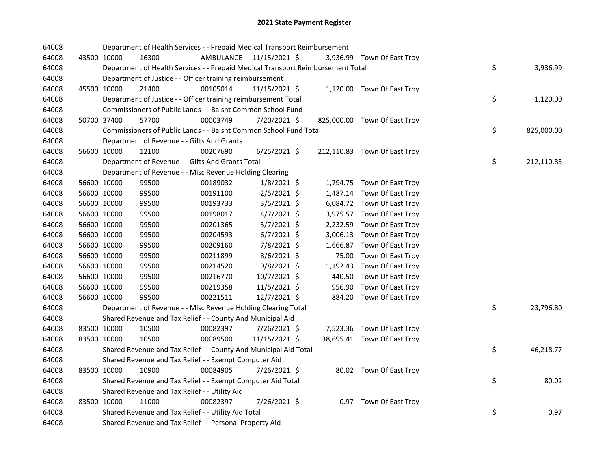| 64008 |             | Department of Health Services - - Prepaid Medical Transport Reimbursement       |                         |                |  |                              |    |            |
|-------|-------------|---------------------------------------------------------------------------------|-------------------------|----------------|--|------------------------------|----|------------|
| 64008 | 43500 10000 | 16300                                                                           | AMBULANCE 11/15/2021 \$ |                |  | 3,936.99 Town Of East Troy   |    |            |
| 64008 |             | Department of Health Services - - Prepaid Medical Transport Reimbursement Total |                         |                |  |                              | \$ | 3,936.99   |
| 64008 |             | Department of Justice - - Officer training reimbursement                        |                         |                |  |                              |    |            |
| 64008 | 45500 10000 | 21400                                                                           | 00105014                | 11/15/2021 \$  |  | 1,120.00 Town Of East Troy   |    |            |
| 64008 |             | Department of Justice - - Officer training reimbursement Total                  |                         |                |  |                              | \$ | 1,120.00   |
| 64008 |             | Commissioners of Public Lands - - Balsht Common School Fund                     |                         |                |  |                              |    |            |
| 64008 | 50700 37400 | 57700                                                                           | 00003749                | 7/20/2021 \$   |  | 825,000.00 Town Of East Troy |    |            |
| 64008 |             | Commissioners of Public Lands - - Balsht Common School Fund Total               |                         |                |  |                              | \$ | 825,000.00 |
| 64008 |             | Department of Revenue - - Gifts And Grants                                      |                         |                |  |                              |    |            |
| 64008 | 56600 10000 | 12100                                                                           | 00207690                | $6/25/2021$ \$ |  | 212,110.83 Town Of East Troy |    |            |
| 64008 |             | Department of Revenue - - Gifts And Grants Total                                |                         |                |  |                              | \$ | 212,110.83 |
| 64008 |             | Department of Revenue - - Misc Revenue Holding Clearing                         |                         |                |  |                              |    |            |
| 64008 | 56600 10000 | 99500                                                                           | 00189032                | $1/8/2021$ \$  |  | 1,794.75 Town Of East Troy   |    |            |
| 64008 | 56600 10000 | 99500                                                                           | 00191100                | $2/5/2021$ \$  |  | 1,487.14 Town Of East Troy   |    |            |
| 64008 | 56600 10000 | 99500                                                                           | 00193733                | 3/5/2021 \$    |  | 6,084.72 Town Of East Troy   |    |            |
| 64008 | 56600 10000 | 99500                                                                           | 00198017                | $4/7/2021$ \$  |  | 3,975.57 Town Of East Troy   |    |            |
| 64008 | 56600 10000 | 99500                                                                           | 00201365                | $5/7/2021$ \$  |  | 2,232.59 Town Of East Troy   |    |            |
| 64008 | 56600 10000 | 99500                                                                           | 00204593                | $6/7/2021$ \$  |  | 3,006.13 Town Of East Troy   |    |            |
| 64008 | 56600 10000 | 99500                                                                           | 00209160                | 7/8/2021 \$    |  | 1,666.87 Town Of East Troy   |    |            |
| 64008 | 56600 10000 | 99500                                                                           | 00211899                | $8/6/2021$ \$  |  | 75.00 Town Of East Troy      |    |            |
| 64008 | 56600 10000 | 99500                                                                           | 00214520                | $9/8/2021$ \$  |  | 1,192.43 Town Of East Troy   |    |            |
| 64008 | 56600 10000 | 99500                                                                           | 00216770                | 10/7/2021 \$   |  | 440.50 Town Of East Troy     |    |            |
| 64008 | 56600 10000 | 99500                                                                           | 00219358                | 11/5/2021 \$   |  | 956.90 Town Of East Troy     |    |            |
| 64008 | 56600 10000 | 99500                                                                           | 00221511                | 12/7/2021 \$   |  | 884.20 Town Of East Troy     |    |            |
| 64008 |             | Department of Revenue - - Misc Revenue Holding Clearing Total                   |                         |                |  |                              | \$ | 23,796.80  |
| 64008 |             | Shared Revenue and Tax Relief - - County And Municipal Aid                      |                         |                |  |                              |    |            |
| 64008 | 83500 10000 | 10500                                                                           | 00082397                | 7/26/2021 \$   |  | 7,523.36 Town Of East Troy   |    |            |
| 64008 | 83500 10000 | 10500                                                                           | 00089500                | 11/15/2021 \$  |  | 38,695.41 Town Of East Troy  |    |            |
| 64008 |             | Shared Revenue and Tax Relief - - County And Municipal Aid Total                |                         |                |  |                              | \$ | 46,218.77  |
| 64008 |             | Shared Revenue and Tax Relief - - Exempt Computer Aid                           |                         |                |  |                              |    |            |
| 64008 | 83500 10000 | 10900                                                                           | 00084905                | $7/26/2021$ \$ |  | 80.02 Town Of East Troy      |    |            |
| 64008 |             | Shared Revenue and Tax Relief - - Exempt Computer Aid Total                     |                         |                |  |                              | \$ | 80.02      |
| 64008 |             | Shared Revenue and Tax Relief - - Utility Aid                                   |                         |                |  |                              |    |            |
| 64008 | 83500 10000 | 11000                                                                           | 00082397                | 7/26/2021 \$   |  | 0.97 Town Of East Troy       |    |            |
| 64008 |             | Shared Revenue and Tax Relief - - Utility Aid Total                             |                         |                |  |                              | \$ | 0.97       |
| 64008 |             | Shared Revenue and Tax Relief - - Personal Property Aid                         |                         |                |  |                              |    |            |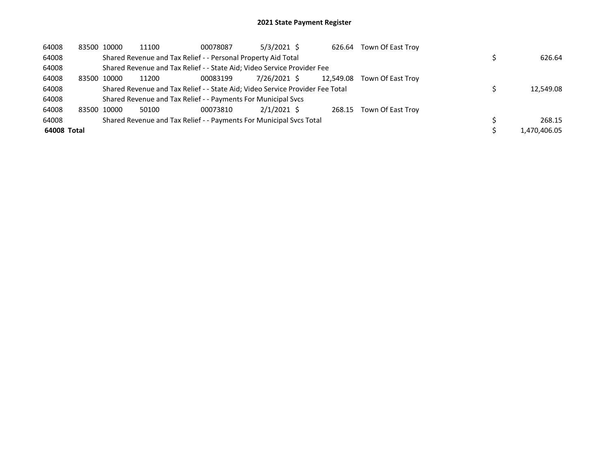| 64008       |             | 83500 10000 | 11100 | 00078087                                                                      | $5/3/2021$ \$ | 626.64    | Town Of East Troy        |              |
|-------------|-------------|-------------|-------|-------------------------------------------------------------------------------|---------------|-----------|--------------------------|--------------|
| 64008       |             |             |       | Shared Revenue and Tax Relief - - Personal Property Aid Total                 |               |           |                          | 626.64       |
| 64008       |             |             |       | Shared Revenue and Tax Relief - - State Aid; Video Service Provider Fee       |               |           |                          |              |
| 64008       | 83500 10000 |             | 11200 | 00083199                                                                      | 7/26/2021 \$  | 12.549.08 | Town Of East Trov        |              |
| 64008       |             |             |       | Shared Revenue and Tax Relief - - State Aid; Video Service Provider Fee Total |               |           |                          | 12,549.08    |
| 64008       |             |             |       | Shared Revenue and Tax Relief - - Payments For Municipal Svcs                 |               |           |                          |              |
| 64008       | 83500 10000 |             | 50100 | 00073810                                                                      | $2/1/2021$ \$ |           | 268.15 Town Of East Troy |              |
| 64008       |             |             |       | Shared Revenue and Tax Relief - - Payments For Municipal Svcs Total           |               |           |                          | 268.15       |
| 64008 Total |             |             |       |                                                                               |               |           |                          | 1.470.406.05 |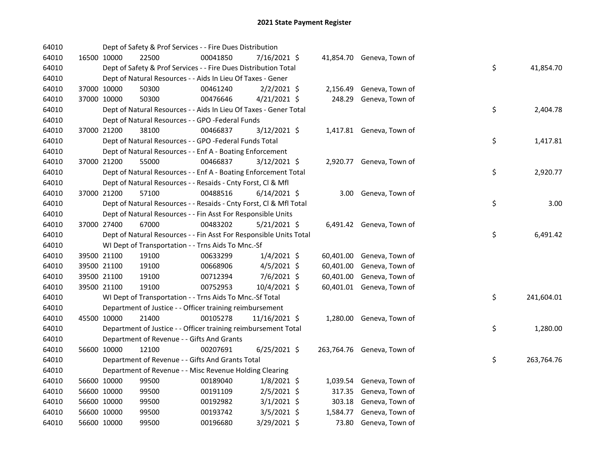| 64010 |             |             | Dept of Safety & Prof Services - - Fire Dues Distribution          |          |                |           |                            |    |            |
|-------|-------------|-------------|--------------------------------------------------------------------|----------|----------------|-----------|----------------------------|----|------------|
| 64010 |             | 16500 10000 | 22500                                                              | 00041850 | 7/16/2021 \$   |           | 41,854.70 Geneva, Town of  |    |            |
| 64010 |             |             | Dept of Safety & Prof Services - - Fire Dues Distribution Total    |          |                |           |                            | \$ | 41,854.70  |
| 64010 |             |             | Dept of Natural Resources - - Aids In Lieu Of Taxes - Gener        |          |                |           |                            |    |            |
| 64010 |             | 37000 10000 | 50300                                                              | 00461240 | $2/2/2021$ \$  | 2,156.49  | Geneva, Town of            |    |            |
| 64010 | 37000 10000 |             | 50300                                                              | 00476646 | $4/21/2021$ \$ |           | 248.29 Geneva, Town of     |    |            |
| 64010 |             |             | Dept of Natural Resources - - Aids In Lieu Of Taxes - Gener Total  |          |                |           |                            | \$ | 2,404.78   |
| 64010 |             |             | Dept of Natural Resources - - GPO -Federal Funds                   |          |                |           |                            |    |            |
| 64010 | 37000 21200 |             | 38100                                                              | 00466837 | $3/12/2021$ \$ |           | 1,417.81 Geneva, Town of   |    |            |
| 64010 |             |             | Dept of Natural Resources - - GPO -Federal Funds Total             |          |                |           |                            | \$ | 1,417.81   |
| 64010 |             |             | Dept of Natural Resources - - Enf A - Boating Enforcement          |          |                |           |                            |    |            |
| 64010 |             | 37000 21200 | 55000                                                              | 00466837 | 3/12/2021 \$   |           | 2,920.77 Geneva, Town of   |    |            |
| 64010 |             |             | Dept of Natural Resources - - Enf A - Boating Enforcement Total    |          |                |           |                            | \$ | 2,920.77   |
| 64010 |             |             | Dept of Natural Resources - - Resaids - Cnty Forst, Cl & Mfl       |          |                |           |                            |    |            |
| 64010 | 37000 21200 |             | 57100                                                              | 00488516 | $6/14/2021$ \$ |           | 3.00 Geneva, Town of       |    |            |
| 64010 |             |             | Dept of Natural Resources - - Resaids - Cnty Forst, CI & Mfl Total |          |                |           |                            | \$ | 3.00       |
| 64010 |             |             | Dept of Natural Resources - - Fin Asst For Responsible Units       |          |                |           |                            |    |            |
| 64010 | 37000 27400 |             | 67000                                                              | 00483202 | $5/21/2021$ \$ |           | 6,491.42 Geneva, Town of   |    |            |
| 64010 |             |             | Dept of Natural Resources - - Fin Asst For Responsible Units Total |          |                |           |                            | \$ | 6,491.42   |
| 64010 |             |             | WI Dept of Transportation - - Trns Aids To Mnc.-Sf                 |          |                |           |                            |    |            |
| 64010 |             | 39500 21100 | 19100                                                              | 00633299 | $1/4/2021$ \$  |           | 60,401.00 Geneva, Town of  |    |            |
| 64010 |             | 39500 21100 | 19100                                                              | 00668906 | $4/5/2021$ \$  | 60,401.00 | Geneva, Town of            |    |            |
| 64010 |             | 39500 21100 | 19100                                                              | 00712394 | 7/6/2021 \$    | 60,401.00 | Geneva, Town of            |    |            |
| 64010 |             | 39500 21100 | 19100                                                              | 00752953 | 10/4/2021 \$   |           | 60,401.01 Geneva, Town of  |    |            |
| 64010 |             |             | WI Dept of Transportation - - Trns Aids To Mnc.-Sf Total           |          |                |           |                            | \$ | 241,604.01 |
| 64010 |             |             | Department of Justice - - Officer training reimbursement           |          |                |           |                            |    |            |
| 64010 |             | 45500 10000 | 21400                                                              | 00105278 | 11/16/2021 \$  |           | 1,280.00 Geneva, Town of   |    |            |
| 64010 |             |             | Department of Justice - - Officer training reimbursement Total     |          |                |           |                            | \$ | 1,280.00   |
| 64010 |             |             | Department of Revenue - - Gifts And Grants                         |          |                |           |                            |    |            |
| 64010 |             | 56600 10000 | 12100                                                              | 00207691 | $6/25/2021$ \$ |           | 263,764.76 Geneva, Town of |    |            |
| 64010 |             |             | Department of Revenue - - Gifts And Grants Total                   |          |                |           |                            | \$ | 263,764.76 |
| 64010 |             |             | Department of Revenue - - Misc Revenue Holding Clearing            |          |                |           |                            |    |            |
| 64010 |             | 56600 10000 | 99500                                                              | 00189040 | $1/8/2021$ \$  |           | 1,039.54 Geneva, Town of   |    |            |
| 64010 |             | 56600 10000 | 99500                                                              | 00191109 | $2/5/2021$ \$  |           | 317.35 Geneva, Town of     |    |            |
| 64010 | 56600 10000 |             | 99500                                                              | 00192982 | $3/1/2021$ \$  |           | 303.18 Geneva, Town of     |    |            |
| 64010 | 56600 10000 |             | 99500                                                              | 00193742 | $3/5/2021$ \$  | 1,584.77  | Geneva, Town of            |    |            |
| 64010 | 56600 10000 |             | 99500                                                              | 00196680 | 3/29/2021 \$   |           | 73.80 Geneva, Town of      |    |            |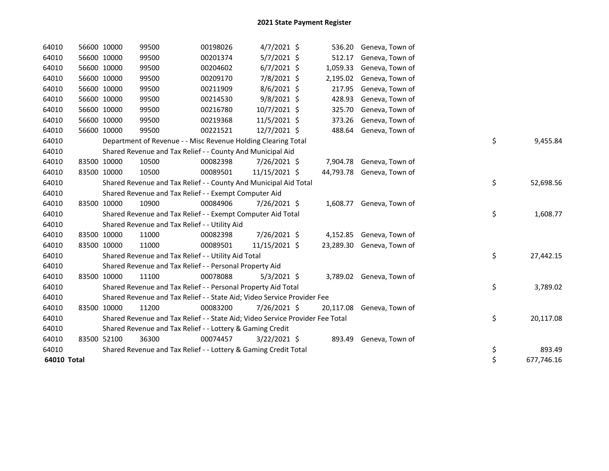| 64010       | 56600 10000 | 99500 | 00198026                                                                      | $4/7/2021$ \$  | 536.20    | Geneva, Town of          |    |            |
|-------------|-------------|-------|-------------------------------------------------------------------------------|----------------|-----------|--------------------------|----|------------|
| 64010       | 56600 10000 | 99500 | 00201374                                                                      | $5/7/2021$ \$  | 512.17    | Geneva, Town of          |    |            |
| 64010       | 56600 10000 | 99500 | 00204602                                                                      | $6/7/2021$ \$  | 1,059.33  | Geneva, Town of          |    |            |
| 64010       | 56600 10000 | 99500 | 00209170                                                                      | 7/8/2021 \$    | 2,195.02  | Geneva, Town of          |    |            |
| 64010       | 56600 10000 | 99500 | 00211909                                                                      | 8/6/2021 \$    | 217.95    | Geneva, Town of          |    |            |
| 64010       | 56600 10000 | 99500 | 00214530                                                                      | 9/8/2021 \$    | 428.93    | Geneva, Town of          |    |            |
| 64010       | 56600 10000 | 99500 | 00216780                                                                      | $10/7/2021$ \$ | 325.70    | Geneva, Town of          |    |            |
| 64010       | 56600 10000 | 99500 | 00219368                                                                      | 11/5/2021 \$   | 373.26    | Geneva, Town of          |    |            |
| 64010       | 56600 10000 | 99500 | 00221521                                                                      | 12/7/2021 \$   | 488.64    | Geneva, Town of          |    |            |
| 64010       |             |       | Department of Revenue - - Misc Revenue Holding Clearing Total                 |                |           |                          | \$ | 9,455.84   |
| 64010       |             |       | Shared Revenue and Tax Relief - - County And Municipal Aid                    |                |           |                          |    |            |
| 64010       | 83500 10000 | 10500 | 00082398                                                                      | 7/26/2021 \$   |           | 7,904.78 Geneva, Town of |    |            |
| 64010       | 83500 10000 | 10500 | 00089501                                                                      | 11/15/2021 \$  | 44,793.78 | Geneva, Town of          |    |            |
| 64010       |             |       | Shared Revenue and Tax Relief - - County And Municipal Aid Total              |                |           |                          | \$ | 52,698.56  |
| 64010       |             |       | Shared Revenue and Tax Relief - - Exempt Computer Aid                         |                |           |                          |    |            |
| 64010       | 83500 10000 | 10900 | 00084906                                                                      | 7/26/2021 \$   |           | 1,608.77 Geneva, Town of |    |            |
| 64010       |             |       | Shared Revenue and Tax Relief - - Exempt Computer Aid Total                   |                |           |                          | \$ | 1,608.77   |
| 64010       |             |       | Shared Revenue and Tax Relief - - Utility Aid                                 |                |           |                          |    |            |
| 64010       | 83500 10000 | 11000 | 00082398                                                                      | 7/26/2021 \$   |           | 4,152.85 Geneva, Town of |    |            |
| 64010       | 83500 10000 | 11000 | 00089501                                                                      | 11/15/2021 \$  | 23,289.30 | Geneva, Town of          |    |            |
| 64010       |             |       | Shared Revenue and Tax Relief - - Utility Aid Total                           |                |           |                          | \$ | 27,442.15  |
| 64010       |             |       | Shared Revenue and Tax Relief - - Personal Property Aid                       |                |           |                          |    |            |
| 64010       | 83500 10000 | 11100 | 00078088                                                                      | $5/3/2021$ \$  |           | 3,789.02 Geneva, Town of |    |            |
| 64010       |             |       | Shared Revenue and Tax Relief - - Personal Property Aid Total                 |                |           |                          | \$ | 3,789.02   |
| 64010       |             |       | Shared Revenue and Tax Relief - - State Aid; Video Service Provider Fee       |                |           |                          |    |            |
| 64010       | 83500 10000 | 11200 | 00083200                                                                      | 7/26/2021 \$   | 20,117.08 | Geneva, Town of          |    |            |
| 64010       |             |       | Shared Revenue and Tax Relief - - State Aid; Video Service Provider Fee Total |                |           |                          | \$ | 20,117.08  |
| 64010       |             |       | Shared Revenue and Tax Relief - - Lottery & Gaming Credit                     |                |           |                          |    |            |
| 64010       | 83500 52100 | 36300 | 00074457                                                                      | 3/22/2021 \$   | 893.49    | Geneva, Town of          |    |            |
| 64010       |             |       | Shared Revenue and Tax Relief - - Lottery & Gaming Credit Total               |                |           |                          | \$ | 893.49     |
| 64010 Total |             |       |                                                                               |                |           |                          | \$ | 677,746.16 |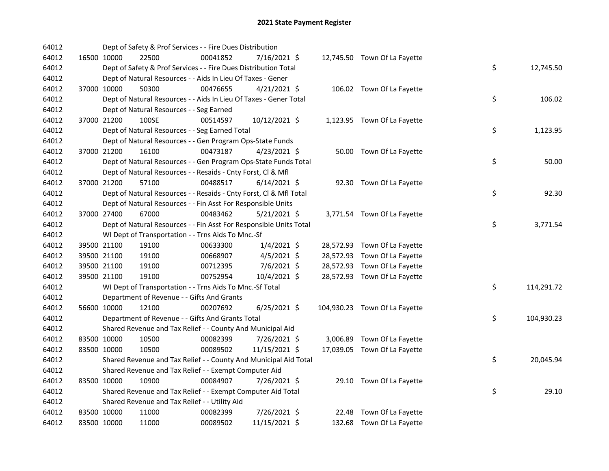| 64012 |             | Dept of Safety & Prof Services - - Fire Dues Distribution          |          |                |  |                               |    |            |
|-------|-------------|--------------------------------------------------------------------|----------|----------------|--|-------------------------------|----|------------|
| 64012 | 16500 10000 | 22500                                                              | 00041852 | 7/16/2021 \$   |  | 12,745.50 Town Of La Fayette  |    |            |
| 64012 |             | Dept of Safety & Prof Services - - Fire Dues Distribution Total    |          |                |  |                               | \$ | 12,745.50  |
| 64012 |             | Dept of Natural Resources - - Aids In Lieu Of Taxes - Gener        |          |                |  |                               |    |            |
| 64012 | 37000 10000 | 50300                                                              | 00476655 | $4/21/2021$ \$ |  | 106.02 Town Of La Fayette     |    |            |
| 64012 |             | Dept of Natural Resources - - Aids In Lieu Of Taxes - Gener Total  |          |                |  |                               | \$ | 106.02     |
| 64012 |             | Dept of Natural Resources - - Seg Earned                           |          |                |  |                               |    |            |
| 64012 | 37000 21200 | 100SE                                                              | 00514597 | 10/12/2021 \$  |  | 1,123.95 Town Of La Fayette   |    |            |
| 64012 |             | Dept of Natural Resources - - Seg Earned Total                     |          |                |  |                               | \$ | 1,123.95   |
| 64012 |             | Dept of Natural Resources - - Gen Program Ops-State Funds          |          |                |  |                               |    |            |
| 64012 | 37000 21200 | 16100                                                              | 00473187 | $4/23/2021$ \$ |  | 50.00 Town Of La Fayette      |    |            |
| 64012 |             | Dept of Natural Resources - - Gen Program Ops-State Funds Total    |          |                |  |                               | \$ | 50.00      |
| 64012 |             | Dept of Natural Resources - - Resaids - Cnty Forst, Cl & Mfl       |          |                |  |                               |    |            |
| 64012 | 37000 21200 | 57100                                                              | 00488517 | $6/14/2021$ \$ |  | 92.30 Town Of La Fayette      |    |            |
| 64012 |             | Dept of Natural Resources - - Resaids - Cnty Forst, CI & Mfl Total |          |                |  |                               | \$ | 92.30      |
| 64012 |             | Dept of Natural Resources - - Fin Asst For Responsible Units       |          |                |  |                               |    |            |
| 64012 | 37000 27400 | 67000                                                              | 00483462 | $5/21/2021$ \$ |  | 3,771.54 Town Of La Fayette   |    |            |
| 64012 |             | Dept of Natural Resources - - Fin Asst For Responsible Units Total |          |                |  |                               | \$ | 3,771.54   |
| 64012 |             | WI Dept of Transportation - - Trns Aids To Mnc.-Sf                 |          |                |  |                               |    |            |
| 64012 | 39500 21100 | 19100                                                              | 00633300 | 1/4/2021 \$    |  | 28,572.93 Town Of La Fayette  |    |            |
| 64012 | 39500 21100 | 19100                                                              | 00668907 | $4/5/2021$ \$  |  | 28,572.93 Town Of La Fayette  |    |            |
| 64012 | 39500 21100 | 19100                                                              | 00712395 | $7/6/2021$ \$  |  | 28,572.93 Town Of La Fayette  |    |            |
| 64012 | 39500 21100 | 19100                                                              | 00752954 | 10/4/2021 \$   |  | 28,572.93 Town Of La Fayette  |    |            |
| 64012 |             | WI Dept of Transportation - - Trns Aids To Mnc.-Sf Total           |          |                |  |                               | \$ | 114,291.72 |
| 64012 |             | Department of Revenue - - Gifts And Grants                         |          |                |  |                               |    |            |
| 64012 | 56600 10000 | 12100                                                              | 00207692 | $6/25/2021$ \$ |  | 104,930.23 Town Of La Fayette |    |            |
| 64012 |             | Department of Revenue - - Gifts And Grants Total                   |          |                |  |                               | \$ | 104,930.23 |
| 64012 |             | Shared Revenue and Tax Relief - - County And Municipal Aid         |          |                |  |                               |    |            |
| 64012 | 83500 10000 | 10500                                                              | 00082399 | 7/26/2021 \$   |  | 3,006.89 Town Of La Fayette   |    |            |
| 64012 | 83500 10000 | 10500                                                              | 00089502 | 11/15/2021 \$  |  | 17,039.05 Town Of La Fayette  |    |            |
| 64012 |             | Shared Revenue and Tax Relief - - County And Municipal Aid Total   |          |                |  |                               | \$ | 20,045.94  |
| 64012 |             | Shared Revenue and Tax Relief - - Exempt Computer Aid              |          |                |  |                               |    |            |
| 64012 | 83500 10000 | 10900                                                              | 00084907 | 7/26/2021 \$   |  | 29.10 Town Of La Fayette      |    |            |
| 64012 |             | Shared Revenue and Tax Relief - - Exempt Computer Aid Total        |          |                |  |                               | \$ | 29.10      |
| 64012 |             | Shared Revenue and Tax Relief - - Utility Aid                      |          |                |  |                               |    |            |
| 64012 | 83500 10000 | 11000                                                              | 00082399 | 7/26/2021 \$   |  | 22.48 Town Of La Fayette      |    |            |
| 64012 | 83500 10000 | 11000                                                              | 00089502 | 11/15/2021 \$  |  | 132.68 Town Of La Fayette     |    |            |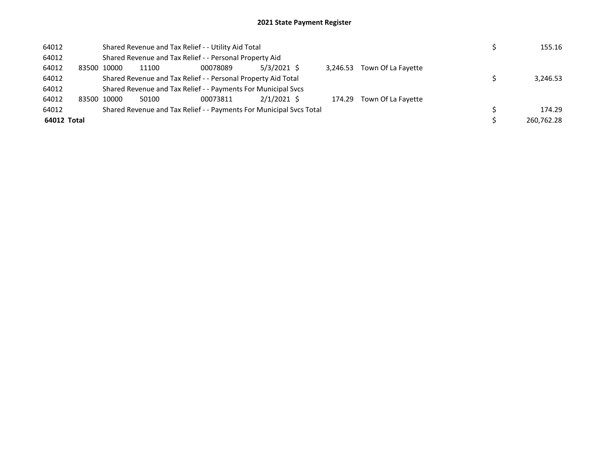| 64012       |             |       | Shared Revenue and Tax Relief - - Utility Aid Total                 |               |          |                           | 155.16     |
|-------------|-------------|-------|---------------------------------------------------------------------|---------------|----------|---------------------------|------------|
| 64012       |             |       | Shared Revenue and Tax Relief - - Personal Property Aid             |               |          |                           |            |
| 64012       | 83500 10000 | 11100 | 00078089                                                            | $5/3/2021$ \$ | 3.246.53 | Town Of La Fayette        |            |
| 64012       |             |       | Shared Revenue and Tax Relief - - Personal Property Aid Total       |               |          |                           | 3,246.53   |
| 64012       |             |       | Shared Revenue and Tax Relief - - Payments For Municipal Svcs       |               |          |                           |            |
| 64012       | 83500 10000 | 50100 | 00073811                                                            | $2/1/2021$ \$ |          | 174.29 Town Of La Fayette |            |
| 64012       |             |       | Shared Revenue and Tax Relief - - Payments For Municipal Svcs Total |               |          |                           | 174.29     |
| 64012 Total |             |       |                                                                     |               |          |                           | 260.762.28 |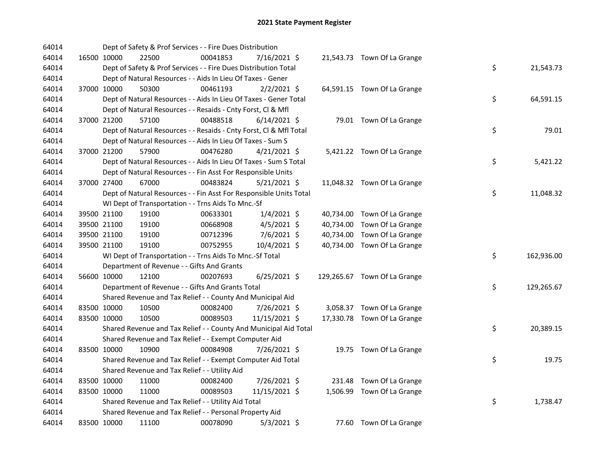| 64014 |             | Dept of Safety & Prof Services - - Fire Dues Distribution          |          |                |  |                              |    |            |
|-------|-------------|--------------------------------------------------------------------|----------|----------------|--|------------------------------|----|------------|
| 64014 | 16500 10000 | 22500                                                              | 00041853 | 7/16/2021 \$   |  | 21,543.73 Town Of La Grange  |    |            |
| 64014 |             | Dept of Safety & Prof Services - - Fire Dues Distribution Total    |          |                |  |                              | \$ | 21,543.73  |
| 64014 |             | Dept of Natural Resources - - Aids In Lieu Of Taxes - Gener        |          |                |  |                              |    |            |
| 64014 | 37000 10000 | 50300                                                              | 00461193 | $2/2/2021$ \$  |  | 64,591.15 Town Of La Grange  |    |            |
| 64014 |             | Dept of Natural Resources - - Aids In Lieu Of Taxes - Gener Total  |          |                |  |                              | \$ | 64,591.15  |
| 64014 |             | Dept of Natural Resources - - Resaids - Cnty Forst, Cl & Mfl       |          |                |  |                              |    |            |
| 64014 | 37000 21200 | 57100                                                              | 00488518 | $6/14/2021$ \$ |  | 79.01 Town Of La Grange      |    |            |
| 64014 |             | Dept of Natural Resources - - Resaids - Cnty Forst, Cl & Mfl Total |          |                |  |                              | \$ | 79.01      |
| 64014 |             | Dept of Natural Resources - - Aids In Lieu Of Taxes - Sum S        |          |                |  |                              |    |            |
| 64014 | 37000 21200 | 57900                                                              | 00476280 | $4/21/2021$ \$ |  | 5,421.22 Town Of La Grange   |    |            |
| 64014 |             | Dept of Natural Resources - - Aids In Lieu Of Taxes - Sum S Total  |          |                |  |                              | \$ | 5,421.22   |
| 64014 |             | Dept of Natural Resources - - Fin Asst For Responsible Units       |          |                |  |                              |    |            |
| 64014 | 37000 27400 | 67000                                                              | 00483824 | $5/21/2021$ \$ |  | 11,048.32 Town Of La Grange  |    |            |
| 64014 |             | Dept of Natural Resources - - Fin Asst For Responsible Units Total |          |                |  |                              | \$ | 11,048.32  |
| 64014 |             | WI Dept of Transportation - - Trns Aids To Mnc.-Sf                 |          |                |  |                              |    |            |
| 64014 | 39500 21100 | 19100                                                              | 00633301 | $1/4/2021$ \$  |  | 40,734.00 Town Of La Grange  |    |            |
| 64014 | 39500 21100 | 19100                                                              | 00668908 | $4/5/2021$ \$  |  | 40,734.00 Town Of La Grange  |    |            |
| 64014 | 39500 21100 | 19100                                                              | 00712396 | 7/6/2021 \$    |  | 40,734.00 Town Of La Grange  |    |            |
| 64014 | 39500 21100 | 19100                                                              | 00752955 | 10/4/2021 \$   |  | 40,734.00 Town Of La Grange  |    |            |
| 64014 |             | WI Dept of Transportation - - Trns Aids To Mnc.-Sf Total           |          |                |  |                              | \$ | 162,936.00 |
| 64014 |             | Department of Revenue - - Gifts And Grants                         |          |                |  |                              |    |            |
| 64014 | 56600 10000 | 12100                                                              | 00207693 | $6/25/2021$ \$ |  | 129,265.67 Town Of La Grange |    |            |
| 64014 |             | Department of Revenue - - Gifts And Grants Total                   |          |                |  |                              | \$ | 129,265.67 |
| 64014 |             | Shared Revenue and Tax Relief - - County And Municipal Aid         |          |                |  |                              |    |            |
| 64014 | 83500 10000 | 10500                                                              | 00082400 | 7/26/2021 \$   |  | 3,058.37 Town Of La Grange   |    |            |
| 64014 | 83500 10000 | 10500                                                              | 00089503 | 11/15/2021 \$  |  | 17,330.78 Town Of La Grange  |    |            |
| 64014 |             | Shared Revenue and Tax Relief - - County And Municipal Aid Total   |          |                |  |                              | \$ | 20,389.15  |
| 64014 |             | Shared Revenue and Tax Relief - - Exempt Computer Aid              |          |                |  |                              |    |            |
| 64014 | 83500 10000 | 10900                                                              | 00084908 | 7/26/2021 \$   |  | 19.75 Town Of La Grange      |    |            |
| 64014 |             | Shared Revenue and Tax Relief - - Exempt Computer Aid Total        |          |                |  |                              | \$ | 19.75      |
| 64014 |             | Shared Revenue and Tax Relief - - Utility Aid                      |          |                |  |                              |    |            |
| 64014 | 83500 10000 | 11000                                                              | 00082400 | 7/26/2021 \$   |  | 231.48 Town Of La Grange     |    |            |
| 64014 | 83500 10000 | 11000                                                              | 00089503 | 11/15/2021 \$  |  | 1,506.99 Town Of La Grange   |    |            |
| 64014 |             | Shared Revenue and Tax Relief - - Utility Aid Total                |          |                |  |                              | \$ | 1,738.47   |
| 64014 |             | Shared Revenue and Tax Relief - - Personal Property Aid            |          |                |  |                              |    |            |
| 64014 | 83500 10000 | 11100                                                              | 00078090 | $5/3/2021$ \$  |  | 77.60 Town Of La Grange      |    |            |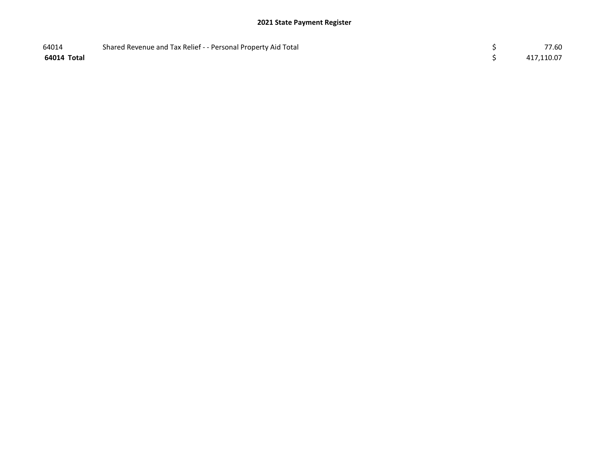| 64014       | Shared Revenue and Tax Relief - - Personal Property Aid Total | 77.60      |
|-------------|---------------------------------------------------------------|------------|
| 64014 Total |                                                               | 417,110.07 |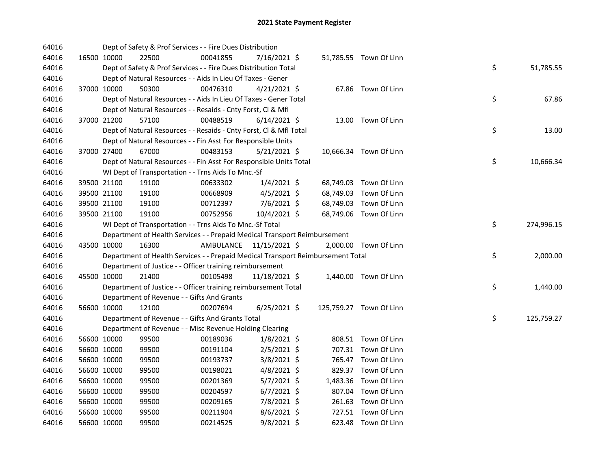| 64016 |             | Dept of Safety & Prof Services - - Fire Dues Distribution                       |                         |                |           |                         |    |            |
|-------|-------------|---------------------------------------------------------------------------------|-------------------------|----------------|-----------|-------------------------|----|------------|
| 64016 | 16500 10000 | 22500                                                                           | 00041855                | $7/16/2021$ \$ |           | 51,785.55 Town Of Linn  |    |            |
| 64016 |             | Dept of Safety & Prof Services - - Fire Dues Distribution Total                 |                         |                |           |                         | \$ | 51,785.55  |
| 64016 |             | Dept of Natural Resources - - Aids In Lieu Of Taxes - Gener                     |                         |                |           |                         |    |            |
| 64016 | 37000 10000 | 50300                                                                           | 00476310                | $4/21/2021$ \$ |           | 67.86 Town Of Linn      |    |            |
| 64016 |             | Dept of Natural Resources - - Aids In Lieu Of Taxes - Gener Total               |                         |                |           |                         | \$ | 67.86      |
| 64016 |             | Dept of Natural Resources - - Resaids - Cnty Forst, Cl & Mfl                    |                         |                |           |                         |    |            |
| 64016 | 37000 21200 | 57100                                                                           | 00488519                | $6/14/2021$ \$ |           | 13.00 Town Of Linn      |    |            |
| 64016 |             | Dept of Natural Resources - - Resaids - Cnty Forst, Cl & Mfl Total              |                         |                |           |                         | \$ | 13.00      |
| 64016 |             | Dept of Natural Resources - - Fin Asst For Responsible Units                    |                         |                |           |                         |    |            |
| 64016 | 37000 27400 | 67000                                                                           | 00483153                | $5/21/2021$ \$ |           | 10,666.34 Town Of Linn  |    |            |
| 64016 |             | Dept of Natural Resources - - Fin Asst For Responsible Units Total              |                         |                |           |                         | \$ | 10,666.34  |
| 64016 |             | WI Dept of Transportation - - Trns Aids To Mnc.-Sf                              |                         |                |           |                         |    |            |
| 64016 | 39500 21100 | 19100                                                                           | 00633302                | $1/4/2021$ \$  |           | 68,749.03 Town Of Linn  |    |            |
| 64016 | 39500 21100 | 19100                                                                           | 00668909                | $4/5/2021$ \$  | 68,749.03 | Town Of Linn            |    |            |
| 64016 | 39500 21100 | 19100                                                                           | 00712397                | 7/6/2021 \$    | 68,749.03 | Town Of Linn            |    |            |
| 64016 | 39500 21100 | 19100                                                                           | 00752956                | 10/4/2021 \$   |           | 68,749.06 Town Of Linn  |    |            |
| 64016 |             | WI Dept of Transportation - - Trns Aids To Mnc.-Sf Total                        |                         |                |           |                         | \$ | 274,996.15 |
| 64016 |             | Department of Health Services - - Prepaid Medical Transport Reimbursement       |                         |                |           |                         |    |            |
| 64016 | 43500 10000 | 16300                                                                           | AMBULANCE 11/15/2021 \$ |                |           | 2,000.00 Town Of Linn   |    |            |
| 64016 |             | Department of Health Services - - Prepaid Medical Transport Reimbursement Total |                         |                |           |                         | \$ | 2,000.00   |
| 64016 |             | Department of Justice - - Officer training reimbursement                        |                         |                |           |                         |    |            |
| 64016 | 45500 10000 | 21400                                                                           | 00105498                | 11/18/2021 \$  |           | 1,440.00 Town Of Linn   |    |            |
| 64016 |             | Department of Justice - - Officer training reimbursement Total                  |                         |                |           |                         | \$ | 1,440.00   |
| 64016 |             | Department of Revenue - - Gifts And Grants                                      |                         |                |           |                         |    |            |
| 64016 | 56600 10000 | 12100                                                                           | 00207694                | $6/25/2021$ \$ |           | 125,759.27 Town Of Linn |    |            |
| 64016 |             | Department of Revenue - - Gifts And Grants Total                                |                         |                |           |                         | \$ | 125,759.27 |
| 64016 |             | Department of Revenue - - Misc Revenue Holding Clearing                         |                         |                |           |                         |    |            |
| 64016 | 56600 10000 | 99500                                                                           | 00189036                | $1/8/2021$ \$  |           | 808.51 Town Of Linn     |    |            |
| 64016 | 56600 10000 | 99500                                                                           | 00191104                | $2/5/2021$ \$  |           | 707.31 Town Of Linn     |    |            |
| 64016 | 56600 10000 | 99500                                                                           | 00193737                | $3/8/2021$ \$  |           | 765.47 Town Of Linn     |    |            |
| 64016 | 56600 10000 | 99500                                                                           | 00198021                | $4/8/2021$ \$  |           | 829.37 Town Of Linn     |    |            |
| 64016 | 56600 10000 | 99500                                                                           | 00201369                | $5/7/2021$ \$  |           | 1,483.36 Town Of Linn   |    |            |
| 64016 | 56600 10000 | 99500                                                                           | 00204597                | $6/7/2021$ \$  |           | 807.04 Town Of Linn     |    |            |
| 64016 | 56600 10000 | 99500                                                                           | 00209165                | 7/8/2021 \$    | 261.63    | Town Of Linn            |    |            |
| 64016 | 56600 10000 | 99500                                                                           | 00211904                | 8/6/2021 \$    |           | 727.51 Town Of Linn     |    |            |
| 64016 | 56600 10000 | 99500                                                                           | 00214525                | 9/8/2021 \$    |           | 623.48 Town Of Linn     |    |            |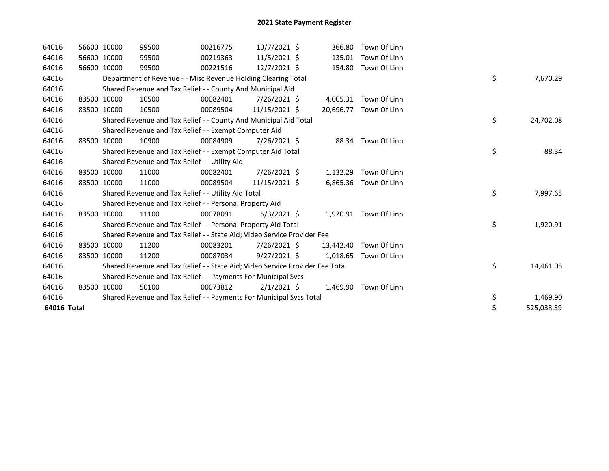| 64016       | 56600 10000 | 99500                                                                         | 00216775 | $10/7/2021$ \$ |          | 366.80 Town Of Linn    |    |            |
|-------------|-------------|-------------------------------------------------------------------------------|----------|----------------|----------|------------------------|----|------------|
| 64016       | 56600 10000 | 99500                                                                         | 00219363 | $11/5/2021$ \$ | 135.01   | Town Of Linn           |    |            |
| 64016       | 56600 10000 | 99500                                                                         | 00221516 | $12/7/2021$ \$ |          | 154.80 Town Of Linn    |    |            |
| 64016       |             | Department of Revenue - - Misc Revenue Holding Clearing Total                 |          |                |          |                        | \$ | 7,670.29   |
| 64016       |             | Shared Revenue and Tax Relief - - County And Municipal Aid                    |          |                |          |                        |    |            |
| 64016       | 83500 10000 | 10500                                                                         | 00082401 | 7/26/2021 \$   |          | 4,005.31 Town Of Linn  |    |            |
| 64016       | 83500 10000 | 10500                                                                         | 00089504 | 11/15/2021 \$  |          | 20.696.77 Town Of Linn |    |            |
| 64016       |             | Shared Revenue and Tax Relief - - County And Municipal Aid Total              |          |                |          |                        | \$ | 24,702.08  |
| 64016       |             | Shared Revenue and Tax Relief - - Exempt Computer Aid                         |          |                |          |                        |    |            |
| 64016       | 83500 10000 | 10900                                                                         | 00084909 | 7/26/2021 \$   | 88.34    | Town Of Linn           |    |            |
| 64016       |             | Shared Revenue and Tax Relief - - Exempt Computer Aid Total                   |          |                |          |                        | \$ | 88.34      |
| 64016       |             | Shared Revenue and Tax Relief - - Utility Aid                                 |          |                |          |                        |    |            |
| 64016       | 83500 10000 | 11000                                                                         | 00082401 | 7/26/2021 \$   | 1,132.29 | Town Of Linn           |    |            |
| 64016       | 83500 10000 | 11000                                                                         | 00089504 | 11/15/2021 \$  |          | 6,865.36 Town Of Linn  |    |            |
| 64016       |             | Shared Revenue and Tax Relief - - Utility Aid Total                           |          |                |          |                        | \$ | 7,997.65   |
| 64016       |             | Shared Revenue and Tax Relief - - Personal Property Aid                       |          |                |          |                        |    |            |
| 64016       | 83500 10000 | 11100                                                                         | 00078091 | $5/3/2021$ \$  |          | 1,920.91 Town Of Linn  |    |            |
| 64016       |             | Shared Revenue and Tax Relief - - Personal Property Aid Total                 |          |                |          |                        | \$ | 1,920.91   |
| 64016       |             | Shared Revenue and Tax Relief - - State Aid; Video Service Provider Fee       |          |                |          |                        |    |            |
| 64016       | 83500 10000 | 11200                                                                         | 00083201 | 7/26/2021 \$   |          | 13,442.40 Town Of Linn |    |            |
| 64016       | 83500 10000 | 11200                                                                         | 00087034 | $9/27/2021$ \$ | 1,018.65 | Town Of Linn           |    |            |
| 64016       |             | Shared Revenue and Tax Relief - - State Aid; Video Service Provider Fee Total |          |                |          |                        | \$ | 14,461.05  |
| 64016       |             | Shared Revenue and Tax Relief - - Payments For Municipal Svcs                 |          |                |          |                        |    |            |
| 64016       | 83500 10000 | 50100                                                                         | 00073812 | $2/1/2021$ \$  |          | 1,469.90 Town Of Linn  |    |            |
| 64016       |             | Shared Revenue and Tax Relief - - Payments For Municipal Svcs Total           |          |                |          |                        | \$ | 1,469.90   |
| 64016 Total |             |                                                                               |          |                |          |                        | \$ | 525,038.39 |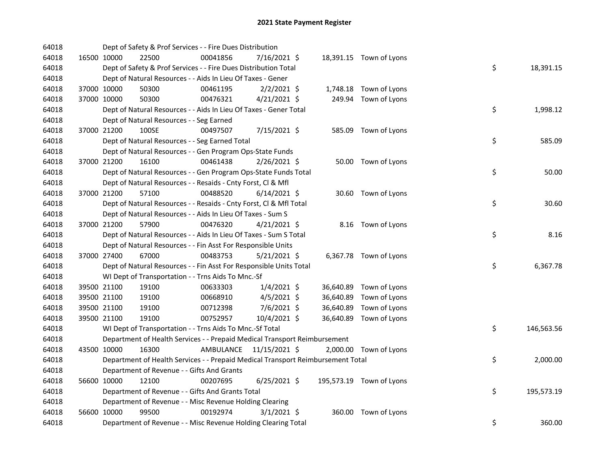| 64018 |             |                      | Dept of Safety & Prof Services - - Fire Dues Distribution                       |           |                |  |                          |    |            |
|-------|-------------|----------------------|---------------------------------------------------------------------------------|-----------|----------------|--|--------------------------|----|------------|
| 64018 |             | 16500 10000<br>22500 | 00041856                                                                        |           | 7/16/2021 \$   |  | 18,391.15 Town of Lyons  |    |            |
| 64018 |             |                      | Dept of Safety & Prof Services - - Fire Dues Distribution Total                 |           |                |  |                          | \$ | 18,391.15  |
| 64018 |             |                      | Dept of Natural Resources - - Aids In Lieu Of Taxes - Gener                     |           |                |  |                          |    |            |
| 64018 |             | 37000 10000<br>50300 | 00461195                                                                        |           | $2/2/2021$ \$  |  | 1,748.18 Town of Lyons   |    |            |
| 64018 |             | 37000 10000<br>50300 | 00476321                                                                        |           | $4/21/2021$ \$ |  | 249.94 Town of Lyons     |    |            |
| 64018 |             |                      | Dept of Natural Resources - - Aids In Lieu Of Taxes - Gener Total               |           |                |  |                          | \$ | 1,998.12   |
| 64018 |             |                      | Dept of Natural Resources - - Seg Earned                                        |           |                |  |                          |    |            |
| 64018 | 37000 21200 | 100SE                | 00497507                                                                        |           | 7/15/2021 \$   |  | 585.09 Town of Lyons     |    |            |
| 64018 |             |                      | Dept of Natural Resources - - Seg Earned Total                                  |           |                |  |                          | \$ | 585.09     |
| 64018 |             |                      | Dept of Natural Resources - - Gen Program Ops-State Funds                       |           |                |  |                          |    |            |
| 64018 |             | 37000 21200<br>16100 | 00461438                                                                        |           | 2/26/2021 \$   |  | 50.00 Town of Lyons      |    |            |
| 64018 |             |                      | Dept of Natural Resources - - Gen Program Ops-State Funds Total                 |           |                |  |                          | \$ | 50.00      |
| 64018 |             |                      | Dept of Natural Resources - - Resaids - Cnty Forst, Cl & Mfl                    |           |                |  |                          |    |            |
| 64018 |             | 37000 21200<br>57100 | 00488520                                                                        |           | $6/14/2021$ \$ |  | 30.60 Town of Lyons      |    |            |
| 64018 |             |                      | Dept of Natural Resources - - Resaids - Cnty Forst, Cl & Mfl Total              |           |                |  |                          | \$ | 30.60      |
| 64018 |             |                      | Dept of Natural Resources - - Aids In Lieu Of Taxes - Sum S                     |           |                |  |                          |    |            |
| 64018 | 37000 21200 | 57900                | 00476320                                                                        |           | $4/21/2021$ \$ |  | 8.16 Town of Lyons       |    |            |
| 64018 |             |                      | Dept of Natural Resources - - Aids In Lieu Of Taxes - Sum S Total               |           |                |  |                          | \$ | 8.16       |
| 64018 |             |                      | Dept of Natural Resources - - Fin Asst For Responsible Units                    |           |                |  |                          |    |            |
| 64018 |             | 37000 27400<br>67000 | 00483753                                                                        |           | $5/21/2021$ \$ |  | 6,367.78 Town of Lyons   |    |            |
| 64018 |             |                      | Dept of Natural Resources - - Fin Asst For Responsible Units Total              |           |                |  |                          | \$ | 6,367.78   |
| 64018 |             |                      | WI Dept of Transportation - - Trns Aids To Mnc.-Sf                              |           |                |  |                          |    |            |
| 64018 |             | 39500 21100<br>19100 | 00633303                                                                        |           | $1/4/2021$ \$  |  | 36,640.89 Town of Lyons  |    |            |
| 64018 |             | 39500 21100<br>19100 | 00668910                                                                        |           | $4/5/2021$ \$  |  | 36,640.89 Town of Lyons  |    |            |
| 64018 |             | 39500 21100<br>19100 | 00712398                                                                        |           | $7/6/2021$ \$  |  | 36,640.89 Town of Lyons  |    |            |
| 64018 |             | 39500 21100<br>19100 | 00752957                                                                        |           | 10/4/2021 \$   |  | 36,640.89 Town of Lyons  |    |            |
| 64018 |             |                      | WI Dept of Transportation - - Trns Aids To Mnc.-Sf Total                        |           |                |  |                          | \$ | 146,563.56 |
| 64018 |             |                      | Department of Health Services - - Prepaid Medical Transport Reimbursement       |           |                |  |                          |    |            |
| 64018 |             | 16300<br>43500 10000 |                                                                                 | AMBULANCE | 11/15/2021 \$  |  | 2,000.00 Town of Lyons   |    |            |
| 64018 |             |                      | Department of Health Services - - Prepaid Medical Transport Reimbursement Total |           |                |  |                          | \$ | 2,000.00   |
| 64018 |             |                      | Department of Revenue - - Gifts And Grants                                      |           |                |  |                          |    |            |
| 64018 |             | 56600 10000<br>12100 | 00207695                                                                        |           | $6/25/2021$ \$ |  | 195,573.19 Town of Lyons |    |            |
| 64018 |             |                      | Department of Revenue - - Gifts And Grants Total                                |           |                |  |                          | \$ | 195,573.19 |
| 64018 |             |                      | Department of Revenue - - Misc Revenue Holding Clearing                         |           |                |  |                          |    |            |
| 64018 |             | 56600 10000<br>99500 | 00192974                                                                        |           | $3/1/2021$ \$  |  | 360.00 Town of Lyons     |    |            |
| 64018 |             |                      | Department of Revenue - - Misc Revenue Holding Clearing Total                   |           |                |  |                          | \$ | 360.00     |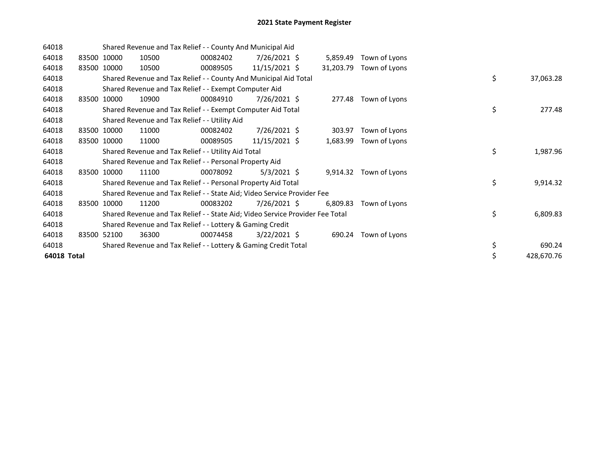| 64018       |       |             |       | Shared Revenue and Tax Relief - - County And Municipal Aid                    |                 |           |               |    |            |
|-------------|-------|-------------|-------|-------------------------------------------------------------------------------|-----------------|-----------|---------------|----|------------|
| 64018       |       | 83500 10000 | 10500 | 00082402                                                                      | 7/26/2021 \$    | 5,859.49  | Town of Lyons |    |            |
| 64018       |       | 83500 10000 | 10500 | 00089505                                                                      | 11/15/2021 \$   | 31,203.79 | Town of Lyons |    |            |
| 64018       |       |             |       | Shared Revenue and Tax Relief - - County And Municipal Aid Total              |                 |           |               | \$ | 37,063.28  |
| 64018       |       |             |       | Shared Revenue and Tax Relief - - Exempt Computer Aid                         |                 |           |               |    |            |
| 64018       |       | 83500 10000 | 10900 | 00084910                                                                      | 7/26/2021 \$    | 277.48    | Town of Lyons |    |            |
| 64018       |       |             |       | Shared Revenue and Tax Relief - - Exempt Computer Aid Total                   |                 |           |               | \$ | 277.48     |
| 64018       |       |             |       | Shared Revenue and Tax Relief - - Utility Aid                                 |                 |           |               |    |            |
| 64018       |       | 83500 10000 | 11000 | 00082402                                                                      | 7/26/2021 \$    | 303.97    | Town of Lyons |    |            |
| 64018       |       | 83500 10000 | 11000 | 00089505                                                                      | $11/15/2021$ \$ | 1,683.99  | Town of Lyons |    |            |
| 64018       |       |             |       | Shared Revenue and Tax Relief - - Utility Aid Total                           |                 |           |               | \$ | 1,987.96   |
| 64018       |       |             |       | Shared Revenue and Tax Relief - - Personal Property Aid                       |                 |           |               |    |            |
| 64018       | 83500 | 10000       | 11100 | 00078092                                                                      | $5/3/2021$ \$   | 9,914.32  | Town of Lyons |    |            |
| 64018       |       |             |       | Shared Revenue and Tax Relief - - Personal Property Aid Total                 |                 |           |               | \$ | 9,914.32   |
| 64018       |       |             |       | Shared Revenue and Tax Relief - - State Aid; Video Service Provider Fee       |                 |           |               |    |            |
| 64018       |       | 83500 10000 | 11200 | 00083202                                                                      | 7/26/2021 \$    | 6,809.83  | Town of Lyons |    |            |
| 64018       |       |             |       | Shared Revenue and Tax Relief - - State Aid; Video Service Provider Fee Total |                 |           |               | \$ | 6,809.83   |
| 64018       |       |             |       | Shared Revenue and Tax Relief - - Lottery & Gaming Credit                     |                 |           |               |    |            |
| 64018       |       | 83500 52100 | 36300 | 00074458                                                                      | $3/22/2021$ \$  | 690.24    | Town of Lyons |    |            |
| 64018       |       |             |       | Shared Revenue and Tax Relief - - Lottery & Gaming Credit Total               |                 |           |               | \$ | 690.24     |
| 64018 Total |       |             |       |                                                                               |                 |           |               |    | 428,670.76 |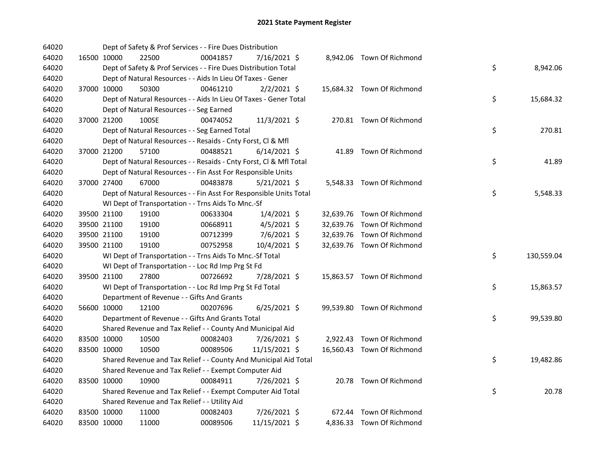| 64020 |             | Dept of Safety & Prof Services - - Fire Dues Distribution          |          |                |  |                            |    |            |
|-------|-------------|--------------------------------------------------------------------|----------|----------------|--|----------------------------|----|------------|
| 64020 | 16500 10000 | 22500                                                              | 00041857 | 7/16/2021 \$   |  | 8,942.06 Town Of Richmond  |    |            |
| 64020 |             | Dept of Safety & Prof Services - - Fire Dues Distribution Total    |          |                |  |                            | \$ | 8,942.06   |
| 64020 |             | Dept of Natural Resources - - Aids In Lieu Of Taxes - Gener        |          |                |  |                            |    |            |
| 64020 | 37000 10000 | 50300                                                              | 00461210 | $2/2/2021$ \$  |  | 15,684.32 Town Of Richmond |    |            |
| 64020 |             | Dept of Natural Resources - - Aids In Lieu Of Taxes - Gener Total  |          |                |  |                            | \$ | 15,684.32  |
| 64020 |             | Dept of Natural Resources - - Seg Earned                           |          |                |  |                            |    |            |
| 64020 | 37000 21200 | 100SE                                                              | 00474052 | $11/3/2021$ \$ |  | 270.81 Town Of Richmond    |    |            |
| 64020 |             | Dept of Natural Resources - - Seg Earned Total                     |          |                |  |                            | \$ | 270.81     |
| 64020 |             | Dept of Natural Resources - - Resaids - Cnty Forst, CI & Mfl       |          |                |  |                            |    |            |
| 64020 | 37000 21200 | 57100                                                              | 00488521 | $6/14/2021$ \$ |  | 41.89 Town Of Richmond     |    |            |
| 64020 |             | Dept of Natural Resources - - Resaids - Cnty Forst, Cl & Mfl Total |          |                |  |                            | \$ | 41.89      |
| 64020 |             | Dept of Natural Resources - - Fin Asst For Responsible Units       |          |                |  |                            |    |            |
| 64020 | 37000 27400 | 67000                                                              | 00483878 | $5/21/2021$ \$ |  | 5,548.33 Town Of Richmond  |    |            |
| 64020 |             | Dept of Natural Resources - - Fin Asst For Responsible Units Total |          |                |  |                            | \$ | 5,548.33   |
| 64020 |             | WI Dept of Transportation - - Trns Aids To Mnc.-Sf                 |          |                |  |                            |    |            |
| 64020 | 39500 21100 | 19100                                                              | 00633304 | $1/4/2021$ \$  |  | 32,639.76 Town Of Richmond |    |            |
| 64020 | 39500 21100 | 19100                                                              | 00668911 | $4/5/2021$ \$  |  | 32,639.76 Town Of Richmond |    |            |
| 64020 | 39500 21100 | 19100                                                              | 00712399 | 7/6/2021 \$    |  | 32,639.76 Town Of Richmond |    |            |
| 64020 | 39500 21100 | 19100                                                              | 00752958 | 10/4/2021 \$   |  | 32,639.76 Town Of Richmond |    |            |
| 64020 |             | WI Dept of Transportation - - Trns Aids To Mnc.-Sf Total           |          |                |  |                            | \$ | 130,559.04 |
| 64020 |             | WI Dept of Transportation - - Loc Rd Imp Prg St Fd                 |          |                |  |                            |    |            |
| 64020 | 39500 21100 | 27800                                                              | 00726692 | 7/28/2021 \$   |  | 15,863.57 Town Of Richmond |    |            |
| 64020 |             | WI Dept of Transportation - - Loc Rd Imp Prg St Fd Total           |          |                |  |                            | \$ | 15,863.57  |
| 64020 |             | Department of Revenue - - Gifts And Grants                         |          |                |  |                            |    |            |
| 64020 | 56600 10000 | 12100                                                              | 00207696 | $6/25/2021$ \$ |  | 99,539.80 Town Of Richmond |    |            |
| 64020 |             | Department of Revenue - - Gifts And Grants Total                   |          |                |  |                            | \$ | 99,539.80  |
| 64020 |             | Shared Revenue and Tax Relief - - County And Municipal Aid         |          |                |  |                            |    |            |
| 64020 | 83500 10000 | 10500                                                              | 00082403 | 7/26/2021 \$   |  | 2,922.43 Town Of Richmond  |    |            |
| 64020 | 83500 10000 | 10500                                                              | 00089506 | 11/15/2021 \$  |  | 16,560.43 Town Of Richmond |    |            |
| 64020 |             | Shared Revenue and Tax Relief - - County And Municipal Aid Total   |          |                |  |                            | \$ | 19,482.86  |
| 64020 |             | Shared Revenue and Tax Relief - - Exempt Computer Aid              |          |                |  |                            |    |            |
| 64020 | 83500 10000 | 10900                                                              | 00084911 | 7/26/2021 \$   |  | 20.78 Town Of Richmond     |    |            |
| 64020 |             | Shared Revenue and Tax Relief - - Exempt Computer Aid Total        |          |                |  |                            | \$ | 20.78      |
| 64020 |             | Shared Revenue and Tax Relief - - Utility Aid                      |          |                |  |                            |    |            |
| 64020 | 83500 10000 | 11000                                                              | 00082403 | 7/26/2021 \$   |  | 672.44 Town Of Richmond    |    |            |
| 64020 | 83500 10000 | 11000                                                              | 00089506 | 11/15/2021 \$  |  | 4,836.33 Town Of Richmond  |    |            |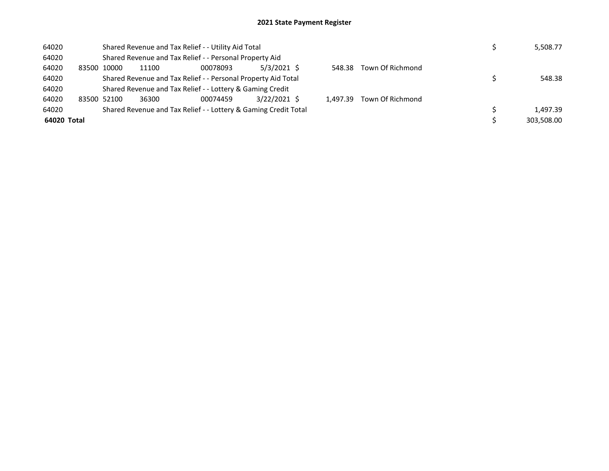| 64020       |       |       |       | Shared Revenue and Tax Relief - - Utility Aid Total             |              |          |                  | 5,508.77   |
|-------------|-------|-------|-------|-----------------------------------------------------------------|--------------|----------|------------------|------------|
| 64020       |       |       |       | Shared Revenue and Tax Relief - - Personal Property Aid         |              |          |                  |            |
| 64020       | 83500 | 10000 | 11100 | 00078093                                                        | 5/3/2021 \$  | 548.38   | Town Of Richmond |            |
| 64020       |       |       |       | Shared Revenue and Tax Relief - - Personal Property Aid Total   |              |          |                  | 548.38     |
| 64020       |       |       |       | Shared Revenue and Tax Relief - - Lottery & Gaming Credit       |              |          |                  |            |
| 64020       | 83500 | 52100 | 36300 | 00074459                                                        | 3/22/2021 \$ | 1.497.39 | Town Of Richmond |            |
| 64020       |       |       |       | Shared Revenue and Tax Relief - - Lottery & Gaming Credit Total |              |          |                  | 1.497.39   |
| 64020 Total |       |       |       |                                                                 |              |          |                  | 303.508.00 |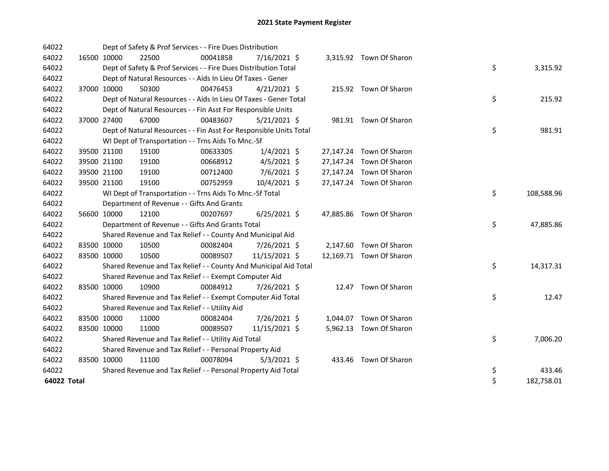| 64022       |             |             | Dept of Safety & Prof Services - - Fire Dues Distribution          |          |                |  |                          |    |            |
|-------------|-------------|-------------|--------------------------------------------------------------------|----------|----------------|--|--------------------------|----|------------|
| 64022       |             | 16500 10000 | 22500                                                              | 00041858 | 7/16/2021 \$   |  | 3,315.92 Town Of Sharon  |    |            |
| 64022       |             |             | Dept of Safety & Prof Services - - Fire Dues Distribution Total    |          |                |  |                          | \$ | 3,315.92   |
| 64022       |             |             | Dept of Natural Resources - - Aids In Lieu Of Taxes - Gener        |          |                |  |                          |    |            |
| 64022       |             | 37000 10000 | 50300                                                              | 00476453 | $4/21/2021$ \$ |  | 215.92 Town Of Sharon    |    |            |
| 64022       |             |             | Dept of Natural Resources - - Aids In Lieu Of Taxes - Gener Total  |          |                |  |                          | \$ | 215.92     |
| 64022       |             |             | Dept of Natural Resources - - Fin Asst For Responsible Units       |          |                |  |                          |    |            |
| 64022       |             | 37000 27400 | 67000                                                              | 00483607 | $5/21/2021$ \$ |  | 981.91 Town Of Sharon    |    |            |
| 64022       |             |             | Dept of Natural Resources - - Fin Asst For Responsible Units Total |          |                |  |                          | \$ | 981.91     |
| 64022       |             |             | WI Dept of Transportation - - Trns Aids To Mnc.-Sf                 |          |                |  |                          |    |            |
| 64022       |             | 39500 21100 | 19100                                                              | 00633305 | $1/4/2021$ \$  |  | 27,147.24 Town Of Sharon |    |            |
| 64022       |             | 39500 21100 | 19100                                                              | 00668912 | $4/5/2021$ \$  |  | 27,147.24 Town Of Sharon |    |            |
| 64022       |             | 39500 21100 | 19100                                                              | 00712400 | 7/6/2021 \$    |  | 27,147.24 Town Of Sharon |    |            |
| 64022       |             | 39500 21100 | 19100                                                              | 00752959 | 10/4/2021 \$   |  | 27,147.24 Town Of Sharon |    |            |
| 64022       |             |             | WI Dept of Transportation - - Trns Aids To Mnc.-Sf Total           |          |                |  |                          | \$ | 108,588.96 |
| 64022       |             |             | Department of Revenue - - Gifts And Grants                         |          |                |  |                          |    |            |
| 64022       |             | 56600 10000 | 12100                                                              | 00207697 | $6/25/2021$ \$ |  | 47,885.86 Town Of Sharon |    |            |
| 64022       |             |             | Department of Revenue - - Gifts And Grants Total                   |          |                |  |                          | \$ | 47,885.86  |
| 64022       |             |             | Shared Revenue and Tax Relief - - County And Municipal Aid         |          |                |  |                          |    |            |
| 64022       |             | 83500 10000 | 10500                                                              | 00082404 | 7/26/2021 \$   |  | 2,147.60 Town Of Sharon  |    |            |
| 64022       |             | 83500 10000 | 10500                                                              | 00089507 | 11/15/2021 \$  |  | 12,169.71 Town Of Sharon |    |            |
| 64022       |             |             | Shared Revenue and Tax Relief - - County And Municipal Aid Total   |          |                |  |                          | \$ | 14,317.31  |
| 64022       |             |             | Shared Revenue and Tax Relief - - Exempt Computer Aid              |          |                |  |                          |    |            |
| 64022       |             | 83500 10000 | 10900                                                              | 00084912 | 7/26/2021 \$   |  | 12.47 Town Of Sharon     |    |            |
| 64022       |             |             | Shared Revenue and Tax Relief - - Exempt Computer Aid Total        |          |                |  |                          | \$ | 12.47      |
| 64022       |             |             | Shared Revenue and Tax Relief - - Utility Aid                      |          |                |  |                          |    |            |
| 64022       |             | 83500 10000 | 11000                                                              | 00082404 | 7/26/2021 \$   |  | 1,044.07 Town Of Sharon  |    |            |
| 64022       | 83500 10000 |             | 11000                                                              | 00089507 | 11/15/2021 \$  |  | 5,962.13 Town Of Sharon  |    |            |
| 64022       |             |             | Shared Revenue and Tax Relief - - Utility Aid Total                |          |                |  |                          | \$ | 7,006.20   |
| 64022       |             |             | Shared Revenue and Tax Relief - - Personal Property Aid            |          |                |  |                          |    |            |
| 64022       |             | 83500 10000 | 11100                                                              | 00078094 | $5/3/2021$ \$  |  | 433.46 Town Of Sharon    |    |            |
| 64022       |             |             | Shared Revenue and Tax Relief - - Personal Property Aid Total      |          |                |  |                          | \$ | 433.46     |
| 64022 Total |             |             |                                                                    |          |                |  |                          | \$ | 182,758.01 |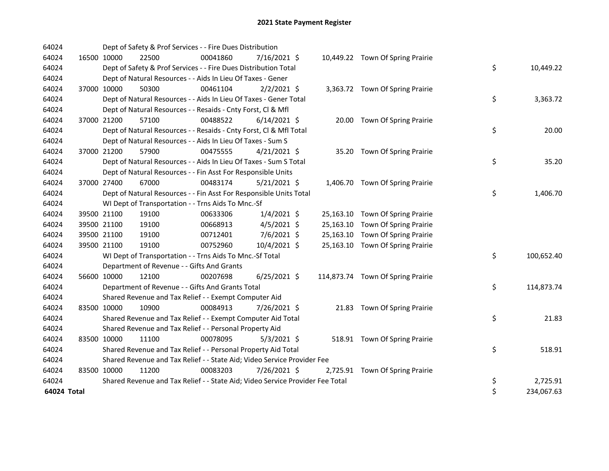| 64024       |             |             | Dept of Safety & Prof Services - - Fire Dues Distribution                     |          |                |  |                                   |    |            |
|-------------|-------------|-------------|-------------------------------------------------------------------------------|----------|----------------|--|-----------------------------------|----|------------|
| 64024       |             | 16500 10000 | 22500                                                                         | 00041860 | $7/16/2021$ \$ |  | 10,449.22 Town Of Spring Prairie  |    |            |
| 64024       |             |             | Dept of Safety & Prof Services - - Fire Dues Distribution Total               |          |                |  |                                   | \$ | 10,449.22  |
| 64024       |             |             | Dept of Natural Resources - - Aids In Lieu Of Taxes - Gener                   |          |                |  |                                   |    |            |
| 64024       |             | 37000 10000 | 50300                                                                         | 00461104 | $2/2/2021$ \$  |  | 3,363.72 Town Of Spring Prairie   |    |            |
| 64024       |             |             | Dept of Natural Resources - - Aids In Lieu Of Taxes - Gener Total             |          |                |  |                                   | \$ | 3,363.72   |
| 64024       |             |             | Dept of Natural Resources - - Resaids - Cnty Forst, Cl & Mfl                  |          |                |  |                                   |    |            |
| 64024       |             | 37000 21200 | 57100                                                                         | 00488522 | $6/14/2021$ \$ |  | 20.00 Town Of Spring Prairie      |    |            |
| 64024       |             |             | Dept of Natural Resources - - Resaids - Cnty Forst, CI & Mfl Total            |          |                |  |                                   | \$ | 20.00      |
| 64024       |             |             | Dept of Natural Resources - - Aids In Lieu Of Taxes - Sum S                   |          |                |  |                                   |    |            |
| 64024       |             | 37000 21200 | 57900                                                                         | 00475555 | $4/21/2021$ \$ |  | 35.20 Town Of Spring Prairie      |    |            |
| 64024       |             |             | Dept of Natural Resources - - Aids In Lieu Of Taxes - Sum S Total             |          |                |  |                                   | \$ | 35.20      |
| 64024       |             |             | Dept of Natural Resources - - Fin Asst For Responsible Units                  |          |                |  |                                   |    |            |
| 64024       |             | 37000 27400 | 67000                                                                         | 00483174 | $5/21/2021$ \$ |  | 1,406.70 Town Of Spring Prairie   |    |            |
| 64024       |             |             | Dept of Natural Resources - - Fin Asst For Responsible Units Total            |          |                |  |                                   | \$ | 1,406.70   |
| 64024       |             |             | WI Dept of Transportation - - Trns Aids To Mnc.-Sf                            |          |                |  |                                   |    |            |
| 64024       |             | 39500 21100 | 19100                                                                         | 00633306 | $1/4/2021$ \$  |  | 25,163.10 Town Of Spring Prairie  |    |            |
| 64024       |             | 39500 21100 | 19100                                                                         | 00668913 | $4/5/2021$ \$  |  | 25,163.10 Town Of Spring Prairie  |    |            |
| 64024       |             | 39500 21100 | 19100                                                                         | 00712401 | 7/6/2021 \$    |  | 25,163.10 Town Of Spring Prairie  |    |            |
| 64024       |             | 39500 21100 | 19100                                                                         | 00752960 | 10/4/2021 \$   |  | 25,163.10 Town Of Spring Prairie  |    |            |
| 64024       |             |             | WI Dept of Transportation - - Trns Aids To Mnc.-Sf Total                      |          |                |  |                                   | \$ | 100,652.40 |
| 64024       |             |             | Department of Revenue - - Gifts And Grants                                    |          |                |  |                                   |    |            |
| 64024       |             | 56600 10000 | 12100                                                                         | 00207698 | $6/25/2021$ \$ |  | 114,873.74 Town Of Spring Prairie |    |            |
| 64024       |             |             | Department of Revenue - - Gifts And Grants Total                              |          |                |  |                                   | \$ | 114,873.74 |
| 64024       |             |             | Shared Revenue and Tax Relief - - Exempt Computer Aid                         |          |                |  |                                   |    |            |
| 64024       |             | 83500 10000 | 10900                                                                         | 00084913 | 7/26/2021 \$   |  | 21.83 Town Of Spring Prairie      |    |            |
| 64024       |             |             | Shared Revenue and Tax Relief - - Exempt Computer Aid Total                   |          |                |  |                                   | \$ | 21.83      |
| 64024       |             |             | Shared Revenue and Tax Relief - - Personal Property Aid                       |          |                |  |                                   |    |            |
| 64024       |             | 83500 10000 | 11100                                                                         | 00078095 | $5/3/2021$ \$  |  | 518.91 Town Of Spring Prairie     |    |            |
| 64024       |             |             | Shared Revenue and Tax Relief - - Personal Property Aid Total                 |          |                |  |                                   | \$ | 518.91     |
| 64024       |             |             | Shared Revenue and Tax Relief - - State Aid; Video Service Provider Fee       |          |                |  |                                   |    |            |
| 64024       | 83500 10000 |             | 11200                                                                         | 00083203 | 7/26/2021 \$   |  | 2,725.91 Town Of Spring Prairie   |    |            |
| 64024       |             |             | Shared Revenue and Tax Relief - - State Aid; Video Service Provider Fee Total |          |                |  |                                   | \$ | 2,725.91   |
| 64024 Total |             |             |                                                                               |          |                |  |                                   | \$ | 234,067.63 |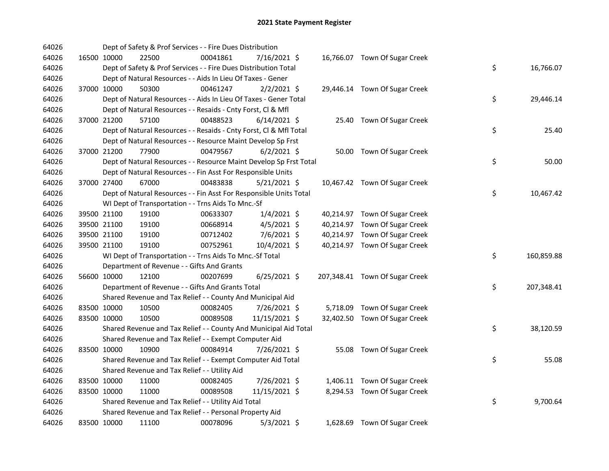| 64026 |             | Dept of Safety & Prof Services - - Fire Dues Distribution          |          |                |  |                                |    |            |
|-------|-------------|--------------------------------------------------------------------|----------|----------------|--|--------------------------------|----|------------|
| 64026 | 16500 10000 | 22500                                                              | 00041861 | 7/16/2021 \$   |  | 16,766.07 Town Of Sugar Creek  |    |            |
| 64026 |             | Dept of Safety & Prof Services - - Fire Dues Distribution Total    |          |                |  |                                | \$ | 16,766.07  |
| 64026 |             | Dept of Natural Resources - - Aids In Lieu Of Taxes - Gener        |          |                |  |                                |    |            |
| 64026 | 37000 10000 | 50300                                                              | 00461247 | $2/2/2021$ \$  |  | 29,446.14 Town Of Sugar Creek  |    |            |
| 64026 |             | Dept of Natural Resources - - Aids In Lieu Of Taxes - Gener Total  |          |                |  |                                | \$ | 29,446.14  |
| 64026 |             | Dept of Natural Resources - - Resaids - Cnty Forst, Cl & Mfl       |          |                |  |                                |    |            |
| 64026 | 37000 21200 | 57100                                                              | 00488523 | $6/14/2021$ \$ |  | 25.40 Town Of Sugar Creek      |    |            |
| 64026 |             | Dept of Natural Resources - - Resaids - Cnty Forst, Cl & Mfl Total |          |                |  |                                | \$ | 25.40      |
| 64026 |             | Dept of Natural Resources - - Resource Maint Develop Sp Frst       |          |                |  |                                |    |            |
| 64026 | 37000 21200 | 77900                                                              | 00479567 | $6/2/2021$ \$  |  | 50.00 Town Of Sugar Creek      |    |            |
| 64026 |             | Dept of Natural Resources - - Resource Maint Develop Sp Frst Total |          |                |  |                                | \$ | 50.00      |
| 64026 |             | Dept of Natural Resources - - Fin Asst For Responsible Units       |          |                |  |                                |    |            |
| 64026 | 37000 27400 | 67000                                                              | 00483838 | $5/21/2021$ \$ |  | 10,467.42 Town Of Sugar Creek  |    |            |
| 64026 |             | Dept of Natural Resources - - Fin Asst For Responsible Units Total |          |                |  |                                | \$ | 10,467.42  |
| 64026 |             | WI Dept of Transportation - - Trns Aids To Mnc.-Sf                 |          |                |  |                                |    |            |
| 64026 | 39500 21100 | 19100                                                              | 00633307 | $1/4/2021$ \$  |  | 40,214.97 Town Of Sugar Creek  |    |            |
| 64026 | 39500 21100 | 19100                                                              | 00668914 | $4/5/2021$ \$  |  | 40,214.97 Town Of Sugar Creek  |    |            |
| 64026 | 39500 21100 | 19100                                                              | 00712402 | 7/6/2021 \$    |  | 40,214.97 Town Of Sugar Creek  |    |            |
| 64026 | 39500 21100 | 19100                                                              | 00752961 | 10/4/2021 \$   |  | 40,214.97 Town Of Sugar Creek  |    |            |
| 64026 |             | WI Dept of Transportation - - Trns Aids To Mnc.-Sf Total           |          |                |  |                                | \$ | 160,859.88 |
| 64026 |             | Department of Revenue - - Gifts And Grants                         |          |                |  |                                |    |            |
| 64026 | 56600 10000 | 12100                                                              | 00207699 | $6/25/2021$ \$ |  | 207,348.41 Town Of Sugar Creek |    |            |
| 64026 |             | Department of Revenue - - Gifts And Grants Total                   |          |                |  |                                | \$ | 207,348.41 |
| 64026 |             | Shared Revenue and Tax Relief - - County And Municipal Aid         |          |                |  |                                |    |            |
| 64026 | 83500 10000 | 10500                                                              | 00082405 | 7/26/2021 \$   |  | 5,718.09 Town Of Sugar Creek   |    |            |
| 64026 | 83500 10000 | 10500                                                              | 00089508 | 11/15/2021 \$  |  | 32,402.50 Town Of Sugar Creek  |    |            |
| 64026 |             | Shared Revenue and Tax Relief - - County And Municipal Aid Total   |          |                |  |                                | \$ | 38,120.59  |
| 64026 |             | Shared Revenue and Tax Relief - - Exempt Computer Aid              |          |                |  |                                |    |            |
| 64026 | 83500 10000 | 10900                                                              | 00084914 | 7/26/2021 \$   |  | 55.08 Town Of Sugar Creek      |    |            |
| 64026 |             | Shared Revenue and Tax Relief - - Exempt Computer Aid Total        |          |                |  |                                | \$ | 55.08      |
| 64026 |             | Shared Revenue and Tax Relief - - Utility Aid                      |          |                |  |                                |    |            |
| 64026 | 83500 10000 | 11000                                                              | 00082405 | 7/26/2021 \$   |  | 1,406.11 Town Of Sugar Creek   |    |            |
| 64026 | 83500 10000 | 11000                                                              | 00089508 | 11/15/2021 \$  |  | 8,294.53 Town Of Sugar Creek   |    |            |
| 64026 |             | Shared Revenue and Tax Relief - - Utility Aid Total                |          |                |  |                                | \$ | 9,700.64   |
| 64026 |             | Shared Revenue and Tax Relief - - Personal Property Aid            |          |                |  |                                |    |            |
| 64026 | 83500 10000 | 11100                                                              | 00078096 | $5/3/2021$ \$  |  | 1,628.69 Town Of Sugar Creek   |    |            |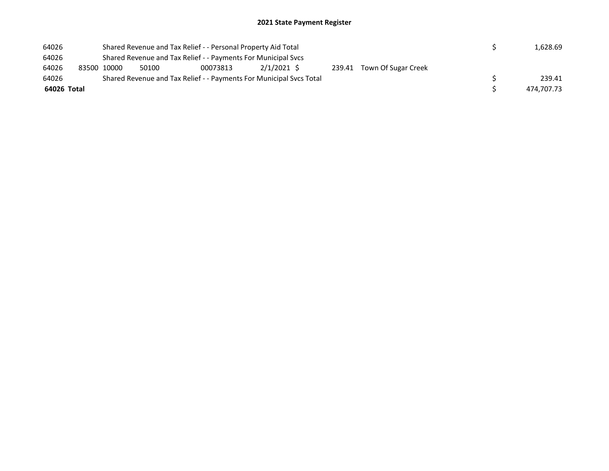| 64026       |             |       | Shared Revenue and Tax Relief - - Personal Property Aid Total       |             |  |                            |  | 1.628.69   |
|-------------|-------------|-------|---------------------------------------------------------------------|-------------|--|----------------------------|--|------------|
| 64026       |             |       | Shared Revenue and Tax Relief - - Payments For Municipal Svcs       |             |  |                            |  |            |
| 64026       | 83500 10000 | 50100 | 00073813                                                            | 2/1/2021 \$ |  | 239.41 Town Of Sugar Creek |  |            |
| 64026       |             |       | Shared Revenue and Tax Relief - - Payments For Municipal Svcs Total |             |  |                            |  | 239.41     |
| 64026 Total |             |       |                                                                     |             |  |                            |  | 474.707.73 |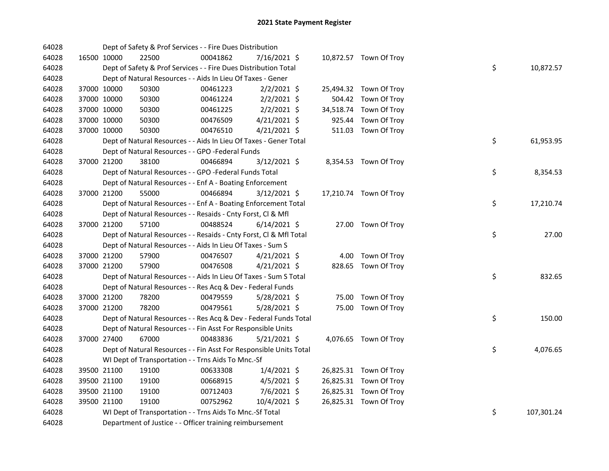| 64028 |             | Dept of Safety & Prof Services - - Fire Dues Distribution          |          |                |  |                        |    |            |
|-------|-------------|--------------------------------------------------------------------|----------|----------------|--|------------------------|----|------------|
| 64028 | 16500 10000 | 22500                                                              | 00041862 | 7/16/2021 \$   |  | 10,872.57 Town Of Troy |    |            |
| 64028 |             | Dept of Safety & Prof Services - - Fire Dues Distribution Total    |          |                |  |                        | \$ | 10,872.57  |
| 64028 |             | Dept of Natural Resources - - Aids In Lieu Of Taxes - Gener        |          |                |  |                        |    |            |
| 64028 | 37000 10000 | 50300                                                              | 00461223 | $2/2/2021$ \$  |  | 25,494.32 Town Of Troy |    |            |
| 64028 | 37000 10000 | 50300                                                              | 00461224 | $2/2/2021$ \$  |  | 504.42 Town Of Troy    |    |            |
| 64028 | 37000 10000 | 50300                                                              | 00461225 | $2/2/2021$ \$  |  | 34,518.74 Town Of Troy |    |            |
| 64028 | 37000 10000 | 50300                                                              | 00476509 | $4/21/2021$ \$ |  | 925.44 Town Of Troy    |    |            |
| 64028 | 37000 10000 | 50300                                                              | 00476510 | $4/21/2021$ \$ |  | 511.03 Town Of Troy    |    |            |
| 64028 |             | Dept of Natural Resources - - Aids In Lieu Of Taxes - Gener Total  |          |                |  |                        | \$ | 61,953.95  |
| 64028 |             | Dept of Natural Resources - - GPO -Federal Funds                   |          |                |  |                        |    |            |
| 64028 | 37000 21200 | 38100                                                              | 00466894 | 3/12/2021 \$   |  | 8,354.53 Town Of Troy  |    |            |
| 64028 |             | Dept of Natural Resources - - GPO -Federal Funds Total             |          |                |  |                        | \$ | 8,354.53   |
| 64028 |             | Dept of Natural Resources - - Enf A - Boating Enforcement          |          |                |  |                        |    |            |
| 64028 | 37000 21200 | 55000                                                              | 00466894 | $3/12/2021$ \$ |  | 17,210.74 Town Of Troy |    |            |
| 64028 |             | Dept of Natural Resources - - Enf A - Boating Enforcement Total    |          |                |  |                        | \$ | 17,210.74  |
| 64028 |             | Dept of Natural Resources - - Resaids - Cnty Forst, Cl & Mfl       |          |                |  |                        |    |            |
| 64028 | 37000 21200 | 57100                                                              | 00488524 | $6/14/2021$ \$ |  | 27.00 Town Of Troy     |    |            |
| 64028 |             | Dept of Natural Resources - - Resaids - Cnty Forst, Cl & Mfl Total |          |                |  |                        | \$ | 27.00      |
| 64028 |             | Dept of Natural Resources - - Aids In Lieu Of Taxes - Sum S        |          |                |  |                        |    |            |
| 64028 | 37000 21200 | 57900                                                              | 00476507 | $4/21/2021$ \$ |  | 4.00 Town Of Troy      |    |            |
| 64028 | 37000 21200 | 57900                                                              | 00476508 | $4/21/2021$ \$ |  | 828.65 Town Of Troy    |    |            |
| 64028 |             | Dept of Natural Resources - - Aids In Lieu Of Taxes - Sum S Total  |          |                |  |                        | \$ | 832.65     |
| 64028 |             | Dept of Natural Resources - - Res Acq & Dev - Federal Funds        |          |                |  |                        |    |            |
| 64028 | 37000 21200 | 78200                                                              | 00479559 | $5/28/2021$ \$ |  | 75.00 Town Of Troy     |    |            |
| 64028 | 37000 21200 | 78200                                                              | 00479561 | 5/28/2021 \$   |  | 75.00 Town Of Troy     |    |            |
| 64028 |             | Dept of Natural Resources - - Res Acq & Dev - Federal Funds Total  |          |                |  |                        | \$ | 150.00     |
| 64028 |             | Dept of Natural Resources - - Fin Asst For Responsible Units       |          |                |  |                        |    |            |
| 64028 | 37000 27400 | 67000                                                              | 00483836 | $5/21/2021$ \$ |  | 4,076.65 Town Of Troy  |    |            |
| 64028 |             | Dept of Natural Resources - - Fin Asst For Responsible Units Total |          |                |  |                        | \$ | 4,076.65   |
| 64028 |             | WI Dept of Transportation - - Trns Aids To Mnc.-Sf                 |          |                |  |                        |    |            |
| 64028 | 39500 21100 | 19100                                                              | 00633308 | $1/4/2021$ \$  |  | 26,825.31 Town Of Troy |    |            |
| 64028 | 39500 21100 | 19100                                                              | 00668915 | $4/5/2021$ \$  |  | 26,825.31 Town Of Troy |    |            |
| 64028 | 39500 21100 | 19100                                                              | 00712403 | 7/6/2021 \$    |  | 26,825.31 Town Of Troy |    |            |
| 64028 | 39500 21100 | 19100                                                              | 00752962 | 10/4/2021 \$   |  | 26,825.31 Town Of Troy |    |            |
| 64028 |             | WI Dept of Transportation - - Trns Aids To Mnc.-Sf Total           |          |                |  |                        | \$ | 107,301.24 |
| 64028 |             | Department of Justice - - Officer training reimbursement           |          |                |  |                        |    |            |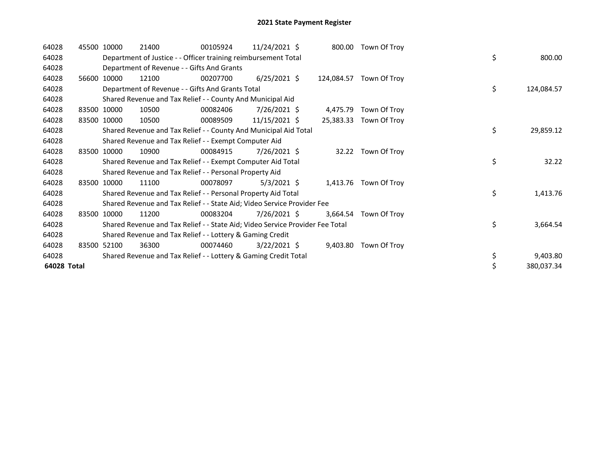| 64028       |       | 45500 10000 | 21400                                                                         | 00105924 | 11/24/2021 \$  |            | 800.00 Town Of Troy   |    |            |
|-------------|-------|-------------|-------------------------------------------------------------------------------|----------|----------------|------------|-----------------------|----|------------|
| 64028       |       |             | Department of Justice - - Officer training reimbursement Total                |          |                |            |                       | \$ | 800.00     |
| 64028       |       |             | Department of Revenue - - Gifts And Grants                                    |          |                |            |                       |    |            |
| 64028       | 56600 | 10000       | 12100                                                                         | 00207700 | $6/25/2021$ \$ | 124,084.57 | Town Of Troy          |    |            |
| 64028       |       |             | Department of Revenue - - Gifts And Grants Total                              |          |                |            |                       | \$ | 124,084.57 |
| 64028       |       |             | Shared Revenue and Tax Relief - - County And Municipal Aid                    |          |                |            |                       |    |            |
| 64028       |       | 83500 10000 | 10500                                                                         | 00082406 | 7/26/2021 \$   | 4,475.79   | Town Of Troy          |    |            |
| 64028       |       | 83500 10000 | 10500                                                                         | 00089509 | 11/15/2021 \$  | 25,383.33  | Town Of Troy          |    |            |
| 64028       |       |             | Shared Revenue and Tax Relief - - County And Municipal Aid Total              |          |                |            |                       | \$ | 29,859.12  |
| 64028       |       |             | Shared Revenue and Tax Relief - - Exempt Computer Aid                         |          |                |            |                       |    |            |
| 64028       | 83500 | 10000       | 10900                                                                         | 00084915 | 7/26/2021 \$   | 32.22      | Town Of Troy          |    |            |
| 64028       |       |             | Shared Revenue and Tax Relief - - Exempt Computer Aid Total                   |          |                |            |                       | \$ | 32.22      |
| 64028       |       |             | Shared Revenue and Tax Relief - - Personal Property Aid                       |          |                |            |                       |    |            |
| 64028       |       | 83500 10000 | 11100                                                                         | 00078097 | $5/3/2021$ \$  |            | 1,413.76 Town Of Troy |    |            |
| 64028       |       |             | Shared Revenue and Tax Relief - - Personal Property Aid Total                 |          |                |            |                       | \$ | 1,413.76   |
| 64028       |       |             | Shared Revenue and Tax Relief - - State Aid; Video Service Provider Fee       |          |                |            |                       |    |            |
| 64028       |       | 83500 10000 | 11200                                                                         | 00083204 | 7/26/2021 \$   | 3,664.54   | Town Of Troy          |    |            |
| 64028       |       |             | Shared Revenue and Tax Relief - - State Aid; Video Service Provider Fee Total |          |                |            |                       | \$ | 3,664.54   |
| 64028       |       |             | Shared Revenue and Tax Relief - - Lottery & Gaming Credit                     |          |                |            |                       |    |            |
| 64028       |       | 83500 52100 | 36300                                                                         | 00074460 | $3/22/2021$ \$ | 9,403.80   | Town Of Troy          |    |            |
| 64028       |       |             | Shared Revenue and Tax Relief - - Lottery & Gaming Credit Total               |          |                |            |                       | \$ | 9,403.80   |
| 64028 Total |       |             |                                                                               |          |                |            |                       | \$ | 380,037.34 |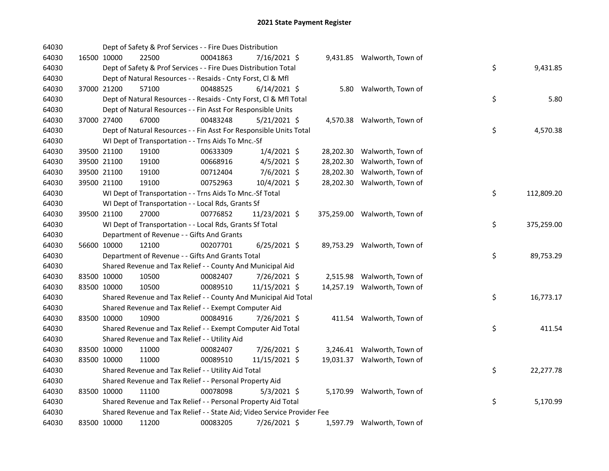| 64030 |             | Dept of Safety & Prof Services - - Fire Dues Distribution               |          |                |  |                              |    |            |
|-------|-------------|-------------------------------------------------------------------------|----------|----------------|--|------------------------------|----|------------|
| 64030 | 16500 10000 | 22500                                                                   | 00041863 | 7/16/2021 \$   |  | 9,431.85 Walworth, Town of   |    |            |
| 64030 |             | Dept of Safety & Prof Services - - Fire Dues Distribution Total         |          |                |  |                              | \$ | 9,431.85   |
| 64030 |             | Dept of Natural Resources - - Resaids - Cnty Forst, Cl & Mfl            |          |                |  |                              |    |            |
| 64030 | 37000 21200 | 57100                                                                   | 00488525 | $6/14/2021$ \$ |  | 5.80 Walworth, Town of       |    |            |
| 64030 |             | Dept of Natural Resources - - Resaids - Cnty Forst, Cl & Mfl Total      |          |                |  |                              | \$ | 5.80       |
| 64030 |             | Dept of Natural Resources - - Fin Asst For Responsible Units            |          |                |  |                              |    |            |
| 64030 | 37000 27400 | 67000                                                                   | 00483248 | $5/21/2021$ \$ |  | 4,570.38 Walworth, Town of   |    |            |
| 64030 |             | Dept of Natural Resources - - Fin Asst For Responsible Units Total      |          |                |  |                              | \$ | 4,570.38   |
| 64030 |             | WI Dept of Transportation - - Trns Aids To Mnc.-Sf                      |          |                |  |                              |    |            |
| 64030 | 39500 21100 | 19100                                                                   | 00633309 | $1/4/2021$ \$  |  | 28,202.30 Walworth, Town of  |    |            |
| 64030 | 39500 21100 | 19100                                                                   | 00668916 | $4/5/2021$ \$  |  | 28,202.30 Walworth, Town of  |    |            |
| 64030 | 39500 21100 | 19100                                                                   | 00712404 | 7/6/2021 \$    |  | 28,202.30 Walworth, Town of  |    |            |
| 64030 | 39500 21100 | 19100                                                                   | 00752963 | 10/4/2021 \$   |  | 28,202.30 Walworth, Town of  |    |            |
| 64030 |             | WI Dept of Transportation - - Trns Aids To Mnc.-Sf Total                |          |                |  |                              | \$ | 112,809.20 |
| 64030 |             | WI Dept of Transportation - - Local Rds, Grants Sf                      |          |                |  |                              |    |            |
| 64030 | 39500 21100 | 27000                                                                   | 00776852 | 11/23/2021 \$  |  | 375,259.00 Walworth, Town of |    |            |
| 64030 |             | WI Dept of Transportation - - Local Rds, Grants Sf Total                |          |                |  |                              | \$ | 375,259.00 |
| 64030 |             | Department of Revenue - - Gifts And Grants                              |          |                |  |                              |    |            |
| 64030 | 56600 10000 | 12100                                                                   | 00207701 | $6/25/2021$ \$ |  | 89,753.29 Walworth, Town of  |    |            |
| 64030 |             | Department of Revenue - - Gifts And Grants Total                        |          |                |  |                              | \$ | 89,753.29  |
| 64030 |             | Shared Revenue and Tax Relief - - County And Municipal Aid              |          |                |  |                              |    |            |
| 64030 | 83500 10000 | 10500                                                                   | 00082407 | 7/26/2021 \$   |  | 2,515.98 Walworth, Town of   |    |            |
| 64030 | 83500 10000 | 10500                                                                   | 00089510 | 11/15/2021 \$  |  | 14,257.19 Walworth, Town of  |    |            |
| 64030 |             | Shared Revenue and Tax Relief - - County And Municipal Aid Total        |          |                |  |                              | \$ | 16,773.17  |
| 64030 |             | Shared Revenue and Tax Relief - - Exempt Computer Aid                   |          |                |  |                              |    |            |
| 64030 | 83500 10000 | 10900                                                                   | 00084916 | 7/26/2021 \$   |  | 411.54 Walworth, Town of     |    |            |
| 64030 |             | Shared Revenue and Tax Relief - - Exempt Computer Aid Total             |          |                |  |                              | \$ | 411.54     |
| 64030 |             | Shared Revenue and Tax Relief - - Utility Aid                           |          |                |  |                              |    |            |
| 64030 | 83500 10000 | 11000                                                                   | 00082407 | 7/26/2021 \$   |  | 3,246.41 Walworth, Town of   |    |            |
| 64030 | 83500 10000 | 11000                                                                   | 00089510 | 11/15/2021 \$  |  | 19,031.37 Walworth, Town of  |    |            |
| 64030 |             | Shared Revenue and Tax Relief - - Utility Aid Total                     |          |                |  |                              | \$ | 22,277.78  |
| 64030 |             | Shared Revenue and Tax Relief - - Personal Property Aid                 |          |                |  |                              |    |            |
| 64030 | 83500 10000 | 11100                                                                   | 00078098 | $5/3/2021$ \$  |  | 5,170.99 Walworth, Town of   |    |            |
| 64030 |             | Shared Revenue and Tax Relief - - Personal Property Aid Total           |          |                |  |                              | \$ | 5,170.99   |
| 64030 |             | Shared Revenue and Tax Relief - - State Aid; Video Service Provider Fee |          |                |  |                              |    |            |
| 64030 | 83500 10000 | 11200                                                                   | 00083205 | 7/26/2021 \$   |  | 1,597.79 Walworth, Town of   |    |            |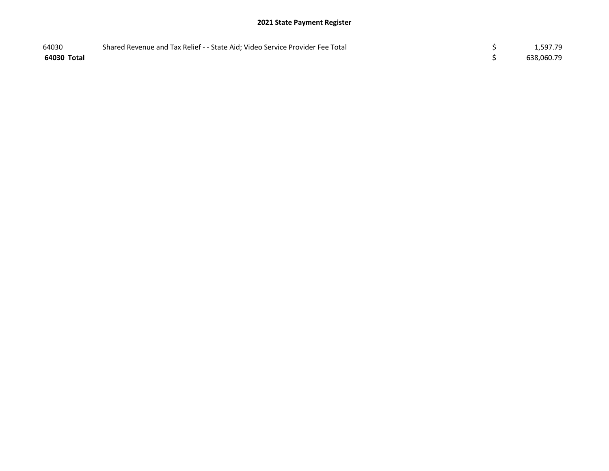| 64030       | Shared Revenue and Tax Relief - - State Aid; Video Service Provider Fee Total | 1,597.79   |
|-------------|-------------------------------------------------------------------------------|------------|
| 64030 Total |                                                                               | 638,060.79 |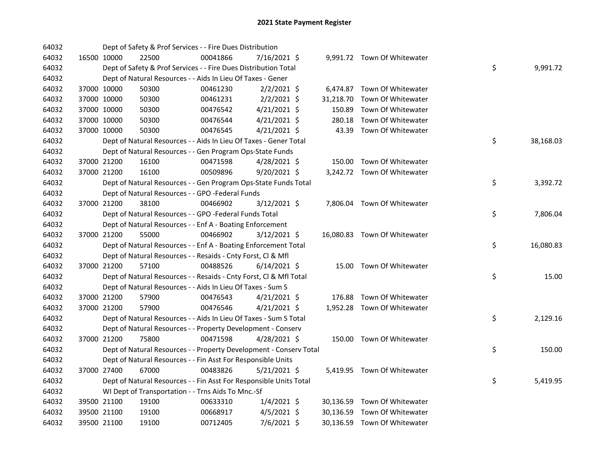| 64032 |             | Dept of Safety & Prof Services - - Fire Dues Distribution          |          |                |           |                              |    |           |
|-------|-------------|--------------------------------------------------------------------|----------|----------------|-----------|------------------------------|----|-----------|
| 64032 | 16500 10000 | 22500                                                              | 00041866 | 7/16/2021 \$   |           | 9,991.72 Town Of Whitewater  |    |           |
| 64032 |             | Dept of Safety & Prof Services - - Fire Dues Distribution Total    |          |                |           |                              | \$ | 9,991.72  |
| 64032 |             | Dept of Natural Resources - - Aids In Lieu Of Taxes - Gener        |          |                |           |                              |    |           |
| 64032 | 37000 10000 | 50300                                                              | 00461230 | $2/2/2021$ \$  |           | 6,474.87 Town Of Whitewater  |    |           |
| 64032 | 37000 10000 | 50300                                                              | 00461231 | $2/2/2021$ \$  | 31,218.70 | Town Of Whitewater           |    |           |
| 64032 | 37000 10000 | 50300                                                              | 00476542 | $4/21/2021$ \$ | 150.89    | Town Of Whitewater           |    |           |
| 64032 | 37000 10000 | 50300                                                              | 00476544 | $4/21/2021$ \$ | 280.18    | Town Of Whitewater           |    |           |
| 64032 | 37000 10000 | 50300                                                              | 00476545 | $4/21/2021$ \$ | 43.39     | Town Of Whitewater           |    |           |
| 64032 |             | Dept of Natural Resources - - Aids In Lieu Of Taxes - Gener Total  |          |                |           |                              | \$ | 38,168.03 |
| 64032 |             | Dept of Natural Resources - - Gen Program Ops-State Funds          |          |                |           |                              |    |           |
| 64032 | 37000 21200 | 16100                                                              | 00471598 | $4/28/2021$ \$ |           | 150.00 Town Of Whitewater    |    |           |
| 64032 | 37000 21200 | 16100                                                              | 00509896 | 9/20/2021 \$   |           | 3,242.72 Town Of Whitewater  |    |           |
| 64032 |             | Dept of Natural Resources - - Gen Program Ops-State Funds Total    |          |                |           |                              | \$ | 3,392.72  |
| 64032 |             | Dept of Natural Resources - - GPO -Federal Funds                   |          |                |           |                              |    |           |
| 64032 | 37000 21200 | 38100                                                              | 00466902 | 3/12/2021 \$   |           | 7,806.04 Town Of Whitewater  |    |           |
| 64032 |             | Dept of Natural Resources - - GPO -Federal Funds Total             |          |                |           |                              | \$ | 7,806.04  |
| 64032 |             | Dept of Natural Resources - - Enf A - Boating Enforcement          |          |                |           |                              |    |           |
| 64032 | 37000 21200 | 55000                                                              | 00466902 | 3/12/2021 \$   |           | 16,080.83 Town Of Whitewater |    |           |
| 64032 |             | Dept of Natural Resources - - Enf A - Boating Enforcement Total    |          |                |           |                              | \$ | 16,080.83 |
| 64032 |             | Dept of Natural Resources - - Resaids - Cnty Forst, Cl & Mfl       |          |                |           |                              |    |           |
| 64032 | 37000 21200 | 57100                                                              | 00488526 | $6/14/2021$ \$ |           | 15.00 Town Of Whitewater     |    |           |
| 64032 |             | Dept of Natural Resources - - Resaids - Cnty Forst, Cl & Mfl Total |          |                |           |                              | \$ | 15.00     |
| 64032 |             | Dept of Natural Resources - - Aids In Lieu Of Taxes - Sum S        |          |                |           |                              |    |           |
| 64032 | 37000 21200 | 57900                                                              | 00476543 | $4/21/2021$ \$ |           | 176.88 Town Of Whitewater    |    |           |
| 64032 | 37000 21200 | 57900                                                              | 00476546 | $4/21/2021$ \$ |           | 1,952.28 Town Of Whitewater  |    |           |
| 64032 |             | Dept of Natural Resources - - Aids In Lieu Of Taxes - Sum S Total  |          |                |           |                              | \$ | 2,129.16  |
| 64032 |             | Dept of Natural Resources - - Property Development - Conserv       |          |                |           |                              |    |           |
| 64032 | 37000 21200 | 75800                                                              | 00471598 | 4/28/2021 \$   |           | 150.00 Town Of Whitewater    |    |           |
| 64032 |             | Dept of Natural Resources - - Property Development - Conserv Total |          |                |           |                              | \$ | 150.00    |
| 64032 |             | Dept of Natural Resources - - Fin Asst For Responsible Units       |          |                |           |                              |    |           |
| 64032 | 37000 27400 | 67000                                                              | 00483826 | $5/21/2021$ \$ |           | 5,419.95 Town Of Whitewater  |    |           |
| 64032 |             | Dept of Natural Resources - - Fin Asst For Responsible Units Total |          |                |           |                              | \$ | 5,419.95  |
| 64032 |             | WI Dept of Transportation - - Trns Aids To Mnc.-Sf                 |          |                |           |                              |    |           |
| 64032 | 39500 21100 | 19100                                                              | 00633310 | $1/4/2021$ \$  |           | 30,136.59 Town Of Whitewater |    |           |
| 64032 | 39500 21100 | 19100                                                              | 00668917 | $4/5/2021$ \$  |           | 30,136.59 Town Of Whitewater |    |           |
| 64032 | 39500 21100 | 19100                                                              | 00712405 | 7/6/2021 \$    |           | 30,136.59 Town Of Whitewater |    |           |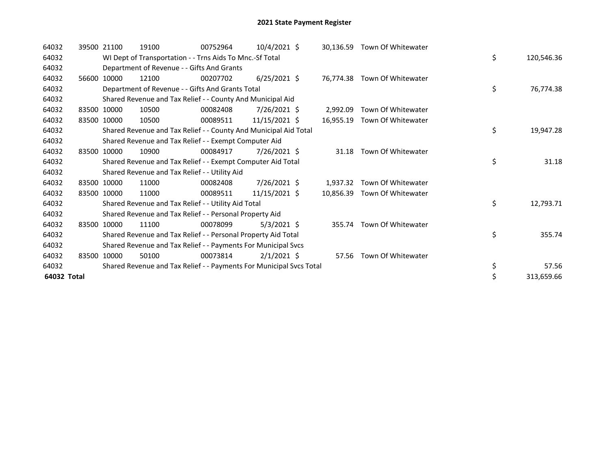| 64032       | 39500 21100 | 19100                                                               | 00752964 | $10/4/2021$ \$  |           | 30,136.59 Town Of Whitewater |    |            |
|-------------|-------------|---------------------------------------------------------------------|----------|-----------------|-----------|------------------------------|----|------------|
| 64032       |             | WI Dept of Transportation - - Trns Aids To Mnc.-Sf Total            |          |                 |           |                              | \$ | 120,546.36 |
| 64032       |             | Department of Revenue - - Gifts And Grants                          |          |                 |           |                              |    |            |
| 64032       | 56600 10000 | 12100                                                               | 00207702 | $6/25/2021$ \$  |           | 76,774.38 Town Of Whitewater |    |            |
| 64032       |             | Department of Revenue - - Gifts And Grants Total                    |          |                 |           |                              | \$ | 76,774.38  |
| 64032       |             | Shared Revenue and Tax Relief - - County And Municipal Aid          |          |                 |           |                              |    |            |
| 64032       | 83500 10000 | 10500                                                               | 00082408 | $7/26/2021$ \$  | 2.992.09  | Town Of Whitewater           |    |            |
| 64032       | 83500 10000 | 10500                                                               | 00089511 | 11/15/2021 \$   | 16,955.19 | Town Of Whitewater           |    |            |
| 64032       |             | Shared Revenue and Tax Relief - - County And Municipal Aid Total    |          |                 |           |                              | \$ | 19,947.28  |
| 64032       |             | Shared Revenue and Tax Relief - - Exempt Computer Aid               |          |                 |           |                              |    |            |
| 64032       | 83500 10000 | 10900                                                               | 00084917 | $7/26/2021$ \$  | 31.18     | Town Of Whitewater           |    |            |
| 64032       |             | Shared Revenue and Tax Relief - - Exempt Computer Aid Total         |          |                 |           |                              | \$ | 31.18      |
| 64032       |             | Shared Revenue and Tax Relief - - Utility Aid                       |          |                 |           |                              |    |            |
| 64032       | 83500 10000 | 11000                                                               | 00082408 | $7/26/2021$ \$  | 1,937.32  | Town Of Whitewater           |    |            |
| 64032       | 83500 10000 | 11000                                                               | 00089511 | $11/15/2021$ \$ | 10.856.39 | Town Of Whitewater           |    |            |
| 64032       |             | Shared Revenue and Tax Relief - - Utility Aid Total                 |          |                 |           |                              | \$ | 12,793.71  |
| 64032       |             | Shared Revenue and Tax Relief - - Personal Property Aid             |          |                 |           |                              |    |            |
| 64032       | 83500 10000 | 11100                                                               | 00078099 | $5/3/2021$ \$   |           | 355.74 Town Of Whitewater    |    |            |
| 64032       |             | Shared Revenue and Tax Relief - - Personal Property Aid Total       |          |                 |           |                              | \$ | 355.74     |
| 64032       |             | Shared Revenue and Tax Relief - - Payments For Municipal Svcs       |          |                 |           |                              |    |            |
| 64032       | 83500 10000 | 50100                                                               | 00073814 | $2/1/2021$ \$   |           | 57.56 Town Of Whitewater     |    |            |
| 64032       |             | Shared Revenue and Tax Relief - - Payments For Municipal Svcs Total |          |                 |           |                              | \$ | 57.56      |
| 64032 Total |             |                                                                     |          |                 |           |                              | \$ | 313,659.66 |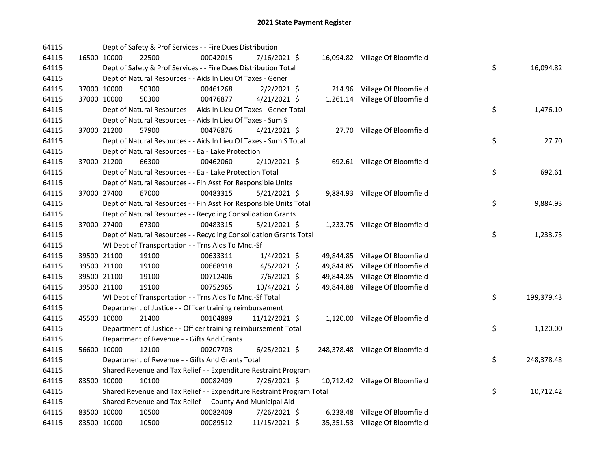| 64115 |             |             | Dept of Safety & Prof Services - - Fire Dues Distribution             |          |                |  |                                  |    |            |
|-------|-------------|-------------|-----------------------------------------------------------------------|----------|----------------|--|----------------------------------|----|------------|
| 64115 |             | 16500 10000 | 22500                                                                 | 00042015 | 7/16/2021 \$   |  | 16,094.82 Village Of Bloomfield  |    |            |
| 64115 |             |             | Dept of Safety & Prof Services - - Fire Dues Distribution Total       |          |                |  |                                  | \$ | 16,094.82  |
| 64115 |             |             | Dept of Natural Resources - - Aids In Lieu Of Taxes - Gener           |          |                |  |                                  |    |            |
| 64115 |             | 37000 10000 | 50300                                                                 | 00461268 | $2/2/2021$ \$  |  | 214.96 Village Of Bloomfield     |    |            |
| 64115 |             | 37000 10000 | 50300                                                                 | 00476877 | $4/21/2021$ \$ |  | 1,261.14 Village Of Bloomfield   |    |            |
| 64115 |             |             | Dept of Natural Resources - - Aids In Lieu Of Taxes - Gener Total     |          |                |  |                                  | \$ | 1,476.10   |
| 64115 |             |             | Dept of Natural Resources - - Aids In Lieu Of Taxes - Sum S           |          |                |  |                                  |    |            |
| 64115 |             | 37000 21200 | 57900                                                                 | 00476876 | $4/21/2021$ \$ |  | 27.70 Village Of Bloomfield      |    |            |
| 64115 |             |             | Dept of Natural Resources - - Aids In Lieu Of Taxes - Sum S Total     |          |                |  |                                  | \$ | 27.70      |
| 64115 |             |             | Dept of Natural Resources - - Ea - Lake Protection                    |          |                |  |                                  |    |            |
| 64115 |             | 37000 21200 | 66300                                                                 | 00462060 | 2/10/2021 \$   |  | 692.61 Village Of Bloomfield     |    |            |
| 64115 |             |             | Dept of Natural Resources - - Ea - Lake Protection Total              |          |                |  |                                  | \$ | 692.61     |
| 64115 |             |             | Dept of Natural Resources - - Fin Asst For Responsible Units          |          |                |  |                                  |    |            |
| 64115 |             | 37000 27400 | 67000                                                                 | 00483315 | $5/21/2021$ \$ |  | 9,884.93 Village Of Bloomfield   |    |            |
| 64115 |             |             | Dept of Natural Resources - - Fin Asst For Responsible Units Total    |          |                |  |                                  | \$ | 9,884.93   |
| 64115 |             |             | Dept of Natural Resources - - Recycling Consolidation Grants          |          |                |  |                                  |    |            |
| 64115 |             | 37000 27400 | 67300                                                                 | 00483315 | $5/21/2021$ \$ |  | 1,233.75 Village Of Bloomfield   |    |            |
| 64115 |             |             | Dept of Natural Resources - - Recycling Consolidation Grants Total    |          |                |  |                                  | \$ | 1,233.75   |
| 64115 |             |             | WI Dept of Transportation - - Trns Aids To Mnc.-Sf                    |          |                |  |                                  |    |            |
| 64115 |             | 39500 21100 | 19100                                                                 | 00633311 | $1/4/2021$ \$  |  | 49,844.85 Village Of Bloomfield  |    |            |
| 64115 |             | 39500 21100 | 19100                                                                 | 00668918 | $4/5/2021$ \$  |  | 49,844.85 Village Of Bloomfield  |    |            |
| 64115 |             | 39500 21100 | 19100                                                                 | 00712406 | 7/6/2021 \$    |  | 49,844.85 Village Of Bloomfield  |    |            |
| 64115 |             | 39500 21100 | 19100                                                                 | 00752965 | 10/4/2021 \$   |  | 49,844.88 Village Of Bloomfield  |    |            |
| 64115 |             |             | WI Dept of Transportation - - Trns Aids To Mnc.-Sf Total              |          |                |  |                                  | \$ | 199,379.43 |
| 64115 |             |             | Department of Justice - - Officer training reimbursement              |          |                |  |                                  |    |            |
| 64115 |             | 45500 10000 | 21400                                                                 | 00104889 | 11/12/2021 \$  |  | 1,120.00 Village Of Bloomfield   |    |            |
| 64115 |             |             | Department of Justice - - Officer training reimbursement Total        |          |                |  |                                  | \$ | 1,120.00   |
| 64115 |             |             | Department of Revenue - - Gifts And Grants                            |          |                |  |                                  |    |            |
| 64115 |             | 56600 10000 | 12100                                                                 | 00207703 | $6/25/2021$ \$ |  | 248,378.48 Village Of Bloomfield |    |            |
| 64115 |             |             | Department of Revenue - - Gifts And Grants Total                      |          |                |  |                                  | \$ | 248,378.48 |
| 64115 |             |             | Shared Revenue and Tax Relief - - Expenditure Restraint Program       |          |                |  |                                  |    |            |
| 64115 |             | 83500 10000 | 10100                                                                 | 00082409 | 7/26/2021 \$   |  | 10,712.42 Village Of Bloomfield  |    |            |
| 64115 |             |             | Shared Revenue and Tax Relief - - Expenditure Restraint Program Total |          |                |  |                                  | \$ | 10,712.42  |
| 64115 |             |             | Shared Revenue and Tax Relief - - County And Municipal Aid            |          |                |  |                                  |    |            |
| 64115 |             | 83500 10000 | 10500                                                                 | 00082409 | 7/26/2021 \$   |  | 6,238.48 Village Of Bloomfield   |    |            |
| 64115 | 83500 10000 |             | 10500                                                                 | 00089512 | 11/15/2021 \$  |  | 35,351.53 Village Of Bloomfield  |    |            |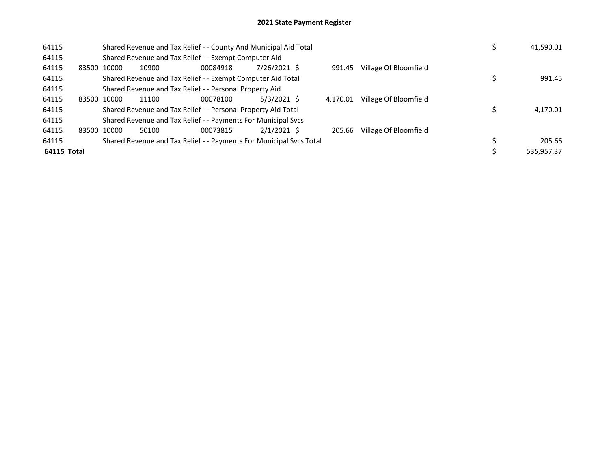| 64115       |             | Shared Revenue and Tax Relief - - County And Municipal Aid Total | 41,590.01                                                           |               |          |                       |            |
|-------------|-------------|------------------------------------------------------------------|---------------------------------------------------------------------|---------------|----------|-----------------------|------------|
| 64115       |             |                                                                  | Shared Revenue and Tax Relief - - Exempt Computer Aid               |               |          |                       |            |
| 64115       | 83500 10000 | 10900                                                            | 00084918                                                            | 7/26/2021 \$  | 991.45   | Village Of Bloomfield |            |
| 64115       |             |                                                                  | Shared Revenue and Tax Relief - - Exempt Computer Aid Total         |               |          |                       | 991.45     |
| 64115       |             |                                                                  | Shared Revenue and Tax Relief - - Personal Property Aid             |               |          |                       |            |
| 64115       | 83500 10000 | 11100                                                            | 00078100                                                            | $5/3/2021$ \$ | 4.170.01 | Village Of Bloomfield |            |
| 64115       |             |                                                                  | Shared Revenue and Tax Relief - - Personal Property Aid Total       |               |          |                       | 4,170.01   |
| 64115       |             |                                                                  | Shared Revenue and Tax Relief - - Payments For Municipal Svcs       |               |          |                       |            |
| 64115       | 83500 10000 | 50100                                                            | 00073815                                                            | $2/1/2021$ \$ | 205.66   | Village Of Bloomfield |            |
| 64115       |             |                                                                  | Shared Revenue and Tax Relief - - Payments For Municipal Svcs Total |               |          |                       | 205.66     |
| 64115 Total |             |                                                                  |                                                                     |               |          |                       | 535,957.37 |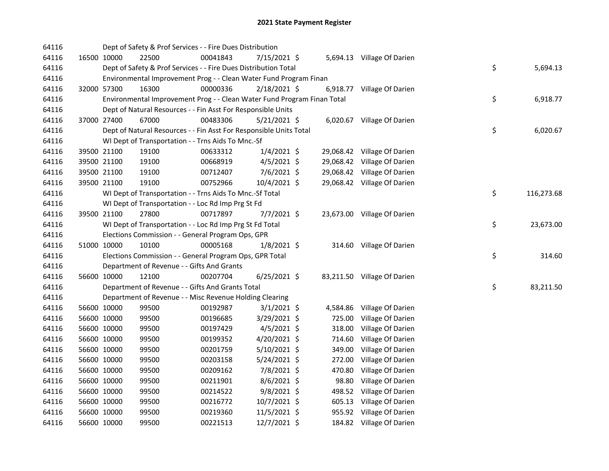| 64116 |             | Dept of Safety & Prof Services - - Fire Dues Distribution               |          |                |        |                             |    |            |
|-------|-------------|-------------------------------------------------------------------------|----------|----------------|--------|-----------------------------|----|------------|
| 64116 | 16500 10000 | 22500                                                                   | 00041843 | 7/15/2021 \$   |        | 5,694.13 Village Of Darien  |    |            |
| 64116 |             | Dept of Safety & Prof Services - - Fire Dues Distribution Total         |          |                |        |                             | \$ | 5,694.13   |
| 64116 |             | Environmental Improvement Prog - - Clean Water Fund Program Finan       |          |                |        |                             |    |            |
| 64116 | 32000 57300 | 16300                                                                   | 00000336 | 2/18/2021 \$   |        | 6,918.77 Village Of Darien  |    |            |
| 64116 |             | Environmental Improvement Prog - - Clean Water Fund Program Finan Total |          |                |        |                             | \$ | 6,918.77   |
| 64116 |             | Dept of Natural Resources - - Fin Asst For Responsible Units            |          |                |        |                             |    |            |
| 64116 | 37000 27400 | 67000                                                                   | 00483306 | $5/21/2021$ \$ |        | 6,020.67 Village Of Darien  |    |            |
| 64116 |             | Dept of Natural Resources - - Fin Asst For Responsible Units Total      |          |                |        |                             | \$ | 6,020.67   |
| 64116 |             | WI Dept of Transportation - - Trns Aids To Mnc.-Sf                      |          |                |        |                             |    |            |
| 64116 | 39500 21100 | 19100                                                                   | 00633312 | $1/4/2021$ \$  |        | 29,068.42 Village Of Darien |    |            |
| 64116 | 39500 21100 | 19100                                                                   | 00668919 | $4/5/2021$ \$  |        | 29,068.42 Village Of Darien |    |            |
| 64116 | 39500 21100 | 19100                                                                   | 00712407 | $7/6/2021$ \$  |        | 29,068.42 Village Of Darien |    |            |
| 64116 | 39500 21100 | 19100                                                                   | 00752966 | 10/4/2021 \$   |        | 29,068.42 Village Of Darien |    |            |
| 64116 |             | WI Dept of Transportation - - Trns Aids To Mnc.-Sf Total                |          |                |        |                             | \$ | 116,273.68 |
| 64116 |             | WI Dept of Transportation - - Loc Rd Imp Prg St Fd                      |          |                |        |                             |    |            |
| 64116 | 39500 21100 | 27800                                                                   | 00717897 | $7/7/2021$ \$  |        | 23,673.00 Village Of Darien |    |            |
| 64116 |             | WI Dept of Transportation - - Loc Rd Imp Prg St Fd Total                |          |                |        |                             | \$ | 23,673.00  |
| 64116 |             | Elections Commission - - General Program Ops, GPR                       |          |                |        |                             |    |            |
| 64116 | 51000 10000 | 10100                                                                   | 00005168 | $1/8/2021$ \$  |        | 314.60 Village Of Darien    |    |            |
| 64116 |             | Elections Commission - - General Program Ops, GPR Total                 |          |                |        |                             | \$ | 314.60     |
| 64116 |             | Department of Revenue - - Gifts And Grants                              |          |                |        |                             |    |            |
| 64116 | 56600 10000 | 12100                                                                   | 00207704 | 6/25/2021 \$   |        | 83,211.50 Village Of Darien |    |            |
| 64116 |             | Department of Revenue - - Gifts And Grants Total                        |          |                |        |                             | \$ | 83,211.50  |
| 64116 |             | Department of Revenue - - Misc Revenue Holding Clearing                 |          |                |        |                             |    |            |
| 64116 | 56600 10000 | 99500                                                                   | 00192987 | $3/1/2021$ \$  |        | 4,584.86 Village Of Darien  |    |            |
| 64116 | 56600 10000 | 99500                                                                   | 00196685 | 3/29/2021 \$   | 725.00 | Village Of Darien           |    |            |
| 64116 | 56600 10000 | 99500                                                                   | 00197429 | $4/5/2021$ \$  | 318.00 | Village Of Darien           |    |            |
| 64116 | 56600 10000 | 99500                                                                   | 00199352 | $4/20/2021$ \$ | 714.60 | Village Of Darien           |    |            |
| 64116 | 56600 10000 | 99500                                                                   | 00201759 | $5/10/2021$ \$ |        | 349.00 Village Of Darien    |    |            |
| 64116 | 56600 10000 | 99500                                                                   | 00203158 | 5/24/2021 \$   |        | 272.00 Village Of Darien    |    |            |
| 64116 | 56600 10000 | 99500                                                                   | 00209162 | 7/8/2021 \$    | 470.80 | Village Of Darien           |    |            |
| 64116 | 56600 10000 | 99500                                                                   | 00211901 | $8/6/2021$ \$  | 98.80  | Village Of Darien           |    |            |
| 64116 | 56600 10000 | 99500                                                                   | 00214522 | 9/8/2021 \$    |        | 498.52 Village Of Darien    |    |            |
| 64116 | 56600 10000 | 99500                                                                   | 00216772 | 10/7/2021 \$   |        | 605.13 Village Of Darien    |    |            |
| 64116 | 56600 10000 | 99500                                                                   | 00219360 | $11/5/2021$ \$ |        | 955.92 Village Of Darien    |    |            |
| 64116 | 56600 10000 | 99500                                                                   | 00221513 | 12/7/2021 \$   |        | 184.82 Village Of Darien    |    |            |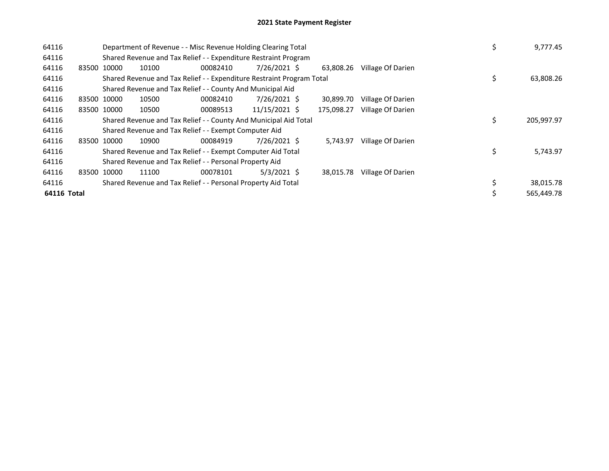| 64116       |       | Department of Revenue - - Misc Revenue Holding Clearing Total<br>Shared Revenue and Tax Relief - - Expenditure Restraint Program |                                                                       |          |               |  |                  |                   |  | \$<br>9,777.45  |
|-------------|-------|----------------------------------------------------------------------------------------------------------------------------------|-----------------------------------------------------------------------|----------|---------------|--|------------------|-------------------|--|-----------------|
| 64116       |       |                                                                                                                                  |                                                                       |          |               |  |                  |                   |  |                 |
| 64116       |       | 83500 10000                                                                                                                      | 10100                                                                 | 00082410 | 7/26/2021 \$  |  | 63.808.26        | Village Of Darien |  |                 |
| 64116       |       |                                                                                                                                  | Shared Revenue and Tax Relief - - Expenditure Restraint Program Total |          |               |  |                  |                   |  | \$<br>63,808.26 |
| 64116       |       |                                                                                                                                  | Shared Revenue and Tax Relief - - County And Municipal Aid            |          |               |  |                  |                   |  |                 |
| 64116       |       | 83500 10000                                                                                                                      | 10500                                                                 | 00082410 | 7/26/2021 \$  |  | 30.899.70        | Village Of Darien |  |                 |
| 64116       |       | 83500 10000                                                                                                                      | 10500                                                                 | 00089513 | 11/15/2021 \$ |  | 175,098.27       | Village Of Darien |  |                 |
| 64116       |       |                                                                                                                                  | Shared Revenue and Tax Relief - - County And Municipal Aid Total      |          |               |  | \$<br>205,997.97 |                   |  |                 |
| 64116       |       |                                                                                                                                  | Shared Revenue and Tax Relief - - Exempt Computer Aid                 |          |               |  |                  |                   |  |                 |
| 64116       |       | 83500 10000                                                                                                                      | 10900                                                                 | 00084919 | 7/26/2021 \$  |  | 5,743.97         | Village Of Darien |  |                 |
| 64116       |       |                                                                                                                                  | Shared Revenue and Tax Relief - - Exempt Computer Aid Total           |          |               |  |                  |                   |  | \$<br>5,743.97  |
| 64116       |       |                                                                                                                                  | Shared Revenue and Tax Relief - - Personal Property Aid               |          |               |  |                  |                   |  |                 |
| 64116       | 83500 | 10000                                                                                                                            | 11100                                                                 | 00078101 | $5/3/2021$ \$ |  | 38,015.78        | Village Of Darien |  |                 |
| 64116       |       |                                                                                                                                  | Shared Revenue and Tax Relief - - Personal Property Aid Total         |          | 38,015.78     |  |                  |                   |  |                 |
| 64116 Total |       |                                                                                                                                  |                                                                       |          |               |  |                  |                   |  | 565.449.78      |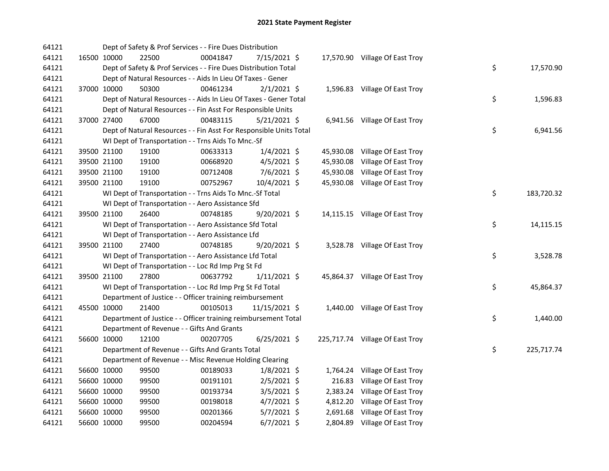| 64121 |             |             | Dept of Safety & Prof Services - - Fire Dues Distribution          |          |                |  |                                 |    |            |
|-------|-------------|-------------|--------------------------------------------------------------------|----------|----------------|--|---------------------------------|----|------------|
| 64121 |             | 16500 10000 | 22500                                                              | 00041847 | 7/15/2021 \$   |  | 17,570.90 Village Of East Troy  |    |            |
| 64121 |             |             | Dept of Safety & Prof Services - - Fire Dues Distribution Total    |          |                |  |                                 | \$ | 17,570.90  |
| 64121 |             |             | Dept of Natural Resources - - Aids In Lieu Of Taxes - Gener        |          |                |  |                                 |    |            |
| 64121 |             | 37000 10000 | 50300                                                              | 00461234 | $2/1/2021$ \$  |  | 1,596.83 Village Of East Troy   |    |            |
| 64121 |             |             | Dept of Natural Resources - - Aids In Lieu Of Taxes - Gener Total  |          |                |  |                                 | \$ | 1,596.83   |
| 64121 |             |             | Dept of Natural Resources - - Fin Asst For Responsible Units       |          |                |  |                                 |    |            |
| 64121 |             | 37000 27400 | 67000                                                              | 00483115 | $5/21/2021$ \$ |  | 6,941.56 Village Of East Troy   |    |            |
| 64121 |             |             | Dept of Natural Resources - - Fin Asst For Responsible Units Total |          |                |  |                                 | \$ | 6,941.56   |
| 64121 |             |             | WI Dept of Transportation - - Trns Aids To Mnc.-Sf                 |          |                |  |                                 |    |            |
| 64121 |             | 39500 21100 | 19100                                                              | 00633313 | $1/4/2021$ \$  |  | 45,930.08 Village Of East Troy  |    |            |
| 64121 |             | 39500 21100 | 19100                                                              | 00668920 | $4/5/2021$ \$  |  | 45,930.08 Village Of East Troy  |    |            |
| 64121 |             | 39500 21100 | 19100                                                              | 00712408 | $7/6/2021$ \$  |  | 45,930.08 Village Of East Troy  |    |            |
| 64121 |             | 39500 21100 | 19100                                                              | 00752967 | 10/4/2021 \$   |  | 45,930.08 Village Of East Troy  |    |            |
| 64121 |             |             | WI Dept of Transportation - - Trns Aids To Mnc.-Sf Total           |          |                |  |                                 | \$ | 183,720.32 |
| 64121 |             |             | WI Dept of Transportation - - Aero Assistance Sfd                  |          |                |  |                                 |    |            |
| 64121 |             | 39500 21100 | 26400                                                              | 00748185 | 9/20/2021 \$   |  | 14,115.15 Village Of East Troy  |    |            |
| 64121 |             |             | WI Dept of Transportation - - Aero Assistance Sfd Total            |          |                |  |                                 | \$ | 14,115.15  |
| 64121 |             |             | WI Dept of Transportation - - Aero Assistance Lfd                  |          |                |  |                                 |    |            |
| 64121 |             | 39500 21100 | 27400                                                              | 00748185 | 9/20/2021 \$   |  | 3,528.78 Village Of East Troy   |    |            |
| 64121 |             |             | WI Dept of Transportation - - Aero Assistance Lfd Total            |          |                |  |                                 | \$ | 3,528.78   |
| 64121 |             |             | WI Dept of Transportation - - Loc Rd Imp Prg St Fd                 |          |                |  |                                 |    |            |
| 64121 |             | 39500 21100 | 27800                                                              | 00637792 | $1/11/2021$ \$ |  | 45,864.37 Village Of East Troy  |    |            |
| 64121 |             |             | WI Dept of Transportation - - Loc Rd Imp Prg St Fd Total           |          |                |  |                                 | \$ | 45,864.37  |
| 64121 |             |             | Department of Justice - - Officer training reimbursement           |          |                |  |                                 |    |            |
| 64121 |             | 45500 10000 | 21400                                                              | 00105013 | 11/15/2021 \$  |  | 1,440.00 Village Of East Troy   |    |            |
| 64121 |             |             | Department of Justice - - Officer training reimbursement Total     |          |                |  |                                 | \$ | 1,440.00   |
| 64121 |             |             | Department of Revenue - - Gifts And Grants                         |          |                |  |                                 |    |            |
| 64121 |             | 56600 10000 | 12100                                                              | 00207705 | $6/25/2021$ \$ |  | 225,717.74 Village Of East Troy |    |            |
| 64121 |             |             | Department of Revenue - - Gifts And Grants Total                   |          |                |  |                                 | \$ | 225,717.74 |
| 64121 |             |             | Department of Revenue - - Misc Revenue Holding Clearing            |          |                |  |                                 |    |            |
| 64121 |             | 56600 10000 | 99500                                                              | 00189033 | $1/8/2021$ \$  |  | 1,764.24 Village Of East Troy   |    |            |
| 64121 |             | 56600 10000 | 99500                                                              | 00191101 | $2/5/2021$ \$  |  | 216.83 Village Of East Troy     |    |            |
| 64121 |             | 56600 10000 | 99500                                                              | 00193734 | $3/5/2021$ \$  |  | 2,383.24 Village Of East Troy   |    |            |
| 64121 |             | 56600 10000 | 99500                                                              | 00198018 | $4/7/2021$ \$  |  | 4,812.20 Village Of East Troy   |    |            |
| 64121 |             | 56600 10000 | 99500                                                              | 00201366 | $5/7/2021$ \$  |  | 2,691.68 Village Of East Troy   |    |            |
| 64121 | 56600 10000 |             | 99500                                                              | 00204594 | $6/7/2021$ \$  |  | 2,804.89 Village Of East Troy   |    |            |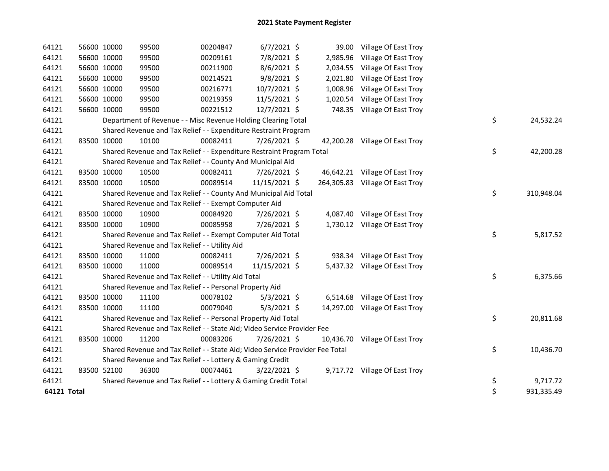| 64121       | 56600 10000 | 99500                                                                         | 00204847 | $6/7/2021$ \$  |          | 39.00 Village Of East Troy      |    |            |
|-------------|-------------|-------------------------------------------------------------------------------|----------|----------------|----------|---------------------------------|----|------------|
| 64121       | 56600 10000 | 99500                                                                         | 00209161 | 7/8/2021 \$    | 2,985.96 | Village Of East Troy            |    |            |
| 64121       | 56600 10000 | 99500                                                                         | 00211900 | $8/6/2021$ \$  |          | 2,034.55 Village Of East Troy   |    |            |
| 64121       | 56600 10000 | 99500                                                                         | 00214521 | $9/8/2021$ \$  |          | 2,021.80 Village Of East Troy   |    |            |
| 64121       | 56600 10000 | 99500                                                                         | 00216771 | 10/7/2021 \$   | 1,008.96 | Village Of East Troy            |    |            |
| 64121       | 56600 10000 | 99500                                                                         | 00219359 | 11/5/2021 \$   | 1,020.54 | Village Of East Troy            |    |            |
| 64121       | 56600 10000 | 99500                                                                         | 00221512 | 12/7/2021 \$   |          | 748.35 Village Of East Troy     |    |            |
| 64121       |             | Department of Revenue - - Misc Revenue Holding Clearing Total                 |          |                |          |                                 | \$ | 24,532.24  |
| 64121       |             | Shared Revenue and Tax Relief - - Expenditure Restraint Program               |          |                |          |                                 |    |            |
| 64121       | 83500 10000 | 10100                                                                         | 00082411 | 7/26/2021 \$   |          | 42,200.28 Village Of East Troy  |    |            |
| 64121       |             | Shared Revenue and Tax Relief - - Expenditure Restraint Program Total         |          |                |          |                                 | \$ | 42,200.28  |
| 64121       |             | Shared Revenue and Tax Relief - - County And Municipal Aid                    |          |                |          |                                 |    |            |
| 64121       | 83500 10000 | 10500                                                                         | 00082411 | 7/26/2021 \$   |          | 46,642.21 Village Of East Troy  |    |            |
| 64121       | 83500 10000 | 10500                                                                         | 00089514 | 11/15/2021 \$  |          | 264,305.83 Village Of East Troy |    |            |
| 64121       |             | Shared Revenue and Tax Relief - - County And Municipal Aid Total              |          |                |          |                                 | \$ | 310,948.04 |
| 64121       |             | Shared Revenue and Tax Relief - - Exempt Computer Aid                         |          |                |          |                                 |    |            |
| 64121       | 83500 10000 | 10900                                                                         | 00084920 | 7/26/2021 \$   |          | 4,087.40 Village Of East Troy   |    |            |
| 64121       | 83500 10000 | 10900                                                                         | 00085958 | 7/26/2021 \$   |          | 1,730.12 Village Of East Troy   |    |            |
| 64121       |             | Shared Revenue and Tax Relief - - Exempt Computer Aid Total                   |          |                |          |                                 | \$ | 5,817.52   |
| 64121       |             | Shared Revenue and Tax Relief - - Utility Aid                                 |          |                |          |                                 |    |            |
| 64121       | 83500 10000 | 11000                                                                         | 00082411 | 7/26/2021 \$   |          | 938.34 Village Of East Troy     |    |            |
| 64121       | 83500 10000 | 11000                                                                         | 00089514 | 11/15/2021 \$  |          | 5,437.32 Village Of East Troy   |    |            |
| 64121       |             | Shared Revenue and Tax Relief - - Utility Aid Total                           |          |                |          |                                 | \$ | 6,375.66   |
| 64121       |             | Shared Revenue and Tax Relief - - Personal Property Aid                       |          |                |          |                                 |    |            |
| 64121       | 83500 10000 | 11100                                                                         | 00078102 | $5/3/2021$ \$  |          | 6,514.68 Village Of East Troy   |    |            |
| 64121       | 83500 10000 | 11100                                                                         | 00079040 | $5/3/2021$ \$  |          | 14,297.00 Village Of East Troy  |    |            |
| 64121       |             | Shared Revenue and Tax Relief - - Personal Property Aid Total                 |          |                |          |                                 | \$ | 20,811.68  |
| 64121       |             | Shared Revenue and Tax Relief - - State Aid; Video Service Provider Fee       |          |                |          |                                 |    |            |
| 64121       | 83500 10000 | 11200                                                                         | 00083206 | 7/26/2021 \$   |          | 10,436.70 Village Of East Troy  |    |            |
| 64121       |             | Shared Revenue and Tax Relief - - State Aid; Video Service Provider Fee Total |          |                |          |                                 | \$ | 10,436.70  |
| 64121       |             | Shared Revenue and Tax Relief - - Lottery & Gaming Credit                     |          |                |          |                                 |    |            |
| 64121       | 83500 52100 | 36300                                                                         | 00074461 | $3/22/2021$ \$ |          | 9,717.72 Village Of East Troy   |    |            |
| 64121       |             | Shared Revenue and Tax Relief - - Lottery & Gaming Credit Total               |          |                |          |                                 | \$ | 9,717.72   |
| 64121 Total |             |                                                                               |          |                |          |                                 | \$ | 931,335.49 |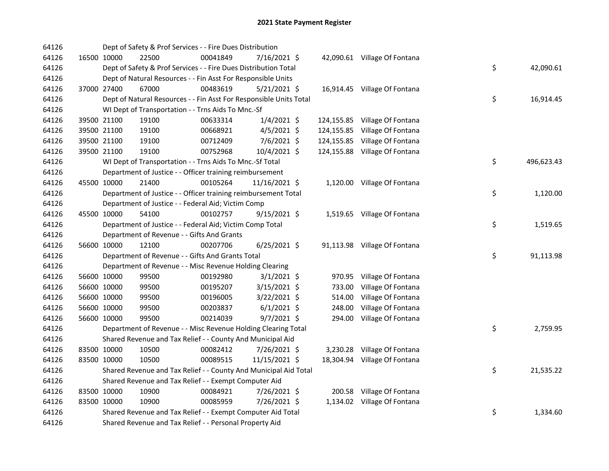| 64126 |             | Dept of Safety & Prof Services - - Fire Dues Distribution          |          |                |            |                               |    |            |
|-------|-------------|--------------------------------------------------------------------|----------|----------------|------------|-------------------------------|----|------------|
| 64126 | 16500 10000 | 22500                                                              | 00041849 | 7/16/2021 \$   |            | 42,090.61 Village Of Fontana  |    |            |
| 64126 |             | Dept of Safety & Prof Services - - Fire Dues Distribution Total    |          |                |            |                               | \$ | 42,090.61  |
| 64126 |             | Dept of Natural Resources - - Fin Asst For Responsible Units       |          |                |            |                               |    |            |
| 64126 | 37000 27400 | 67000                                                              | 00483619 | 5/21/2021 \$   |            | 16,914.45 Village Of Fontana  |    |            |
| 64126 |             | Dept of Natural Resources - - Fin Asst For Responsible Units Total |          |                |            |                               | \$ | 16,914.45  |
| 64126 |             | WI Dept of Transportation - - Trns Aids To Mnc.-Sf                 |          |                |            |                               |    |            |
| 64126 | 39500 21100 | 19100                                                              | 00633314 | $1/4/2021$ \$  |            | 124,155.85 Village Of Fontana |    |            |
| 64126 | 39500 21100 | 19100                                                              | 00668921 | $4/5/2021$ \$  | 124,155.85 | Village Of Fontana            |    |            |
| 64126 | 39500 21100 | 19100                                                              | 00712409 | $7/6/2021$ \$  | 124,155.85 | Village Of Fontana            |    |            |
| 64126 | 39500 21100 | 19100                                                              | 00752968 | 10/4/2021 \$   |            | 124,155.88 Village Of Fontana |    |            |
| 64126 |             | WI Dept of Transportation - - Trns Aids To Mnc.-Sf Total           |          |                |            |                               | \$ | 496,623.43 |
| 64126 |             | Department of Justice - - Officer training reimbursement           |          |                |            |                               |    |            |
| 64126 | 45500 10000 | 21400                                                              | 00105264 | 11/16/2021 \$  |            | 1,120.00 Village Of Fontana   |    |            |
| 64126 |             | Department of Justice - - Officer training reimbursement Total     |          |                |            |                               | \$ | 1,120.00   |
| 64126 |             | Department of Justice - - Federal Aid; Victim Comp                 |          |                |            |                               |    |            |
| 64126 | 45500 10000 | 54100                                                              | 00102757 | $9/15/2021$ \$ |            | 1,519.65 Village Of Fontana   |    |            |
| 64126 |             | Department of Justice - - Federal Aid; Victim Comp Total           |          |                |            |                               | \$ | 1,519.65   |
| 64126 |             | Department of Revenue - - Gifts And Grants                         |          |                |            |                               |    |            |
| 64126 | 56600 10000 | 12100                                                              | 00207706 | $6/25/2021$ \$ |            | 91,113.98 Village Of Fontana  |    |            |
| 64126 |             | Department of Revenue - - Gifts And Grants Total                   |          |                |            |                               | \$ | 91,113.98  |
| 64126 |             | Department of Revenue - - Misc Revenue Holding Clearing            |          |                |            |                               |    |            |
| 64126 | 56600 10000 | 99500                                                              | 00192980 | $3/1/2021$ \$  | 970.95     | Village Of Fontana            |    |            |
| 64126 | 56600 10000 | 99500                                                              | 00195207 | 3/15/2021 \$   | 733.00     | Village Of Fontana            |    |            |
| 64126 | 56600 10000 | 99500                                                              | 00196005 | 3/22/2021 \$   | 514.00     | Village Of Fontana            |    |            |
| 64126 | 56600 10000 | 99500                                                              | 00203837 | $6/1/2021$ \$  | 248.00     | Village Of Fontana            |    |            |
| 64126 | 56600 10000 | 99500                                                              | 00214039 | $9/7/2021$ \$  | 294.00     | Village Of Fontana            |    |            |
| 64126 |             | Department of Revenue - - Misc Revenue Holding Clearing Total      |          |                |            |                               | \$ | 2,759.95   |
| 64126 |             | Shared Revenue and Tax Relief - - County And Municipal Aid         |          |                |            |                               |    |            |
| 64126 | 83500 10000 | 10500                                                              | 00082412 | 7/26/2021 \$   |            | 3,230.28 Village Of Fontana   |    |            |
| 64126 | 83500 10000 | 10500                                                              | 00089515 | 11/15/2021 \$  |            | 18,304.94 Village Of Fontana  |    |            |
| 64126 |             | Shared Revenue and Tax Relief - - County And Municipal Aid Total   |          |                |            |                               | \$ | 21,535.22  |
| 64126 |             | Shared Revenue and Tax Relief - - Exempt Computer Aid              |          |                |            |                               |    |            |
| 64126 | 83500 10000 | 10900                                                              | 00084921 | 7/26/2021 \$   |            | 200.58 Village Of Fontana     |    |            |
| 64126 | 83500 10000 | 10900                                                              | 00085959 | 7/26/2021 \$   |            | 1,134.02 Village Of Fontana   |    |            |
| 64126 |             | Shared Revenue and Tax Relief - - Exempt Computer Aid Total        |          |                |            |                               | \$ | 1,334.60   |
| 64126 |             | Shared Revenue and Tax Relief - - Personal Property Aid            |          |                |            |                               |    |            |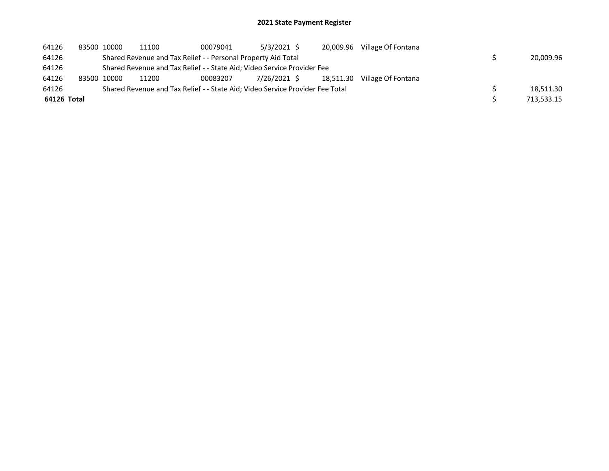| 64126       | 83500 10000 | 11100                                                                         | 00079041 | 5/3/2021 \$  | 20,009.96 | Village Of Fontana |            |
|-------------|-------------|-------------------------------------------------------------------------------|----------|--------------|-----------|--------------------|------------|
| 64126       |             | Shared Revenue and Tax Relief - - Personal Property Aid Total                 |          |              |           |                    | 20,009.96  |
| 64126       |             | Shared Revenue and Tax Relief - - State Aid; Video Service Provider Fee       |          |              |           |                    |            |
| 64126       | 83500 10000 | 11200                                                                         | 00083207 | 7/26/2021 \$ | 18.511.30 | Village Of Fontana |            |
| 64126       |             | Shared Revenue and Tax Relief - - State Aid; Video Service Provider Fee Total |          |              |           |                    | 18.511.30  |
| 64126 Total |             |                                                                               |          |              |           |                    | 713,533.15 |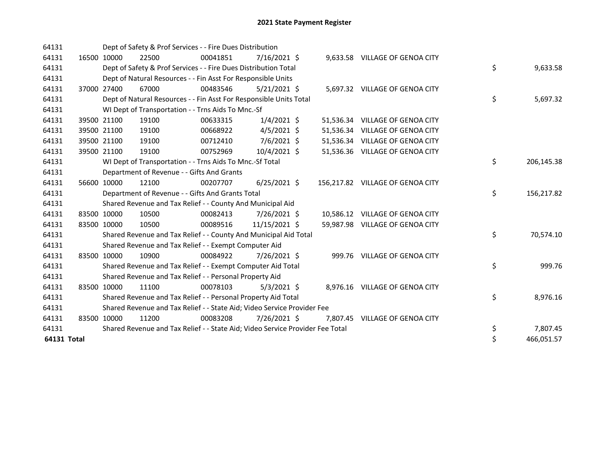| 64131              |             | Dept of Safety & Prof Services - - Fire Dues Distribution                     |          |                |  |                                  |    |            |
|--------------------|-------------|-------------------------------------------------------------------------------|----------|----------------|--|----------------------------------|----|------------|
| 64131              | 16500 10000 | 22500                                                                         | 00041851 | $7/16/2021$ \$ |  | 9,633.58 VILLAGE OF GENOA CITY   |    |            |
| 64131              |             | Dept of Safety & Prof Services - - Fire Dues Distribution Total               |          |                |  |                                  | \$ | 9,633.58   |
| 64131              |             | Dept of Natural Resources - - Fin Asst For Responsible Units                  |          |                |  |                                  |    |            |
| 64131              | 37000 27400 | 67000                                                                         | 00483546 | $5/21/2021$ \$ |  | 5,697.32 VILLAGE OF GENOA CITY   |    |            |
| 64131              |             | Dept of Natural Resources - - Fin Asst For Responsible Units Total            |          |                |  |                                  | \$ | 5,697.32   |
| 64131              |             | WI Dept of Transportation - - Trns Aids To Mnc.-Sf                            |          |                |  |                                  |    |            |
| 64131              | 39500 21100 | 19100                                                                         | 00633315 | $1/4/2021$ \$  |  | 51,536.34 VILLAGE OF GENOA CITY  |    |            |
| 64131              | 39500 21100 | 19100                                                                         | 00668922 | $4/5/2021$ \$  |  | 51,536.34 VILLAGE OF GENOA CITY  |    |            |
| 64131              | 39500 21100 | 19100                                                                         | 00712410 | 7/6/2021 \$    |  | 51,536.34 VILLAGE OF GENOA CITY  |    |            |
| 64131              | 39500 21100 | 19100                                                                         | 00752969 | $10/4/2021$ \$ |  | 51,536.36 VILLAGE OF GENOA CITY  |    |            |
| 64131              |             | WI Dept of Transportation - - Trns Aids To Mnc.-Sf Total                      |          |                |  |                                  | \$ | 206,145.38 |
| 64131              |             | Department of Revenue - - Gifts And Grants                                    |          |                |  |                                  |    |            |
| 64131              | 56600 10000 | 12100                                                                         | 00207707 | $6/25/2021$ \$ |  | 156,217.82 VILLAGE OF GENOA CITY |    |            |
| 64131              |             | Department of Revenue - - Gifts And Grants Total                              |          |                |  |                                  | \$ | 156,217.82 |
| 64131              |             | Shared Revenue and Tax Relief - - County And Municipal Aid                    |          |                |  |                                  |    |            |
| 64131              | 83500 10000 | 10500                                                                         | 00082413 | 7/26/2021 \$   |  | 10,586.12 VILLAGE OF GENOA CITY  |    |            |
| 64131              | 83500 10000 | 10500                                                                         | 00089516 | 11/15/2021 \$  |  | 59,987.98 VILLAGE OF GENOA CITY  |    |            |
| 64131              |             | Shared Revenue and Tax Relief - - County And Municipal Aid Total              |          |                |  |                                  | \$ | 70,574.10  |
| 64131              |             | Shared Revenue and Tax Relief - - Exempt Computer Aid                         |          |                |  |                                  |    |            |
| 64131              | 83500 10000 | 10900                                                                         | 00084922 | 7/26/2021 \$   |  | 999.76 VILLAGE OF GENOA CITY     |    |            |
| 64131              |             | Shared Revenue and Tax Relief - - Exempt Computer Aid Total                   |          |                |  |                                  | \$ | 999.76     |
| 64131              |             | Shared Revenue and Tax Relief - - Personal Property Aid                       |          |                |  |                                  |    |            |
| 64131              | 83500 10000 | 11100                                                                         | 00078103 | $5/3/2021$ \$  |  | 8,976.16 VILLAGE OF GENOA CITY   |    |            |
| 64131              |             | Shared Revenue and Tax Relief - - Personal Property Aid Total                 |          |                |  |                                  | \$ | 8,976.16   |
| 64131              |             | Shared Revenue and Tax Relief - - State Aid; Video Service Provider Fee       |          |                |  |                                  |    |            |
| 64131              | 83500 10000 | 11200                                                                         | 00083208 | 7/26/2021 \$   |  | 7,807.45 VILLAGE OF GENOA CITY   |    |            |
| 64131              |             | Shared Revenue and Tax Relief - - State Aid; Video Service Provider Fee Total |          |                |  |                                  | \$ | 7,807.45   |
| <b>64131 Total</b> |             |                                                                               |          |                |  |                                  | \$ | 466,051.57 |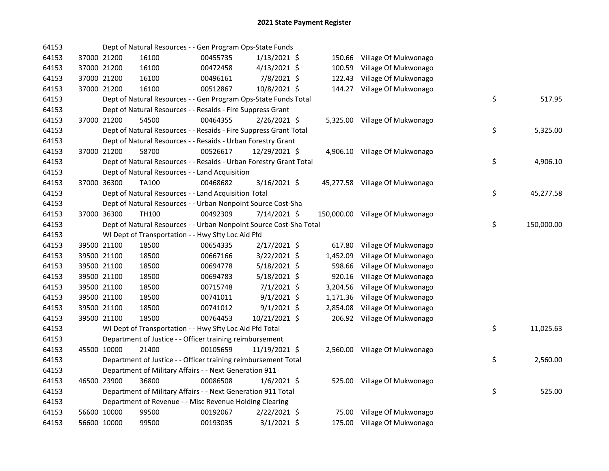| 64153 |             | Dept of Natural Resources - - Gen Program Ops-State Funds          |          |                |          |                                 |    |            |
|-------|-------------|--------------------------------------------------------------------|----------|----------------|----------|---------------------------------|----|------------|
| 64153 | 37000 21200 | 16100                                                              | 00455735 | $1/13/2021$ \$ |          | 150.66 Village Of Mukwonago     |    |            |
| 64153 | 37000 21200 | 16100                                                              | 00472458 | $4/13/2021$ \$ |          | 100.59 Village Of Mukwonago     |    |            |
| 64153 | 37000 21200 | 16100                                                              | 00496161 | 7/8/2021 \$    |          | 122.43 Village Of Mukwonago     |    |            |
| 64153 | 37000 21200 | 16100                                                              | 00512867 | 10/8/2021 \$   |          | 144.27 Village Of Mukwonago     |    |            |
| 64153 |             | Dept of Natural Resources - - Gen Program Ops-State Funds Total    |          |                |          |                                 | \$ | 517.95     |
| 64153 |             | Dept of Natural Resources - - Resaids - Fire Suppress Grant        |          |                |          |                                 |    |            |
| 64153 | 37000 21200 | 54500                                                              | 00464355 | $2/26/2021$ \$ |          | 5,325.00 Village Of Mukwonago   |    |            |
| 64153 |             | Dept of Natural Resources - - Resaids - Fire Suppress Grant Total  |          |                |          |                                 | \$ | 5,325.00   |
| 64153 |             | Dept of Natural Resources - - Resaids - Urban Forestry Grant       |          |                |          |                                 |    |            |
| 64153 | 37000 21200 | 58700                                                              | 00526617 | 12/29/2021 \$  |          | 4,906.10 Village Of Mukwonago   |    |            |
| 64153 |             | Dept of Natural Resources - - Resaids - Urban Forestry Grant Total |          |                |          |                                 | \$ | 4,906.10   |
| 64153 |             | Dept of Natural Resources - - Land Acquisition                     |          |                |          |                                 |    |            |
| 64153 | 37000 36300 | <b>TA100</b>                                                       | 00468682 | 3/16/2021 \$   |          | 45,277.58 Village Of Mukwonago  |    |            |
| 64153 |             | Dept of Natural Resources - - Land Acquisition Total               |          |                |          |                                 | \$ | 45,277.58  |
| 64153 |             | Dept of Natural Resources - - Urban Nonpoint Source Cost-Sha       |          |                |          |                                 |    |            |
| 64153 | 37000 36300 | <b>TH100</b>                                                       | 00492309 | 7/14/2021 \$   |          | 150,000.00 Village Of Mukwonago |    |            |
| 64153 |             | Dept of Natural Resources - - Urban Nonpoint Source Cost-Sha Total |          |                |          |                                 | \$ | 150,000.00 |
| 64153 |             | WI Dept of Transportation - - Hwy Sfty Loc Aid Ffd                 |          |                |          |                                 |    |            |
| 64153 | 39500 21100 | 18500                                                              | 00654335 | $2/17/2021$ \$ | 617.80   | Village Of Mukwonago            |    |            |
| 64153 | 39500 21100 | 18500                                                              | 00667166 | $3/22/2021$ \$ | 1,452.09 | Village Of Mukwonago            |    |            |
| 64153 | 39500 21100 | 18500                                                              | 00694778 | $5/18/2021$ \$ | 598.66   | Village Of Mukwonago            |    |            |
| 64153 | 39500 21100 | 18500                                                              | 00694783 | 5/18/2021 \$   | 920.16   | Village Of Mukwonago            |    |            |
| 64153 | 39500 21100 | 18500                                                              | 00715748 | $7/1/2021$ \$  |          | 3,204.56 Village Of Mukwonago   |    |            |
| 64153 | 39500 21100 | 18500                                                              | 00741011 | $9/1/2021$ \$  |          | 1,171.36 Village Of Mukwonago   |    |            |
| 64153 | 39500 21100 | 18500                                                              | 00741012 | $9/1/2021$ \$  | 2,854.08 | Village Of Mukwonago            |    |            |
| 64153 | 39500 21100 | 18500                                                              | 00764453 | 10/21/2021 \$  |          | 206.92 Village Of Mukwonago     |    |            |
| 64153 |             | WI Dept of Transportation - - Hwy Sfty Loc Aid Ffd Total           |          |                |          |                                 | \$ | 11,025.63  |
| 64153 |             | Department of Justice - - Officer training reimbursement           |          |                |          |                                 |    |            |
| 64153 | 45500 10000 | 21400                                                              | 00105659 | 11/19/2021 \$  |          | 2,560.00 Village Of Mukwonago   |    |            |
| 64153 |             | Department of Justice - - Officer training reimbursement Total     |          |                |          |                                 | \$ | 2,560.00   |
| 64153 |             | Department of Military Affairs - - Next Generation 911             |          |                |          |                                 |    |            |
| 64153 | 46500 23900 | 36800                                                              | 00086508 | $1/6/2021$ \$  |          | 525.00 Village Of Mukwonago     |    |            |
| 64153 |             | Department of Military Affairs - - Next Generation 911 Total       |          |                |          |                                 | \$ | 525.00     |
| 64153 |             | Department of Revenue - - Misc Revenue Holding Clearing            |          |                |          |                                 |    |            |
| 64153 | 56600 10000 | 99500                                                              | 00192067 | $2/22/2021$ \$ |          | 75.00 Village Of Mukwonago      |    |            |
| 64153 | 56600 10000 | 99500                                                              | 00193035 | $3/1/2021$ \$  |          | 175.00 Village Of Mukwonago     |    |            |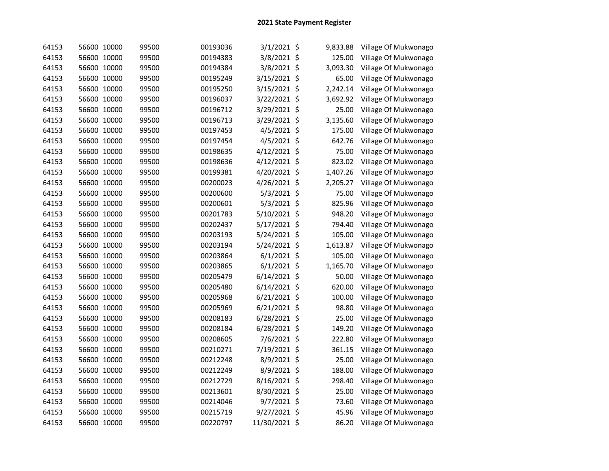| 64153 | 56600 10000 | 99500 | 00193036 | 3/1/2021 \$    | 9,833.88 | Village Of Mukwonago |
|-------|-------------|-------|----------|----------------|----------|----------------------|
| 64153 | 56600 10000 | 99500 | 00194383 | 3/8/2021 \$    | 125.00   | Village Of Mukwonago |
| 64153 | 56600 10000 | 99500 | 00194384 | 3/8/2021 \$    | 3,093.30 | Village Of Mukwonago |
| 64153 | 56600 10000 | 99500 | 00195249 | 3/15/2021 \$   | 65.00    | Village Of Mukwonago |
| 64153 | 56600 10000 | 99500 | 00195250 | 3/15/2021 \$   | 2,242.14 | Village Of Mukwonago |
| 64153 | 56600 10000 | 99500 | 00196037 | 3/22/2021 \$   | 3,692.92 | Village Of Mukwonago |
| 64153 | 56600 10000 | 99500 | 00196712 | 3/29/2021 \$   | 25.00    | Village Of Mukwonago |
| 64153 | 56600 10000 | 99500 | 00196713 | 3/29/2021 \$   | 3,135.60 | Village Of Mukwonago |
| 64153 | 56600 10000 | 99500 | 00197453 | 4/5/2021 \$    | 175.00   | Village Of Mukwonago |
| 64153 | 56600 10000 | 99500 | 00197454 | $4/5/2021$ \$  | 642.76   | Village Of Mukwonago |
| 64153 | 56600 10000 | 99500 | 00198635 | $4/12/2021$ \$ | 75.00    | Village Of Mukwonago |
| 64153 | 56600 10000 | 99500 | 00198636 | 4/12/2021 \$   | 823.02   | Village Of Mukwonago |
| 64153 | 56600 10000 | 99500 | 00199381 | 4/20/2021 \$   | 1,407.26 | Village Of Mukwonago |
| 64153 | 56600 10000 | 99500 | 00200023 | 4/26/2021 \$   | 2,205.27 | Village Of Mukwonago |
| 64153 | 56600 10000 | 99500 | 00200600 | 5/3/2021 \$    | 75.00    | Village Of Mukwonago |
| 64153 | 56600 10000 | 99500 | 00200601 | 5/3/2021 \$    | 825.96   | Village Of Mukwonago |
| 64153 | 56600 10000 | 99500 | 00201783 | 5/10/2021 \$   | 948.20   | Village Of Mukwonago |
| 64153 | 56600 10000 | 99500 | 00202437 | 5/17/2021 \$   | 794.40   | Village Of Mukwonago |
| 64153 | 56600 10000 | 99500 | 00203193 | 5/24/2021 \$   | 105.00   | Village Of Mukwonago |
| 64153 | 56600 10000 | 99500 | 00203194 | 5/24/2021 \$   | 1,613.87 | Village Of Mukwonago |
| 64153 | 56600 10000 | 99500 | 00203864 | $6/1/2021$ \$  | 105.00   | Village Of Mukwonago |
| 64153 | 56600 10000 | 99500 | 00203865 | $6/1/2021$ \$  | 1,165.70 | Village Of Mukwonago |
| 64153 | 56600 10000 | 99500 | 00205479 | $6/14/2021$ \$ | 50.00    | Village Of Mukwonago |
| 64153 | 56600 10000 | 99500 | 00205480 | $6/14/2021$ \$ | 620.00   | Village Of Mukwonago |
| 64153 | 56600 10000 | 99500 | 00205968 | $6/21/2021$ \$ | 100.00   | Village Of Mukwonago |
| 64153 | 56600 10000 | 99500 | 00205969 | $6/21/2021$ \$ | 98.80    | Village Of Mukwonago |
| 64153 | 56600 10000 | 99500 | 00208183 | $6/28/2021$ \$ | 25.00    | Village Of Mukwonago |
| 64153 | 56600 10000 | 99500 | 00208184 | 6/28/2021 \$   | 149.20   | Village Of Mukwonago |
| 64153 | 56600 10000 | 99500 | 00208605 | 7/6/2021 \$    | 222.80   | Village Of Mukwonago |
| 64153 | 56600 10000 | 99500 | 00210271 | 7/19/2021 \$   | 361.15   | Village Of Mukwonago |
| 64153 | 56600 10000 | 99500 | 00212248 | 8/9/2021 \$    | 25.00    | Village Of Mukwonago |
| 64153 | 56600 10000 | 99500 | 00212249 | 8/9/2021 \$    | 188.00   | Village Of Mukwonago |
| 64153 | 56600 10000 | 99500 | 00212729 | 8/16/2021 \$   | 298.40   | Village Of Mukwonago |
| 64153 | 56600 10000 | 99500 | 00213601 | 8/30/2021 \$   | 25.00    | Village Of Mukwonago |
| 64153 | 56600 10000 | 99500 | 00214046 | $9/7/2021$ \$  | 73.60    | Village Of Mukwonago |
| 64153 | 56600 10000 | 99500 | 00215719 | 9/27/2021 \$   | 45.96    | Village Of Mukwonago |
| 64153 | 56600 10000 | 99500 | 00220797 | 11/30/2021 \$  | 86.20    | Village Of Mukwonago |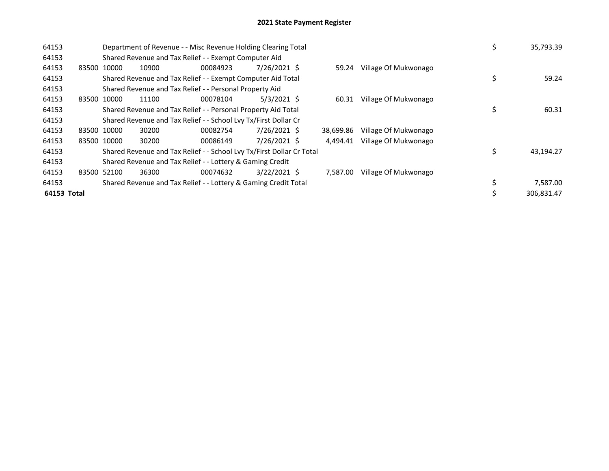| 64153       |       |             | Department of Revenue - - Misc Revenue Holding Clearing Total         |          |                |           |                      | \$ | 35,793.39  |
|-------------|-------|-------------|-----------------------------------------------------------------------|----------|----------------|-----------|----------------------|----|------------|
| 64153       |       |             | Shared Revenue and Tax Relief - - Exempt Computer Aid                 |          |                |           |                      |    |            |
| 64153       | 83500 | 10000       | 10900                                                                 | 00084923 | 7/26/2021 \$   | 59.24     | Village Of Mukwonago |    |            |
| 64153       |       |             | Shared Revenue and Tax Relief - - Exempt Computer Aid Total           |          |                |           |                      | \$ | 59.24      |
| 64153       |       |             | Shared Revenue and Tax Relief - - Personal Property Aid               |          |                |           |                      |    |            |
| 64153       | 83500 | 10000       | 11100                                                                 | 00078104 | $5/3/2021$ \$  | 60.31     | Village Of Mukwonago |    |            |
| 64153       |       |             | Shared Revenue and Tax Relief - - Personal Property Aid Total         |          |                |           |                      |    | 60.31      |
| 64153       |       |             | Shared Revenue and Tax Relief - - School Lvy Tx/First Dollar Cr       |          |                |           |                      |    |            |
| 64153       | 83500 | 10000       | 30200                                                                 | 00082754 | 7/26/2021 \$   | 38.699.86 | Village Of Mukwonago |    |            |
| 64153       |       | 83500 10000 | 30200                                                                 | 00086149 | 7/26/2021 \$   | 4.494.41  | Village Of Mukwonago |    |            |
| 64153       |       |             | Shared Revenue and Tax Relief - - School Lvy Tx/First Dollar Cr Total |          |                |           |                      | Ś  | 43,194.27  |
| 64153       |       |             | Shared Revenue and Tax Relief - - Lottery & Gaming Credit             |          |                |           |                      |    |            |
| 64153       | 83500 | 52100       | 36300                                                                 | 00074632 | $3/22/2021$ \$ | 7,587.00  | Village Of Mukwonago |    |            |
| 64153       |       |             | Shared Revenue and Tax Relief - - Lottery & Gaming Credit Total       |          |                |           |                      | \$ | 7,587.00   |
| 64153 Total |       |             |                                                                       |          |                |           |                      |    | 306.831.47 |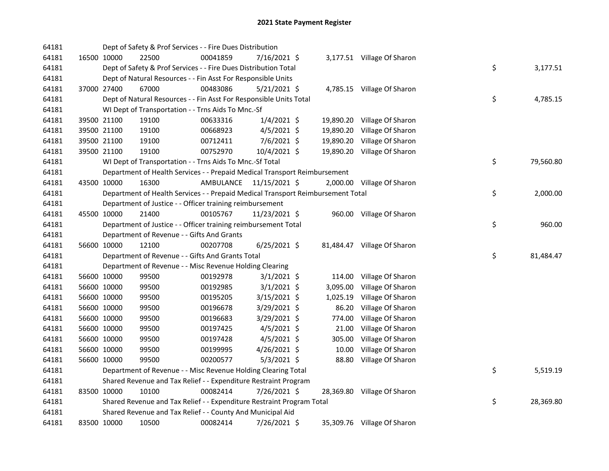| 64181 |             | Dept of Safety & Prof Services - - Fire Dues Distribution                       |           |                |           |                             |    |           |
|-------|-------------|---------------------------------------------------------------------------------|-----------|----------------|-----------|-----------------------------|----|-----------|
| 64181 | 16500 10000 | 22500                                                                           | 00041859  | 7/16/2021 \$   |           | 3,177.51 Village Of Sharon  |    |           |
| 64181 |             | Dept of Safety & Prof Services - - Fire Dues Distribution Total                 |           |                |           |                             | \$ | 3,177.51  |
| 64181 |             | Dept of Natural Resources - - Fin Asst For Responsible Units                    |           |                |           |                             |    |           |
| 64181 | 37000 27400 | 67000                                                                           | 00483086  | $5/21/2021$ \$ |           | 4,785.15 Village Of Sharon  |    |           |
| 64181 |             | Dept of Natural Resources - - Fin Asst For Responsible Units Total              |           |                |           |                             | \$ | 4,785.15  |
| 64181 |             | WI Dept of Transportation - - Trns Aids To Mnc.-Sf                              |           |                |           |                             |    |           |
| 64181 | 39500 21100 | 19100                                                                           | 00633316  | $1/4/2021$ \$  |           | 19,890.20 Village Of Sharon |    |           |
| 64181 | 39500 21100 | 19100                                                                           | 00668923  | 4/5/2021 \$    | 19,890.20 | Village Of Sharon           |    |           |
| 64181 | 39500 21100 | 19100                                                                           | 00712411  | 7/6/2021 \$    | 19,890.20 | Village Of Sharon           |    |           |
| 64181 | 39500 21100 | 19100                                                                           | 00752970  | 10/4/2021 \$   | 19,890.20 | Village Of Sharon           |    |           |
| 64181 |             | WI Dept of Transportation - - Trns Aids To Mnc.-Sf Total                        |           |                |           |                             | \$ | 79,560.80 |
| 64181 |             | Department of Health Services - - Prepaid Medical Transport Reimbursement       |           |                |           |                             |    |           |
| 64181 | 43500 10000 | 16300                                                                           | AMBULANCE | 11/15/2021 \$  |           | 2,000.00 Village Of Sharon  |    |           |
| 64181 |             | Department of Health Services - - Prepaid Medical Transport Reimbursement Total |           |                |           |                             | \$ | 2,000.00  |
| 64181 |             | Department of Justice - - Officer training reimbursement                        |           |                |           |                             |    |           |
| 64181 | 45500 10000 | 21400                                                                           | 00105767  | 11/23/2021 \$  |           | 960.00 Village Of Sharon    |    |           |
| 64181 |             | Department of Justice - - Officer training reimbursement Total                  |           |                |           |                             | \$ | 960.00    |
| 64181 |             | Department of Revenue - - Gifts And Grants                                      |           |                |           |                             |    |           |
| 64181 | 56600 10000 | 12100                                                                           | 00207708  | $6/25/2021$ \$ |           | 81,484.47 Village Of Sharon |    |           |
| 64181 |             | Department of Revenue - - Gifts And Grants Total                                |           |                |           |                             | \$ | 81,484.47 |
| 64181 |             | Department of Revenue - - Misc Revenue Holding Clearing                         |           |                |           |                             |    |           |
| 64181 | 56600 10000 | 99500                                                                           | 00192978  | $3/1/2021$ \$  | 114.00    | Village Of Sharon           |    |           |
| 64181 | 56600 10000 | 99500                                                                           | 00192985  | $3/1/2021$ \$  | 3,095.00  | Village Of Sharon           |    |           |
| 64181 | 56600 10000 | 99500                                                                           | 00195205  | 3/15/2021 \$   | 1,025.19  | Village Of Sharon           |    |           |
| 64181 | 56600 10000 | 99500                                                                           | 00196678  | 3/29/2021 \$   | 86.20     | Village Of Sharon           |    |           |
| 64181 | 56600 10000 | 99500                                                                           | 00196683  | 3/29/2021 \$   | 774.00    | Village Of Sharon           |    |           |
| 64181 | 56600 10000 | 99500                                                                           | 00197425  | $4/5/2021$ \$  | 21.00     | Village Of Sharon           |    |           |
| 64181 | 56600 10000 | 99500                                                                           | 00197428  | $4/5/2021$ \$  | 305.00    | Village Of Sharon           |    |           |
| 64181 | 56600 10000 | 99500                                                                           | 00199995  | 4/26/2021 \$   | 10.00     | Village Of Sharon           |    |           |
| 64181 | 56600 10000 | 99500                                                                           | 00200577  | $5/3/2021$ \$  | 88.80     | Village Of Sharon           |    |           |
| 64181 |             | Department of Revenue - - Misc Revenue Holding Clearing Total                   |           |                |           |                             | \$ | 5,519.19  |
| 64181 |             | Shared Revenue and Tax Relief - - Expenditure Restraint Program                 |           |                |           |                             |    |           |
| 64181 | 83500 10000 | 10100                                                                           | 00082414  | 7/26/2021 \$   |           | 28,369.80 Village Of Sharon |    |           |
| 64181 |             | Shared Revenue and Tax Relief - - Expenditure Restraint Program Total           |           |                |           |                             | \$ | 28,369.80 |
| 64181 |             | Shared Revenue and Tax Relief - - County And Municipal Aid                      |           |                |           |                             |    |           |
| 64181 | 83500 10000 | 10500                                                                           | 00082414  | 7/26/2021 \$   |           | 35,309.76 Village Of Sharon |    |           |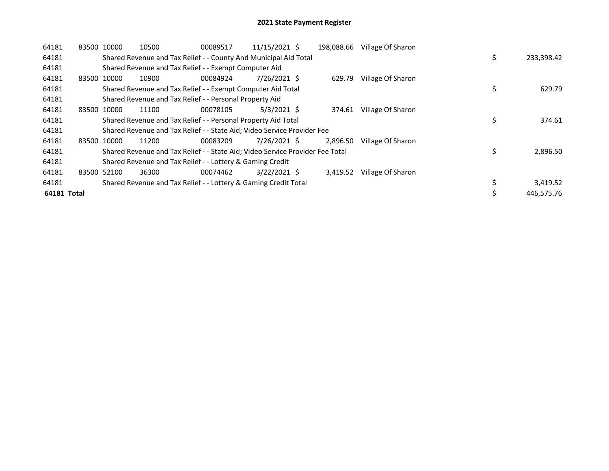| 64181       |       | 83500 10000 | 10500                                                                         | 00089517 | 11/15/2021 \$  | 198,088.66 | Village Of Sharon |    |            |
|-------------|-------|-------------|-------------------------------------------------------------------------------|----------|----------------|------------|-------------------|----|------------|
| 64181       |       |             | Shared Revenue and Tax Relief - - County And Municipal Aid Total              |          |                |            |                   | \$ | 233,398.42 |
| 64181       |       |             | Shared Revenue and Tax Relief - - Exempt Computer Aid                         |          |                |            |                   |    |            |
| 64181       | 83500 | 10000       | 10900                                                                         | 00084924 | 7/26/2021 \$   | 629.79     | Village Of Sharon |    |            |
| 64181       |       |             | Shared Revenue and Tax Relief - - Exempt Computer Aid Total                   |          |                |            |                   | \$ | 629.79     |
| 64181       |       |             | Shared Revenue and Tax Relief - - Personal Property Aid                       |          |                |            |                   |    |            |
| 64181       | 83500 | 10000       | 11100                                                                         | 00078105 | 5/3/2021 \$    | 374.61     | Village Of Sharon |    |            |
| 64181       |       |             | Shared Revenue and Tax Relief - - Personal Property Aid Total                 |          |                |            |                   | \$ | 374.61     |
| 64181       |       |             | Shared Revenue and Tax Relief - - State Aid; Video Service Provider Fee       |          |                |            |                   |    |            |
| 64181       |       | 83500 10000 | 11200                                                                         | 00083209 | 7/26/2021 \$   | 2.896.50   | Village Of Sharon |    |            |
| 64181       |       |             | Shared Revenue and Tax Relief - - State Aid; Video Service Provider Fee Total |          |                |            |                   | Ś  | 2,896.50   |
| 64181       |       |             | Shared Revenue and Tax Relief - - Lottery & Gaming Credit                     |          |                |            |                   |    |            |
| 64181       | 83500 | 52100       | 36300                                                                         | 00074462 | $3/22/2021$ \$ | 3,419.52   | Village Of Sharon |    |            |
| 64181       |       |             | Shared Revenue and Tax Relief - - Lottery & Gaming Credit Total               |          |                |            |                   |    | 3,419.52   |
| 64181 Total |       |             |                                                                               |          |                |            |                   |    | 446.575.76 |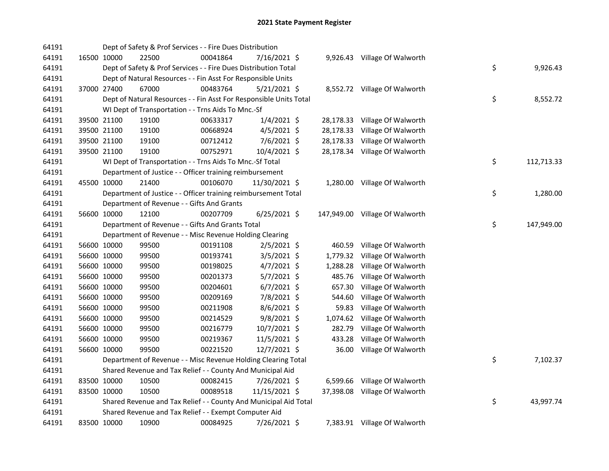| 64191 |             | Dept of Safety & Prof Services - - Fire Dues Distribution          |          |                |           |                                |    |            |
|-------|-------------|--------------------------------------------------------------------|----------|----------------|-----------|--------------------------------|----|------------|
| 64191 | 16500 10000 | 22500                                                              | 00041864 | 7/16/2021 \$   |           | 9,926.43 Village Of Walworth   |    |            |
| 64191 |             | Dept of Safety & Prof Services - - Fire Dues Distribution Total    |          |                |           |                                | \$ | 9,926.43   |
| 64191 |             | Dept of Natural Resources - - Fin Asst For Responsible Units       |          |                |           |                                |    |            |
| 64191 | 37000 27400 | 67000                                                              | 00483764 | $5/21/2021$ \$ |           | 8,552.72 Village Of Walworth   |    |            |
| 64191 |             | Dept of Natural Resources - - Fin Asst For Responsible Units Total |          |                |           |                                | \$ | 8,552.72   |
| 64191 |             | WI Dept of Transportation - - Trns Aids To Mnc.-Sf                 |          |                |           |                                |    |            |
| 64191 | 39500 21100 | 19100                                                              | 00633317 | $1/4/2021$ \$  |           | 28,178.33 Village Of Walworth  |    |            |
| 64191 | 39500 21100 | 19100                                                              | 00668924 | $4/5/2021$ \$  | 28,178.33 | Village Of Walworth            |    |            |
| 64191 | 39500 21100 | 19100                                                              | 00712412 | $7/6/2021$ \$  | 28,178.33 | Village Of Walworth            |    |            |
| 64191 | 39500 21100 | 19100                                                              | 00752971 | 10/4/2021 \$   |           | 28,178.34 Village Of Walworth  |    |            |
| 64191 |             | WI Dept of Transportation - - Trns Aids To Mnc.-Sf Total           |          |                |           |                                | \$ | 112,713.33 |
| 64191 |             | Department of Justice - - Officer training reimbursement           |          |                |           |                                |    |            |
| 64191 | 45500 10000 | 21400                                                              | 00106070 | 11/30/2021 \$  |           | 1,280.00 Village Of Walworth   |    |            |
| 64191 |             | Department of Justice - - Officer training reimbursement Total     |          |                |           |                                | \$ | 1,280.00   |
| 64191 |             | Department of Revenue - - Gifts And Grants                         |          |                |           |                                |    |            |
| 64191 | 56600 10000 | 12100                                                              | 00207709 | $6/25/2021$ \$ |           | 147,949.00 Village Of Walworth |    |            |
| 64191 |             | Department of Revenue - - Gifts And Grants Total                   |          |                |           |                                | \$ | 147,949.00 |
| 64191 |             | Department of Revenue - - Misc Revenue Holding Clearing            |          |                |           |                                |    |            |
| 64191 | 56600 10000 | 99500                                                              | 00191108 | $2/5/2021$ \$  | 460.59    | Village Of Walworth            |    |            |
| 64191 | 56600 10000 | 99500                                                              | 00193741 | $3/5/2021$ \$  | 1,779.32  | Village Of Walworth            |    |            |
| 64191 | 56600 10000 | 99500                                                              | 00198025 | $4/7/2021$ \$  | 1,288.28  | Village Of Walworth            |    |            |
| 64191 | 56600 10000 | 99500                                                              | 00201373 | 5/7/2021 \$    | 485.76    | Village Of Walworth            |    |            |
| 64191 | 56600 10000 | 99500                                                              | 00204601 | $6/7/2021$ \$  | 657.30    | Village Of Walworth            |    |            |
| 64191 | 56600 10000 | 99500                                                              | 00209169 | 7/8/2021 \$    | 544.60    | Village Of Walworth            |    |            |
| 64191 | 56600 10000 | 99500                                                              | 00211908 | 8/6/2021 \$    | 59.83     | Village Of Walworth            |    |            |
| 64191 | 56600 10000 | 99500                                                              | 00214529 | 9/8/2021 \$    | 1,074.62  | Village Of Walworth            |    |            |
| 64191 | 56600 10000 | 99500                                                              | 00216779 | 10/7/2021 \$   | 282.79    | Village Of Walworth            |    |            |
| 64191 | 56600 10000 | 99500                                                              | 00219367 | 11/5/2021 \$   | 433.28    | Village Of Walworth            |    |            |
| 64191 | 56600 10000 | 99500                                                              | 00221520 | 12/7/2021 \$   | 36.00     | Village Of Walworth            |    |            |
| 64191 |             | Department of Revenue - - Misc Revenue Holding Clearing Total      |          |                |           |                                | \$ | 7,102.37   |
| 64191 |             | Shared Revenue and Tax Relief - - County And Municipal Aid         |          |                |           |                                |    |            |
| 64191 | 83500 10000 | 10500                                                              | 00082415 | 7/26/2021 \$   |           | 6,599.66 Village Of Walworth   |    |            |
| 64191 | 83500 10000 | 10500                                                              | 00089518 | 11/15/2021 \$  |           | 37,398.08 Village Of Walworth  |    |            |
| 64191 |             | Shared Revenue and Tax Relief - - County And Municipal Aid Total   |          |                |           |                                | \$ | 43,997.74  |
| 64191 |             | Shared Revenue and Tax Relief - - Exempt Computer Aid              |          |                |           |                                |    |            |
| 64191 | 83500 10000 | 10900                                                              | 00084925 | 7/26/2021 \$   |           | 7,383.91 Village Of Walworth   |    |            |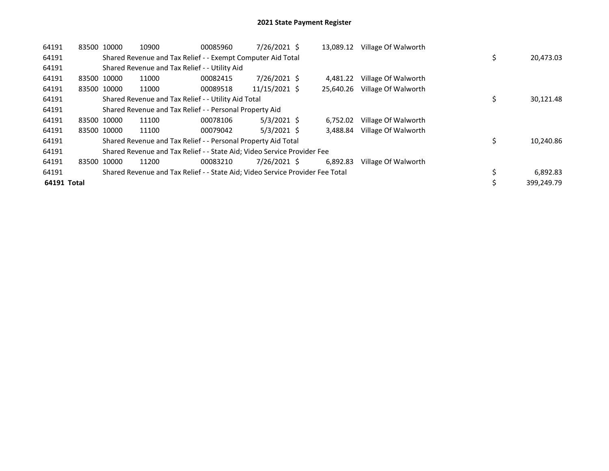| 64191       | 83500 10000 | 10900 | 00085960                                                                      | 7/26/2021 \$  | 13.089.12 | Village Of Walworth |    |            |
|-------------|-------------|-------|-------------------------------------------------------------------------------|---------------|-----------|---------------------|----|------------|
| 64191       |             |       | Shared Revenue and Tax Relief - - Exempt Computer Aid Total                   |               |           |                     | \$ | 20,473.03  |
| 64191       |             |       | Shared Revenue and Tax Relief - - Utility Aid                                 |               |           |                     |    |            |
| 64191       | 83500 10000 | 11000 | 00082415                                                                      | 7/26/2021 \$  | 4.481.22  | Village Of Walworth |    |            |
| 64191       | 83500 10000 | 11000 | 00089518                                                                      | 11/15/2021 \$ | 25.640.26 | Village Of Walworth |    |            |
| 64191       |             |       | Shared Revenue and Tax Relief - - Utility Aid Total                           |               |           |                     | \$ | 30,121.48  |
| 64191       |             |       | Shared Revenue and Tax Relief - - Personal Property Aid                       |               |           |                     |    |            |
| 64191       | 83500 10000 | 11100 | 00078106                                                                      | $5/3/2021$ \$ | 6.752.02  | Village Of Walworth |    |            |
| 64191       | 83500 10000 | 11100 | 00079042                                                                      | $5/3/2021$ \$ | 3.488.84  | Village Of Walworth |    |            |
| 64191       |             |       | Shared Revenue and Tax Relief - - Personal Property Aid Total                 |               |           |                     | \$ | 10,240.86  |
| 64191       |             |       | Shared Revenue and Tax Relief - - State Aid; Video Service Provider Fee       |               |           |                     |    |            |
| 64191       | 83500 10000 | 11200 | 00083210                                                                      | 7/26/2021 \$  | 6.892.83  | Village Of Walworth |    |            |
| 64191       |             |       | Shared Revenue and Tax Relief - - State Aid; Video Service Provider Fee Total |               |           |                     |    | 6,892.83   |
| 64191 Total |             |       |                                                                               |               |           |                     |    | 399.249.79 |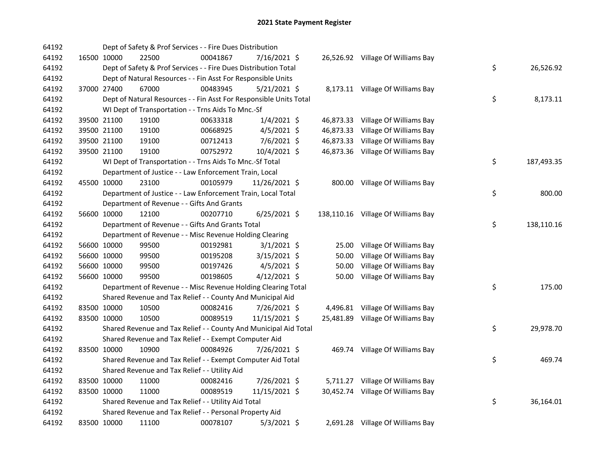| 64192 |             | Dept of Safety & Prof Services - - Fire Dues Distribution          |          |                |       |                                    |    |            |
|-------|-------------|--------------------------------------------------------------------|----------|----------------|-------|------------------------------------|----|------------|
| 64192 | 16500 10000 | 22500                                                              | 00041867 | 7/16/2021 \$   |       | 26,526.92 Village Of Williams Bay  |    |            |
| 64192 |             | Dept of Safety & Prof Services - - Fire Dues Distribution Total    |          |                |       |                                    | \$ | 26,526.92  |
| 64192 |             | Dept of Natural Resources - - Fin Asst For Responsible Units       |          |                |       |                                    |    |            |
| 64192 | 37000 27400 | 67000                                                              | 00483945 | $5/21/2021$ \$ |       | 8,173.11 Village Of Williams Bay   |    |            |
| 64192 |             | Dept of Natural Resources - - Fin Asst For Responsible Units Total |          |                |       |                                    | \$ | 8,173.11   |
| 64192 |             | WI Dept of Transportation - - Trns Aids To Mnc.-Sf                 |          |                |       |                                    |    |            |
| 64192 | 39500 21100 | 19100                                                              | 00633318 | $1/4/2021$ \$  |       | 46,873.33 Village Of Williams Bay  |    |            |
| 64192 | 39500 21100 | 19100                                                              | 00668925 | $4/5/2021$ \$  |       | 46,873.33 Village Of Williams Bay  |    |            |
| 64192 | 39500 21100 | 19100                                                              | 00712413 | 7/6/2021 \$    |       | 46,873.33 Village Of Williams Bay  |    |            |
| 64192 | 39500 21100 | 19100                                                              | 00752972 | 10/4/2021 \$   |       | 46,873.36 Village Of Williams Bay  |    |            |
| 64192 |             | WI Dept of Transportation - - Trns Aids To Mnc.-Sf Total           |          |                |       |                                    | \$ | 187,493.35 |
| 64192 |             | Department of Justice - - Law Enforcement Train, Local             |          |                |       |                                    |    |            |
| 64192 | 45500 10000 | 23100                                                              | 00105979 | 11/26/2021 \$  |       | 800.00 Village Of Williams Bay     |    |            |
| 64192 |             | Department of Justice - - Law Enforcement Train, Local Total       |          |                |       |                                    | \$ | 800.00     |
| 64192 |             | Department of Revenue - - Gifts And Grants                         |          |                |       |                                    |    |            |
| 64192 | 56600 10000 | 12100                                                              | 00207710 | $6/25/2021$ \$ |       | 138,110.16 Village Of Williams Bay |    |            |
| 64192 |             | Department of Revenue - - Gifts And Grants Total                   |          |                |       |                                    | \$ | 138,110.16 |
| 64192 |             | Department of Revenue - - Misc Revenue Holding Clearing            |          |                |       |                                    |    |            |
| 64192 | 56600 10000 | 99500                                                              | 00192981 | $3/1/2021$ \$  | 25.00 | Village Of Williams Bay            |    |            |
| 64192 | 56600 10000 | 99500                                                              | 00195208 | $3/15/2021$ \$ | 50.00 | Village Of Williams Bay            |    |            |
| 64192 | 56600 10000 | 99500                                                              | 00197426 | $4/5/2021$ \$  | 50.00 | Village Of Williams Bay            |    |            |
| 64192 | 56600 10000 | 99500                                                              | 00198605 | $4/12/2021$ \$ |       | 50.00 Village Of Williams Bay      |    |            |
| 64192 |             | Department of Revenue - - Misc Revenue Holding Clearing Total      |          |                |       |                                    | \$ | 175.00     |
| 64192 |             | Shared Revenue and Tax Relief - - County And Municipal Aid         |          |                |       |                                    |    |            |
| 64192 | 83500 10000 | 10500                                                              | 00082416 | 7/26/2021 \$   |       | 4,496.81 Village Of Williams Bay   |    |            |
| 64192 | 83500 10000 | 10500                                                              | 00089519 | 11/15/2021 \$  |       | 25,481.89 Village Of Williams Bay  |    |            |
| 64192 |             | Shared Revenue and Tax Relief - - County And Municipal Aid Total   |          |                |       |                                    | \$ | 29,978.70  |
| 64192 |             | Shared Revenue and Tax Relief - - Exempt Computer Aid              |          |                |       |                                    |    |            |
| 64192 | 83500 10000 | 10900                                                              | 00084926 | 7/26/2021 \$   |       | 469.74 Village Of Williams Bay     |    |            |
| 64192 |             | Shared Revenue and Tax Relief - - Exempt Computer Aid Total        |          |                |       |                                    | \$ | 469.74     |
| 64192 |             | Shared Revenue and Tax Relief - - Utility Aid                      |          |                |       |                                    |    |            |
| 64192 | 83500 10000 | 11000                                                              | 00082416 | 7/26/2021 \$   |       | 5,711.27 Village Of Williams Bay   |    |            |
| 64192 | 83500 10000 | 11000                                                              | 00089519 | 11/15/2021 \$  |       | 30,452.74 Village Of Williams Bay  |    |            |
| 64192 |             | Shared Revenue and Tax Relief - - Utility Aid Total                |          |                |       |                                    | \$ | 36,164.01  |
| 64192 |             | Shared Revenue and Tax Relief - - Personal Property Aid            |          |                |       |                                    |    |            |
| 64192 | 83500 10000 | 11100                                                              | 00078107 | $5/3/2021$ \$  |       | 2,691.28 Village Of Williams Bay   |    |            |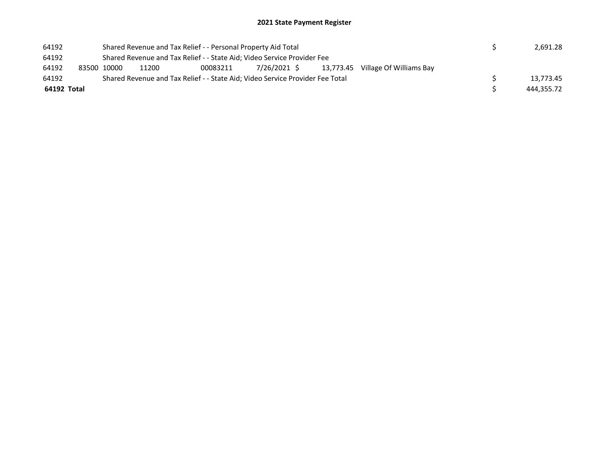| 64192       |             |       | Shared Revenue and Tax Relief - - Personal Property Aid Total                 |  |                                                  | 2,691.28   |
|-------------|-------------|-------|-------------------------------------------------------------------------------|--|--------------------------------------------------|------------|
| 64192       |             |       | Shared Revenue and Tax Relief - - State Aid; Video Service Provider Fee       |  |                                                  |            |
| 64192       | 83500 10000 | 11200 | 00083211                                                                      |  | $7/26/2021$ \$ 13,773.45 Village Of Williams Bay |            |
| 64192       |             |       | Shared Revenue and Tax Relief - - State Aid; Video Service Provider Fee Total |  |                                                  | 13.773.45  |
| 64192 Total |             |       |                                                                               |  |                                                  | 444.355.72 |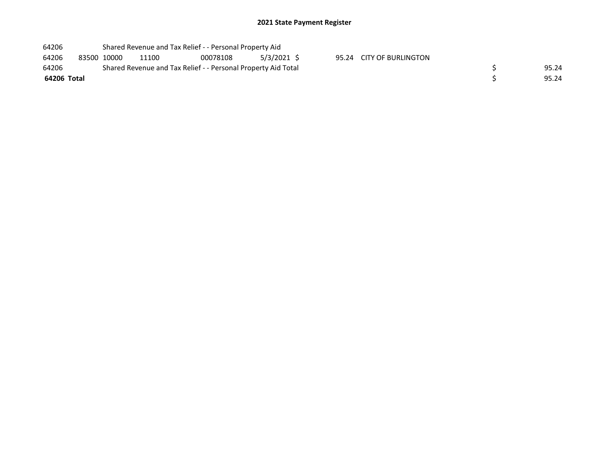| 64206       |             | Shared Revenue and Tax Relief - - Personal Property Aid       |          |            |                          |       |
|-------------|-------------|---------------------------------------------------------------|----------|------------|--------------------------|-------|
| 64206       | 83500 10000 | 11100                                                         | 00078108 | 5/3/2021 S | 95.24 CITY OF BURLINGTON |       |
| 64206       |             | Shared Revenue and Tax Relief - - Personal Property Aid Total |          |            |                          | 95.24 |
| 64206 Total |             |                                                               |          |            |                          | 95.24 |
|             |             |                                                               |          |            |                          |       |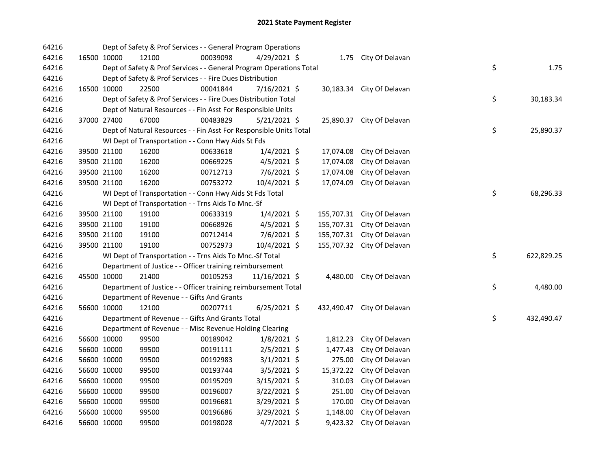| 64216 |             | Dept of Safety & Prof Services - - General Program Operations       |          |                |            |                            |    |            |
|-------|-------------|---------------------------------------------------------------------|----------|----------------|------------|----------------------------|----|------------|
| 64216 | 16500 10000 | 12100                                                               | 00039098 | 4/29/2021 \$   |            | 1.75 City Of Delavan       |    |            |
| 64216 |             | Dept of Safety & Prof Services - - General Program Operations Total |          |                |            |                            | \$ | 1.75       |
| 64216 |             | Dept of Safety & Prof Services - - Fire Dues Distribution           |          |                |            |                            |    |            |
| 64216 | 16500 10000 | 22500                                                               | 00041844 | 7/16/2021 \$   | 30,183.34  | City Of Delavan            |    |            |
| 64216 |             | Dept of Safety & Prof Services - - Fire Dues Distribution Total     |          |                |            |                            | \$ | 30,183.34  |
| 64216 |             | Dept of Natural Resources - - Fin Asst For Responsible Units        |          |                |            |                            |    |            |
| 64216 | 37000 27400 | 67000                                                               | 00483829 | 5/21/2021 \$   | 25,890.37  | City Of Delavan            |    |            |
| 64216 |             | Dept of Natural Resources - - Fin Asst For Responsible Units Total  |          |                |            |                            | \$ | 25,890.37  |
| 64216 |             | WI Dept of Transportation - - Conn Hwy Aids St Fds                  |          |                |            |                            |    |            |
| 64216 | 39500 21100 | 16200                                                               | 00633618 | $1/4/2021$ \$  | 17,074.08  | City Of Delavan            |    |            |
| 64216 | 39500 21100 | 16200                                                               | 00669225 | $4/5/2021$ \$  | 17,074.08  | City Of Delavan            |    |            |
| 64216 | 39500 21100 | 16200                                                               | 00712713 | 7/6/2021 \$    | 17,074.08  | City Of Delavan            |    |            |
| 64216 | 39500 21100 | 16200                                                               | 00753272 | 10/4/2021 \$   | 17,074.09  | City Of Delavan            |    |            |
| 64216 |             | WI Dept of Transportation - - Conn Hwy Aids St Fds Total            |          |                |            |                            | \$ | 68,296.33  |
| 64216 |             | WI Dept of Transportation - - Trns Aids To Mnc.-Sf                  |          |                |            |                            |    |            |
| 64216 | 39500 21100 | 19100                                                               | 00633319 | $1/4/2021$ \$  | 155,707.31 | City Of Delavan            |    |            |
| 64216 | 39500 21100 | 19100                                                               | 00668926 | $4/5/2021$ \$  | 155,707.31 | City Of Delavan            |    |            |
| 64216 | 39500 21100 | 19100                                                               | 00712414 | $7/6/2021$ \$  | 155,707.31 | City Of Delavan            |    |            |
| 64216 | 39500 21100 | 19100                                                               | 00752973 | 10/4/2021 \$   | 155,707.32 | City Of Delavan            |    |            |
| 64216 |             | WI Dept of Transportation - - Trns Aids To Mnc.-Sf Total            |          |                |            |                            | \$ | 622,829.25 |
| 64216 |             | Department of Justice - - Officer training reimbursement            |          |                |            |                            |    |            |
| 64216 | 45500 10000 | 21400                                                               | 00105253 | 11/16/2021 \$  |            | 4,480.00 City Of Delavan   |    |            |
| 64216 |             | Department of Justice - - Officer training reimbursement Total      |          |                |            |                            | \$ | 4,480.00   |
| 64216 |             | Department of Revenue - - Gifts And Grants                          |          |                |            |                            |    |            |
| 64216 | 56600 10000 | 12100                                                               | 00207711 | $6/25/2021$ \$ |            | 432,490.47 City Of Delavan |    |            |
| 64216 |             | Department of Revenue - - Gifts And Grants Total                    |          |                |            |                            | \$ | 432,490.47 |
| 64216 |             | Department of Revenue - - Misc Revenue Holding Clearing             |          |                |            |                            |    |            |
| 64216 | 56600 10000 | 99500                                                               | 00189042 | $1/8/2021$ \$  | 1,812.23   | City Of Delavan            |    |            |
| 64216 | 56600 10000 | 99500                                                               | 00191111 | $2/5/2021$ \$  | 1,477.43   | City Of Delavan            |    |            |
| 64216 | 56600 10000 | 99500                                                               | 00192983 | $3/1/2021$ \$  | 275.00     | City Of Delavan            |    |            |
| 64216 | 56600 10000 | 99500                                                               | 00193744 | $3/5/2021$ \$  | 15,372.22  | City Of Delavan            |    |            |
| 64216 | 56600 10000 | 99500                                                               | 00195209 | 3/15/2021 \$   | 310.03     | City Of Delavan            |    |            |
| 64216 | 56600 10000 | 99500                                                               | 00196007 | 3/22/2021 \$   | 251.00     | City Of Delavan            |    |            |
| 64216 | 56600 10000 | 99500                                                               | 00196681 | 3/29/2021 \$   | 170.00     | City Of Delavan            |    |            |
| 64216 | 56600 10000 | 99500                                                               | 00196686 | 3/29/2021 \$   | 1,148.00   | City Of Delavan            |    |            |
| 64216 | 56600 10000 | 99500                                                               | 00198028 | $4/7/2021$ \$  | 9,423.32   | City Of Delavan            |    |            |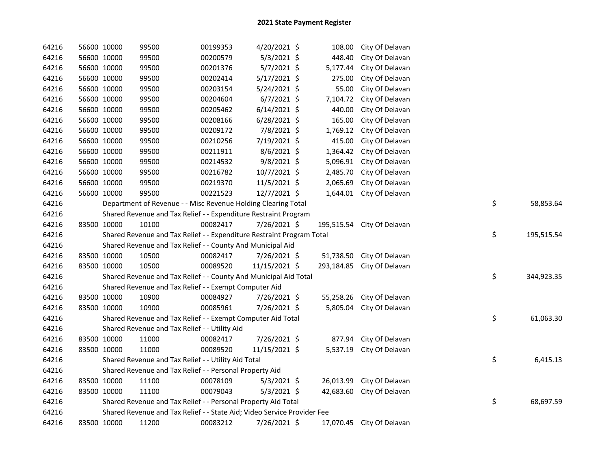| 64216 | 56600 10000 | 99500                                                                   | 00199353 | 4/20/2021 \$   | 108.00    | City Of Delavan            |    |            |
|-------|-------------|-------------------------------------------------------------------------|----------|----------------|-----------|----------------------------|----|------------|
| 64216 | 56600 10000 | 99500                                                                   | 00200579 | 5/3/2021 \$    | 448.40    | City Of Delavan            |    |            |
| 64216 | 56600 10000 | 99500                                                                   | 00201376 | $5/7/2021$ \$  | 5,177.44  | City Of Delavan            |    |            |
| 64216 | 56600 10000 | 99500                                                                   | 00202414 | 5/17/2021 \$   | 275.00    | City Of Delavan            |    |            |
| 64216 | 56600 10000 | 99500                                                                   | 00203154 | $5/24/2021$ \$ | 55.00     | City Of Delavan            |    |            |
| 64216 | 56600 10000 | 99500                                                                   | 00204604 | $6/7/2021$ \$  | 7,104.72  | City Of Delavan            |    |            |
| 64216 | 56600 10000 | 99500                                                                   | 00205462 | $6/14/2021$ \$ | 440.00    | City Of Delavan            |    |            |
| 64216 | 56600 10000 | 99500                                                                   | 00208166 | $6/28/2021$ \$ | 165.00    | City Of Delavan            |    |            |
| 64216 | 56600 10000 | 99500                                                                   | 00209172 | 7/8/2021 \$    | 1,769.12  | City Of Delavan            |    |            |
| 64216 | 56600 10000 | 99500                                                                   | 00210256 | 7/19/2021 \$   | 415.00    | City Of Delavan            |    |            |
| 64216 | 56600 10000 | 99500                                                                   | 00211911 | $8/6/2021$ \$  | 1,364.42  | City Of Delavan            |    |            |
| 64216 | 56600 10000 | 99500                                                                   | 00214532 | $9/8/2021$ \$  | 5,096.91  | City Of Delavan            |    |            |
| 64216 | 56600 10000 | 99500                                                                   | 00216782 | 10/7/2021 \$   | 2,485.70  | City Of Delavan            |    |            |
| 64216 | 56600 10000 | 99500                                                                   | 00219370 | 11/5/2021 \$   | 2,065.69  | City Of Delavan            |    |            |
| 64216 | 56600 10000 | 99500                                                                   | 00221523 | 12/7/2021 \$   |           | 1,644.01 City Of Delavan   |    |            |
| 64216 |             | Department of Revenue - - Misc Revenue Holding Clearing Total           |          |                |           |                            | \$ | 58,853.64  |
| 64216 |             | Shared Revenue and Tax Relief - - Expenditure Restraint Program         |          |                |           |                            |    |            |
| 64216 | 83500 10000 | 10100                                                                   | 00082417 | 7/26/2021 \$   |           | 195,515.54 City Of Delavan |    |            |
| 64216 |             | Shared Revenue and Tax Relief - - Expenditure Restraint Program Total   |          |                |           |                            | \$ | 195,515.54 |
| 64216 |             | Shared Revenue and Tax Relief - - County And Municipal Aid              |          |                |           |                            |    |            |
| 64216 | 83500 10000 | 10500                                                                   | 00082417 | 7/26/2021 \$   | 51,738.50 | City Of Delavan            |    |            |
| 64216 | 83500 10000 | 10500                                                                   | 00089520 | 11/15/2021 \$  |           | 293,184.85 City Of Delavan |    |            |
| 64216 |             | Shared Revenue and Tax Relief - - County And Municipal Aid Total        |          |                |           |                            | \$ | 344,923.35 |
| 64216 |             | Shared Revenue and Tax Relief - - Exempt Computer Aid                   |          |                |           |                            |    |            |
| 64216 | 83500 10000 | 10900                                                                   | 00084927 | 7/26/2021 \$   | 55,258.26 | City Of Delavan            |    |            |
| 64216 | 83500 10000 | 10900                                                                   | 00085961 | 7/26/2021 \$   | 5,805.04  | City Of Delavan            |    |            |
| 64216 |             | Shared Revenue and Tax Relief - - Exempt Computer Aid Total             |          |                |           |                            | \$ | 61,063.30  |
| 64216 |             | Shared Revenue and Tax Relief - - Utility Aid                           |          |                |           |                            |    |            |
| 64216 | 83500 10000 | 11000                                                                   | 00082417 | 7/26/2021 \$   | 877.94    | City Of Delavan            |    |            |
| 64216 | 83500 10000 | 11000                                                                   | 00089520 | 11/15/2021 \$  |           | 5,537.19 City Of Delavan   |    |            |
| 64216 |             | Shared Revenue and Tax Relief - - Utility Aid Total                     |          |                |           |                            | \$ | 6,415.13   |
| 64216 |             | Shared Revenue and Tax Relief - - Personal Property Aid                 |          |                |           |                            |    |            |
| 64216 | 83500 10000 | 11100                                                                   | 00078109 | $5/3/2021$ \$  |           | 26,013.99 City Of Delavan  |    |            |
| 64216 | 83500 10000 | 11100                                                                   | 00079043 | $5/3/2021$ \$  |           | 42,683.60 City Of Delavan  |    |            |
| 64216 |             | Shared Revenue and Tax Relief - - Personal Property Aid Total           |          |                |           |                            | \$ | 68,697.59  |
| 64216 |             | Shared Revenue and Tax Relief - - State Aid; Video Service Provider Fee |          |                |           |                            |    |            |
| 64216 | 83500 10000 | 11200                                                                   | 00083212 | 7/26/2021 \$   |           | 17,070.45 City Of Delavan  |    |            |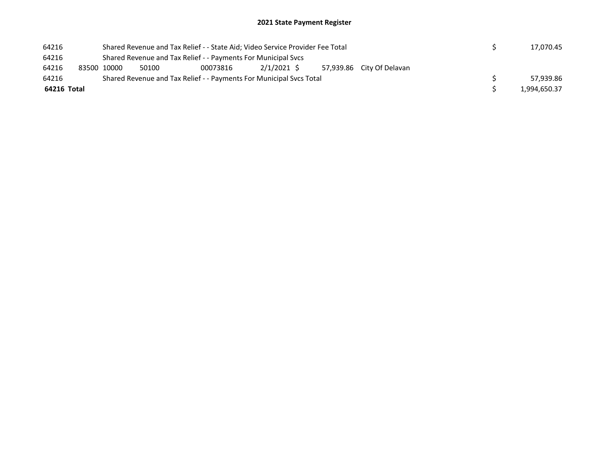| 64216 |             |  | Shared Revenue and Tax Relief - - State Aid; Video Service Provider Fee Total |          |            |  |                           |              | 17,070.45 |
|-------|-------------|--|-------------------------------------------------------------------------------|----------|------------|--|---------------------------|--------------|-----------|
| 64216 |             |  | Shared Revenue and Tax Relief - - Payments For Municipal Svcs                 |          |            |  |                           |              |           |
| 64216 | 83500 10000 |  | 50100                                                                         | 00073816 | 2/1/2021 S |  | 57.939.86 City Of Delavan |              |           |
| 64216 |             |  | Shared Revenue and Tax Relief - - Payments For Municipal Sycs Total           |          |            |  |                           |              | 57.939.86 |
|       | 64216 Total |  |                                                                               |          |            |  |                           | 1,994,650.37 |           |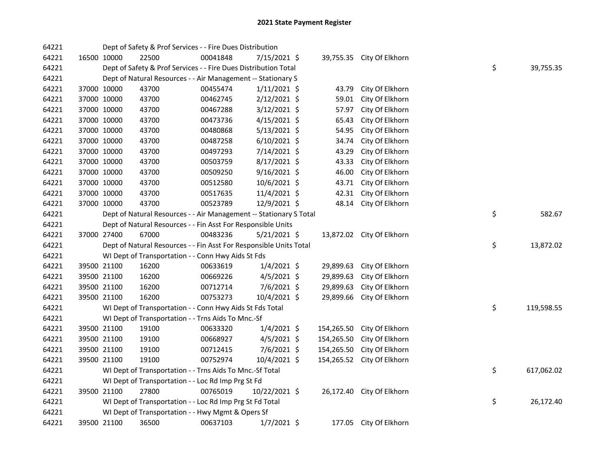| 64221 |             |             | Dept of Safety & Prof Services - - Fire Dues Distribution          |          |                |            |                           |    |            |
|-------|-------------|-------------|--------------------------------------------------------------------|----------|----------------|------------|---------------------------|----|------------|
| 64221 | 16500 10000 |             | 22500                                                              | 00041848 | 7/15/2021 \$   |            | 39,755.35 City Of Elkhorn |    |            |
| 64221 |             |             | Dept of Safety & Prof Services - - Fire Dues Distribution Total    |          |                |            |                           | \$ | 39,755.35  |
| 64221 |             |             | Dept of Natural Resources - - Air Management -- Stationary S       |          |                |            |                           |    |            |
| 64221 |             | 37000 10000 | 43700                                                              | 00455474 | $1/11/2021$ \$ | 43.79      | City Of Elkhorn           |    |            |
| 64221 | 37000 10000 |             | 43700                                                              | 00462745 | 2/12/2021 \$   | 59.01      | City Of Elkhorn           |    |            |
| 64221 |             | 37000 10000 | 43700                                                              | 00467288 | $3/12/2021$ \$ | 57.97      | City Of Elkhorn           |    |            |
| 64221 |             | 37000 10000 | 43700                                                              | 00473736 | $4/15/2021$ \$ | 65.43      | City Of Elkhorn           |    |            |
| 64221 |             | 37000 10000 | 43700                                                              | 00480868 | 5/13/2021 \$   | 54.95      | City Of Elkhorn           |    |            |
| 64221 |             | 37000 10000 | 43700                                                              | 00487258 | $6/10/2021$ \$ | 34.74      | City Of Elkhorn           |    |            |
| 64221 |             | 37000 10000 | 43700                                                              | 00497293 | 7/14/2021 \$   | 43.29      | City Of Elkhorn           |    |            |
| 64221 |             | 37000 10000 | 43700                                                              | 00503759 | 8/17/2021 \$   | 43.33      | City Of Elkhorn           |    |            |
| 64221 |             | 37000 10000 | 43700                                                              | 00509250 | $9/16/2021$ \$ | 46.00      | City Of Elkhorn           |    |            |
| 64221 |             | 37000 10000 | 43700                                                              | 00512580 | 10/6/2021 \$   | 43.71      | City Of Elkhorn           |    |            |
| 64221 |             | 37000 10000 | 43700                                                              | 00517635 | 11/4/2021 \$   | 42.31      | City Of Elkhorn           |    |            |
| 64221 |             | 37000 10000 | 43700                                                              | 00523789 | 12/9/2021 \$   | 48.14      | City Of Elkhorn           |    |            |
| 64221 |             |             | Dept of Natural Resources - - Air Management -- Stationary S Total |          |                |            |                           | \$ | 582.67     |
| 64221 |             |             | Dept of Natural Resources - - Fin Asst For Responsible Units       |          |                |            |                           |    |            |
| 64221 |             | 37000 27400 | 67000                                                              | 00483236 | 5/21/2021 \$   |            | 13,872.02 City Of Elkhorn |    |            |
| 64221 |             |             | Dept of Natural Resources - - Fin Asst For Responsible Units Total |          |                |            |                           | \$ | 13,872.02  |
| 64221 |             |             | WI Dept of Transportation - - Conn Hwy Aids St Fds                 |          |                |            |                           |    |            |
| 64221 |             | 39500 21100 | 16200                                                              | 00633619 | $1/4/2021$ \$  | 29,899.63  | City Of Elkhorn           |    |            |
| 64221 |             | 39500 21100 | 16200                                                              | 00669226 | $4/5/2021$ \$  | 29,899.63  | City Of Elkhorn           |    |            |
| 64221 |             | 39500 21100 | 16200                                                              | 00712714 | 7/6/2021 \$    | 29,899.63  | City Of Elkhorn           |    |            |
| 64221 |             | 39500 21100 | 16200                                                              | 00753273 | 10/4/2021 \$   | 29,899.66  | City Of Elkhorn           |    |            |
| 64221 |             |             | WI Dept of Transportation - - Conn Hwy Aids St Fds Total           |          |                |            |                           | \$ | 119,598.55 |
| 64221 |             |             | WI Dept of Transportation - - Trns Aids To Mnc.-Sf                 |          |                |            |                           |    |            |
| 64221 |             | 39500 21100 | 19100                                                              | 00633320 | $1/4/2021$ \$  | 154,265.50 | City Of Elkhorn           |    |            |
| 64221 |             | 39500 21100 | 19100                                                              | 00668927 | $4/5/2021$ \$  | 154,265.50 | City Of Elkhorn           |    |            |
| 64221 | 39500 21100 |             | 19100                                                              | 00712415 | $7/6/2021$ \$  | 154,265.50 | City Of Elkhorn           |    |            |
| 64221 |             | 39500 21100 | 19100                                                              | 00752974 | 10/4/2021 \$   | 154,265.52 | City Of Elkhorn           |    |            |
| 64221 |             |             | WI Dept of Transportation - - Trns Aids To Mnc.-Sf Total           |          |                |            |                           | \$ | 617,062.02 |
| 64221 |             |             | WI Dept of Transportation - - Loc Rd Imp Prg St Fd                 |          |                |            |                           |    |            |
| 64221 |             | 39500 21100 | 27800                                                              | 00765019 | 10/22/2021 \$  |            | 26,172.40 City Of Elkhorn |    |            |
| 64221 |             |             | WI Dept of Transportation - - Loc Rd Imp Prg St Fd Total           |          |                |            |                           | \$ | 26,172.40  |
| 64221 |             |             | WI Dept of Transportation - - Hwy Mgmt & Opers Sf                  |          |                |            |                           |    |            |
| 64221 |             | 39500 21100 | 36500                                                              | 00637103 | $1/7/2021$ \$  |            | 177.05 City Of Elkhorn    |    |            |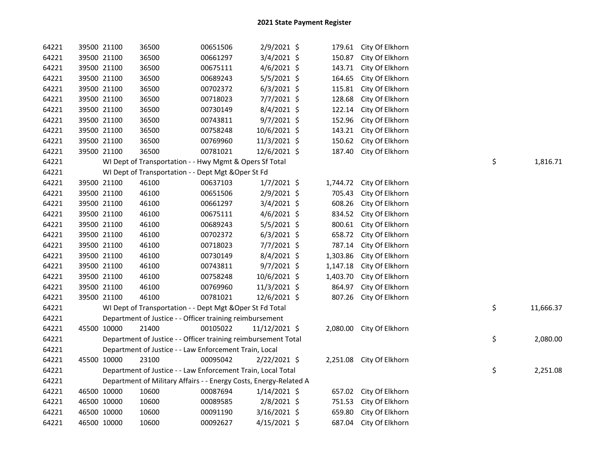| 64221 | 39500 21100 | 36500                                                             | 00651506 | 2/9/2021 \$    | 179.61   | City Of Elkhorn |    |           |
|-------|-------------|-------------------------------------------------------------------|----------|----------------|----------|-----------------|----|-----------|
| 64221 | 39500 21100 | 36500                                                             | 00661297 | 3/4/2021 \$    | 150.87   | City Of Elkhorn |    |           |
| 64221 | 39500 21100 | 36500                                                             | 00675111 | 4/6/2021 \$    | 143.71   | City Of Elkhorn |    |           |
| 64221 | 39500 21100 | 36500                                                             | 00689243 | 5/5/2021 \$    | 164.65   | City Of Elkhorn |    |           |
| 64221 | 39500 21100 | 36500                                                             | 00702372 | $6/3/2021$ \$  | 115.81   | City Of Elkhorn |    |           |
| 64221 | 39500 21100 | 36500                                                             | 00718023 | $7/7/2021$ \$  | 128.68   | City Of Elkhorn |    |           |
| 64221 | 39500 21100 | 36500                                                             | 00730149 | $8/4/2021$ \$  | 122.14   | City Of Elkhorn |    |           |
| 64221 | 39500 21100 | 36500                                                             | 00743811 | $9/7/2021$ \$  | 152.96   | City Of Elkhorn |    |           |
| 64221 | 39500 21100 | 36500                                                             | 00758248 | 10/6/2021 \$   | 143.21   | City Of Elkhorn |    |           |
| 64221 | 39500 21100 | 36500                                                             | 00769960 | $11/3/2021$ \$ | 150.62   | City Of Elkhorn |    |           |
| 64221 | 39500 21100 | 36500                                                             | 00781021 | $12/6/2021$ \$ | 187.40   | City Of Elkhorn |    |           |
| 64221 |             | WI Dept of Transportation - - Hwy Mgmt & Opers Sf Total           |          |                |          |                 | \$ | 1,816.71  |
| 64221 |             | WI Dept of Transportation - - Dept Mgt & Oper St Fd               |          |                |          |                 |    |           |
| 64221 | 39500 21100 | 46100                                                             | 00637103 | $1/7/2021$ \$  | 1,744.72 | City Of Elkhorn |    |           |
| 64221 | 39500 21100 | 46100                                                             | 00651506 | 2/9/2021 \$    | 705.43   | City Of Elkhorn |    |           |
| 64221 | 39500 21100 | 46100                                                             | 00661297 | 3/4/2021 \$    | 608.26   | City Of Elkhorn |    |           |
| 64221 | 39500 21100 | 46100                                                             | 00675111 | $4/6/2021$ \$  | 834.52   | City Of Elkhorn |    |           |
| 64221 | 39500 21100 | 46100                                                             | 00689243 | $5/5/2021$ \$  | 800.61   | City Of Elkhorn |    |           |
| 64221 | 39500 21100 | 46100                                                             | 00702372 | $6/3/2021$ \$  | 658.72   | City Of Elkhorn |    |           |
| 64221 | 39500 21100 | 46100                                                             | 00718023 | $7/7/2021$ \$  | 787.14   | City Of Elkhorn |    |           |
| 64221 | 39500 21100 | 46100                                                             | 00730149 | $8/4/2021$ \$  | 1,303.86 | City Of Elkhorn |    |           |
| 64221 | 39500 21100 | 46100                                                             | 00743811 | $9/7/2021$ \$  | 1,147.18 | City Of Elkhorn |    |           |
| 64221 | 39500 21100 | 46100                                                             | 00758248 | 10/6/2021 \$   | 1,403.70 | City Of Elkhorn |    |           |
| 64221 | 39500 21100 | 46100                                                             | 00769960 | 11/3/2021 \$   | 864.97   | City Of Elkhorn |    |           |
| 64221 | 39500 21100 | 46100                                                             | 00781021 | 12/6/2021 \$   | 807.26   | City Of Elkhorn |    |           |
| 64221 |             | WI Dept of Transportation - - Dept Mgt & Oper St Fd Total         |          |                |          |                 | \$ | 11,666.37 |
| 64221 |             | Department of Justice - - Officer training reimbursement          |          |                |          |                 |    |           |
| 64221 | 45500 10000 | 21400                                                             | 00105022 | 11/12/2021 \$  | 2,080.00 | City Of Elkhorn |    |           |
| 64221 |             | Department of Justice - - Officer training reimbursement Total    |          |                |          |                 | \$ | 2,080.00  |
| 64221 |             | Department of Justice - - Law Enforcement Train, Local            |          |                |          |                 |    |           |
| 64221 | 45500 10000 | 23100                                                             | 00095042 | $2/22/2021$ \$ | 2,251.08 | City Of Elkhorn |    |           |
| 64221 |             | Department of Justice - - Law Enforcement Train, Local Total      |          |                |          |                 | \$ | 2,251.08  |
| 64221 |             | Department of Military Affairs - - Energy Costs, Energy-Related A |          |                |          |                 |    |           |
| 64221 | 46500 10000 | 10600                                                             | 00087694 | $1/14/2021$ \$ | 657.02   | City Of Elkhorn |    |           |
| 64221 | 46500 10000 | 10600                                                             | 00089585 | 2/8/2021 \$    | 751.53   | City Of Elkhorn |    |           |
| 64221 | 46500 10000 | 10600                                                             | 00091190 | $3/16/2021$ \$ | 659.80   | City Of Elkhorn |    |           |
| 64221 | 46500 10000 | 10600                                                             | 00092627 | $4/15/2021$ \$ | 687.04   | City Of Elkhorn |    |           |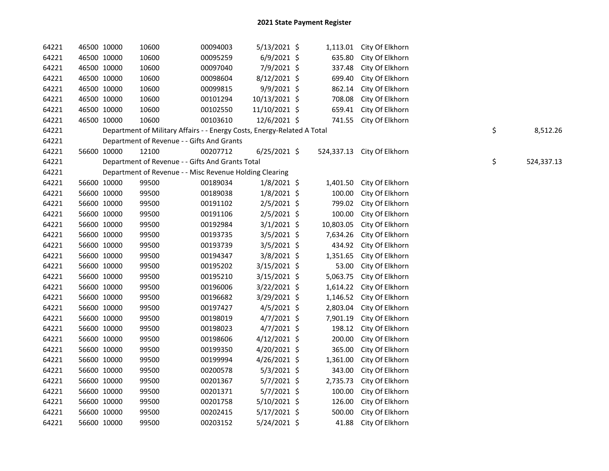| 64221 |             | 46500 10000 | 10600                                                                   | 00094003 | 5/13/2021 \$   |           | 1,113.01 City Of Elkhorn   |    |            |
|-------|-------------|-------------|-------------------------------------------------------------------------|----------|----------------|-----------|----------------------------|----|------------|
| 64221 |             | 46500 10000 | 10600                                                                   | 00095259 | $6/9/2021$ \$  | 635.80    | City Of Elkhorn            |    |            |
| 64221 |             | 46500 10000 | 10600                                                                   | 00097040 | 7/9/2021 \$    | 337.48    | City Of Elkhorn            |    |            |
| 64221 |             | 46500 10000 | 10600                                                                   | 00098604 | 8/12/2021 \$   | 699.40    | City Of Elkhorn            |    |            |
| 64221 |             | 46500 10000 | 10600                                                                   | 00099815 | 9/9/2021 \$    | 862.14    | City Of Elkhorn            |    |            |
| 64221 |             | 46500 10000 | 10600                                                                   | 00101294 | 10/13/2021 \$  | 708.08    | City Of Elkhorn            |    |            |
| 64221 |             | 46500 10000 | 10600                                                                   | 00102550 | 11/10/2021 \$  |           | 659.41 City Of Elkhorn     |    |            |
| 64221 |             | 46500 10000 | 10600                                                                   | 00103610 | 12/6/2021 \$   |           | 741.55 City Of Elkhorn     |    |            |
| 64221 |             |             | Department of Military Affairs - - Energy Costs, Energy-Related A Total |          |                |           |                            | \$ | 8,512.26   |
| 64221 |             |             | Department of Revenue - - Gifts And Grants                              |          |                |           |                            |    |            |
| 64221 |             | 56600 10000 | 12100                                                                   | 00207712 | $6/25/2021$ \$ |           | 524,337.13 City Of Elkhorn |    |            |
| 64221 |             |             | Department of Revenue - - Gifts And Grants Total                        |          |                |           |                            | \$ | 524,337.13 |
| 64221 |             |             | Department of Revenue - - Misc Revenue Holding Clearing                 |          |                |           |                            |    |            |
| 64221 |             | 56600 10000 | 99500                                                                   | 00189034 | $1/8/2021$ \$  |           | 1,401.50 City Of Elkhorn   |    |            |
| 64221 |             | 56600 10000 | 99500                                                                   | 00189038 | $1/8/2021$ \$  | 100.00    | City Of Elkhorn            |    |            |
| 64221 |             | 56600 10000 | 99500                                                                   | 00191102 | $2/5/2021$ \$  |           | 799.02 City Of Elkhorn     |    |            |
| 64221 |             | 56600 10000 | 99500                                                                   | 00191106 | 2/5/2021 \$    | 100.00    | City Of Elkhorn            |    |            |
| 64221 |             | 56600 10000 | 99500                                                                   | 00192984 | $3/1/2021$ \$  | 10,803.05 | City Of Elkhorn            |    |            |
| 64221 |             | 56600 10000 | 99500                                                                   | 00193735 | $3/5/2021$ \$  | 7,634.26  | City Of Elkhorn            |    |            |
| 64221 |             | 56600 10000 | 99500                                                                   | 00193739 | 3/5/2021 \$    | 434.92    | City Of Elkhorn            |    |            |
| 64221 |             | 56600 10000 | 99500                                                                   | 00194347 | 3/8/2021 \$    | 1,351.65  | City Of Elkhorn            |    |            |
| 64221 |             | 56600 10000 | 99500                                                                   | 00195202 | 3/15/2021 \$   | 53.00     | City Of Elkhorn            |    |            |
| 64221 |             | 56600 10000 | 99500                                                                   | 00195210 | 3/15/2021 \$   | 5,063.75  | City Of Elkhorn            |    |            |
| 64221 |             | 56600 10000 | 99500                                                                   | 00196006 | 3/22/2021 \$   | 1,614.22  | City Of Elkhorn            |    |            |
| 64221 |             | 56600 10000 | 99500                                                                   | 00196682 | 3/29/2021 \$   | 1,146.52  | City Of Elkhorn            |    |            |
| 64221 |             | 56600 10000 | 99500                                                                   | 00197427 | $4/5/2021$ \$  | 2,803.04  | City Of Elkhorn            |    |            |
| 64221 |             | 56600 10000 | 99500                                                                   | 00198019 | $4/7/2021$ \$  | 7,901.19  | City Of Elkhorn            |    |            |
| 64221 |             | 56600 10000 | 99500                                                                   | 00198023 | $4/7/2021$ \$  | 198.12    | City Of Elkhorn            |    |            |
| 64221 |             | 56600 10000 | 99500                                                                   | 00198606 | $4/12/2021$ \$ | 200.00    | City Of Elkhorn            |    |            |
| 64221 |             | 56600 10000 | 99500                                                                   | 00199350 | $4/20/2021$ \$ | 365.00    | City Of Elkhorn            |    |            |
| 64221 |             | 56600 10000 | 99500                                                                   | 00199994 | 4/26/2021 \$   | 1,361.00  | City Of Elkhorn            |    |            |
| 64221 |             | 56600 10000 | 99500                                                                   | 00200578 | $5/3/2021$ \$  | 343.00    | City Of Elkhorn            |    |            |
| 64221 | 56600 10000 |             | 99500                                                                   | 00201367 | $5/7/2021$ \$  | 2,735.73  | City Of Elkhorn            |    |            |
| 64221 | 56600 10000 |             | 99500                                                                   | 00201371 | $5/7/2021$ \$  | 100.00    | City Of Elkhorn            |    |            |
| 64221 |             | 56600 10000 | 99500                                                                   | 00201758 | $5/10/2021$ \$ | 126.00    | City Of Elkhorn            |    |            |
| 64221 |             | 56600 10000 | 99500                                                                   | 00202415 | $5/17/2021$ \$ | 500.00    | City Of Elkhorn            |    |            |
| 64221 |             | 56600 10000 | 99500                                                                   | 00203152 | 5/24/2021 \$   | 41.88     | City Of Elkhorn            |    |            |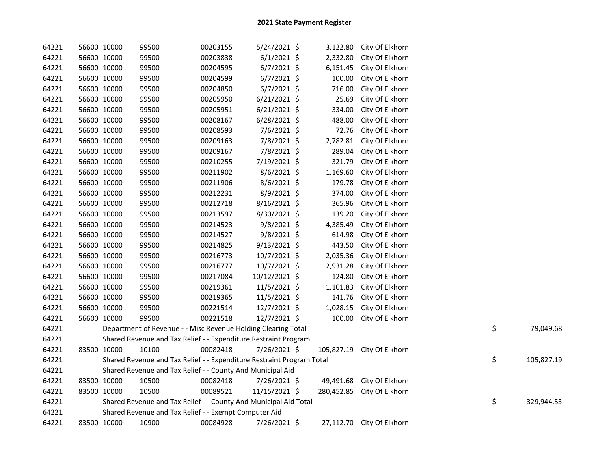| 64221 | 56600 10000 | 99500 | 00203155                                                              | 5/24/2021 \$   | 3,122.80 | City Of Elkhorn            |    |            |
|-------|-------------|-------|-----------------------------------------------------------------------|----------------|----------|----------------------------|----|------------|
| 64221 | 56600 10000 | 99500 | 00203838                                                              | $6/1/2021$ \$  | 2,332.80 | City Of Elkhorn            |    |            |
| 64221 | 56600 10000 | 99500 | 00204595                                                              | $6/7/2021$ \$  | 6,151.45 | City Of Elkhorn            |    |            |
| 64221 | 56600 10000 | 99500 | 00204599                                                              | $6/7/2021$ \$  | 100.00   | City Of Elkhorn            |    |            |
| 64221 | 56600 10000 | 99500 | 00204850                                                              | $6/7/2021$ \$  | 716.00   | City Of Elkhorn            |    |            |
| 64221 | 56600 10000 | 99500 | 00205950                                                              | $6/21/2021$ \$ | 25.69    | City Of Elkhorn            |    |            |
| 64221 | 56600 10000 | 99500 | 00205951                                                              | $6/21/2021$ \$ | 334.00   | City Of Elkhorn            |    |            |
| 64221 | 56600 10000 | 99500 | 00208167                                                              | $6/28/2021$ \$ | 488.00   | City Of Elkhorn            |    |            |
| 64221 | 56600 10000 | 99500 | 00208593                                                              | 7/6/2021 \$    | 72.76    | City Of Elkhorn            |    |            |
| 64221 | 56600 10000 | 99500 | 00209163                                                              | 7/8/2021 \$    | 2,782.81 | City Of Elkhorn            |    |            |
| 64221 | 56600 10000 | 99500 | 00209167                                                              | 7/8/2021 \$    | 289.04   | City Of Elkhorn            |    |            |
| 64221 | 56600 10000 | 99500 | 00210255                                                              | 7/19/2021 \$   | 321.79   | City Of Elkhorn            |    |            |
| 64221 | 56600 10000 | 99500 | 00211902                                                              | 8/6/2021 \$    | 1,169.60 | City Of Elkhorn            |    |            |
| 64221 | 56600 10000 | 99500 | 00211906                                                              | 8/6/2021 \$    | 179.78   | City Of Elkhorn            |    |            |
| 64221 | 56600 10000 | 99500 | 00212231                                                              | 8/9/2021 \$    | 374.00   | City Of Elkhorn            |    |            |
| 64221 | 56600 10000 | 99500 | 00212718                                                              | 8/16/2021 \$   | 365.96   | City Of Elkhorn            |    |            |
| 64221 | 56600 10000 | 99500 | 00213597                                                              | 8/30/2021 \$   | 139.20   | City Of Elkhorn            |    |            |
| 64221 | 56600 10000 | 99500 | 00214523                                                              | 9/8/2021 \$    | 4,385.49 | City Of Elkhorn            |    |            |
| 64221 | 56600 10000 | 99500 | 00214527                                                              | 9/8/2021 \$    | 614.98   | City Of Elkhorn            |    |            |
| 64221 | 56600 10000 | 99500 | 00214825                                                              | $9/13/2021$ \$ | 443.50   | City Of Elkhorn            |    |            |
| 64221 | 56600 10000 | 99500 | 00216773                                                              | 10/7/2021 \$   | 2,035.36 | City Of Elkhorn            |    |            |
| 64221 | 56600 10000 | 99500 | 00216777                                                              | 10/7/2021 \$   | 2,931.28 | City Of Elkhorn            |    |            |
| 64221 | 56600 10000 | 99500 | 00217084                                                              | 10/12/2021 \$  | 124.80   | City Of Elkhorn            |    |            |
| 64221 | 56600 10000 | 99500 | 00219361                                                              | 11/5/2021 \$   | 1,101.83 | City Of Elkhorn            |    |            |
| 64221 | 56600 10000 | 99500 | 00219365                                                              | 11/5/2021 \$   | 141.76   | City Of Elkhorn            |    |            |
| 64221 | 56600 10000 | 99500 | 00221514                                                              | 12/7/2021 \$   | 1,028.15 | City Of Elkhorn            |    |            |
| 64221 | 56600 10000 | 99500 | 00221518                                                              | 12/7/2021 \$   | 100.00   | City Of Elkhorn            |    |            |
| 64221 |             |       | Department of Revenue - - Misc Revenue Holding Clearing Total         |                |          |                            | \$ | 79,049.68  |
| 64221 |             |       | Shared Revenue and Tax Relief - - Expenditure Restraint Program       |                |          |                            |    |            |
| 64221 | 83500 10000 | 10100 | 00082418                                                              | 7/26/2021 \$   |          | 105,827.19 City Of Elkhorn |    |            |
| 64221 |             |       | Shared Revenue and Tax Relief - - Expenditure Restraint Program Total |                |          |                            | \$ | 105,827.19 |
| 64221 |             |       | Shared Revenue and Tax Relief - - County And Municipal Aid            |                |          |                            |    |            |
| 64221 | 83500 10000 | 10500 | 00082418                                                              | 7/26/2021 \$   |          | 49,491.68 City Of Elkhorn  |    |            |
| 64221 | 83500 10000 | 10500 | 00089521                                                              | 11/15/2021 \$  |          | 280,452.85 City Of Elkhorn |    |            |
| 64221 |             |       | Shared Revenue and Tax Relief - - County And Municipal Aid Total      |                |          |                            | \$ | 329,944.53 |
| 64221 |             |       | Shared Revenue and Tax Relief - - Exempt Computer Aid                 |                |          |                            |    |            |
| 64221 | 83500 10000 | 10900 | 00084928                                                              | 7/26/2021 \$   |          | 27,112.70 City Of Elkhorn  |    |            |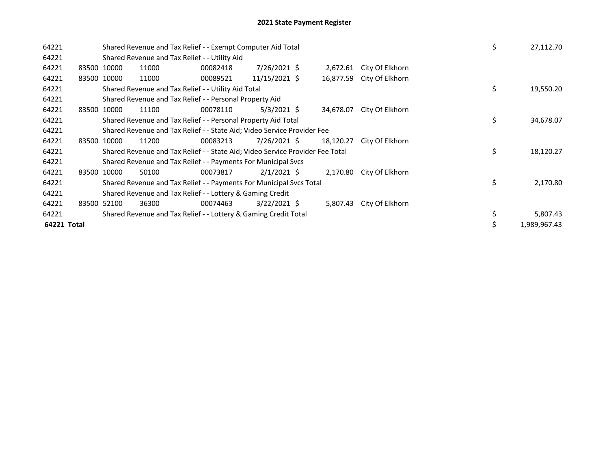| 64221       |             | Shared Revenue and Tax Relief - - Exempt Computer Aid Total                   |          |                |           |                 | \$ | 27,112.70    |
|-------------|-------------|-------------------------------------------------------------------------------|----------|----------------|-----------|-----------------|----|--------------|
| 64221       |             | Shared Revenue and Tax Relief - - Utility Aid                                 |          |                |           |                 |    |              |
| 64221       | 83500 10000 | 11000                                                                         | 00082418 | 7/26/2021 \$   | 2,672.61  | City Of Elkhorn |    |              |
| 64221       | 83500 10000 | 11000                                                                         | 00089521 | 11/15/2021 \$  | 16,877.59 | City Of Elkhorn |    |              |
| 64221       |             | Shared Revenue and Tax Relief - - Utility Aid Total                           |          |                |           |                 | \$ | 19,550.20    |
| 64221       |             | Shared Revenue and Tax Relief - - Personal Property Aid                       |          |                |           |                 |    |              |
| 64221       | 83500 10000 | 11100                                                                         | 00078110 | $5/3/2021$ \$  | 34,678.07 | City Of Elkhorn |    |              |
| 64221       |             | Shared Revenue and Tax Relief - - Personal Property Aid Total                 |          |                |           |                 | \$ | 34,678.07    |
| 64221       |             | Shared Revenue and Tax Relief - - State Aid; Video Service Provider Fee       |          |                |           |                 |    |              |
| 64221       | 83500 10000 | 11200                                                                         | 00083213 | 7/26/2021 \$   | 18,120.27 | City Of Elkhorn |    |              |
| 64221       |             | Shared Revenue and Tax Relief - - State Aid; Video Service Provider Fee Total |          |                |           |                 | \$ | 18,120.27    |
| 64221       |             | Shared Revenue and Tax Relief - - Payments For Municipal Svcs                 |          |                |           |                 |    |              |
| 64221       | 83500 10000 | 50100                                                                         | 00073817 | $2/1/2021$ \$  | 2,170.80  | City Of Elkhorn |    |              |
| 64221       |             | Shared Revenue and Tax Relief - - Payments For Municipal Svcs Total           |          |                |           |                 | \$ | 2,170.80     |
| 64221       |             | Shared Revenue and Tax Relief - - Lottery & Gaming Credit                     |          |                |           |                 |    |              |
| 64221       | 83500 52100 | 36300                                                                         | 00074463 | $3/22/2021$ \$ | 5,807.43  | City Of Elkhorn |    |              |
| 64221       |             | Shared Revenue and Tax Relief - - Lottery & Gaming Credit Total               |          |                |           |                 |    | 5,807.43     |
| 64221 Total |             |                                                                               |          |                |           |                 |    | 1,989,967.43 |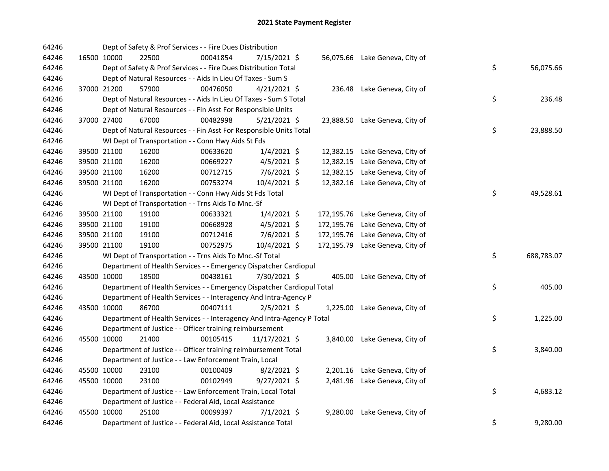| 64246 |             | Dept of Safety & Prof Services - - Fire Dues Distribution              |          |                |            |                                 |    |            |
|-------|-------------|------------------------------------------------------------------------|----------|----------------|------------|---------------------------------|----|------------|
| 64246 | 16500 10000 | 22500                                                                  | 00041854 | 7/15/2021 \$   |            | 56,075.66 Lake Geneva, City of  |    |            |
| 64246 |             | Dept of Safety & Prof Services - - Fire Dues Distribution Total        |          |                |            |                                 | \$ | 56,075.66  |
| 64246 |             | Dept of Natural Resources - - Aids In Lieu Of Taxes - Sum S            |          |                |            |                                 |    |            |
| 64246 | 37000 21200 | 57900                                                                  | 00476050 | $4/21/2021$ \$ |            | 236.48 Lake Geneva, City of     |    |            |
| 64246 |             | Dept of Natural Resources - - Aids In Lieu Of Taxes - Sum S Total      |          |                |            |                                 | \$ | 236.48     |
| 64246 |             | Dept of Natural Resources - - Fin Asst For Responsible Units           |          |                |            |                                 |    |            |
| 64246 | 37000 27400 | 67000                                                                  | 00482998 | $5/21/2021$ \$ |            | 23,888.50 Lake Geneva, City of  |    |            |
| 64246 |             | Dept of Natural Resources - - Fin Asst For Responsible Units Total     |          |                |            |                                 | \$ | 23,888.50  |
| 64246 |             | WI Dept of Transportation - - Conn Hwy Aids St Fds                     |          |                |            |                                 |    |            |
| 64246 | 39500 21100 | 16200                                                                  | 00633620 | $1/4/2021$ \$  |            | 12,382.15 Lake Geneva, City of  |    |            |
| 64246 | 39500 21100 | 16200                                                                  | 00669227 | $4/5/2021$ \$  | 12,382.15  | Lake Geneva, City of            |    |            |
| 64246 | 39500 21100 | 16200                                                                  | 00712715 | $7/6/2021$ \$  | 12,382.15  | Lake Geneva, City of            |    |            |
| 64246 | 39500 21100 | 16200                                                                  | 00753274 | 10/4/2021 \$   |            | 12,382.16 Lake Geneva, City of  |    |            |
| 64246 |             | WI Dept of Transportation - - Conn Hwy Aids St Fds Total               |          |                |            |                                 | \$ | 49,528.61  |
| 64246 |             | WI Dept of Transportation - - Trns Aids To Mnc.-Sf                     |          |                |            |                                 |    |            |
| 64246 | 39500 21100 | 19100                                                                  | 00633321 | $1/4/2021$ \$  |            | 172,195.76 Lake Geneva, City of |    |            |
| 64246 | 39500 21100 | 19100                                                                  | 00668928 | $4/5/2021$ \$  | 172,195.76 | Lake Geneva, City of            |    |            |
| 64246 | 39500 21100 | 19100                                                                  | 00712416 | 7/6/2021 \$    | 172,195.76 | Lake Geneva, City of            |    |            |
| 64246 | 39500 21100 | 19100                                                                  | 00752975 | 10/4/2021 \$   |            | 172,195.79 Lake Geneva, City of |    |            |
| 64246 |             | WI Dept of Transportation - - Trns Aids To Mnc.-Sf Total               |          |                |            |                                 | \$ | 688,783.07 |
| 64246 |             | Department of Health Services - - Emergency Dispatcher Cardiopul       |          |                |            |                                 |    |            |
| 64246 | 43500 10000 | 18500                                                                  | 00438161 | 7/30/2021 \$   |            | 405.00 Lake Geneva, City of     |    |            |
| 64246 |             | Department of Health Services - - Emergency Dispatcher Cardiopul Total |          |                |            |                                 | \$ | 405.00     |
| 64246 |             | Department of Health Services - - Interagency And Intra-Agency P       |          |                |            |                                 |    |            |
| 64246 | 43500 10000 | 86700                                                                  | 00407111 | $2/5/2021$ \$  |            | 1,225.00 Lake Geneva, City of   |    |            |
| 64246 |             | Department of Health Services - - Interagency And Intra-Agency P Total |          |                |            |                                 | \$ | 1,225.00   |
| 64246 |             | Department of Justice - - Officer training reimbursement               |          |                |            |                                 |    |            |
| 64246 | 45500 10000 | 21400                                                                  | 00105415 | 11/17/2021 \$  |            | 3,840.00 Lake Geneva, City of   |    |            |
| 64246 |             | Department of Justice - - Officer training reimbursement Total         |          |                |            |                                 | \$ | 3,840.00   |
| 64246 |             | Department of Justice - - Law Enforcement Train, Local                 |          |                |            |                                 |    |            |
| 64246 | 45500 10000 | 23100                                                                  | 00100409 | $8/2/2021$ \$  |            | 2,201.16 Lake Geneva, City of   |    |            |
| 64246 | 45500 10000 | 23100                                                                  | 00102949 | $9/27/2021$ \$ |            | 2,481.96 Lake Geneva, City of   |    |            |
| 64246 |             | Department of Justice - - Law Enforcement Train, Local Total           |          |                |            |                                 | \$ | 4,683.12   |
| 64246 |             | Department of Justice - - Federal Aid, Local Assistance                |          |                |            |                                 |    |            |
| 64246 | 45500 10000 | 25100                                                                  | 00099397 | $7/1/2021$ \$  | 9,280.00   | Lake Geneva, City of            |    |            |
| 64246 |             | Department of Justice - - Federal Aid, Local Assistance Total          |          |                |            |                                 | \$ | 9,280.00   |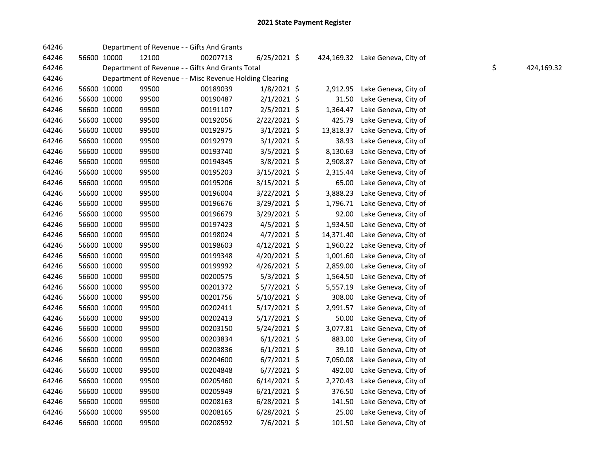| 64246 |             |             | Department of Revenue - - Gifts And Grants              |          |                |           |                                 |    |            |
|-------|-------------|-------------|---------------------------------------------------------|----------|----------------|-----------|---------------------------------|----|------------|
| 64246 |             | 56600 10000 | 12100                                                   | 00207713 | $6/25/2021$ \$ |           | 424,169.32 Lake Geneva, City of |    |            |
| 64246 |             |             | Department of Revenue - - Gifts And Grants Total        |          |                |           |                                 | \$ | 424,169.32 |
| 64246 |             |             | Department of Revenue - - Misc Revenue Holding Clearing |          |                |           |                                 |    |            |
| 64246 |             | 56600 10000 | 99500                                                   | 00189039 | $1/8/2021$ \$  | 2,912.95  | Lake Geneva, City of            |    |            |
| 64246 |             | 56600 10000 | 99500                                                   | 00190487 | $2/1/2021$ \$  | 31.50     | Lake Geneva, City of            |    |            |
| 64246 |             | 56600 10000 | 99500                                                   | 00191107 | $2/5/2021$ \$  | 1,364.47  | Lake Geneva, City of            |    |            |
| 64246 |             | 56600 10000 | 99500                                                   | 00192056 | $2/22/2021$ \$ | 425.79    | Lake Geneva, City of            |    |            |
| 64246 |             | 56600 10000 | 99500                                                   | 00192975 | $3/1/2021$ \$  | 13,818.37 | Lake Geneva, City of            |    |            |
| 64246 |             | 56600 10000 | 99500                                                   | 00192979 | $3/1/2021$ \$  | 38.93     | Lake Geneva, City of            |    |            |
| 64246 |             | 56600 10000 | 99500                                                   | 00193740 | $3/5/2021$ \$  | 8,130.63  | Lake Geneva, City of            |    |            |
| 64246 |             | 56600 10000 | 99500                                                   | 00194345 | 3/8/2021 \$    | 2,908.87  | Lake Geneva, City of            |    |            |
| 64246 |             | 56600 10000 | 99500                                                   | 00195203 | 3/15/2021 \$   | 2,315.44  | Lake Geneva, City of            |    |            |
| 64246 |             | 56600 10000 | 99500                                                   | 00195206 | 3/15/2021 \$   | 65.00     | Lake Geneva, City of            |    |            |
| 64246 |             | 56600 10000 | 99500                                                   | 00196004 | $3/22/2021$ \$ | 3,888.23  | Lake Geneva, City of            |    |            |
| 64246 |             | 56600 10000 | 99500                                                   | 00196676 | 3/29/2021 \$   | 1,796.71  | Lake Geneva, City of            |    |            |
| 64246 |             | 56600 10000 | 99500                                                   | 00196679 | 3/29/2021 \$   | 92.00     | Lake Geneva, City of            |    |            |
| 64246 |             | 56600 10000 | 99500                                                   | 00197423 | 4/5/2021 \$    | 1,934.50  | Lake Geneva, City of            |    |            |
| 64246 |             | 56600 10000 | 99500                                                   | 00198024 | $4/7/2021$ \$  | 14,371.40 | Lake Geneva, City of            |    |            |
| 64246 |             | 56600 10000 | 99500                                                   | 00198603 | 4/12/2021 \$   | 1,960.22  | Lake Geneva, City of            |    |            |
| 64246 |             | 56600 10000 | 99500                                                   | 00199348 | 4/20/2021 \$   | 1,001.60  | Lake Geneva, City of            |    |            |
| 64246 |             | 56600 10000 | 99500                                                   | 00199992 | 4/26/2021 \$   | 2,859.00  | Lake Geneva, City of            |    |            |
| 64246 |             | 56600 10000 | 99500                                                   | 00200575 | $5/3/2021$ \$  | 1,564.50  | Lake Geneva, City of            |    |            |
| 64246 |             | 56600 10000 | 99500                                                   | 00201372 | $5/7/2021$ \$  | 5,557.19  | Lake Geneva, City of            |    |            |
| 64246 |             | 56600 10000 | 99500                                                   | 00201756 | 5/10/2021 \$   | 308.00    | Lake Geneva, City of            |    |            |
| 64246 |             | 56600 10000 | 99500                                                   | 00202411 | $5/17/2021$ \$ | 2,991.57  | Lake Geneva, City of            |    |            |
| 64246 |             | 56600 10000 | 99500                                                   | 00202413 | 5/17/2021 \$   | 50.00     | Lake Geneva, City of            |    |            |
| 64246 |             | 56600 10000 | 99500                                                   | 00203150 | 5/24/2021 \$   | 3,077.81  | Lake Geneva, City of            |    |            |
| 64246 |             | 56600 10000 | 99500                                                   | 00203834 | $6/1/2021$ \$  | 883.00    | Lake Geneva, City of            |    |            |
| 64246 |             | 56600 10000 | 99500                                                   | 00203836 | $6/1/2021$ \$  | 39.10     | Lake Geneva, City of            |    |            |
| 64246 |             | 56600 10000 | 99500                                                   | 00204600 | $6/7/2021$ \$  | 7,050.08  | Lake Geneva, City of            |    |            |
| 64246 |             | 56600 10000 | 99500                                                   | 00204848 | $6/7/2021$ \$  | 492.00    | Lake Geneva, City of            |    |            |
| 64246 |             | 56600 10000 | 99500                                                   | 00205460 | $6/14/2021$ \$ | 2,270.43  | Lake Geneva, City of            |    |            |
| 64246 |             | 56600 10000 | 99500                                                   | 00205949 | $6/21/2021$ \$ | 376.50    | Lake Geneva, City of            |    |            |
| 64246 |             | 56600 10000 | 99500                                                   | 00208163 | $6/28/2021$ \$ | 141.50    | Lake Geneva, City of            |    |            |
| 64246 |             | 56600 10000 | 99500                                                   | 00208165 | $6/28/2021$ \$ | 25.00     | Lake Geneva, City of            |    |            |
| 64246 | 56600 10000 |             | 99500                                                   | 00208592 | 7/6/2021 \$    | 101.50    | Lake Geneva, City of            |    |            |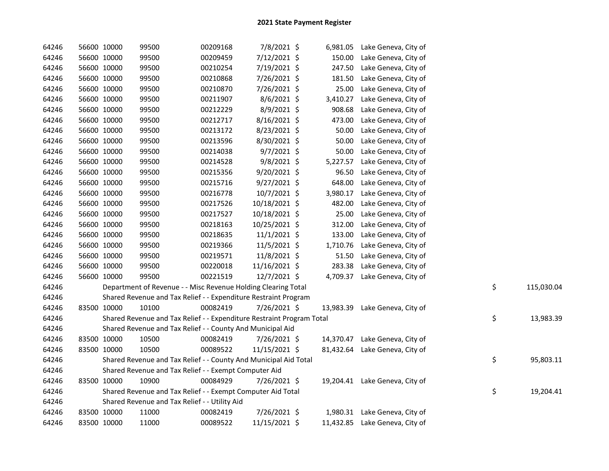| 64246 |             | 56600 10000 | 99500                                                                 | 00209168 | 7/8/2021 \$    |           | 6,981.05 Lake Geneva, City of  |    |            |
|-------|-------------|-------------|-----------------------------------------------------------------------|----------|----------------|-----------|--------------------------------|----|------------|
| 64246 |             | 56600 10000 | 99500                                                                 | 00209459 | 7/12/2021 \$   | 150.00    | Lake Geneva, City of           |    |            |
| 64246 |             | 56600 10000 | 99500                                                                 | 00210254 | 7/19/2021 \$   | 247.50    | Lake Geneva, City of           |    |            |
| 64246 |             | 56600 10000 | 99500                                                                 | 00210868 | 7/26/2021 \$   | 181.50    | Lake Geneva, City of           |    |            |
| 64246 |             | 56600 10000 | 99500                                                                 | 00210870 | 7/26/2021 \$   | 25.00     | Lake Geneva, City of           |    |            |
| 64246 | 56600 10000 |             | 99500                                                                 | 00211907 | $8/6/2021$ \$  | 3,410.27  | Lake Geneva, City of           |    |            |
| 64246 |             | 56600 10000 | 99500                                                                 | 00212229 | 8/9/2021 \$    | 908.68    | Lake Geneva, City of           |    |            |
| 64246 |             | 56600 10000 | 99500                                                                 | 00212717 | 8/16/2021 \$   | 473.00    | Lake Geneva, City of           |    |            |
| 64246 |             | 56600 10000 | 99500                                                                 | 00213172 | 8/23/2021 \$   | 50.00     | Lake Geneva, City of           |    |            |
| 64246 |             | 56600 10000 | 99500                                                                 | 00213596 | 8/30/2021 \$   | 50.00     | Lake Geneva, City of           |    |            |
| 64246 |             | 56600 10000 | 99500                                                                 | 00214038 | $9/7/2021$ \$  | 50.00     | Lake Geneva, City of           |    |            |
| 64246 |             | 56600 10000 | 99500                                                                 | 00214528 | 9/8/2021 \$    | 5,227.57  | Lake Geneva, City of           |    |            |
| 64246 |             | 56600 10000 | 99500                                                                 | 00215356 | 9/20/2021 \$   | 96.50     | Lake Geneva, City of           |    |            |
| 64246 |             | 56600 10000 | 99500                                                                 | 00215716 | $9/27/2021$ \$ | 648.00    | Lake Geneva, City of           |    |            |
| 64246 |             | 56600 10000 | 99500                                                                 | 00216778 | 10/7/2021 \$   | 3,980.17  | Lake Geneva, City of           |    |            |
| 64246 |             | 56600 10000 | 99500                                                                 | 00217526 | 10/18/2021 \$  | 482.00    | Lake Geneva, City of           |    |            |
| 64246 |             | 56600 10000 | 99500                                                                 | 00217527 | 10/18/2021 \$  | 25.00     | Lake Geneva, City of           |    |            |
| 64246 |             | 56600 10000 | 99500                                                                 | 00218163 | 10/25/2021 \$  | 312.00    | Lake Geneva, City of           |    |            |
| 64246 |             | 56600 10000 | 99500                                                                 | 00218635 | $11/1/2021$ \$ | 133.00    | Lake Geneva, City of           |    |            |
| 64246 |             | 56600 10000 | 99500                                                                 | 00219366 | 11/5/2021 \$   | 1,710.76  | Lake Geneva, City of           |    |            |
| 64246 |             | 56600 10000 | 99500                                                                 | 00219571 | 11/8/2021 \$   | 51.50     | Lake Geneva, City of           |    |            |
| 64246 |             | 56600 10000 | 99500                                                                 | 00220018 | 11/16/2021 \$  | 283.38    | Lake Geneva, City of           |    |            |
| 64246 |             | 56600 10000 | 99500                                                                 | 00221519 | 12/7/2021 \$   |           | 4,709.37 Lake Geneva, City of  |    |            |
| 64246 |             |             | Department of Revenue - - Misc Revenue Holding Clearing Total         |          |                |           |                                | \$ | 115,030.04 |
| 64246 |             |             | Shared Revenue and Tax Relief - - Expenditure Restraint Program       |          |                |           |                                |    |            |
| 64246 |             | 83500 10000 | 10100                                                                 | 00082419 | 7/26/2021 \$   | 13,983.39 | Lake Geneva, City of           |    |            |
| 64246 |             |             | Shared Revenue and Tax Relief - - Expenditure Restraint Program Total |          |                |           |                                | \$ | 13,983.39  |
| 64246 |             |             | Shared Revenue and Tax Relief - - County And Municipal Aid            |          |                |           |                                |    |            |
| 64246 |             | 83500 10000 | 10500                                                                 | 00082419 | 7/26/2021 \$   |           | 14,370.47 Lake Geneva, City of |    |            |
| 64246 |             | 83500 10000 | 10500                                                                 | 00089522 | 11/15/2021 \$  |           | 81,432.64 Lake Geneva, City of |    |            |
| 64246 |             |             | Shared Revenue and Tax Relief - - County And Municipal Aid Total      |          |                |           |                                | \$ | 95,803.11  |
| 64246 |             |             | Shared Revenue and Tax Relief - - Exempt Computer Aid                 |          |                |           |                                |    |            |
| 64246 |             | 83500 10000 | 10900                                                                 | 00084929 | 7/26/2021 \$   |           | 19,204.41 Lake Geneva, City of |    |            |
| 64246 |             |             | Shared Revenue and Tax Relief - - Exempt Computer Aid Total           |          |                |           |                                | \$ | 19,204.41  |
| 64246 |             |             | Shared Revenue and Tax Relief - - Utility Aid                         |          |                |           |                                |    |            |
| 64246 |             | 83500 10000 | 11000                                                                 | 00082419 | 7/26/2021 \$   |           | 1,980.31 Lake Geneva, City of  |    |            |
| 64246 | 83500 10000 |             | 11000                                                                 | 00089522 | 11/15/2021 \$  |           | 11,432.85 Lake Geneva, City of |    |            |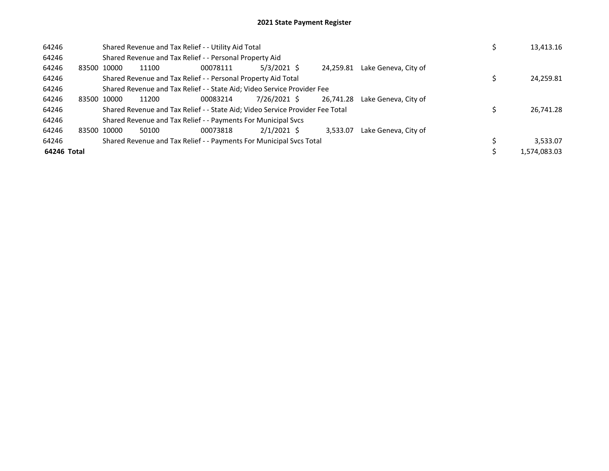| 64246       |             |       | Shared Revenue and Tax Relief - - Utility Aid Total                           |               |           |                      | 13,413.16    |
|-------------|-------------|-------|-------------------------------------------------------------------------------|---------------|-----------|----------------------|--------------|
| 64246       |             |       | Shared Revenue and Tax Relief - - Personal Property Aid                       |               |           |                      |              |
| 64246       | 83500 10000 | 11100 | 00078111                                                                      | $5/3/2021$ \$ | 24.259.81 | Lake Geneva, City of |              |
| 64246       |             |       | Shared Revenue and Tax Relief - - Personal Property Aid Total                 |               |           |                      | 24,259.81    |
| 64246       |             |       | Shared Revenue and Tax Relief - - State Aid; Video Service Provider Fee       |               |           |                      |              |
| 64246       | 83500 10000 | 11200 | 00083214                                                                      | 7/26/2021 \$  | 26.741.28 | Lake Geneva, City of |              |
| 64246       |             |       | Shared Revenue and Tax Relief - - State Aid; Video Service Provider Fee Total |               |           |                      | 26,741.28    |
| 64246       |             |       | Shared Revenue and Tax Relief - - Payments For Municipal Svcs                 |               |           |                      |              |
| 64246       | 83500 10000 | 50100 | 00073818                                                                      | $2/1/2021$ \$ | 3.533.07  | Lake Geneva, City of |              |
| 64246       |             |       | Shared Revenue and Tax Relief - - Payments For Municipal Svcs Total           |               |           |                      | 3,533.07     |
| 64246 Total |             |       |                                                                               |               |           |                      | 1,574,083.03 |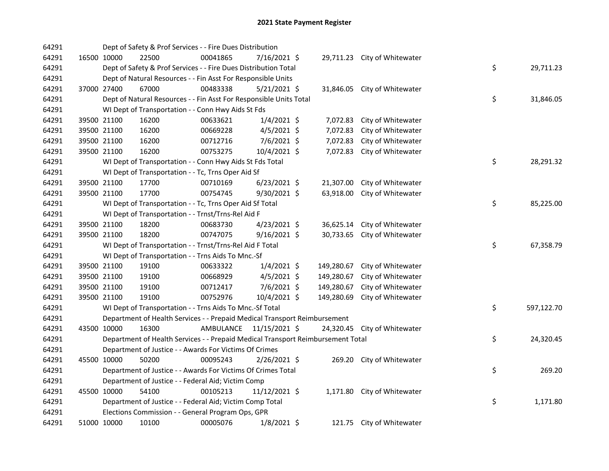| 64291 |             | Dept of Safety & Prof Services - - Fire Dues Distribution                       |           |                |            |                              |    |            |
|-------|-------------|---------------------------------------------------------------------------------|-----------|----------------|------------|------------------------------|----|------------|
| 64291 | 16500 10000 | 22500                                                                           | 00041865  | 7/16/2021 \$   |            | 29,711.23 City of Whitewater |    |            |
| 64291 |             | Dept of Safety & Prof Services - - Fire Dues Distribution Total                 |           |                |            |                              | \$ | 29,711.23  |
| 64291 |             | Dept of Natural Resources - - Fin Asst For Responsible Units                    |           |                |            |                              |    |            |
| 64291 | 37000 27400 | 67000                                                                           | 00483338  | $5/21/2021$ \$ | 31,846.05  | City of Whitewater           |    |            |
| 64291 |             | Dept of Natural Resources - - Fin Asst For Responsible Units Total              |           |                |            |                              | \$ | 31,846.05  |
| 64291 |             | WI Dept of Transportation - - Conn Hwy Aids St Fds                              |           |                |            |                              |    |            |
| 64291 | 39500 21100 | 16200                                                                           | 00633621  | $1/4/2021$ \$  | 7,072.83   | City of Whitewater           |    |            |
| 64291 | 39500 21100 | 16200                                                                           | 00669228  | $4/5/2021$ \$  | 7,072.83   | City of Whitewater           |    |            |
| 64291 | 39500 21100 | 16200                                                                           | 00712716  | $7/6/2021$ \$  | 7,072.83   | City of Whitewater           |    |            |
| 64291 | 39500 21100 | 16200                                                                           | 00753275  | 10/4/2021 \$   | 7,072.83   | City of Whitewater           |    |            |
| 64291 |             | WI Dept of Transportation - - Conn Hwy Aids St Fds Total                        |           |                |            |                              | \$ | 28,291.32  |
| 64291 |             | WI Dept of Transportation - - Tc, Trns Oper Aid Sf                              |           |                |            |                              |    |            |
| 64291 | 39500 21100 | 17700                                                                           | 00710169  | $6/23/2021$ \$ | 21,307.00  | City of Whitewater           |    |            |
| 64291 | 39500 21100 | 17700                                                                           | 00754745  | 9/30/2021 \$   | 63,918.00  | City of Whitewater           |    |            |
| 64291 |             | WI Dept of Transportation - - Tc, Trns Oper Aid Sf Total                        |           |                |            |                              | \$ | 85,225.00  |
| 64291 |             | WI Dept of Transportation - - Trnst/Trns-Rel Aid F                              |           |                |            |                              |    |            |
| 64291 | 39500 21100 | 18200                                                                           | 00683730  | $4/23/2021$ \$ | 36,625.14  | City of Whitewater           |    |            |
| 64291 | 39500 21100 | 18200                                                                           | 00747075  | 9/16/2021 \$   | 30,733.65  | City of Whitewater           |    |            |
| 64291 |             | WI Dept of Transportation - - Trnst/Trns-Rel Aid F Total                        |           |                |            |                              | \$ | 67,358.79  |
| 64291 |             | WI Dept of Transportation - - Trns Aids To Mnc.-Sf                              |           |                |            |                              |    |            |
| 64291 | 39500 21100 | 19100                                                                           | 00633322  | $1/4/2021$ \$  | 149,280.67 | City of Whitewater           |    |            |
| 64291 | 39500 21100 | 19100                                                                           | 00668929  | $4/5/2021$ \$  | 149,280.67 | City of Whitewater           |    |            |
| 64291 | 39500 21100 | 19100                                                                           | 00712417  | 7/6/2021 \$    | 149,280.67 | City of Whitewater           |    |            |
| 64291 | 39500 21100 | 19100                                                                           | 00752976  | 10/4/2021 \$   | 149,280.69 | City of Whitewater           |    |            |
| 64291 |             | WI Dept of Transportation - - Trns Aids To Mnc.-Sf Total                        |           |                |            |                              | \$ | 597,122.70 |
| 64291 |             | Department of Health Services - - Prepaid Medical Transport Reimbursement       |           |                |            |                              |    |            |
| 64291 | 43500 10000 | 16300                                                                           | AMBULANCE | 11/15/2021 \$  |            | 24,320.45 City of Whitewater |    |            |
| 64291 |             | Department of Health Services - - Prepaid Medical Transport Reimbursement Total |           |                |            |                              | \$ | 24,320.45  |
| 64291 |             | Department of Justice - - Awards For Victims Of Crimes                          |           |                |            |                              |    |            |
| 64291 | 45500 10000 | 50200                                                                           | 00095243  | 2/26/2021 \$   |            | 269.20 City of Whitewater    |    |            |
| 64291 |             | Department of Justice - - Awards For Victims Of Crimes Total                    |           |                |            |                              | \$ | 269.20     |
| 64291 |             | Department of Justice - - Federal Aid; Victim Comp                              |           |                |            |                              |    |            |
| 64291 | 45500 10000 | 54100                                                                           | 00105213  | 11/12/2021 \$  |            | 1,171.80 City of Whitewater  |    |            |
| 64291 |             | Department of Justice - - Federal Aid; Victim Comp Total                        |           |                |            |                              | \$ | 1,171.80   |
| 64291 |             | Elections Commission - - General Program Ops, GPR                               |           |                |            |                              |    |            |
| 64291 | 51000 10000 | 10100                                                                           | 00005076  | $1/8/2021$ \$  |            | 121.75 City of Whitewater    |    |            |